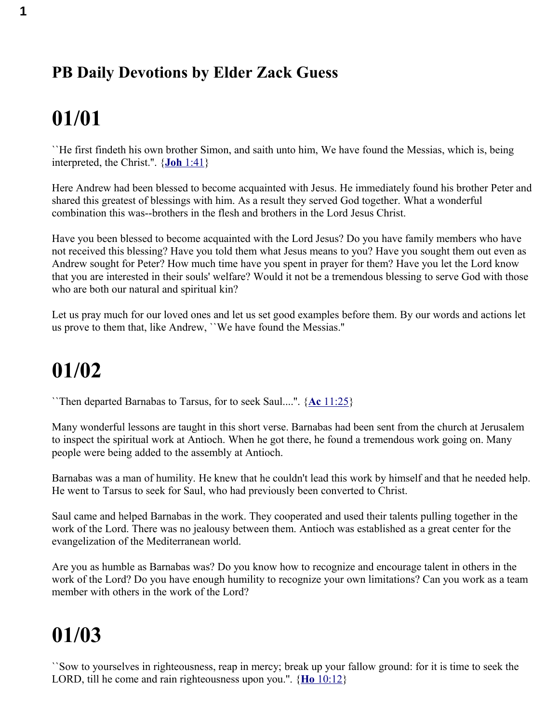#### **PB Daily Devotions by Elder Zack Guess**

## **01/01**

``He first findeth his own brother Simon, and saith unto him, We have found the Messias, which is, being interpreted, the Christ.''. { **Joh** [1:41}](swordsearcher://bible/Joh1.41)

Here Andrew had been blessed to become acquainted with Jesus. He immediately found his brother Peter and shared this greatest of blessings with him. As a result they served God together. What a wonderful combination this was--brothers in the flesh and brothers in the Lord Jesus Christ.

Have you been blessed to become acquainted with the Lord Jesus? Do you have family members who have not received this blessing? Have you told them what Jesus means to you? Have you sought them out even as Andrew sought for Peter? How much time have you spent in prayer for them? Have you let the Lord know that you are interested in their souls' welfare? Would it not be a tremendous blessing to serve God with those who are both our natural and spiritual kin?

Let us pray much for our loved ones and let us set good examples before them. By our words and actions let us prove to them that, like Andrew, ``We have found the Messias.''

#### **01/02**

``Then departed Barnabas to Tarsus, for to seek Saul....''. { **Ac** [11:25}](swordsearcher://bible/Ac11.25)

Many wonderful lessons are taught in this short verse. Barnabas had been sent from the church at Jerusalem to inspect the spiritual work at Antioch. When he got there, he found a tremendous work going on. Many people were being added to the assembly at Antioch.

Barnabas was a man of humility. He knew that he couldn't lead this work by himself and that he needed help. He went to Tarsus to seek for Saul, who had previously been converted to Christ.

Saul came and helped Barnabas in the work. They cooperated and used their talents pulling together in the work of the Lord. There was no jealousy between them. Antioch was established as a great center for the evangelization of the Mediterranean world.

Are you as humble as Barnabas was? Do you know how to recognize and encourage talent in others in the work of the Lord? Do you have enough humility to recognize your own limitations? Can you work as a team member with others in the work of the Lord?

#### **01/03**

``Sow to yourselves in righteousness, reap in mercy; break up your fallow ground: for it is time to seek the LORD, till he come and rain righteousness upon you.''. { **Ho** [10:12}](swordsearcher://bible/Ho10.12)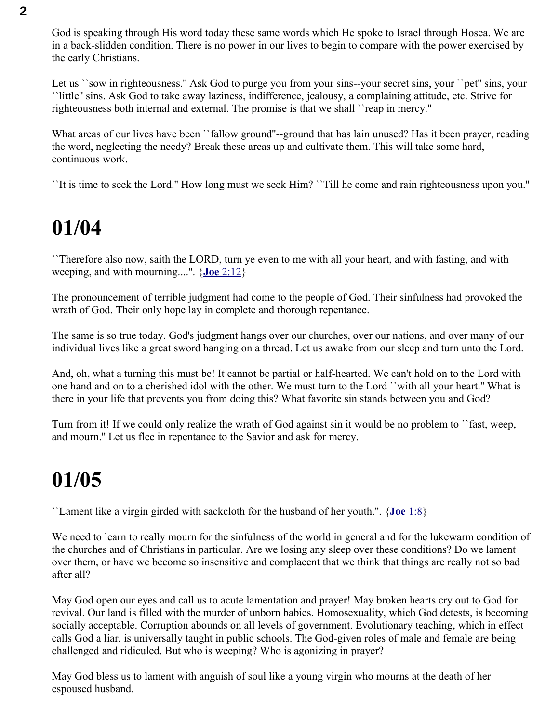God is speaking through His word today these same words which He spoke to Israel through Hosea. We are in a back-slidden condition. There is no power in our lives to begin to compare with the power exercised by the early Christians.

Let us "sow in righteousness." Ask God to purge you from your sins--your secret sins, your "pet" sins, your ``little'' sins. Ask God to take away laziness, indifference, jealousy, a complaining attitude, etc. Strive for righteousness both internal and external. The promise is that we shall ``reap in mercy.''

What areas of our lives have been "fallow ground"--ground that has lain unused? Has it been prayer, reading the word, neglecting the needy? Break these areas up and cultivate them. This will take some hard, continuous work.

``It is time to seek the Lord.'' How long must we seek Him? ``Till he come and rain righteousness upon you.''

#### **01/04**

``Therefore also now, saith the LORD, turn ye even to me with all your heart, and with fasting, and with weeping, and with mourning....''. { **Joe** [2:12}](swordsearcher://bible/Joe2.12)

The pronouncement of terrible judgment had come to the people of God. Their sinfulness had provoked the wrath of God. Their only hope lay in complete and thorough repentance.

The same is so true today. God's judgment hangs over our churches, over our nations, and over many of our individual lives like a great sword hanging on a thread. Let us awake from our sleep and turn unto the Lord.

And, oh, what a turning this must be! It cannot be partial or half-hearted. We can't hold on to the Lord with one hand and on to a cherished idol with the other. We must turn to the Lord ``with all your heart.'' What is there in your life that prevents you from doing this? What favorite sin stands between you and God?

Turn from it! If we could only realize the wrath of God against sin it would be no problem to ``fast, weep, and mourn.'' Let us flee in repentance to the Savior and ask for mercy.

#### **01/05**

``Lament like a virgin girded with sackcloth for the husband of her youth.''. { **Joe** [1:8}](swordsearcher://bible/Joe1.8)

We need to learn to really mourn for the sinfulness of the world in general and for the lukewarm condition of the churches and of Christians in particular. Are we losing any sleep over these conditions? Do we lament over them, or have we become so insensitive and complacent that we think that things are really not so bad after all?

May God open our eyes and call us to acute lamentation and prayer! May broken hearts cry out to God for revival. Our land is filled with the murder of unborn babies. Homosexuality, which God detests, is becoming socially acceptable. Corruption abounds on all levels of government. Evolutionary teaching, which in effect calls God a liar, is universally taught in public schools. The God-given roles of male and female are being challenged and ridiculed. But who is weeping? Who is agonizing in prayer?

May God bless us to lament with anguish of soul like a young virgin who mourns at the death of her espoused husband.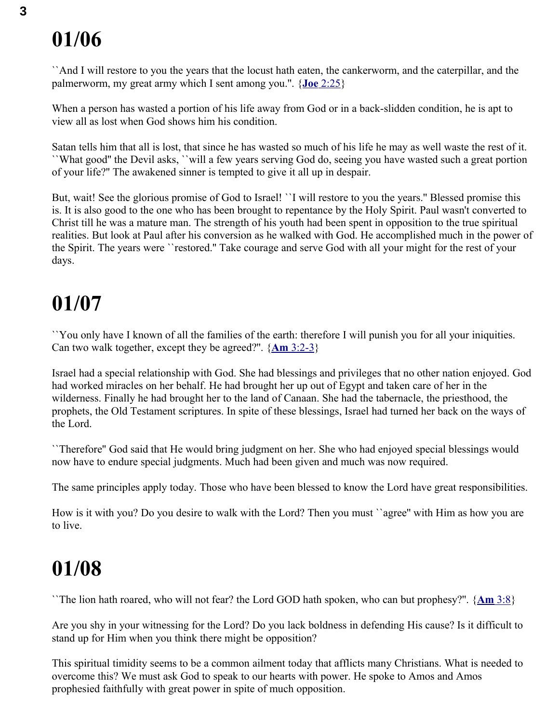``And I will restore to you the years that the locust hath eaten, the cankerworm, and the caterpillar, and the palmerworm, my great army which I sent among you.''. { **Joe** [2:25}](swordsearcher://bible/Joe2.25)

When a person has wasted a portion of his life away from God or in a back-slidden condition, he is apt to view all as lost when God shows him his condition.

Satan tells him that all is lost, that since he has wasted so much of his life he may as well waste the rest of it. ``What good'' the Devil asks, ``will a few years serving God do, seeing you have wasted such a great portion of your life?'' The awakened sinner is tempted to give it all up in despair.

But, wait! See the glorious promise of God to Israel! ``I will restore to you the years.'' Blessed promise this is. It is also good to the one who has been brought to repentance by the Holy Spirit. Paul wasn't converted to Christ till he was a mature man. The strength of his youth had been spent in opposition to the true spiritual realities. But look at Paul after his conversion as he walked with God. He accomplished much in the power of the Spirit. The years were ``restored.'' Take courage and serve God with all your might for the rest of your days.

#### **01/07**

``You only have I known of all the families of the earth: therefore I will punish you for all your iniquities. Can two walk together, except they be agreed?''. { **Am** [3:2-3}](swordsearcher://bible/Am3.2-3)

Israel had a special relationship with God. She had blessings and privileges that no other nation enjoyed. God had worked miracles on her behalf. He had brought her up out of Egypt and taken care of her in the wilderness. Finally he had brought her to the land of Canaan. She had the tabernacle, the priesthood, the prophets, the Old Testament scriptures. In spite of these blessings, Israel had turned her back on the ways of the Lord.

``Therefore'' God said that He would bring judgment on her. She who had enjoyed special blessings would now have to endure special judgments. Much had been given and much was now required.

The same principles apply today. Those who have been blessed to know the Lord have great responsibilities.

How is it with you? Do you desire to walk with the Lord? Then you must ``agree'' with Him as how you are to live.

### **01/08**

``The lion hath roared, who will not fear? the Lord GOD hath spoken, who can but prophesy?''. { **[Am](swordsearcher://bible/Am3.8)** 3:8}

Are you shy in your witnessing for the Lord? Do you lack boldness in defending His cause? Is it difficult to stand up for Him when you think there might be opposition?

This spiritual timidity seems to be a common ailment today that afflicts many Christians. What is needed to overcome this? We must ask God to speak to our hearts with power. He spoke to Amos and Amos prophesied faithfully with great power in spite of much opposition.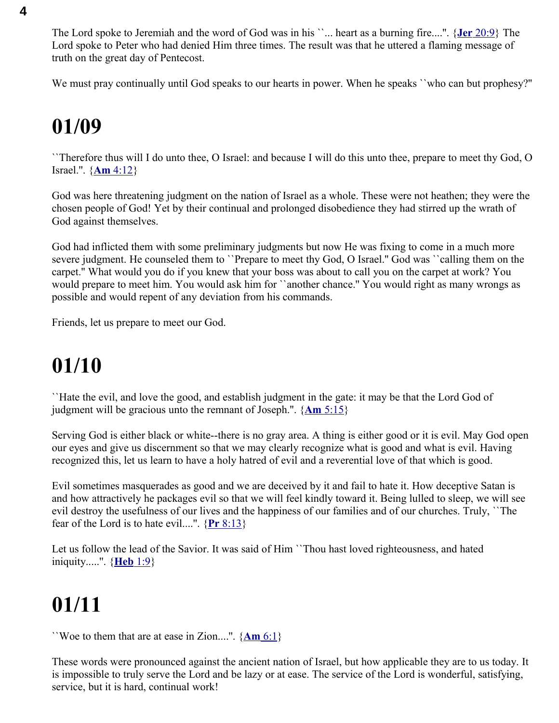The Lord spoke to Jeremiah and the word of God was in his ``... heart as a burning fire....''. { **Jer** [20:9}](swordsearcher://bible/Jer20.9) The Lord spoke to Peter who had denied Him three times. The result was that he uttered a flaming message of truth on the great day of Pentecost.

We must pray continually until God speaks to our hearts in power. When he speaks ``who can but prophesy?''

#### **01/09**

``Therefore thus will I do unto thee, O Israel: and because I will do this unto thee, prepare to meet thy God, O Israel.''. { **Am** [4:12}](swordsearcher://bible/Am4.12)

God was here threatening judgment on the nation of Israel as a whole. These were not heathen; they were the chosen people of God! Yet by their continual and prolonged disobedience they had stirred up the wrath of God against themselves.

God had inflicted them with some preliminary judgments but now He was fixing to come in a much more severe judgment. He counseled them to ``Prepare to meet thy God, O Israel.'' God was ``calling them on the carpet.'' What would you do if you knew that your boss was about to call you on the carpet at work? You would prepare to meet him. You would ask him for "another chance." You would right as many wrongs as possible and would repent of any deviation from his commands.

Friends, let us prepare to meet our God.

#### **01/10**

``Hate the evil, and love the good, and establish judgment in the gate: it may be that the Lord God of judgment will be gracious unto the remnant of Joseph.''. { **Am** [5:15}](swordsearcher://bible/Am5.15)

Serving God is either black or white--there is no gray area. A thing is either good or it is evil. May God open our eyes and give us discernment so that we may clearly recognize what is good and what is evil. Having recognized this, let us learn to have a holy hatred of evil and a reverential love of that which is good.

Evil sometimes masquerades as good and we are deceived by it and fail to hate it. How deceptive Satan is and how attractively he packages evil so that we will feel kindly toward it. Being lulled to sleep, we will see evil destroy the usefulness of our lives and the happiness of our families and of our churches. Truly, ``The fear of the Lord is to hate evil....".  $\{Pr 8:13\}$ 

Let us follow the lead of the Savior. It was said of Him ``Thou hast loved righteousness, and hated iniquity.....''. { **[Heb](swordsearcher://bible/Heb1.9)** 1:9}

## **01/11**

``Woe to them that are at ease in Zion....''. { **[Am](swordsearcher://bible/Am6.1)** 6:1}

These words were pronounced against the ancient nation of Israel, but how applicable they are to us today. It is impossible to truly serve the Lord and be lazy or at ease. The service of the Lord is wonderful, satisfying, service, but it is hard, continual work!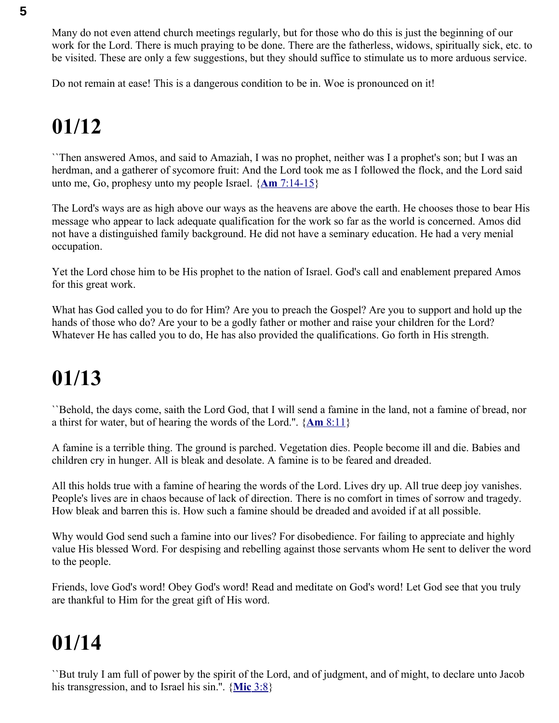Many do not even attend church meetings regularly, but for those who do this is just the beginning of our work for the Lord. There is much praying to be done. There are the fatherless, widows, spiritually sick, etc. to be visited. These are only a few suggestions, but they should suffice to stimulate us to more arduous service.

Do not remain at ease! This is a dangerous condition to be in. Woe is pronounced on it!

## **01/12**

``Then answered Amos, and said to Amaziah, I was no prophet, neither was I a prophet's son; but I was an herdman, and a gatherer of sycomore fruit: And the Lord took me as I followed the flock, and the Lord said unto me, Go, prophesy unto my people Israel. { **Am** [7:14-15}](swordsearcher://bible/Am7.14-15)

The Lord's ways are as high above our ways as the heavens are above the earth. He chooses those to bear His message who appear to lack adequate qualification for the work so far as the world is concerned. Amos did not have a distinguished family background. He did not have a seminary education. He had a very menial occupation.

Yet the Lord chose him to be His prophet to the nation of Israel. God's call and enablement prepared Amos for this great work.

What has God called you to do for Him? Are you to preach the Gospel? Are you to support and hold up the hands of those who do? Are your to be a godly father or mother and raise your children for the Lord? Whatever He has called you to do, He has also provided the qualifications. Go forth in His strength.

## **01/13**

``Behold, the days come, saith the Lord God, that I will send a famine in the land, not a famine of bread, nor a thirst for water, but of hearing the words of the Lord.''. { **Am** [8:11}](swordsearcher://bible/Am8.11)

A famine is a terrible thing. The ground is parched. Vegetation dies. People become ill and die. Babies and children cry in hunger. All is bleak and desolate. A famine is to be feared and dreaded.

All this holds true with a famine of hearing the words of the Lord. Lives dry up. All true deep joy vanishes. People's lives are in chaos because of lack of direction. There is no comfort in times of sorrow and tragedy. How bleak and barren this is. How such a famine should be dreaded and avoided if at all possible.

Why would God send such a famine into our lives? For disobedience. For failing to appreciate and highly value His blessed Word. For despising and rebelling against those servants whom He sent to deliver the word to the people.

Friends, love God's word! Obey God's word! Read and meditate on God's word! Let God see that you truly are thankful to Him for the great gift of His word.

## **01/14**

``But truly I am full of power by the spirit of the Lord, and of judgment, and of might, to declare unto Jacob his transgression, and to Israel his sin.''. { **[Mic](swordsearcher://bible/Mic3.8)** 3:8}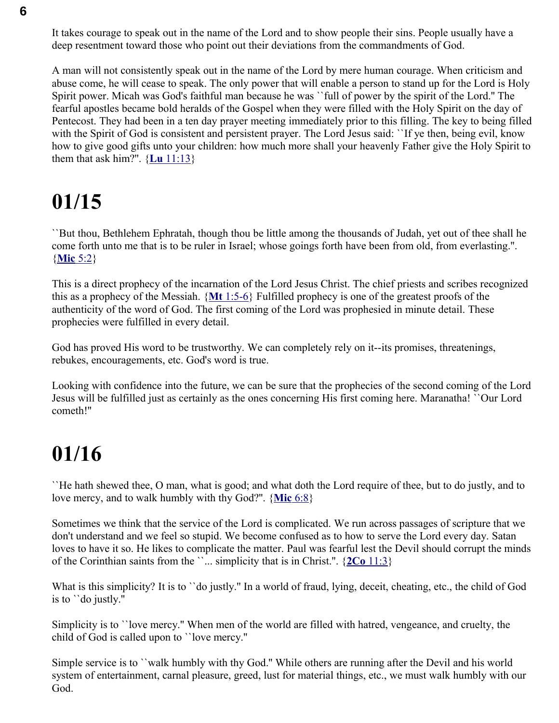It takes courage to speak out in the name of the Lord and to show people their sins. People usually have a deep resentment toward those who point out their deviations from the commandments of God.

A man will not consistently speak out in the name of the Lord by mere human courage. When criticism and abuse come, he will cease to speak. The only power that will enable a person to stand up for the Lord is Holy Spirit power. Micah was God's faithful man because he was ``full of power by the spirit of the Lord.'' The fearful apostles became bold heralds of the Gospel when they were filled with the Holy Spirit on the day of Pentecost. They had been in a ten day prayer meeting immediately prior to this filling. The key to being filled with the Spirit of God is consistent and persistent prayer. The Lord Jesus said: "If ye then, being evil, know how to give good gifts unto your children: how much more shall your heavenly Father give the Holy Spirit to them that ask him?".  $\{\underline{\mathbf{L}} \underline{\mathbf{u}} \ 11:13\}$ 

#### **01/15**

``But thou, Bethlehem Ephratah, though thou be little among the thousands of Judah, yet out of thee shall he come forth unto me that is to be ruler in Israel; whose goings forth have been from old, from everlasting.''. { **[Mic](swordsearcher://bible/Mic5.2)** 5:2}

This is a direct prophecy of the incarnation of the Lord Jesus Christ. The chief priests and scribes recognized this as a prophecy of the Messiah. { **Mt** [1:5-6}](swordsearcher://bible/Mt1.5-6) Fulfilled prophecy is one of the greatest proofs of the authenticity of the word of God. The first coming of the Lord was prophesied in minute detail. These prophecies were fulfilled in every detail.

God has proved His word to be trustworthy. We can completely rely on it--its promises, threatenings, rebukes, encouragements, etc. God's word is true.

Looking with confidence into the future, we can be sure that the prophecies of the second coming of the Lord Jesus will be fulfilled just as certainly as the ones concerning His first coming here. Maranatha! ``Our Lord cometh!''

#### **01/16**

``He hath shewed thee, O man, what is good; and what doth the Lord require of thee, but to do justly, and to love mercy, and to walk humbly with thy God?''. { **[Mic](swordsearcher://bible/Mic6.8)** 6:8}

Sometimes we think that the service of the Lord is complicated. We run across passages of scripture that we don't understand and we feel so stupid. We become confused as to how to serve the Lord every day. Satan loves to have it so. He likes to complicate the matter. Paul was fearful lest the Devil should corrupt the minds of the Corinthian saints from the ``... simplicity that is in Christ.''. { **2Co** [11:3}](swordsearcher://bible/2Co11.3)

What is this simplicity? It is to ``do justly." In a world of fraud, lying, deceit, cheating, etc., the child of God is to ``do justly.''

Simplicity is to ``love mercy.'' When men of the world are filled with hatred, vengeance, and cruelty, the child of God is called upon to ``love mercy.''

Simple service is to ``walk humbly with thy God.'' While others are running after the Devil and his world system of entertainment, carnal pleasure, greed, lust for material things, etc., we must walk humbly with our God.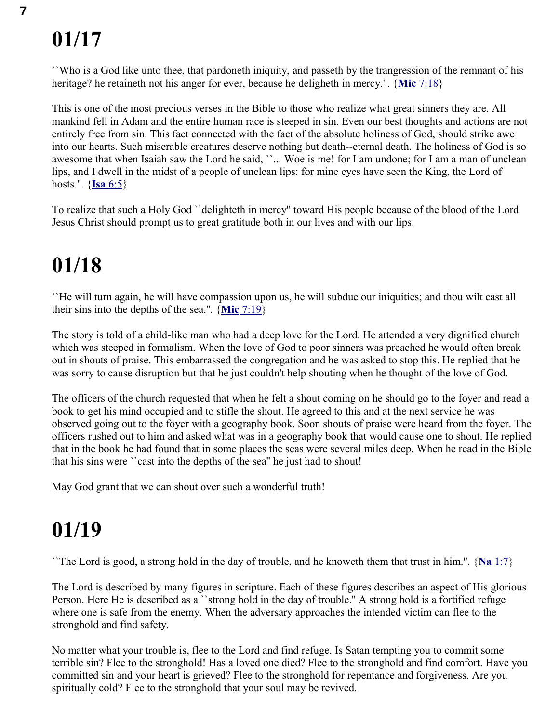``Who is a God like unto thee, that pardoneth iniquity, and passeth by the trangression of the remnant of his heritage? he retaineth not his anger for ever, because he deligheth in mercy.''. { **Mic** [7:18}](swordsearcher://bible/Mic7.18)

This is one of the most precious verses in the Bible to those who realize what great sinners they are. All mankind fell in Adam and the entire human race is steeped in sin. Even our best thoughts and actions are not entirely free from sin. This fact connected with the fact of the absolute holiness of God, should strike awe into our hearts. Such miserable creatures deserve nothing but death--eternal death. The holiness of God is so awesome that when Isaiah saw the Lord he said, ''... Woe is me! for I am undone; for I am a man of unclean lips, and I dwell in the midst of a people of unclean lips: for mine eyes have seen the King, the Lord of hosts.''. { **Isa** [6:5}](swordsearcher://bible/Isa6.5)

To realize that such a Holy God ``delighteth in mercy'' toward His people because of the blood of the Lord Jesus Christ should prompt us to great gratitude both in our lives and with our lips.

### **01/18**

``He will turn again, he will have compassion upon us, he will subdue our iniquities; and thou wilt cast all their sins into the depths of the sea.''. { **Mic** [7:19}](swordsearcher://bible/Mic7.19)

The story is told of a child-like man who had a deep love for the Lord. He attended a very dignified church which was steeped in formalism. When the love of God to poor sinners was preached he would often break out in shouts of praise. This embarrassed the congregation and he was asked to stop this. He replied that he was sorry to cause disruption but that he just couldn't help shouting when he thought of the love of God.

The officers of the church requested that when he felt a shout coming on he should go to the foyer and read a book to get his mind occupied and to stifle the shout. He agreed to this and at the next service he was observed going out to the foyer with a geography book. Soon shouts of praise were heard from the foyer. The officers rushed out to him and asked what was in a geography book that would cause one to shout. He replied that in the book he had found that in some places the seas were several miles deep. When he read in the Bible that his sins were ``cast into the depths of the sea'' he just had to shout!

May God grant that we can shout over such a wonderful truth!

### **01/19**

``The Lord is good, a strong hold in the day of trouble, and he knoweth them that trust in him.''. { **Na** [1:7}](swordsearcher://bible/Na1.7)

The Lord is described by many figures in scripture. Each of these figures describes an aspect of His glorious Person. Here He is described as a ``strong hold in the day of trouble.'' A strong hold is a fortified refuge where one is safe from the enemy. When the adversary approaches the intended victim can flee to the stronghold and find safety.

No matter what your trouble is, flee to the Lord and find refuge. Is Satan tempting you to commit some terrible sin? Flee to the stronghold! Has a loved one died? Flee to the stronghold and find comfort. Have you committed sin and your heart is grieved? Flee to the stronghold for repentance and forgiveness. Are you spiritually cold? Flee to the stronghold that your soul may be revived.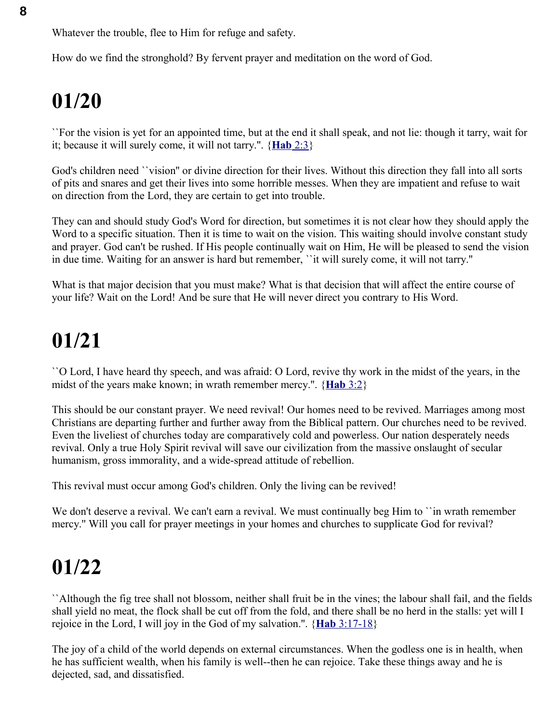Whatever the trouble, flee to Him for refuge and safety.

How do we find the stronghold? By fervent prayer and meditation on the word of God.

## **01/20**

``For the vision is yet for an appointed time, but at the end it shall speak, and not lie: though it tarry, wait for it; because it will surely come, it will not tarry.''. { **[Hab](swordsearcher://bible/Hab2.3)** 2:3}

God's children need ``vision'' or divine direction for their lives. Without this direction they fall into all sorts of pits and snares and get their lives into some horrible messes. When they are impatient and refuse to wait on direction from the Lord, they are certain to get into trouble.

They can and should study God's Word for direction, but sometimes it is not clear how they should apply the Word to a specific situation. Then it is time to wait on the vision. This waiting should involve constant study and prayer. God can't be rushed. If His people continually wait on Him, He will be pleased to send the vision in due time. Waiting for an answer is hard but remember, ``it will surely come, it will not tarry.''

What is that major decision that you must make? What is that decision that will affect the entire course of your life? Wait on the Lord! And be sure that He will never direct you contrary to His Word.

## **01/21**

``O Lord, I have heard thy speech, and was afraid: O Lord, revive thy work in the midst of the years, in the midst of the years make known; in wrath remember mercy.''. { **[Hab](swordsearcher://bible/Hab3.2)** 3:2}

This should be our constant prayer. We need revival! Our homes need to be revived. Marriages among most Christians are departing further and further away from the Biblical pattern. Our churches need to be revived. Even the liveliest of churches today are comparatively cold and powerless. Our nation desperately needs revival. Only a true Holy Spirit revival will save our civilization from the massive onslaught of secular humanism, gross immorality, and a wide-spread attitude of rebellion.

This revival must occur among God's children. Only the living can be revived!

We don't deserve a revival. We can't earn a revival. We must continually beg Him to "in wrath remember" mercy.'' Will you call for prayer meetings in your homes and churches to supplicate God for revival?

## **01/22**

``Although the fig tree shall not blossom, neither shall fruit be in the vines; the labour shall fail, and the fields shall yield no meat, the flock shall be cut off from the fold, and there shall be no herd in the stalls: yet will I rejoice in the Lord, I will joy in the God of my salvation.''. { **Hab** [3:17-18}](swordsearcher://bible/Hab3.17-18)

The joy of a child of the world depends on external circumstances. When the godless one is in health, when he has sufficient wealth, when his family is well--then he can rejoice. Take these things away and he is dejected, sad, and dissatisfied.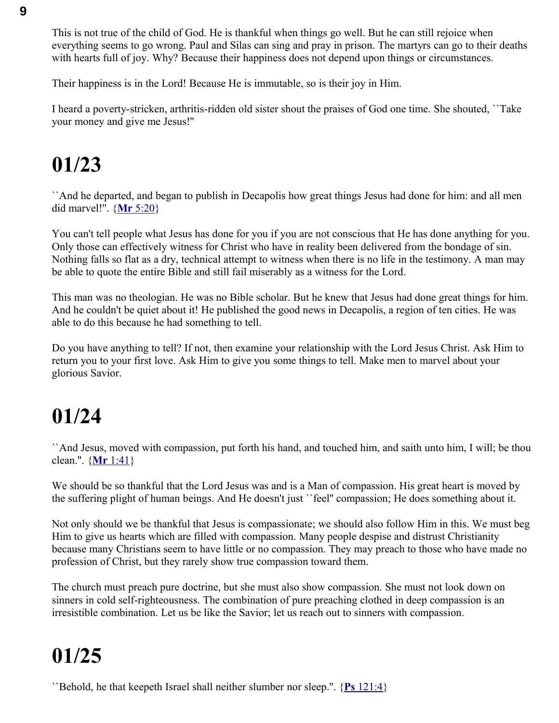This is not true of the child of God. He is thankful when things go well. But he can still rejoice when everything seems to go wrong. Paul and Silas can sing and pray in prison. The martyrs can go to their deaths with hearts full of joy. Why? Because their happiness does not depend upon things or circumstances.

Their happiness is in the Lord! Because He is immutable, so is their joy in Him.

I heard a poverty-stricken, arthritis-ridden old sister shout the praises of God one time. She shouted, ``Take your money and give me Jesus!''

## **01/23**

``And he departed, and began to publish in Decapolis how great things Jesus had done for him: and all men did marvel!''. { **Mr** [5:20}](swordsearcher://bible/Mr5.20)

You can't tell people what Jesus has done for you if you are not conscious that He has done anything for you. Only those can effectively witness for Christ who have in reality been delivered from the bondage of sin. Nothing falls so flat as a dry, technical attempt to witness when there is no life in the testimony. A man may be able to quote the entire Bible and still fail miserably as a witness for the Lord.

This man was no theologian. He was no Bible scholar. But he knew that Jesus had done great things for him. And he couldn't be quiet about it! He published the good news in Decapolis, a region of ten cities. He was able to do this because he had something to tell.

Do you have anything to tell? If not, then examine your relationship with the Lord Jesus Christ. Ask Him to return you to your first love. Ask Him to give you some things to tell. Make men to marvel about your glorious Savior.

## **01/24**

``And Jesus, moved with compassion, put forth his hand, and touched him, and saith unto him, I will; be thou clean.''. { **Mr** [1:41}](swordsearcher://bible/Mr1.41)

We should be so thankful that the Lord Jesus was and is a Man of compassion. His great heart is moved by the suffering plight of human beings. And He doesn't just ``feel'' compassion; He does something about it.

Not only should we be thankful that Jesus is compassionate; we should also follow Him in this. We must beg Him to give us hearts which are filled with compassion. Many people despise and distrust Christianity because many Christians seem to have little or no compassion. They may preach to those who have made no profession of Christ, but they rarely show true compassion toward them.

The church must preach pure doctrine, but she must also show compassion. She must not look down on sinners in cold self-righteousness. The combination of pure preaching clothed in deep compassion is an irresistible combination. Let us be like the Savior; let us reach out to sinners with compassion.

## **01/25**

``Behold, he that keepeth Israel shall neither slumber nor sleep.''. { **Ps** [121:4}](swordsearcher://bible/Ps121.4)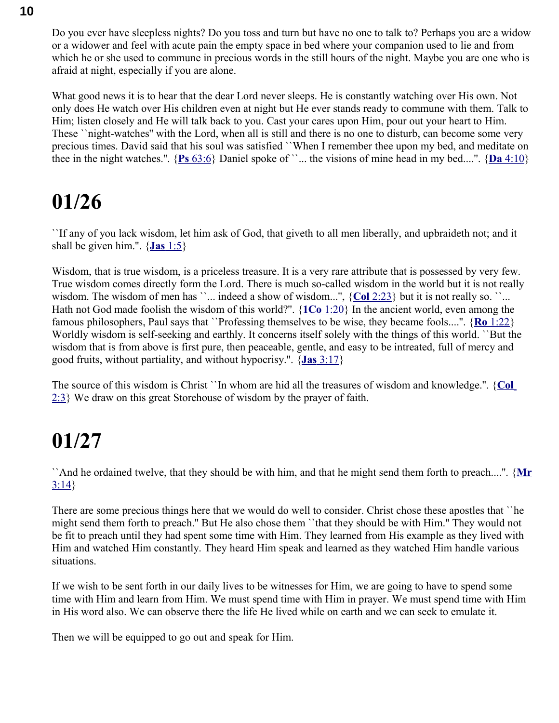Do you ever have sleepless nights? Do you toss and turn but have no one to talk to? Perhaps you are a widow or a widower and feel with acute pain the empty space in bed where your companion used to lie and from which he or she used to commune in precious words in the still hours of the night. Maybe you are one who is afraid at night, especially if you are alone.

What good news it is to hear that the dear Lord never sleeps. He is constantly watching over His own. Not only does He watch over His children even at night but He ever stands ready to commune with them. Talk to Him; listen closely and He will talk back to you. Cast your cares upon Him, pour out your heart to Him. These ``night-watches'' with the Lord, when all is still and there is no one to disturb, can become some very precious times. David said that his soul was satisfied ``When I remember thee upon my bed, and meditate on thee in the night watches.".  $\{P_s \ 63:6\}$  Daniel spoke of ``... the visions of mine head in my bed....".  $\{D_a \ 4:10\}$ 

#### **01/26**

``If any of you lack wisdom, let him ask of God, that giveth to all men liberally, and upbraideth not; and it shall be given him.''. { **Jas** [1:5}](swordsearcher://bible/Jas1.5)

Wisdom, that is true wisdom, is a priceless treasure. It is a very rare attribute that is possessed by very few. True wisdom comes directly form the Lord. There is much so-called wisdom in the world but it is not really wisdom. The wisdom of men has ``... indeed a show of wisdom...", {Col [2:23}](swordsearcher://bible/Col2.23) but it is not really so. ``... Hath not God made foolish the wisdom of this world?''. { **1Co** [1:20}](swordsearcher://bible/1Co1.20) In the ancient world, even among the famous philosophers, Paul says that ``Professing themselves to be wise, they became fools....''. { **Ro** [1:22}](swordsearcher://bible/Ro1.22) Worldly wisdom is self-seeking and earthly. It concerns itself solely with the things of this world. ``But the wisdom that is from above is first pure, then peaceable, gentle, and easy to be intreated, full of mercy and good fruits, without partiality, and without hypocrisy.''. { **Jas** [3:17}](swordsearcher://bible/Jas3.17)

The source of this wisdom is Christ ``In whom are hid all the treasures of wisdom and knowledge.''. { **[Col](swordsearcher://bible/Col2.3)** [2:3}](swordsearcher://bible/Col2.3) We draw on this great Storehouse of wisdom by the prayer of faith.

### **01/27**

``And he ordained twelve, that they should be with him, and that he might send them forth to preach....''. {**[Mr](swordsearcher://bible/Mr3.14)**  $3:14$ 

There are some precious things here that we would do well to consider. Christ chose these apostles that ``he might send them forth to preach.'' But He also chose them ``that they should be with Him.'' They would not be fit to preach until they had spent some time with Him. They learned from His example as they lived with Him and watched Him constantly. They heard Him speak and learned as they watched Him handle various situations.

If we wish to be sent forth in our daily lives to be witnesses for Him, we are going to have to spend some time with Him and learn from Him. We must spend time with Him in prayer. We must spend time with Him in His word also. We can observe there the life He lived while on earth and we can seek to emulate it.

Then we will be equipped to go out and speak for Him.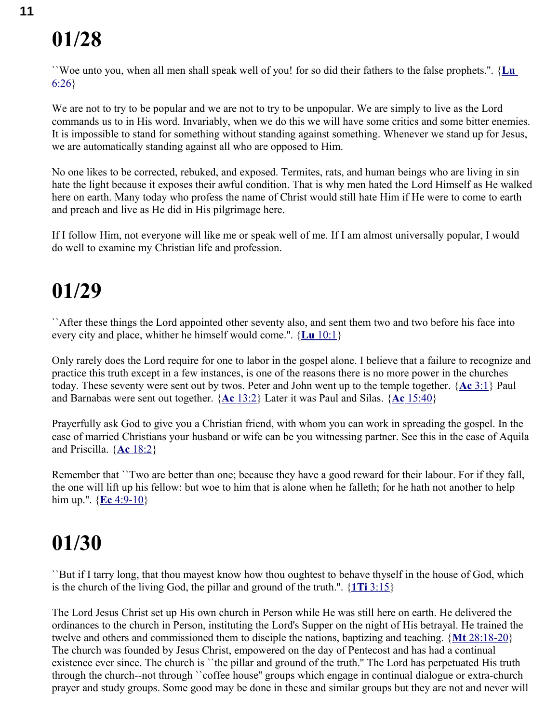``Woe unto you, when all men shall speak well of you! for so did their fathers to the false prophets.''. { **[Lu](swordsearcher://bible/Lu6.26)** [6:26}](swordsearcher://bible/Lu6.26)

We are not to try to be popular and we are not to try to be unpopular. We are simply to live as the Lord commands us to in His word. Invariably, when we do this we will have some critics and some bitter enemies. It is impossible to stand for something without standing against something. Whenever we stand up for Jesus, we are automatically standing against all who are opposed to Him.

No one likes to be corrected, rebuked, and exposed. Termites, rats, and human beings who are living in sin hate the light because it exposes their awful condition. That is why men hated the Lord Himself as He walked here on earth. Many today who profess the name of Christ would still hate Him if He were to come to earth and preach and live as He did in His pilgrimage here.

If I follow Him, not everyone will like me or speak well of me. If I am almost universally popular, I would do well to examine my Christian life and profession.

### **01/29**

``After these things the Lord appointed other seventy also, and sent them two and two before his face into every city and place, whither he himself would come.''. { **Lu** [10:1}](swordsearcher://bible/Lu10.1)

Only rarely does the Lord require for one to labor in the gospel alone. I believe that a failure to recognize and practice this truth except in a few instances, is one of the reasons there is no more power in the churches today. These seventy were sent out by twos. Peter and John went up to the temple together. { **Ac** [3:1}](swordsearcher://bible/Ac3.1) Paul and Barnabas were sent out together. { **Ac** [13:2}](swordsearcher://bible/Ac13.2) Later it was Paul and Silas. { **Ac** [15:40}](swordsearcher://bible/Ac15.40)

Prayerfully ask God to give you a Christian friend, with whom you can work in spreading the gospel. In the case of married Christians your husband or wife can be you witnessing partner. See this in the case of Aquila and Priscilla. { **Ac** [18:2}](swordsearcher://bible/Ac18.2)

Remember that ``Two are better than one; because they have a good reward for their labour. For if they fall, the one will lift up his fellow: but woe to him that is alone when he falleth; for he hath not another to help him up.''. { **Ec** [4:9-10}](swordsearcher://bible/Ec4.9-10)

### **01/30**

``But if I tarry long, that thou mayest know how thou oughtest to behave thyself in the house of God, which is the church of the living God, the pillar and ground of the truth.''. { **1Ti** [3:15}](swordsearcher://bible/1Ti3.15)

The Lord Jesus Christ set up His own church in Person while He was still here on earth. He delivered the ordinances to the church in Person, instituting the Lord's Supper on the night of His betrayal. He trained the twelve and others and commissioned them to disciple the nations, baptizing and teaching. { **Mt** [28:18-20}](swordsearcher://bible/Mt28.18-20) The church was founded by Jesus Christ, empowered on the day of Pentecost and has had a continual existence ever since. The church is 'the pillar and ground of the truth." The Lord has perpetuated His truth through the church--not through ``coffee house'' groups which engage in continual dialogue or extra-church prayer and study groups. Some good may be done in these and similar groups but they are not and never will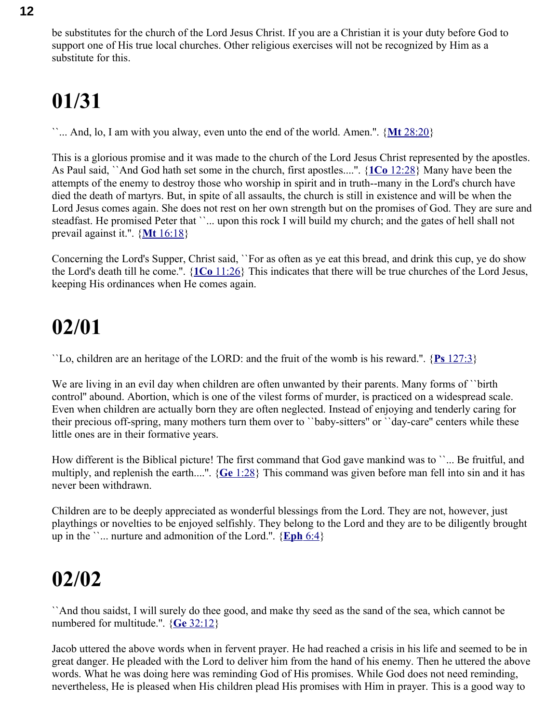be substitutes for the church of the Lord Jesus Christ. If you are a Christian it is your duty before God to support one of His true local churches. Other religious exercises will not be recognized by Him as a substitute for this.

## **01/31**

``... And, lo, I am with you alway, even unto the end of the world. Amen.''. { **Mt** [28:20}](swordsearcher://bible/Mt28.20)

This is a glorious promise and it was made to the church of the Lord Jesus Christ represented by the apostles. As Paul said, ``And God hath set some in the church, first apostles....''. { **1Co** [12:28}](swordsearcher://bible/1Co12.28) Many have been the attempts of the enemy to destroy those who worship in spirit and in truth--many in the Lord's church have died the death of martyrs. But, in spite of all assaults, the church is still in existence and will be when the Lord Jesus comes again. She does not rest on her own strength but on the promises of God. They are sure and steadfast. He promised Peter that ``... upon this rock I will build my church; and the gates of hell shall not prevail against it.''. { **Mt** [16:18}](swordsearcher://bible/Mt16.18)

Concerning the Lord's Supper, Christ said, ``For as often as ye eat this bread, and drink this cup, ye do show the Lord's death till he come.''. { **1Co** [11:26}](swordsearcher://bible/1Co11.26) This indicates that there will be true churches of the Lord Jesus, keeping His ordinances when He comes again.

### **02/01**

``Lo, children are an heritage of the LORD: and the fruit of the womb is his reward.''. { **Ps** [127:3}](swordsearcher://bible/Ps127.3)

We are living in an evil day when children are often unwanted by their parents. Many forms of "birth" control'' abound. Abortion, which is one of the vilest forms of murder, is practiced on a widespread scale. Even when children are actually born they are often neglected. Instead of enjoying and tenderly caring for their precious off-spring, many mothers turn them over to ``baby-sitters'' or ``day-care'' centers while these little ones are in their formative years.

How different is the Biblical picture! The first command that God gave mankind was to ``... Be fruitful, and multiply, and replenish the earth....''. { **Ge** [1:28}](swordsearcher://bible/Ge1.28) This command was given before man fell into sin and it has never been withdrawn.

Children are to be deeply appreciated as wonderful blessings from the Lord. They are not, however, just playthings or novelties to be enjoyed selfishly. They belong to the Lord and they are to be diligently brought up in the  $\ldots$  nurture and admonition of the Lord.". {**Eph** 6:4}

#### **02/02**

``And thou saidst, I will surely do thee good, and make thy seed as the sand of the sea, which cannot be numbered for multitude.''. { **Ge** [32:12}](swordsearcher://bible/Ge32.12)

Jacob uttered the above words when in fervent prayer. He had reached a crisis in his life and seemed to be in great danger. He pleaded with the Lord to deliver him from the hand of his enemy. Then he uttered the above words. What he was doing here was reminding God of His promises. While God does not need reminding, nevertheless, He is pleased when His children plead His promises with Him in prayer. This is a good way to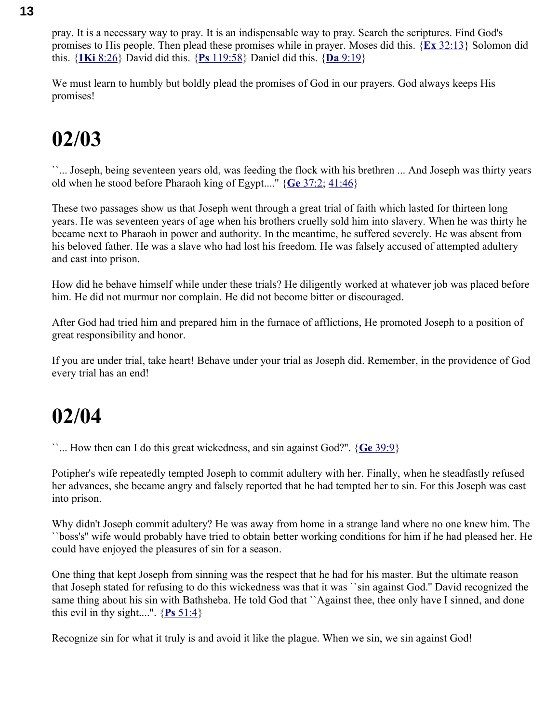pray. It is a necessary way to pray. It is an indispensable way to pray. Search the scriptures. Find God's promises to His people. Then plead these promises while in prayer. Moses did this. { **Ex** [32:13}](swordsearcher://bible/Ex32.13) Solomon did this. { **1Ki** [8:26}](swordsearcher://bible/1Ki8.26) David did this. { **Ps** [119:58}](swordsearcher://bible/Ps119.58) Daniel did this. { **Da** [9:19}](swordsearcher://bible/Da9.19)

We must learn to humbly but boldly plead the promises of God in our prayers. God always keeps His promises!

### **02/03**

``... Joseph, being seventeen years old, was feeding the flock with his brethren ... And Joseph was thirty years old when he stood before Pharaoh king of Egypt....'' { **Ge** [37:2;](swordsearcher://bible/Ge37.2) [41:46}](swordsearcher://bible/Ge41.46)

These two passages show us that Joseph went through a great trial of faith which lasted for thirteen long years. He was seventeen years of age when his brothers cruelly sold him into slavery. When he was thirty he became next to Pharaoh in power and authority. In the meantime, he suffered severely. He was absent from his beloved father. He was a slave who had lost his freedom. He was falsely accused of attempted adultery and cast into prison.

How did he behave himself while under these trials? He diligently worked at whatever job was placed before him. He did not murmur nor complain. He did not become bitter or discouraged.

After God had tried him and prepared him in the furnace of afflictions, He promoted Joseph to a position of great responsibility and honor.

If you are under trial, take heart! Behave under your trial as Joseph did. Remember, in the providence of God every trial has an end!

#### **02/04**

``... How then can I do this great wickedness, and sin against God?''. { **Ge** [39:9}](swordsearcher://bible/Ge39.9)

Potipher's wife repeatedly tempted Joseph to commit adultery with her. Finally, when he steadfastly refused her advances, she became angry and falsely reported that he had tempted her to sin. For this Joseph was cast into prison.

Why didn't Joseph commit adultery? He was away from home in a strange land where no one knew him. The ``boss's'' wife would probably have tried to obtain better working conditions for him if he had pleased her. He could have enjoyed the pleasures of sin for a season.

One thing that kept Joseph from sinning was the respect that he had for his master. But the ultimate reason that Joseph stated for refusing to do this wickedness was that it was ``sin against God.'' David recognized the same thing about his sin with Bathsheba. He told God that ``Against thee, thee only have I sinned, and done this evil in thy sight....".  $\{Ps\ 51:4\}$ 

Recognize sin for what it truly is and avoid it like the plague. When we sin, we sin against God!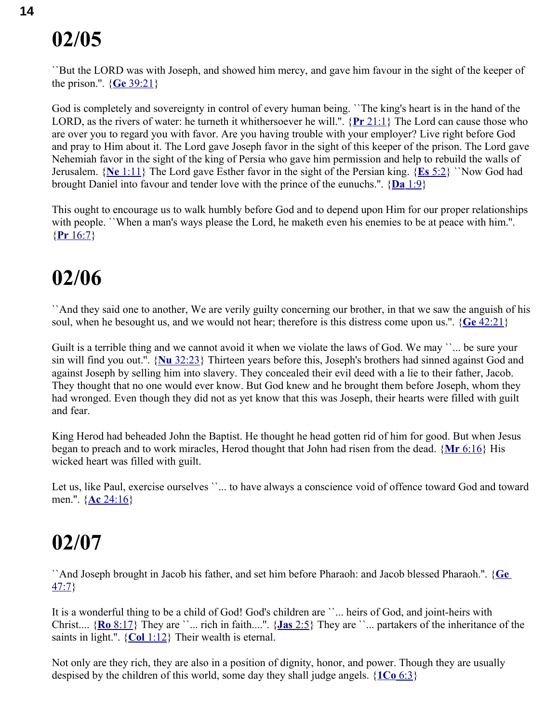``But the LORD was with Joseph, and showed him mercy, and gave him favour in the sight of the keeper of the prison.''. { **Ge** [39:21}](swordsearcher://bible/Ge39.21)

God is completely and sovereignty in control of every human being. ``The king's heart is in the hand of the LORD, as the rivers of water: he turneth it whithersoever he will.''. { **Pr** [21:1}](swordsearcher://bible/Pr21.1) The Lord can cause those who are over you to regard you with favor. Are you having trouble with your employer? Live right before God and pray to Him about it. The Lord gave Joseph favor in the sight of this keeper of the prison. The Lord gave Nehemiah favor in the sight of the king of Persia who gave him permission and help to rebuild the walls of Jerusalem. { **Ne** [1:11}](swordsearcher://bible/Ne1.11) The Lord gave Esther favor in the sight of the Persian king. { **Es** [5:2}](swordsearcher://bible/Es5.2) ``Now God had brought Daniel into favour and tender love with the prince of the eunuchs.''. { **Da** [1:9}](swordsearcher://bible/Da1.9)

This ought to encourage us to walk humbly before God and to depend upon Him for our proper relationships with people. ``When a man's ways please the Lord, he maketh even his enemies to be at peace with him.". { **Pr** [16:7}](swordsearcher://bible/Pr16.7)

#### **02/06**

``And they said one to another, We are verily guilty concerning our brother, in that we saw the anguish of his soul, when he besought us, and we would not hear; therefore is this distress come upon us.''. { **Ge** [42:21}](swordsearcher://bible/Ge42.21)

Guilt is a terrible thing and we cannot avoid it when we violate the laws of God. We may "... be sure your sin will find you out.''. { **Nu** [32:23}](swordsearcher://bible/Nu32.23) Thirteen years before this, Joseph's brothers had sinned against God and against Joseph by selling him into slavery. They concealed their evil deed with a lie to their father, Jacob. They thought that no one would ever know. But God knew and he brought them before Joseph, whom they had wronged. Even though they did not as yet know that this was Joseph, their hearts were filled with guilt and fear.

King Herod had beheaded John the Baptist. He thought he head gotten rid of him for good. But when Jesus began to preach and to work miracles, Herod thought that John had risen from the dead. { **Mr** [6:16}](swordsearcher://bible/Mr6.16) His wicked heart was filled with guilt.

Let us, like Paul, exercise ourselves ``... to have always a conscience void of offence toward God and toward men.''. { **Ac** [24:16}](swordsearcher://bible/Ac24.16)

#### **02/07**

``And Joseph brought in Jacob his father, and set him before Pharaoh: and Jacob blessed Pharaoh.''. { **[Ge](swordsearcher://bible/Ge47.7)** [47:7}](swordsearcher://bible/Ge47.7)

It is a wonderful thing to be a child of God! God's children are ``... heirs of God, and joint-heirs with Christ.... { **Ro** [8:17}](swordsearcher://bible/Ro8.17) They are ``... rich in faith....''. { **Jas** [2:5}](swordsearcher://bible/Jas2.5) They are ``... partakers of the inheritance of the saints in light.''. { **Col** [1:12}](swordsearcher://bible/Col1.12) Their wealth is eternal.

Not only are they rich, they are also in a position of dignity, honor, and power. Though they are usually despised by the children of this world, some day they shall judge angels. { **[1Co](swordsearcher://bible/1Co6.3)** 6:3}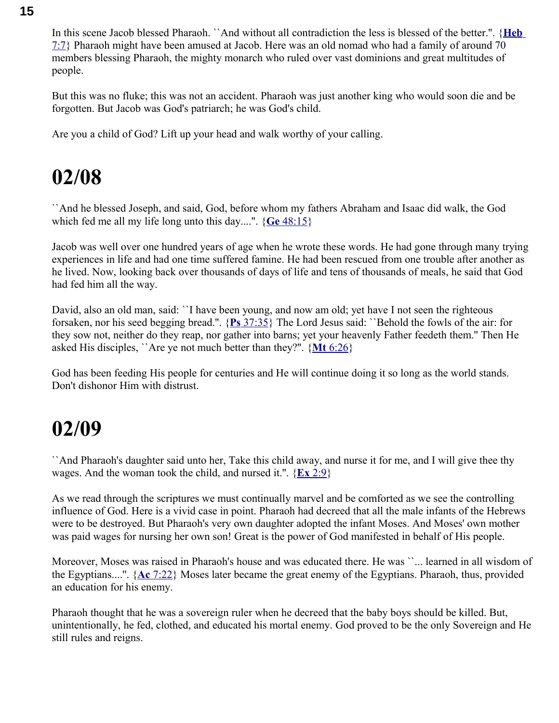In this scene Jacob blessed Pharaoh. ``And without all contradiction the less is blessed of the better.''. { **[Heb](swordsearcher://bible/Heb7.7)** [7:7}](swordsearcher://bible/Heb7.7) Pharaoh might have been amused at Jacob. Here was an old nomad who had a family of around 70 members blessing Pharaoh, the mighty monarch who ruled over vast dominions and great multitudes of people.

But this was no fluke; this was not an accident. Pharaoh was just another king who would soon die and be forgotten. But Jacob was God's patriarch; he was God's child.

Are you a child of God? Lift up your head and walk worthy of your calling.

### **02/08**

``And he blessed Joseph, and said, God, before whom my fathers Abraham and Isaac did walk, the God which fed me all my life long unto this day....''. { **Ge** [48:15}](swordsearcher://bible/Ge48.15)

Jacob was well over one hundred years of age when he wrote these words. He had gone through many trying experiences in life and had one time suffered famine. He had been rescued from one trouble after another as he lived. Now, looking back over thousands of days of life and tens of thousands of meals, he said that God had fed him all the way.

David, also an old man, said: ``I have been young, and now am old; yet have I not seen the righteous forsaken, nor his seed begging bread.''. { **Ps** [37:35}](swordsearcher://bible/Ps37.35) The Lord Jesus said: ``Behold the fowls of the air: for they sow not, neither do they reap, nor gather into barns; yet your heavenly Father feedeth them.'' Then He asked His disciples, ``Are ye not much better than they?''. { **Mt** [6:26}](swordsearcher://bible/Mt6.26)

God has been feeding His people for centuries and He will continue doing it so long as the world stands. Don't dishonor Him with distrust.

#### **02/09**

``And Pharaoh's daughter said unto her, Take this child away, and nurse it for me, and I will give thee thy wages. And the woman took the child, and nursed it.''. { **Ex** [2:9}](swordsearcher://bible/Ex2.9)

As we read through the scriptures we must continually marvel and be comforted as we see the controlling influence of God. Here is a vivid case in point. Pharaoh had decreed that all the male infants of the Hebrews were to be destroyed. But Pharaoh's very own daughter adopted the infant Moses. And Moses' own mother was paid wages for nursing her own son! Great is the power of God manifested in behalf of His people.

Moreover, Moses was raised in Pharaoh's house and was educated there. He was ``... learned in all wisdom of the Egyptians....''. { **Ac** [7:22}](swordsearcher://bible/Ac7.22) Moses later became the great enemy of the Egyptians. Pharaoh, thus, provided an education for his enemy.

Pharaoh thought that he was a sovereign ruler when he decreed that the baby boys should be killed. But, unintentionally, he fed, clothed, and educated his mortal enemy. God proved to be the only Sovereign and He still rules and reigns.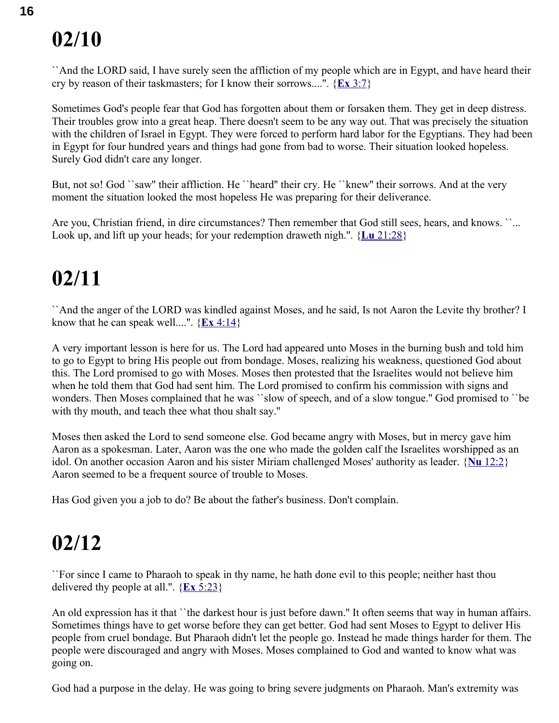``And the LORD said, I have surely seen the affliction of my people which are in Egypt, and have heard their cry by reason of their taskmasters; for I know their sorrows....''. { **Ex** [3:7}](swordsearcher://bible/Ex3.7)

Sometimes God's people fear that God has forgotten about them or forsaken them. They get in deep distress. Their troubles grow into a great heap. There doesn't seem to be any way out. That was precisely the situation with the children of Israel in Egypt. They were forced to perform hard labor for the Egyptians. They had been in Egypt for four hundred years and things had gone from bad to worse. Their situation looked hopeless. Surely God didn't care any longer.

But, not so! God ``saw'' their affliction. He ``heard'' their cry. He ``knew'' their sorrows. And at the very moment the situation looked the most hopeless He was preparing for their deliverance.

Are you, Christian friend, in dire circumstances? Then remember that God still sees, hears, and knows. ``... Look up, and lift up your heads; for your redemption draweth nigh.''. { **Lu** [21:28}](swordsearcher://bible/Lu21.28)

#### **02/11**

``And the anger of the LORD was kindled against Moses, and he said, Is not Aaron the Levite thy brother? I know that he can speak well....".  $\{ \mathbf{Ex} \, 4:14 \}$ 

A very important lesson is here for us. The Lord had appeared unto Moses in the burning bush and told him to go to Egypt to bring His people out from bondage. Moses, realizing his weakness, questioned God about this. The Lord promised to go with Moses. Moses then protested that the Israelites would not believe him when he told them that God had sent him. The Lord promised to confirm his commission with signs and wonders. Then Moses complained that he was ``slow of speech, and of a slow tongue.'' God promised to ``be with thy mouth, and teach thee what thou shalt say.''

Moses then asked the Lord to send someone else. God became angry with Moses, but in mercy gave him Aaron as a spokesman. Later, Aaron was the one who made the golden calf the Israelites worshipped as an idol. On another occasion Aaron and his sister Miriam challenged Moses' authority as leader. { **Nu** [12:2}](swordsearcher://bible/Nu12.2) Aaron seemed to be a frequent source of trouble to Moses.

Has God given you a job to do? Be about the father's business. Don't complain.

#### **02/12**

``For since I came to Pharaoh to speak in thy name, he hath done evil to this people; neither hast thou delivered thy people at all.''. { **Ex** [5:23}](swordsearcher://bible/Ex5.23)

An old expression has it that ``the darkest hour is just before dawn.'' It often seems that way in human affairs. Sometimes things have to get worse before they can get better. God had sent Moses to Egypt to deliver His people from cruel bondage. But Pharaoh didn't let the people go. Instead he made things harder for them. The people were discouraged and angry with Moses. Moses complained to God and wanted to know what was going on.

God had a purpose in the delay. He was going to bring severe judgments on Pharaoh. Man's extremity was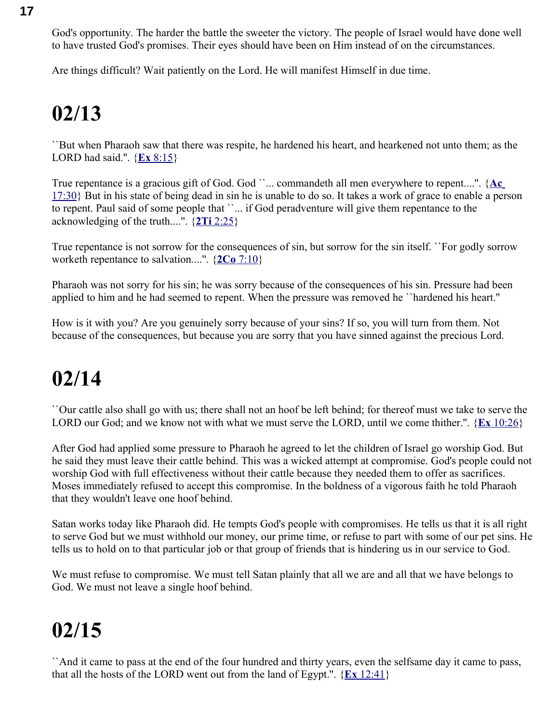God's opportunity. The harder the battle the sweeter the victory. The people of Israel would have done well to have trusted God's promises. Their eyes should have been on Him instead of on the circumstances.

Are things difficult? Wait patiently on the Lord. He will manifest Himself in due time.

## **02/13**

``But when Pharaoh saw that there was respite, he hardened his heart, and hearkened not unto them; as the LORD had said.''. { **Ex** [8:15}](swordsearcher://bible/Ex8.15)

True repentance is a gracious gift of God. God ``... commandeth all men everywhere to repent....". {Ac [17:30}](swordsearcher://bible/Ac17.30) But in his state of being dead in sin he is unable to do so. It takes a work of grace to enable a person to repent. Paul said of some people that ``... if God peradventure will give them repentance to the acknowledging of the truth....''. { **2Ti** [2:25}](swordsearcher://bible/2Ti2.25)

True repentance is not sorrow for the consequences of sin, but sorrow for the sin itself. ``For godly sorrow worketh repentance to salvation....''. { **2Co** [7:10}](swordsearcher://bible/2Co7.10)

Pharaoh was not sorry for his sin; he was sorry because of the consequences of his sin. Pressure had been applied to him and he had seemed to repent. When the pressure was removed he ``hardened his heart.''

How is it with you? Are you genuinely sorry because of your sins? If so, you will turn from them. Not because of the consequences, but because you are sorry that you have sinned against the precious Lord.

### **02/14**

``Our cattle also shall go with us; there shall not an hoof be left behind; for thereof must we take to serve the LORD our God; and we know not with what we must serve the LORD, until we come thither.''. { **Ex** [10:26}](swordsearcher://bible/Ex10.26)

After God had applied some pressure to Pharaoh he agreed to let the children of Israel go worship God. But he said they must leave their cattle behind. This was a wicked attempt at compromise. God's people could not worship God with full effectiveness without their cattle because they needed them to offer as sacrifices. Moses immediately refused to accept this compromise. In the boldness of a vigorous faith he told Pharaoh that they wouldn't leave one hoof behind.

Satan works today like Pharaoh did. He tempts God's people with compromises. He tells us that it is all right to serve God but we must withhold our money, our prime time, or refuse to part with some of our pet sins. He tells us to hold on to that particular job or that group of friends that is hindering us in our service to God.

We must refuse to compromise. We must tell Satan plainly that all we are and all that we have belongs to God. We must not leave a single hoof behind.

## **02/15**

``And it came to pass at the end of the four hundred and thirty years, even the selfsame day it came to pass, that all the hosts of the LORD went out from the land of Egypt.".  ${E<sub>x</sub> 12:41}$  ${E<sub>x</sub> 12:41}$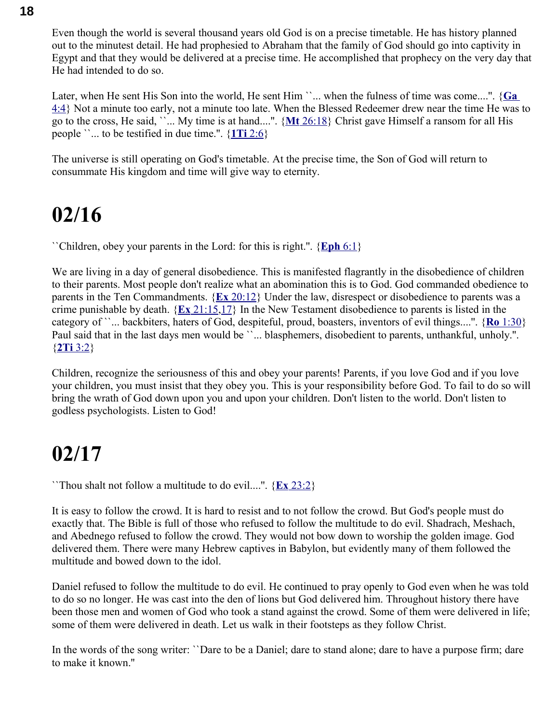Even though the world is several thousand years old God is on a precise timetable. He has history planned out to the minutest detail. He had prophesied to Abraham that the family of God should go into captivity in Egypt and that they would be delivered at a precise time. He accomplished that prophecy on the very day that He had intended to do so.

Later, when He sent His Son into the world, He sent Him ``... when the fulness of time was come....". {**Ga** [4:4}](swordsearcher://bible/Ga4.4) Not a minute too early, not a minute too late. When the Blessed Redeemer drew near the time He was to go to the cross, He said, ``... My time is at hand....''. { **Mt** [26:18}](swordsearcher://bible/Mt26.18) Christ gave Himself a ransom for all His people ``... to be testified in due time.''. { **1Ti** [2:6}](swordsearcher://bible/1Ti2.6)

The universe is still operating on God's timetable. At the precise time, the Son of God will return to consummate His kingdom and time will give way to eternity.

#### **02/16**

``Children, obey your parents in the Lord: for this is right.''. { **[Eph](swordsearcher://bible/Eph6.1)** 6:1}

We are living in a day of general disobedience. This is manifested flagrantly in the disobedience of children to their parents. Most people don't realize what an abomination this is to God. God commanded obedience to parents in the Ten Commandments. { **Ex** [20:12}](swordsearcher://bible/Ex20.12) Under the law, disrespect or disobedience to parents was a crime punishable by death. { **Ex** [21:15](swordsearcher://bible/Ex21.15)[,17}](swordsearcher://bible/Ex21.17) In the New Testament disobedience to parents is listed in the category of ``... backbiters, haters of God, despiteful, proud, boasters, inventors of evil things....''. { **Ro** [1:30}](swordsearcher://bible/Ro1.30) Paul said that in the last days men would be ``... blasphemers, disobedient to parents, unthankful, unholy.". { **2Ti** [3:2}](swordsearcher://bible/2Ti3.2)

Children, recognize the seriousness of this and obey your parents! Parents, if you love God and if you love your children, you must insist that they obey you. This is your responsibility before God. To fail to do so will bring the wrath of God down upon you and upon your children. Don't listen to the world. Don't listen to godless psychologists. Listen to God!

#### **02/17**

``Thou shalt not follow a multitude to do evil....''. { **Ex** [23:2}](swordsearcher://bible/Ex23.2)

It is easy to follow the crowd. It is hard to resist and to not follow the crowd. But God's people must do exactly that. The Bible is full of those who refused to follow the multitude to do evil. Shadrach, Meshach, and Abednego refused to follow the crowd. They would not bow down to worship the golden image. God delivered them. There were many Hebrew captives in Babylon, but evidently many of them followed the multitude and bowed down to the idol.

Daniel refused to follow the multitude to do evil. He continued to pray openly to God even when he was told to do so no longer. He was cast into the den of lions but God delivered him. Throughout history there have been those men and women of God who took a stand against the crowd. Some of them were delivered in life; some of them were delivered in death. Let us walk in their footsteps as they follow Christ.

In the words of the song writer: ``Dare to be a Daniel; dare to stand alone; dare to have a purpose firm; dare to make it known.''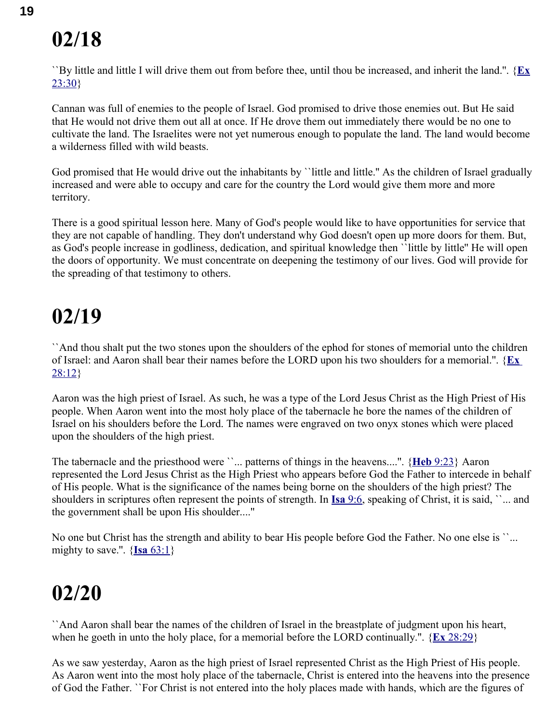``By little and little I will drive them out from before thee, until thou be increased, and inherit the land.''. {**[Ex](swordsearcher://bible/Ex23.30)** [23:30}](swordsearcher://bible/Ex23.30)

Cannan was full of enemies to the people of Israel. God promised to drive those enemies out. But He said that He would not drive them out all at once. If He drove them out immediately there would be no one to cultivate the land. The Israelites were not yet numerous enough to populate the land. The land would become a wilderness filled with wild beasts.

God promised that He would drive out the inhabitants by "little and little." As the children of Israel gradually increased and were able to occupy and care for the country the Lord would give them more and more territory.

There is a good spiritual lesson here. Many of God's people would like to have opportunities for service that they are not capable of handling. They don't understand why God doesn't open up more doors for them. But, as God's people increase in godliness, dedication, and spiritual knowledge then ``little by little'' He will open the doors of opportunity. We must concentrate on deepening the testimony of our lives. God will provide for the spreading of that testimony to others.

#### **02/19**

``And thou shalt put the two stones upon the shoulders of the ephod for stones of memorial unto the children of Israel: and Aaron shall bear their names before the LORD upon his two shoulders for a memorial.''. { **[Ex](swordsearcher://bible/Ex28.12)** [28:12}](swordsearcher://bible/Ex28.12)

Aaron was the high priest of Israel. As such, he was a type of the Lord Jesus Christ as the High Priest of His people. When Aaron went into the most holy place of the tabernacle he bore the names of the children of Israel on his shoulders before the Lord. The names were engraved on two onyx stones which were placed upon the shoulders of the high priest.

The tabernacle and the priesthood were ``... patterns of things in the heavens....''. { **Heb** [9:23}](swordsearcher://bible/Heb9.23) Aaron represented the Lord Jesus Christ as the High Priest who appears before God the Father to intercede in behalf of His people. What is the significance of the names being borne on the shoulders of the high priest? The shoulders in scriptures often represent the points of strength. In **Isa** [9:6,](swordsearcher://bible/Isa9.6) speaking of Christ, it is said, ``... and the government shall be upon His shoulder....''

No one but Christ has the strength and ability to bear His people before God the Father. No one else is ``... mighty to save.".  $\{ \text{Isa } 63:1 \}$ 

#### **02/20**

``And Aaron shall bear the names of the children of Israel in the breastplate of judgment upon his heart, when he goeth in unto the holy place, for a memorial before the LORD continually.''. { **Ex** [28:29}](swordsearcher://bible/Ex28.29)

As we saw yesterday, Aaron as the high priest of Israel represented Christ as the High Priest of His people. As Aaron went into the most holy place of the tabernacle, Christ is entered into the heavens into the presence of God the Father. ``For Christ is not entered into the holy places made with hands, which are the figures of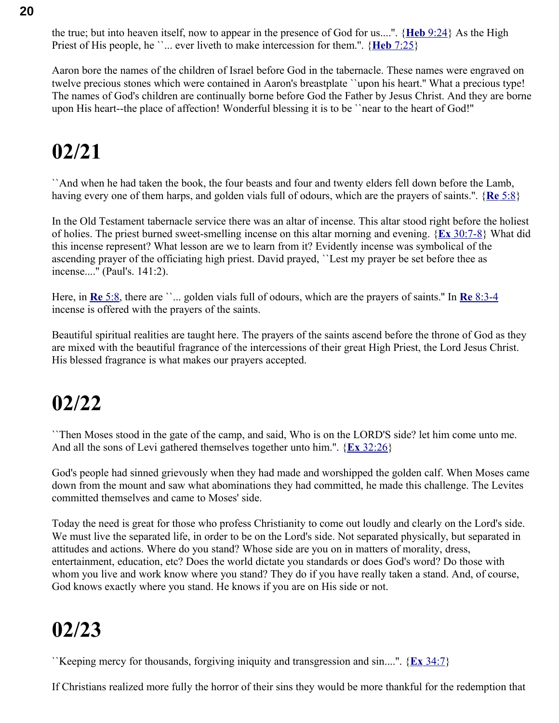the true; but into heaven itself, now to appear in the presence of God for us....''. { **Heb** [9:24}](swordsearcher://bible/Heb9.24) As the High Priest of His people, he ``... ever liveth to make intercession for them.". {**Heb** [7:25}](swordsearcher://bible/Heb7.25)

Aaron bore the names of the children of Israel before God in the tabernacle. These names were engraved on twelve precious stones which were contained in Aaron's breastplate ``upon his heart.'' What a precious type! The names of God's children are continually borne before God the Father by Jesus Christ. And they are borne upon His heart--the place of affection! Wonderful blessing it is to be ``near to the heart of God!''

## **02/21**

``And when he had taken the book, the four beasts and four and twenty elders fell down before the Lamb, having every one of them harps, and golden vials full of odours, which are the prayers of saints.''. { **Re** [5:8}](swordsearcher://bible/Re5.8)

In the Old Testament tabernacle service there was an altar of incense. This altar stood right before the holiest of holies. The priest burned sweet-smelling incense on this altar morning and evening. { **Ex** [30:7-8}](swordsearcher://bible/Ex30.7-8) What did this incense represent? What lesson are we to learn from it? Evidently incense was symbolical of the ascending prayer of the officiating high priest. David prayed, ``Lest my prayer be set before thee as incense....'' (Paul's. 141:2).

Here, in **Re** [5:8,](swordsearcher://bible/Re5.8) there are ``... golden vials full of odours, which are the prayers of saints." In **Re** [8:3-4](swordsearcher://bible/Re8.3-4) incense is offered with the prayers of the saints.

Beautiful spiritual realities are taught here. The prayers of the saints ascend before the throne of God as they are mixed with the beautiful fragrance of the intercessions of their great High Priest, the Lord Jesus Christ. His blessed fragrance is what makes our prayers accepted.

#### **02/22**

``Then Moses stood in the gate of the camp, and said, Who is on the LORD'S side? let him come unto me. And all the sons of Levi gathered themselves together unto him.''. { **Ex** [32:26}](swordsearcher://bible/Ex32.26)

God's people had sinned grievously when they had made and worshipped the golden calf. When Moses came down from the mount and saw what abominations they had committed, he made this challenge. The Levites committed themselves and came to Moses' side.

Today the need is great for those who profess Christianity to come out loudly and clearly on the Lord's side. We must live the separated life, in order to be on the Lord's side. Not separated physically, but separated in attitudes and actions. Where do you stand? Whose side are you on in matters of morality, dress, entertainment, education, etc? Does the world dictate you standards or does God's word? Do those with whom you live and work know where you stand? They do if you have really taken a stand. And, of course, God knows exactly where you stand. He knows if you are on His side or not.

## **02/23**

``Keeping mercy for thousands, forgiving iniquity and transgression and sin....''. { **Ex** [34:7}](swordsearcher://bible/Ex34.7)

If Christians realized more fully the horror of their sins they would be more thankful for the redemption that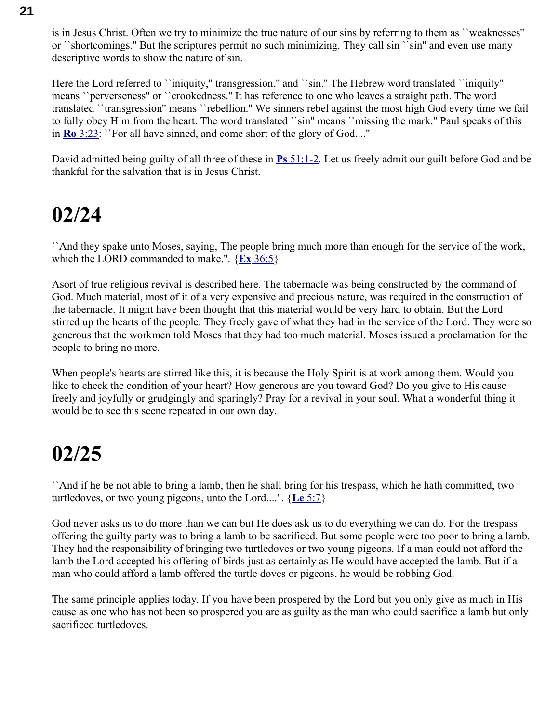is in Jesus Christ. Often we try to minimize the true nature of our sins by referring to them as ``weaknesses'' or ``shortcomings.'' But the scriptures permit no such minimizing. They call sin ``sin'' and even use many descriptive words to show the nature of sin.

Here the Lord referred to ``iniquity," transgression," and ``sin." The Hebrew word translated ``iniquity'' means ``perverseness'' or ``crookedness.'' It has reference to one who leaves a straight path. The word translated ``transgression'' means ``rebellion.'' We sinners rebel against the most high God every time we fail to fully obey Him from the heart. The word translated ``sin'' means ``missing the mark.'' Paul speaks of this in **Ro** [3:23:](swordsearcher://bible/Ro3.23) ``For all have sinned, and come short of the glory of God....''

David admitted being guilty of all three of these in **Ps** [51:1-2.](swordsearcher://bible/Ps51.1-2) Let us freely admit our guilt before God and be thankful for the salvation that is in Jesus Christ.

#### **02/24**

``And they spake unto Moses, saying, The people bring much more than enough for the service of the work, which the LORD commanded to make.''. { **Ex** [36:5}](swordsearcher://bible/Ex36.5)

Asort of true religious revival is described here. The tabernacle was being constructed by the command of God. Much material, most of it of a very expensive and precious nature, was required in the construction of the tabernacle. It might have been thought that this material would be very hard to obtain. But the Lord stirred up the hearts of the people. They freely gave of what they had in the service of the Lord. They were so generous that the workmen told Moses that they had too much material. Moses issued a proclamation for the people to bring no more.

When people's hearts are stirred like this, it is because the Holy Spirit is at work among them. Would you like to check the condition of your heart? How generous are you toward God? Do you give to His cause freely and joyfully or grudgingly and sparingly? Pray for a revival in your soul. What a wonderful thing it would be to see this scene repeated in our own day.

#### **02/25**

``And if he be not able to bring a lamb, then he shall bring for his trespass, which he hath committed, two turtledoves, or two young pigeons, unto the Lord....''. { **Le** [5:7}](swordsearcher://bible/Le5.7)

God never asks us to do more than we can but He does ask us to do everything we can do. For the trespass offering the guilty party was to bring a lamb to be sacrificed. But some people were too poor to bring a lamb. They had the responsibility of bringing two turtledoves or two young pigeons. If a man could not afford the lamb the Lord accepted his offering of birds just as certainly as He would have accepted the lamb. But if a man who could afford a lamb offered the turtle doves or pigeons, he would be robbing God.

The same principle applies today. If you have been prospered by the Lord but you only give as much in His cause as one who has not been so prospered you are as guilty as the man who could sacrifice a lamb but only sacrificed turtledoves.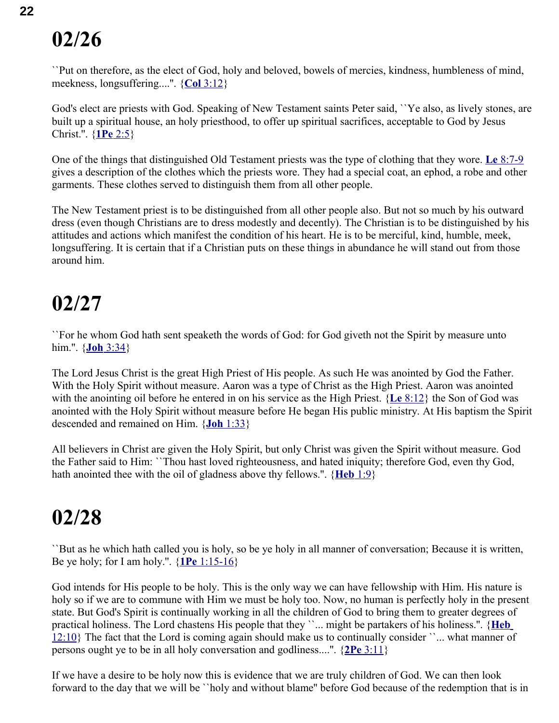``Put on therefore, as the elect of God, holy and beloved, bowels of mercies, kindness, humbleness of mind, meekness, longsuffering....''. { **Col** [3:12}](swordsearcher://bible/Col3.12)

God's elect are priests with God. Speaking of New Testament saints Peter said, ``Ye also, as lively stones, are built up a spiritual house, an holy priesthood, to offer up spiritual sacrifices, acceptable to God by Jesus Christ.''. { **1Pe** [2:5}](swordsearcher://bible/1Pe2.5)

One of the things that distinguished Old Testament priests was the type of clothing that they wore. **Le** [8:7-9](swordsearcher://bible/Le8.7-9) gives a description of the clothes which the priests wore. They had a special coat, an ephod, a robe and other garments. These clothes served to distinguish them from all other people.

The New Testament priest is to be distinguished from all other people also. But not so much by his outward dress (even though Christians are to dress modestly and decently). The Christian is to be distinguished by his attitudes and actions which manifest the condition of his heart. He is to be merciful, kind, humble, meek, longsuffering. It is certain that if a Christian puts on these things in abundance he will stand out from those around him.

#### **02/27**

``For he whom God hath sent speaketh the words of God: for God giveth not the Spirit by measure unto him.''. { **Joh** [3:34}](swordsearcher://bible/Joh3.34)

The Lord Jesus Christ is the great High Priest of His people. As such He was anointed by God the Father. With the Holy Spirit without measure. Aaron was a type of Christ as the High Priest. Aaron was anointed with the anointing oil before he entered in on his service as the High Priest. { **Le** [8:12}](swordsearcher://bible/Le8.12) the Son of God was anointed with the Holy Spirit without measure before He began His public ministry. At His baptism the Spirit descended and remained on Him. { **Joh** [1:33}](swordsearcher://bible/Joh1.33)

All believers in Christ are given the Holy Spirit, but only Christ was given the Spirit without measure. God the Father said to Him: ``Thou hast loved righteousness, and hated iniquity; therefore God, even thy God, hath anointed thee with the oil of gladness above thy fellows.''. { **[Heb](swordsearcher://bible/Heb1.9)** 1:9}

### **02/28**

``But as he which hath called you is holy, so be ye holy in all manner of conversation; Because it is written, Be ye holy; for I am holy.''. { **1Pe** [1:15-16}](swordsearcher://bible/1Pe1.15-16)

God intends for His people to be holy. This is the only way we can have fellowship with Him. His nature is holy so if we are to commune with Him we must be holy too. Now, no human is perfectly holy in the present state. But God's Spirit is continually working in all the children of God to bring them to greater degrees of practical holiness. The Lord chastens His people that they ``... might be partakers of his holiness.". {**Heb**  $12:10$ } The fact that the Lord is coming again should make us to continually consider ``... what manner of persons ought ye to be in all holy conversation and godliness....''. { **2Pe** [3:11}](swordsearcher://bible/2Pe3.11)

If we have a desire to be holy now this is evidence that we are truly children of God. We can then look forward to the day that we will be ``holy and without blame'' before God because of the redemption that is in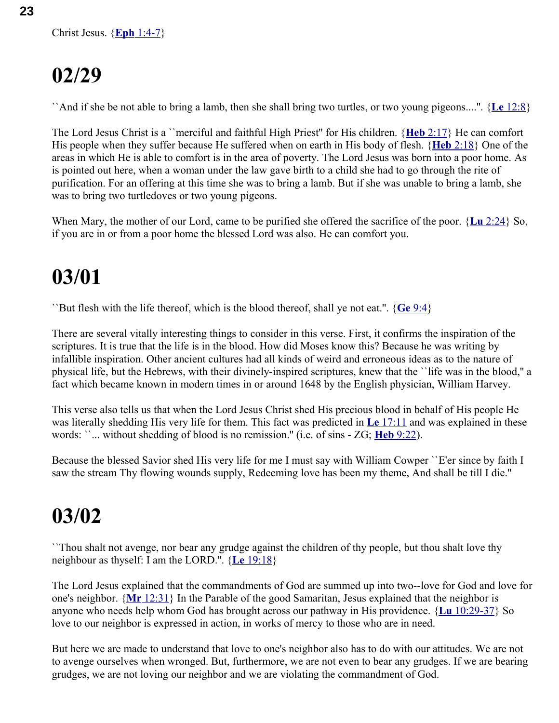``And if she be not able to bring a lamb, then she shall bring two turtles, or two young pigeons....''. { **Le** [12:8}](swordsearcher://bible/Le12.8)

The Lord Jesus Christ is a ``merciful and faithful High Priest'' for His children. { **Heb** [2:17}](swordsearcher://bible/Heb2.17) He can comfort His people when they suffer because He suffered when on earth in His body of flesh. { **Heb** [2:18}](swordsearcher://bible/Heb2.18) One of the areas in which He is able to comfort is in the area of poverty. The Lord Jesus was born into a poor home. As is pointed out here, when a woman under the law gave birth to a child she had to go through the rite of purification. For an offering at this time she was to bring a lamb. But if she was unable to bring a lamb, she was to bring two turtledoves or two young pigeons.

When Mary, the mother of our Lord, came to be purified she offered the sacrifice of the poor. { **Lu** [2:24}](swordsearcher://bible/Lu2.24) So, if you are in or from a poor home the blessed Lord was also. He can comfort you.

## **03/01**

``But flesh with the life thereof, which is the blood thereof, shall ye not eat.''. { **Ge** [9:4}](swordsearcher://bible/Ge9.4)

There are several vitally interesting things to consider in this verse. First, it confirms the inspiration of the scriptures. It is true that the life is in the blood. How did Moses know this? Because he was writing by infallible inspiration. Other ancient cultures had all kinds of weird and erroneous ideas as to the nature of physical life, but the Hebrews, with their divinely-inspired scriptures, knew that the ``life was in the blood,'' a fact which became known in modern times in or around 1648 by the English physician, William Harvey.

This verse also tells us that when the Lord Jesus Christ shed His precious blood in behalf of His people He was literally shedding His very life for them. This fact was predicted in **Le** [17:11](swordsearcher://bible/Le17.11) and was explained in these words: ``... without shedding of blood is no remission.'' (i.e. of sins - ZG; **Heb** [9:22\)](swordsearcher://bible/Heb9.22).

Because the blessed Savior shed His very life for me I must say with William Cowper ``E'er since by faith I saw the stream Thy flowing wounds supply, Redeeming love has been my theme, And shall be till I die.''

## **03/02**

``Thou shalt not avenge, nor bear any grudge against the children of thy people, but thou shalt love thy neighbour as thyself: I am the LORD.''. { **Le** [19:18}](swordsearcher://bible/Le19.18)

The Lord Jesus explained that the commandments of God are summed up into two--love for God and love for one's neighbor. { **Mr** [12:31}](swordsearcher://bible/Mr12.31) In the Parable of the good Samaritan, Jesus explained that the neighbor is anyone who needs help whom God has brought across our pathway in His providence. { **Lu** [10:29-37}](swordsearcher://bible/Lu10.29-37) So love to our neighbor is expressed in action, in works of mercy to those who are in need.

But here we are made to understand that love to one's neighbor also has to do with our attitudes. We are not to avenge ourselves when wronged. But, furthermore, we are not even to bear any grudges. If we are bearing grudges, we are not loving our neighbor and we are violating the commandment of God.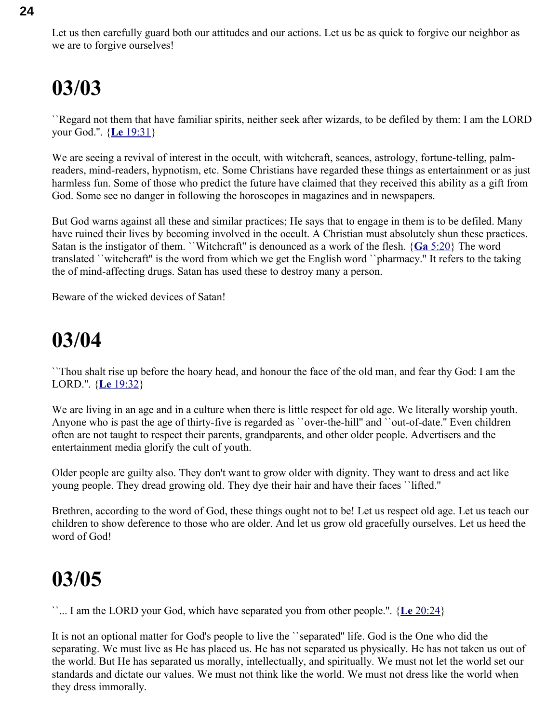``Regard not them that have familiar spirits, neither seek after wizards, to be defiled by them: I am the LORD your God.''. { **Le** [19:31}](swordsearcher://bible/Le19.31)

We are seeing a revival of interest in the occult, with witchcraft, seances, astrology, fortune-telling, palmreaders, mind-readers, hypnotism, etc. Some Christians have regarded these things as entertainment or as just harmless fun. Some of those who predict the future have claimed that they received this ability as a gift from God. Some see no danger in following the horoscopes in magazines and in newspapers.

But God warns against all these and similar practices; He says that to engage in them is to be defiled. Many have ruined their lives by becoming involved in the occult. A Christian must absolutely shun these practices. Satan is the instigator of them. ``Witchcraft'' is denounced as a work of the flesh. { **Ga** [5:20}](swordsearcher://bible/Ga5.20) The word translated ``witchcraft'' is the word from which we get the English word ``pharmacy.'' It refers to the taking the of mind-affecting drugs. Satan has used these to destroy many a person.

Beware of the wicked devices of Satan!

#### **03/04**

``Thou shalt rise up before the hoary head, and honour the face of the old man, and fear thy God: I am the LORD.''. { **Le** [19:32}](swordsearcher://bible/Le19.32)

We are living in an age and in a culture when there is little respect for old age. We literally worship youth. Anyone who is past the age of thirty-five is regarded as ``over-the-hill'' and ``out-of-date.'' Even children often are not taught to respect their parents, grandparents, and other older people. Advertisers and the entertainment media glorify the cult of youth.

Older people are guilty also. They don't want to grow older with dignity. They want to dress and act like young people. They dread growing old. They dye their hair and have their faces ``lifted.''

Brethren, according to the word of God, these things ought not to be! Let us respect old age. Let us teach our children to show deference to those who are older. And let us grow old gracefully ourselves. Let us heed the word of God!

### **03/05**

``... I am the LORD your God, which have separated you from other people.''. { **Le** [20:24}](swordsearcher://bible/Le20.24)

It is not an optional matter for God's people to live the ``separated'' life. God is the One who did the separating. We must live as He has placed us. He has not separated us physically. He has not taken us out of the world. But He has separated us morally, intellectually, and spiritually. We must not let the world set our standards and dictate our values. We must not think like the world. We must not dress like the world when they dress immorally.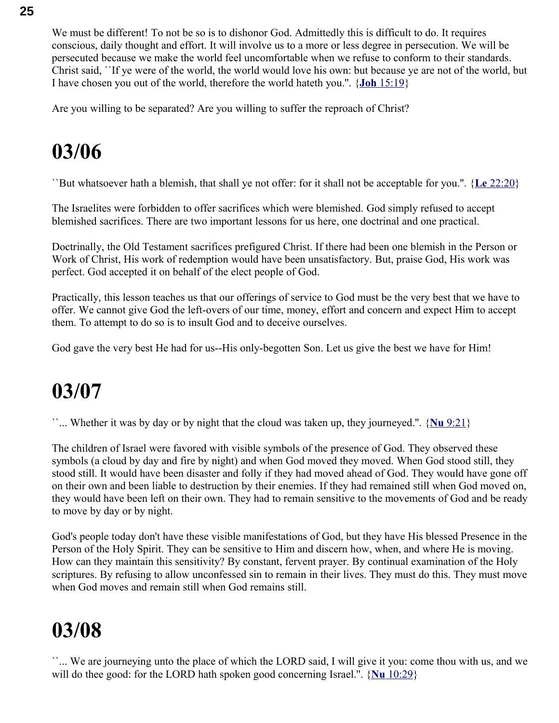We must be different! To not be so is to dishonor God. Admittedly this is difficult to do. It requires conscious, daily thought and effort. It will involve us to a more or less degree in persecution. We will be persecuted because we make the world feel uncomfortable when we refuse to conform to their standards. Christ said, ``If ye were of the world, the world would love his own: but because ye are not of the world, but I have chosen you out of the world, therefore the world hateth you.''. { **Joh** [15:19}](swordsearcher://bible/Joh15.19)

Are you willing to be separated? Are you willing to suffer the reproach of Christ?

### **03/06**

``But whatsoever hath a blemish, that shall ye not offer: for it shall not be acceptable for you.''. { **Le** [22:20}](swordsearcher://bible/Le22.20)

The Israelites were forbidden to offer sacrifices which were blemished. God simply refused to accept blemished sacrifices. There are two important lessons for us here, one doctrinal and one practical.

Doctrinally, the Old Testament sacrifices prefigured Christ. If there had been one blemish in the Person or Work of Christ, His work of redemption would have been unsatisfactory. But, praise God, His work was perfect. God accepted it on behalf of the elect people of God.

Practically, this lesson teaches us that our offerings of service to God must be the very best that we have to offer. We cannot give God the left-overs of our time, money, effort and concern and expect Him to accept them. To attempt to do so is to insult God and to deceive ourselves.

God gave the very best He had for us--His only-begotten Son. Let us give the best we have for Him!

### **03/07**

``... Whether it was by day or by night that the cloud was taken up, they journeyed.''. { **Nu** [9:21}](swordsearcher://bible/Nu9.21)

The children of Israel were favored with visible symbols of the presence of God. They observed these symbols (a cloud by day and fire by night) and when God moved they moved. When God stood still, they stood still. It would have been disaster and folly if they had moved ahead of God. They would have gone off on their own and been liable to destruction by their enemies. If they had remained still when God moved on, they would have been left on their own. They had to remain sensitive to the movements of God and be ready to move by day or by night.

God's people today don't have these visible manifestations of God, but they have His blessed Presence in the Person of the Holy Spirit. They can be sensitive to Him and discern how, when, and where He is moving. How can they maintain this sensitivity? By constant, fervent prayer. By continual examination of the Holy scriptures. By refusing to allow unconfessed sin to remain in their lives. They must do this. They must move when God moves and remain still when God remains still.

## **03/08**

``... We are journeying unto the place of which the LORD said, I will give it you: come thou with us, and we will do thee good: for the LORD hath spoken good concerning Israel.''. { **Nu** [10:29}](swordsearcher://bible/Nu10.29)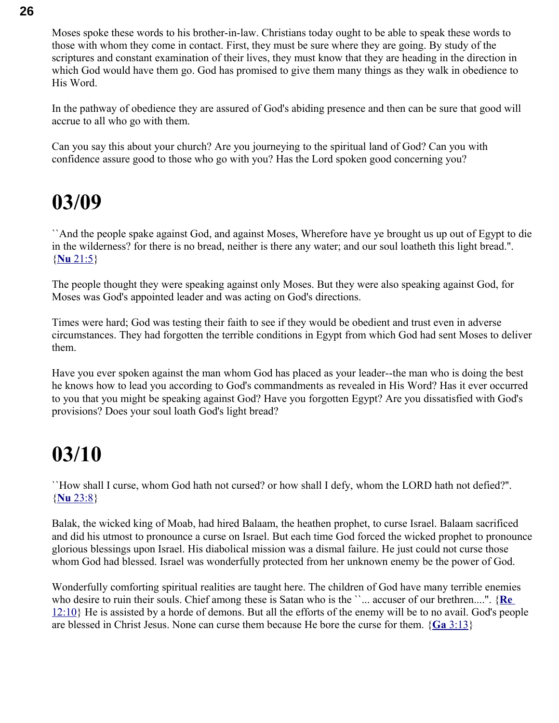Moses spoke these words to his brother-in-law. Christians today ought to be able to speak these words to those with whom they come in contact. First, they must be sure where they are going. By study of the scriptures and constant examination of their lives, they must know that they are heading in the direction in which God would have them go. God has promised to give them many things as they walk in obedience to His Word.

In the pathway of obedience they are assured of God's abiding presence and then can be sure that good will accrue to all who go with them.

Can you say this about your church? Are you journeying to the spiritual land of God? Can you with confidence assure good to those who go with you? Has the Lord spoken good concerning you?

#### **03/09**

``And the people spake against God, and against Moses, Wherefore have ye brought us up out of Egypt to die in the wilderness? for there is no bread, neither is there any water; and our soul loatheth this light bread.''. { **Nu** [21:5}](swordsearcher://bible/Nu21.5)

The people thought they were speaking against only Moses. But they were also speaking against God, for Moses was God's appointed leader and was acting on God's directions.

Times were hard; God was testing their faith to see if they would be obedient and trust even in adverse circumstances. They had forgotten the terrible conditions in Egypt from which God had sent Moses to deliver them.

Have you ever spoken against the man whom God has placed as your leader--the man who is doing the best he knows how to lead you according to God's commandments as revealed in His Word? Has it ever occurred to you that you might be speaking against God? Have you forgotten Egypt? Are you dissatisfied with God's provisions? Does your soul loath God's light bread?

#### **03/10**

``How shall I curse, whom God hath not cursed? or how shall I defy, whom the LORD hath not defied?''. { **Nu** [23:8}](swordsearcher://bible/Nu23.8)

Balak, the wicked king of Moab, had hired Balaam, the heathen prophet, to curse Israel. Balaam sacrificed and did his utmost to pronounce a curse on Israel. But each time God forced the wicked prophet to pronounce glorious blessings upon Israel. His diabolical mission was a dismal failure. He just could not curse those whom God had blessed. Israel was wonderfully protected from her unknown enemy be the power of God.

Wonderfully comforting spiritual realities are taught here. The children of God have many terrible enemies who desire to ruin their souls. Chief among these is Satan who is the ``... accuser of our brethren....". {Re [12:10}](swordsearcher://bible/Re12.10) He is assisted by a horde of demons. But all the efforts of the enemy will be to no avail. God's people are blessed in Christ Jesus. None can curse them because He bore the curse for them. { **Ga** [3:13}](swordsearcher://bible/Ga3.13)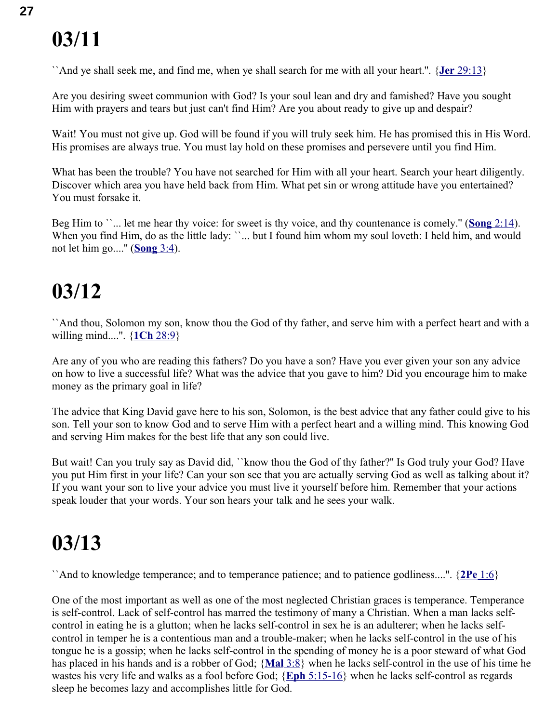``And ye shall seek me, and find me, when ye shall search for me with all your heart.''. { **Jer** [29:13}](swordsearcher://bible/Jer29.13)

Are you desiring sweet communion with God? Is your soul lean and dry and famished? Have you sought Him with prayers and tears but just can't find Him? Are you about ready to give up and despair?

Wait! You must not give up. God will be found if you will truly seek him. He has promised this in His Word. His promises are always true. You must lay hold on these promises and persevere until you find Him.

What has been the trouble? You have not searched for Him with all your heart. Search your heart diligently. Discover which area you have held back from Him. What pet sin or wrong attitude have you entertained? You must forsake it.

Beg Him to ``... let me hear thy voice: for sweet is thy voice, and thy countenance is comely." (**Song** 2:14). When you find Him, do as the little lady: ``... but I found him whom my soul loveth: I held him, and would not let him go....'' ( **[Song](swordsearcher://bible/Song3.4)** 3:4).

### **03/12**

``And thou, Solomon my son, know thou the God of thy father, and serve him with a perfect heart and with a willing mind....''. { **1Ch** [28:9}](swordsearcher://bible/1Ch28.9)

Are any of you who are reading this fathers? Do you have a son? Have you ever given your son any advice on how to live a successful life? What was the advice that you gave to him? Did you encourage him to make money as the primary goal in life?

The advice that King David gave here to his son, Solomon, is the best advice that any father could give to his son. Tell your son to know God and to serve Him with a perfect heart and a willing mind. This knowing God and serving Him makes for the best life that any son could live.

But wait! Can you truly say as David did, ``know thou the God of thy father?'' Is God truly your God? Have you put Him first in your life? Can your son see that you are actually serving God as well as talking about it? If you want your son to live your advice you must live it yourself before him. Remember that your actions speak louder that your words. Your son hears your talk and he sees your walk.

### **03/13**

``And to knowledge temperance; and to temperance patience; and to patience godliness....''. { **2Pe** [1:6}](swordsearcher://bible/2Pe1.6)

One of the most important as well as one of the most neglected Christian graces is temperance. Temperance is self-control. Lack of self-control has marred the testimony of many a Christian. When a man lacks selfcontrol in eating he is a glutton; when he lacks self-control in sex he is an adulterer; when he lacks selfcontrol in temper he is a contentious man and a trouble-maker; when he lacks self-control in the use of his tongue he is a gossip; when he lacks self-control in the spending of money he is a poor steward of what God has placed in his hands and is a robber of God; { **[Mal](swordsearcher://bible/Mal3.8)** 3:8} when he lacks self-control in the use of his time he wastes his very life and walks as a fool before God; { **Eph** [5:15-16}](swordsearcher://bible/Eph5.15-16) when he lacks self-control as regards sleep he becomes lazy and accomplishes little for God.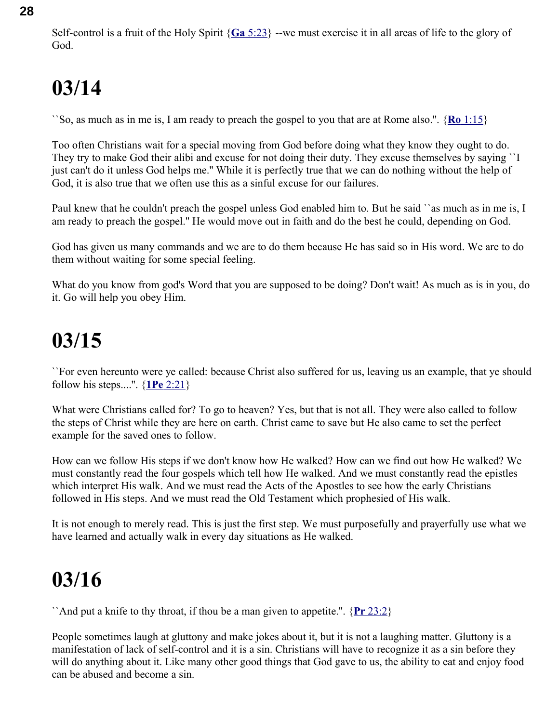Self-control is a fruit of the Holy Spirit { **Ga** [5:23}](swordsearcher://bible/Ga5.23) --we must exercise it in all areas of life to the glory of God.

## **03/14**

``So, as much as in me is, I am ready to preach the gospel to you that are at Rome also.''. { **Ro** [1:15}](swordsearcher://bible/Ro1.15)

Too often Christians wait for a special moving from God before doing what they know they ought to do. They try to make God their alibi and excuse for not doing their duty. They excuse themselves by saying ``I just can't do it unless God helps me.'' While it is perfectly true that we can do nothing without the help of God, it is also true that we often use this as a sinful excuse for our failures.

Paul knew that he couldn't preach the gospel unless God enabled him to. But he said ``as much as in me is, I am ready to preach the gospel.'' He would move out in faith and do the best he could, depending on God.

God has given us many commands and we are to do them because He has said so in His word. We are to do them without waiting for some special feeling.

What do you know from god's Word that you are supposed to be doing? Don't wait! As much as is in you, do it. Go will help you obey Him.

## **03/15**

``For even hereunto were ye called: because Christ also suffered for us, leaving us an example, that ye should follow his steps....''. { **1Pe** [2:21}](swordsearcher://bible/1Pe2.21)

What were Christians called for? To go to heaven? Yes, but that is not all. They were also called to follow the steps of Christ while they are here on earth. Christ came to save but He also came to set the perfect example for the saved ones to follow.

How can we follow His steps if we don't know how He walked? How can we find out how He walked? We must constantly read the four gospels which tell how He walked. And we must constantly read the epistles which interpret His walk. And we must read the Acts of the Apostles to see how the early Christians followed in His steps. And we must read the Old Testament which prophesied of His walk.

It is not enough to merely read. This is just the first step. We must purposefully and prayerfully use what we have learned and actually walk in every day situations as He walked.

## **03/16**

``And put a knife to thy throat, if thou be a man given to appetite.''. { **Pr** [23:2}](swordsearcher://bible/Pr23.2)

People sometimes laugh at gluttony and make jokes about it, but it is not a laughing matter. Gluttony is a manifestation of lack of self-control and it is a sin. Christians will have to recognize it as a sin before they will do anything about it. Like many other good things that God gave to us, the ability to eat and enjoy food can be abused and become a sin.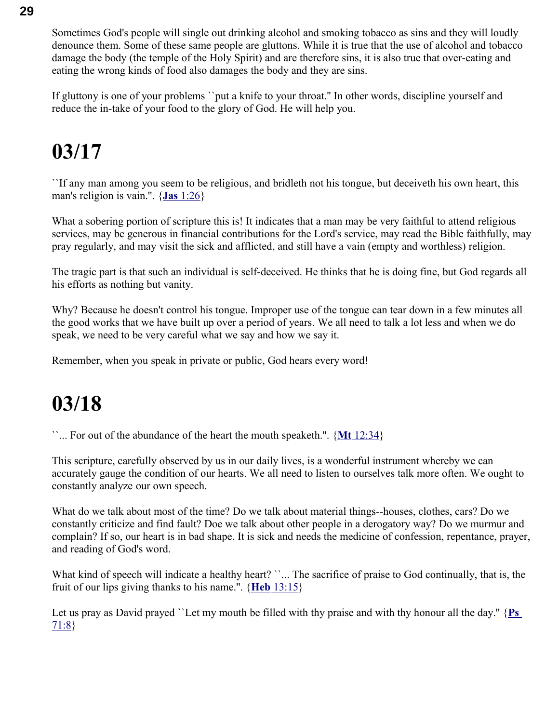Sometimes God's people will single out drinking alcohol and smoking tobacco as sins and they will loudly denounce them. Some of these same people are gluttons. While it is true that the use of alcohol and tobacco damage the body (the temple of the Holy Spirit) and are therefore sins, it is also true that over-eating and eating the wrong kinds of food also damages the body and they are sins.

If gluttony is one of your problems ``put a knife to your throat.'' In other words, discipline yourself and reduce the in-take of your food to the glory of God. He will help you.

### **03/17**

``If any man among you seem to be religious, and bridleth not his tongue, but deceiveth his own heart, this man's religion is vain.''. { **Jas** [1:26}](swordsearcher://bible/Jas1.26)

What a sobering portion of scripture this is! It indicates that a man may be very faithful to attend religious services, may be generous in financial contributions for the Lord's service, may read the Bible faithfully, may pray regularly, and may visit the sick and afflicted, and still have a vain (empty and worthless) religion.

The tragic part is that such an individual is self-deceived. He thinks that he is doing fine, but God regards all his efforts as nothing but vanity.

Why? Because he doesn't control his tongue. Improper use of the tongue can tear down in a few minutes all the good works that we have built up over a period of years. We all need to talk a lot less and when we do speak, we need to be very careful what we say and how we say it.

Remember, when you speak in private or public, God hears every word!

### **03/18**

``... For out of the abundance of the heart the mouth speaketh.''. { **Mt** [12:34}](swordsearcher://bible/Mt12.34)

This scripture, carefully observed by us in our daily lives, is a wonderful instrument whereby we can accurately gauge the condition of our hearts. We all need to listen to ourselves talk more often. We ought to constantly analyze our own speech.

What do we talk about most of the time? Do we talk about material things--houses, clothes, cars? Do we constantly criticize and find fault? Doe we talk about other people in a derogatory way? Do we murmur and complain? If so, our heart is in bad shape. It is sick and needs the medicine of confession, repentance, prayer, and reading of God's word.

What kind of speech will indicate a healthy heart? ``... The sacrifice of praise to God continually, that is, the fruit of our lips giving thanks to his name.''. { **Heb** [13:15}](swordsearcher://bible/Heb13.15)

Let us pray as David prayed ``Let my mouth be filled with thy praise and with thy honour all the day." {Ps [71:8}](swordsearcher://bible/Ps71.8)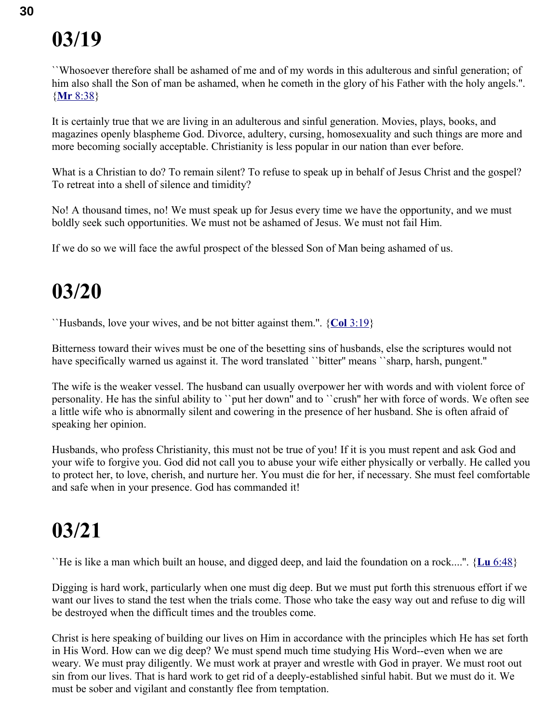``Whosoever therefore shall be ashamed of me and of my words in this adulterous and sinful generation; of him also shall the Son of man be ashamed, when he cometh in the glory of his Father with the holy angels.". { **Mr** [8:38}](swordsearcher://bible/Mr8.38)

It is certainly true that we are living in an adulterous and sinful generation. Movies, plays, books, and magazines openly blaspheme God. Divorce, adultery, cursing, homosexuality and such things are more and more becoming socially acceptable. Christianity is less popular in our nation than ever before.

What is a Christian to do? To remain silent? To refuse to speak up in behalf of Jesus Christ and the gospel? To retreat into a shell of silence and timidity?

No! A thousand times, no! We must speak up for Jesus every time we have the opportunity, and we must boldly seek such opportunities. We must not be ashamed of Jesus. We must not fail Him.

If we do so we will face the awful prospect of the blessed Son of Man being ashamed of us.

### **03/20**

``Husbands, love your wives, and be not bitter against them.''. { **Col** [3:19}](swordsearcher://bible/Col3.19)

Bitterness toward their wives must be one of the besetting sins of husbands, else the scriptures would not have specifically warned us against it. The word translated "bitter" means "sharp, harsh, pungent."

The wife is the weaker vessel. The husband can usually overpower her with words and with violent force of personality. He has the sinful ability to ``put her down'' and to ``crush'' her with force of words. We often see a little wife who is abnormally silent and cowering in the presence of her husband. She is often afraid of speaking her opinion.

Husbands, who profess Christianity, this must not be true of you! If it is you must repent and ask God and your wife to forgive you. God did not call you to abuse your wife either physically or verbally. He called you to protect her, to love, cherish, and nurture her. You must die for her, if necessary. She must feel comfortable and safe when in your presence. God has commanded it!

## **03/21**

``He is like a man which built an house, and digged deep, and laid the foundation on a rock....''. { **Lu** [6:48}](swordsearcher://bible/Lu6.48)

Digging is hard work, particularly when one must dig deep. But we must put forth this strenuous effort if we want our lives to stand the test when the trials come. Those who take the easy way out and refuse to dig will be destroyed when the difficult times and the troubles come.

Christ is here speaking of building our lives on Him in accordance with the principles which He has set forth in His Word. How can we dig deep? We must spend much time studying His Word--even when we are weary. We must pray diligently. We must work at prayer and wrestle with God in prayer. We must root out sin from our lives. That is hard work to get rid of a deeply-established sinful habit. But we must do it. We must be sober and vigilant and constantly flee from temptation.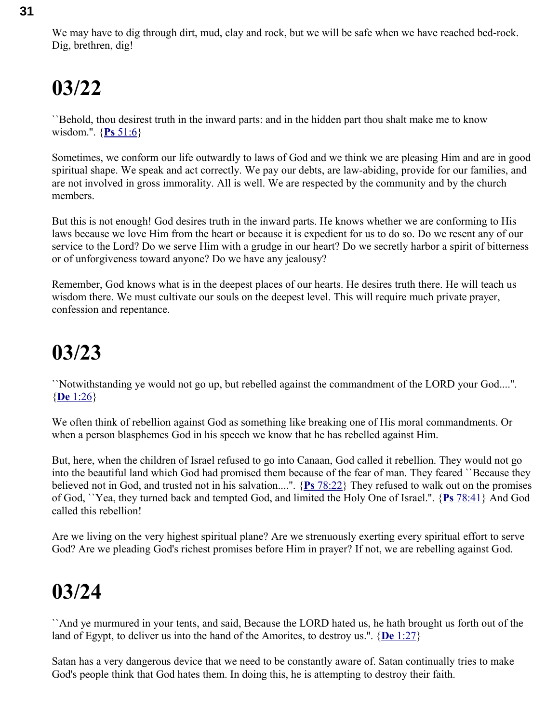``Behold, thou desirest truth in the inward parts: and in the hidden part thou shalt make me to know wisdom.''. { **Ps** [51:6}](swordsearcher://bible/Ps51.6)

Sometimes, we conform our life outwardly to laws of God and we think we are pleasing Him and are in good spiritual shape. We speak and act correctly. We pay our debts, are law-abiding, provide for our families, and are not involved in gross immorality. All is well. We are respected by the community and by the church members.

But this is not enough! God desires truth in the inward parts. He knows whether we are conforming to His laws because we love Him from the heart or because it is expedient for us to do so. Do we resent any of our service to the Lord? Do we serve Him with a grudge in our heart? Do we secretly harbor a spirit of bitterness or of unforgiveness toward anyone? Do we have any jealousy?

Remember, God knows what is in the deepest places of our hearts. He desires truth there. He will teach us wisdom there. We must cultivate our souls on the deepest level. This will require much private prayer, confession and repentance.

## **03/23**

``Notwithstanding ye would not go up, but rebelled against the commandment of the LORD your God....''. { **De** [1:26}](swordsearcher://bible/De1.26)

We often think of rebellion against God as something like breaking one of His moral commandments. Or when a person blasphemes God in his speech we know that he has rebelled against Him.

But, here, when the children of Israel refused to go into Canaan, God called it rebellion. They would not go into the beautiful land which God had promised them because of the fear of man. They feared ``Because they believed not in God, and trusted not in his salvation....''. { **Ps** [78:22}](swordsearcher://bible/Ps78.22) They refused to walk out on the promises of God, ``Yea, they turned back and tempted God, and limited the Holy One of Israel.''. { **Ps** [78:41}](swordsearcher://bible/Ps78.41) And God called this rebellion!

Are we living on the very highest spiritual plane? Are we strenuously exerting every spiritual effort to serve God? Are we pleading God's richest promises before Him in prayer? If not, we are rebelling against God.

## **03/24**

``And ye murmured in your tents, and said, Because the LORD hated us, he hath brought us forth out of the land of Egypt, to deliver us into the hand of the Amorites, to destroy us.''. { **De** [1:27}](swordsearcher://bible/De1.27)

Satan has a very dangerous device that we need to be constantly aware of. Satan continually tries to make God's people think that God hates them. In doing this, he is attempting to destroy their faith.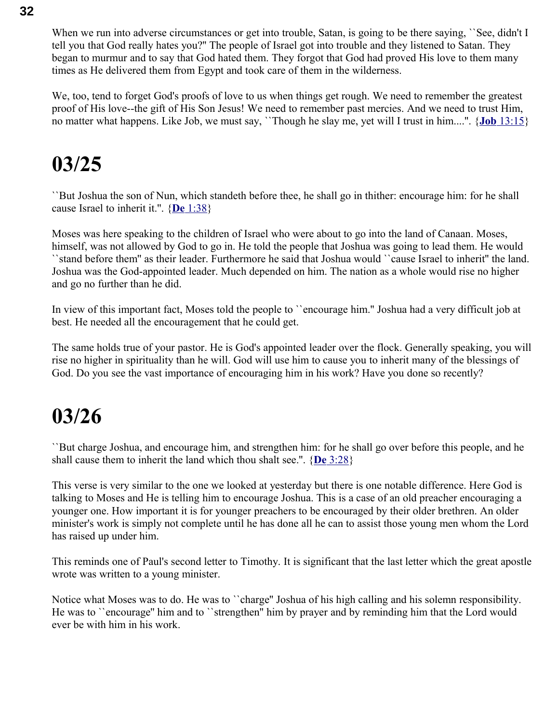When we run into adverse circumstances or get into trouble, Satan, is going to be there saying, 'See, didn't I tell you that God really hates you?'' The people of Israel got into trouble and they listened to Satan. They began to murmur and to say that God hated them. They forgot that God had proved His love to them many times as He delivered them from Egypt and took care of them in the wilderness.

We, too, tend to forget God's proofs of love to us when things get rough. We need to remember the greatest proof of His love--the gift of His Son Jesus! We need to remember past mercies. And we need to trust Him, no matter what happens. Like Job, we must say, ``Though he slay me, yet will I trust in him....''. { **Job** [13:15}](swordsearcher://bible/Job13.15)

#### **03/25**

``But Joshua the son of Nun, which standeth before thee, he shall go in thither: encourage him: for he shall cause Israel to inherit it.''. { **De** [1:38}](swordsearcher://bible/De1.38)

Moses was here speaking to the children of Israel who were about to go into the land of Canaan. Moses, himself, was not allowed by God to go in. He told the people that Joshua was going to lead them. He would ``stand before them'' as their leader. Furthermore he said that Joshua would ``cause Israel to inherit'' the land. Joshua was the God-appointed leader. Much depended on him. The nation as a whole would rise no higher and go no further than he did.

In view of this important fact, Moses told the people to ``encourage him.'' Joshua had a very difficult job at best. He needed all the encouragement that he could get.

The same holds true of your pastor. He is God's appointed leader over the flock. Generally speaking, you will rise no higher in spirituality than he will. God will use him to cause you to inherit many of the blessings of God. Do you see the vast importance of encouraging him in his work? Have you done so recently?

### **03/26**

``But charge Joshua, and encourage him, and strengthen him: for he shall go over before this people, and he shall cause them to inherit the land which thou shalt see.''. { **De** [3:28}](swordsearcher://bible/De3.28)

This verse is very similar to the one we looked at yesterday but there is one notable difference. Here God is talking to Moses and He is telling him to encourage Joshua. This is a case of an old preacher encouraging a younger one. How important it is for younger preachers to be encouraged by their older brethren. An older minister's work is simply not complete until he has done all he can to assist those young men whom the Lord has raised up under him.

This reminds one of Paul's second letter to Timothy. It is significant that the last letter which the great apostle wrote was written to a young minister.

Notice what Moses was to do. He was to ``charge'' Joshua of his high calling and his solemn responsibility. He was to ``encourage'' him and to ``strengthen'' him by prayer and by reminding him that the Lord would ever be with him in his work.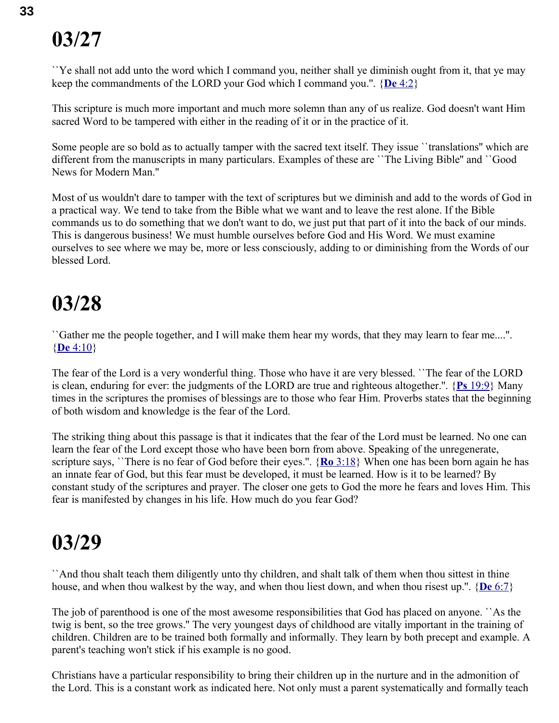``Ye shall not add unto the word which I command you, neither shall ye diminish ought from it, that ye may keep the commandments of the LORD your God which I command you.''. { **De** [4:2}](swordsearcher://bible/De4.2)

This scripture is much more important and much more solemn than any of us realize. God doesn't want Him sacred Word to be tampered with either in the reading of it or in the practice of it.

Some people are so bold as to actually tamper with the sacred text itself. They issue ``translations'' which are different from the manuscripts in many particulars. Examples of these are ``The Living Bible'' and ``Good News for Modern Man.''

Most of us wouldn't dare to tamper with the text of scriptures but we diminish and add to the words of God in a practical way. We tend to take from the Bible what we want and to leave the rest alone. If the Bible commands us to do something that we don't want to do, we just put that part of it into the back of our minds. This is dangerous business! We must humble ourselves before God and His Word. We must examine ourselves to see where we may be, more or less consciously, adding to or diminishing from the Words of our blessed Lord.

#### **03/28**

``Gather me the people together, and I will make them hear my words, that they may learn to fear me....''. { **De** [4:10}](swordsearcher://bible/De4.10)

The fear of the Lord is a very wonderful thing. Those who have it are very blessed. ``The fear of the LORD is clean, enduring for ever: the judgments of the LORD are true and righteous altogether.''. { **Ps** [19:9}](swordsearcher://bible/Ps19.9) Many times in the scriptures the promises of blessings are to those who fear Him. Proverbs states that the beginning of both wisdom and knowledge is the fear of the Lord.

The striking thing about this passage is that it indicates that the fear of the Lord must be learned. No one can learn the fear of the Lord except those who have been born from above. Speaking of the unregenerate, scripture says, ``There is no fear of God before their eyes.''. { **Ro** [3:18}](swordsearcher://bible/Ro3.18) When one has been born again he has an innate fear of God, but this fear must be developed, it must be learned. How is it to be learned? By constant study of the scriptures and prayer. The closer one gets to God the more he fears and loves Him. This fear is manifested by changes in his life. How much do you fear God?

#### **03/29**

``And thou shalt teach them diligently unto thy children, and shalt talk of them when thou sittest in thine house, and when thou walkest by the way, and when thou liest down, and when thou risest up.''. { **De** [6:7}](swordsearcher://bible/De6.7)

The job of parenthood is one of the most awesome responsibilities that God has placed on anyone. ``As the twig is bent, so the tree grows.'' The very youngest days of childhood are vitally important in the training of children. Children are to be trained both formally and informally. They learn by both precept and example. A parent's teaching won't stick if his example is no good.

Christians have a particular responsibility to bring their children up in the nurture and in the admonition of the Lord. This is a constant work as indicated here. Not only must a parent systematically and formally teach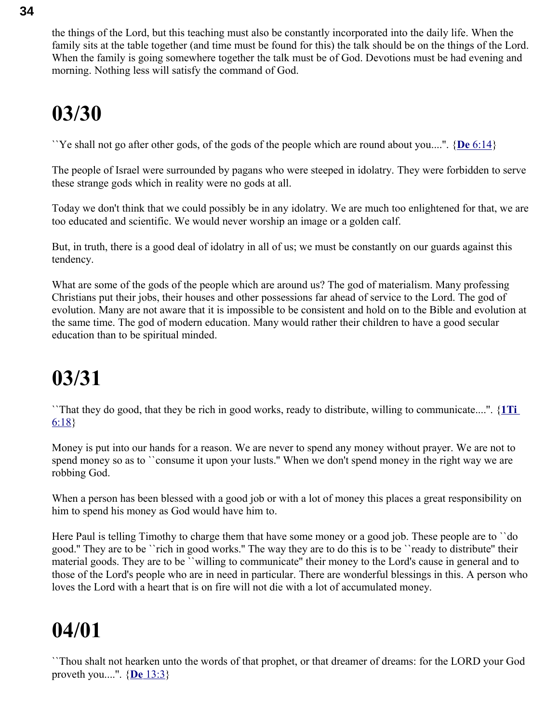the things of the Lord, but this teaching must also be constantly incorporated into the daily life. When the family sits at the table together (and time must be found for this) the talk should be on the things of the Lord. When the family is going somewhere together the talk must be of God. Devotions must be had evening and morning. Nothing less will satisfy the command of God.

## **03/30**

``Ye shall not go after other gods, of the gods of the people which are round about you....''. { **De** [6:14}](swordsearcher://bible/De6.14)

The people of Israel were surrounded by pagans who were steeped in idolatry. They were forbidden to serve these strange gods which in reality were no gods at all.

Today we don't think that we could possibly be in any idolatry. We are much too enlightened for that, we are too educated and scientific. We would never worship an image or a golden calf.

But, in truth, there is a good deal of idolatry in all of us; we must be constantly on our guards against this tendency.

What are some of the gods of the people which are around us? The god of materialism. Many professing Christians put their jobs, their houses and other possessions far ahead of service to the Lord. The god of evolution. Many are not aware that it is impossible to be consistent and hold on to the Bible and evolution at the same time. The god of modern education. Many would rather their children to have a good secular education than to be spiritual minded.

## **03/31**

``That they do good, that they be rich in good works, ready to distribute, willing to communicate....''. { **[1Ti](swordsearcher://bible/1Ti6.18)** [6:18}](swordsearcher://bible/1Ti6.18)

Money is put into our hands for a reason. We are never to spend any money without prayer. We are not to spend money so as to ``consume it upon your lusts." When we don't spend money in the right way we are robbing God.

When a person has been blessed with a good job or with a lot of money this places a great responsibility on him to spend his money as God would have him to.

Here Paul is telling Timothy to charge them that have some money or a good job. These people are to ``do good.'' They are to be ``rich in good works.'' The way they are to do this is to be ``ready to distribute'' their material goods. They are to be ``willing to communicate'' their money to the Lord's cause in general and to those of the Lord's people who are in need in particular. There are wonderful blessings in this. A person who loves the Lord with a heart that is on fire will not die with a lot of accumulated money.

## **04/01**

``Thou shalt not hearken unto the words of that prophet, or that dreamer of dreams: for the LORD your God proveth you....''. { **De** [13:3}](swordsearcher://bible/De13.3)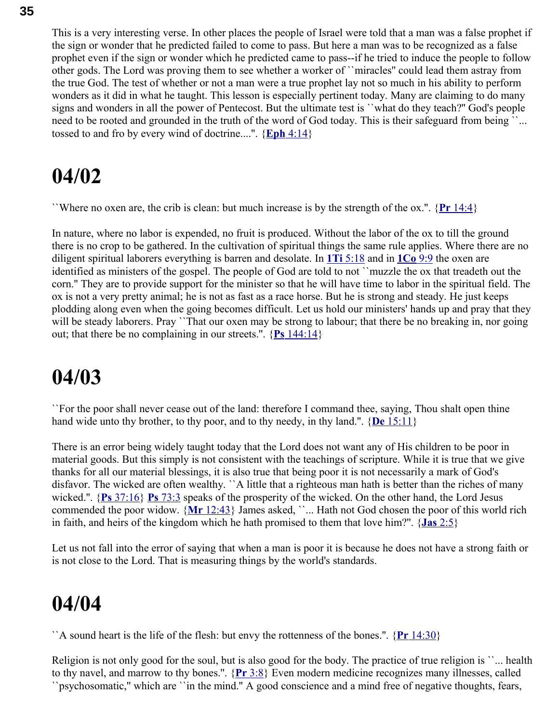This is a very interesting verse. In other places the people of Israel were told that a man was a false prophet if the sign or wonder that he predicted failed to come to pass. But here a man was to be recognized as a false prophet even if the sign or wonder which he predicted came to pass--if he tried to induce the people to follow other gods. The Lord was proving them to see whether a worker of ``miracles'' could lead them astray from the true God. The test of whether or not a man were a true prophet lay not so much in his ability to perform wonders as it did in what he taught. This lesson is especially pertinent today. Many are claiming to do many signs and wonders in all the power of Pentecost. But the ultimate test is ``what do they teach?'' God's people need to be rooted and grounded in the truth of the word of God today. This is their safeguard from being "... tossed to and fro by every wind of doctrine....''. { **Eph** [4:14}](swordsearcher://bible/Eph4.14)

#### **04/02**

``Where no oxen are, the crib is clean: but much increase is by the strength of the ox.''. { **Pr** [14:4}](swordsearcher://bible/Pr14.4)

In nature, where no labor is expended, no fruit is produced. Without the labor of the ox to till the ground there is no crop to be gathered. In the cultivation of spiritual things the same rule applies. Where there are no diligent spiritual laborers everything is barren and desolate. In **1Ti** [5:18](swordsearcher://bible/1Ti5.18) and in **[1Co](swordsearcher://bible/1Co9.9)** 9:9 the oxen are identified as ministers of the gospel. The people of God are told to not ``muzzle the ox that treadeth out the corn.'' They are to provide support for the minister so that he will have time to labor in the spiritual field. The ox is not a very pretty animal; he is not as fast as a race horse. But he is strong and steady. He just keeps plodding along even when the going becomes difficult. Let us hold our ministers' hands up and pray that they will be steady laborers. Pray ``That our oxen may be strong to labour; that there be no breaking in, nor going out; that there be no complaining in our streets.''. { **Ps** [144:14}](swordsearcher://bible/Ps144.14)

#### **04/03**

``For the poor shall never cease out of the land: therefore I command thee, saying, Thou shalt open thine hand wide unto thy brother, to thy poor, and to thy needy, in thy land.''. { **De** [15:11}](swordsearcher://bible/De15.11)

There is an error being widely taught today that the Lord does not want any of His children to be poor in material goods. But this simply is not consistent with the teachings of scripture. While it is true that we give thanks for all our material blessings, it is also true that being poor it is not necessarily a mark of God's disfavor. The wicked are often wealthy. ``A little that a righteous man hath is better than the riches of many wicked.''. { **Ps** [37:16}](swordsearcher://bible/Ps37.16) **Ps** [73:3](swordsearcher://bible/Ps73.3) speaks of the prosperity of the wicked. On the other hand, the Lord Jesus commended the poor widow. {Mr [12:43}](swordsearcher://bible/Mr12.43) James asked, ``... Hath not God chosen the poor of this world rich in faith, and heirs of the kingdom which he hath promised to them that love him?''. { **Jas** [2:5}](swordsearcher://bible/Jas2.5)

Let us not fall into the error of saying that when a man is poor it is because he does not have a strong faith or is not close to the Lord. That is measuring things by the world's standards.

#### **04/04**

``A sound heart is the life of the flesh: but envy the rottenness of the bones.''. { **Pr** [14:30}](swordsearcher://bible/Pr14.30)

Religion is not only good for the soul, but is also good for the body. The practice of true religion is ``... health to thy navel, and marrow to thy bones.''. { **Pr** [3:8}](swordsearcher://bible/Pr3.8) Even modern medicine recognizes many illnesses, called ``psychosomatic,'' which are ``in the mind.'' A good conscience and a mind free of negative thoughts, fears,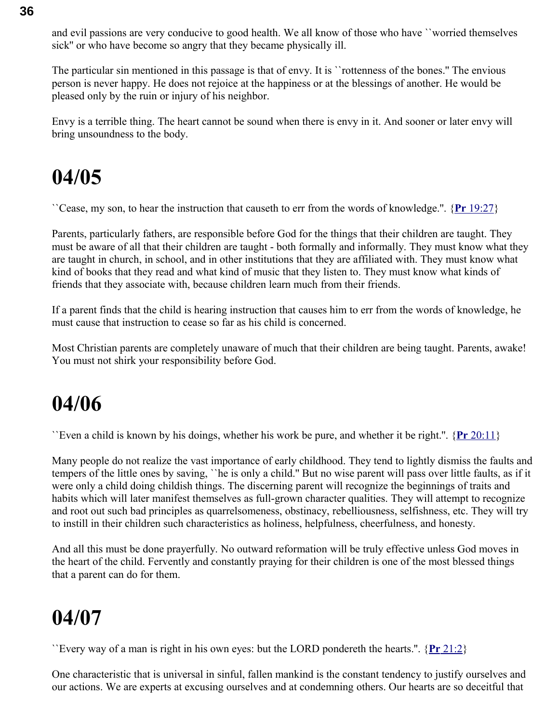and evil passions are very conducive to good health. We all know of those who have ``worried themselves sick'' or who have become so angry that they became physically ill.

The particular sin mentioned in this passage is that of envy. It is ``rottenness of the bones.'' The envious person is never happy. He does not rejoice at the happiness or at the blessings of another. He would be pleased only by the ruin or injury of his neighbor.

Envy is a terrible thing. The heart cannot be sound when there is envy in it. And sooner or later envy will bring unsoundness to the body.

### **04/05**

``Cease, my son, to hear the instruction that causeth to err from the words of knowledge.''. { **Pr** [19:27}](swordsearcher://bible/Pr19.27)

Parents, particularly fathers, are responsible before God for the things that their children are taught. They must be aware of all that their children are taught - both formally and informally. They must know what they are taught in church, in school, and in other institutions that they are affiliated with. They must know what kind of books that they read and what kind of music that they listen to. They must know what kinds of friends that they associate with, because children learn much from their friends.

If a parent finds that the child is hearing instruction that causes him to err from the words of knowledge, he must cause that instruction to cease so far as his child is concerned.

Most Christian parents are completely unaware of much that their children are being taught. Parents, awake! You must not shirk your responsibility before God.

#### **04/06**

``Even a child is known by his doings, whether his work be pure, and whether it be right.''. { **Pr** [20:11}](swordsearcher://bible/Pr20.11)

Many people do not realize the vast importance of early childhood. They tend to lightly dismiss the faults and tempers of the little ones by saving, ``he is only a child.'' But no wise parent will pass over little faults, as if it were only a child doing childish things. The discerning parent will recognize the beginnings of traits and habits which will later manifest themselves as full-grown character qualities. They will attempt to recognize and root out such bad principles as quarrelsomeness, obstinacy, rebelliousness, selfishness, etc. They will try to instill in their children such characteristics as holiness, helpfulness, cheerfulness, and honesty.

And all this must be done prayerfully. No outward reformation will be truly effective unless God moves in the heart of the child. Fervently and constantly praying for their children is one of the most blessed things that a parent can do for them.

### **04/07**

``Every way of a man is right in his own eyes: but the LORD pondereth the hearts.''. { **Pr** [21:2}](swordsearcher://bible/Pr21.2)

One characteristic that is universal in sinful, fallen mankind is the constant tendency to justify ourselves and our actions. We are experts at excusing ourselves and at condemning others. Our hearts are so deceitful that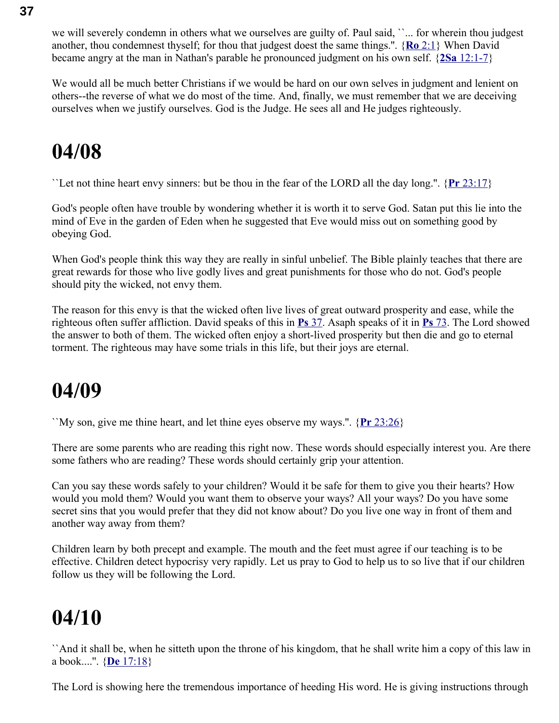we will severely condemn in others what we ourselves are guilty of. Paul said, "... for wherein thou judgest another, thou condemnest thyself; for thou that judgest doest the same things.''. { **Ro** [2:1}](swordsearcher://bible/Ro2.1) When David became angry at the man in Nathan's parable he pronounced judgment on his own self. { **2Sa** [12:1-7}](swordsearcher://bible/2Sa12.1-7)

We would all be much better Christians if we would be hard on our own selves in judgment and lenient on others--the reverse of what we do most of the time. And, finally, we must remember that we are deceiving ourselves when we justify ourselves. God is the Judge. He sees all and He judges righteously.

### **04/08**

``Let not thine heart envy sinners: but be thou in the fear of the LORD all the day long.''. { **Pr** [23:17}](swordsearcher://bible/Pr23.17)

God's people often have trouble by wondering whether it is worth it to serve God. Satan put this lie into the mind of Eve in the garden of Eden when he suggested that Eve would miss out on something good by obeying God.

When God's people think this way they are really in sinful unbelief. The Bible plainly teaches that there are great rewards for those who live godly lives and great punishments for those who do not. God's people should pity the wicked, not envy them.

The reason for this envy is that the wicked often live lives of great outward prosperity and ease, while the righteous often suffer affliction. David speaks of this in **Ps** [37.](swordsearcher://bible/Ps37) Asaph speaks of it in **Ps** [73.](swordsearcher://bible/Ps73) The Lord showed the answer to both of them. The wicked often enjoy a short-lived prosperity but then die and go to eternal torment. The righteous may have some trials in this life, but their joys are eternal.

### **04/09**

``My son, give me thine heart, and let thine eyes observe my ways.''. { **Pr** [23:26}](swordsearcher://bible/Pr23.26)

There are some parents who are reading this right now. These words should especially interest you. Are there some fathers who are reading? These words should certainly grip your attention.

Can you say these words safely to your children? Would it be safe for them to give you their hearts? How would you mold them? Would you want them to observe your ways? All your ways? Do you have some secret sins that you would prefer that they did not know about? Do you live one way in front of them and another way away from them?

Children learn by both precept and example. The mouth and the feet must agree if our teaching is to be effective. Children detect hypocrisy very rapidly. Let us pray to God to help us to so live that if our children follow us they will be following the Lord.

## **04/10**

``And it shall be, when he sitteth upon the throne of his kingdom, that he shall write him a copy of this law in a book....''. { **De** [17:18}](swordsearcher://bible/De17.18)

The Lord is showing here the tremendous importance of heeding His word. He is giving instructions through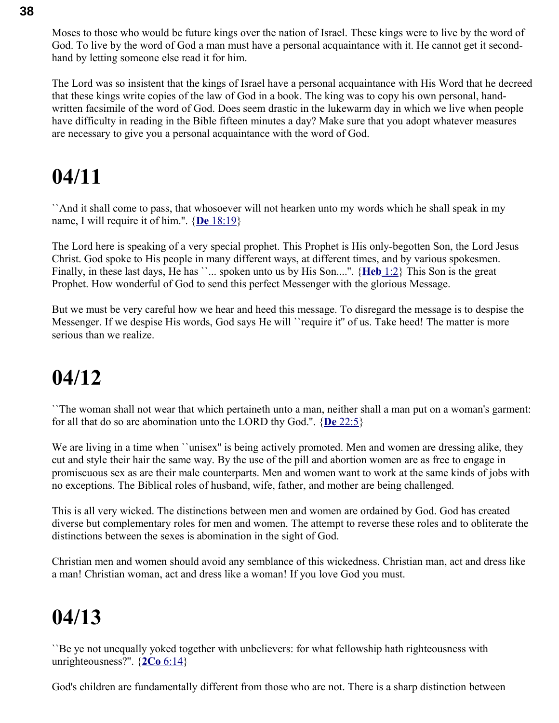Moses to those who would be future kings over the nation of Israel. These kings were to live by the word of God. To live by the word of God a man must have a personal acquaintance with it. He cannot get it secondhand by letting someone else read it for him.

The Lord was so insistent that the kings of Israel have a personal acquaintance with His Word that he decreed that these kings write copies of the law of God in a book. The king was to copy his own personal, handwritten facsimile of the word of God. Does seem drastic in the lukewarm day in which we live when people have difficulty in reading in the Bible fifteen minutes a day? Make sure that you adopt whatever measures are necessary to give you a personal acquaintance with the word of God.

### **04/11**

``And it shall come to pass, that whosoever will not hearken unto my words which he shall speak in my name, I will require it of him.''. { **De** [18:19}](swordsearcher://bible/De18.19)

The Lord here is speaking of a very special prophet. This Prophet is His only-begotten Son, the Lord Jesus Christ. God spoke to His people in many different ways, at different times, and by various spokesmen. Finally, in these last days, He has ``... spoken unto us by His Son....". {**Heb** 1:2} This Son is the great Prophet. How wonderful of God to send this perfect Messenger with the glorious Message.

But we must be very careful how we hear and heed this message. To disregard the message is to despise the Messenger. If we despise His words, God says He will ``require it'' of us. Take heed! The matter is more serious than we realize.

### **04/12**

``The woman shall not wear that which pertaineth unto a man, neither shall a man put on a woman's garment: for all that do so are abomination unto the LORD thy God.''. { **De** [22:5}](swordsearcher://bible/De22.5)

We are living in a time when ``unisex" is being actively promoted. Men and women are dressing alike, they cut and style their hair the same way. By the use of the pill and abortion women are as free to engage in promiscuous sex as are their male counterparts. Men and women want to work at the same kinds of jobs with no exceptions. The Biblical roles of husband, wife, father, and mother are being challenged.

This is all very wicked. The distinctions between men and women are ordained by God. God has created diverse but complementary roles for men and women. The attempt to reverse these roles and to obliterate the distinctions between the sexes is abomination in the sight of God.

Christian men and women should avoid any semblance of this wickedness. Christian man, act and dress like a man! Christian woman, act and dress like a woman! If you love God you must.

### **04/13**

``Be ye not unequally yoked together with unbelievers: for what fellowship hath righteousness with unrighteousness?''. { **2Co** [6:14}](swordsearcher://bible/2Co6.14)

God's children are fundamentally different from those who are not. There is a sharp distinction between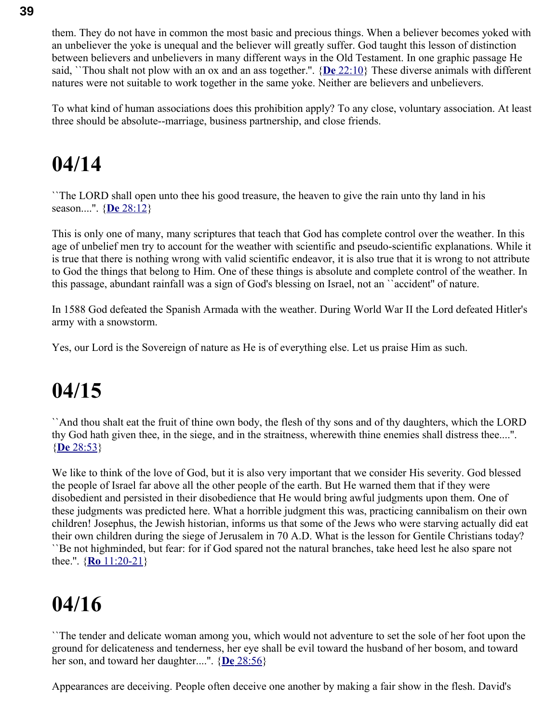them. They do not have in common the most basic and precious things. When a believer becomes yoked with an unbeliever the yoke is unequal and the believer will greatly suffer. God taught this lesson of distinction between believers and unbelievers in many different ways in the Old Testament. In one graphic passage He said, ``Thou shalt not plow with an ox and an ass together.''. { **De** [22:10}](swordsearcher://bible/De22.10) These diverse animals with different natures were not suitable to work together in the same yoke. Neither are believers and unbelievers.

To what kind of human associations does this prohibition apply? To any close, voluntary association. At least three should be absolute--marriage, business partnership, and close friends.

### **04/14**

``The LORD shall open unto thee his good treasure, the heaven to give the rain unto thy land in his season....''. { **De** [28:12}](swordsearcher://bible/De28.12)

This is only one of many, many scriptures that teach that God has complete control over the weather. In this age of unbelief men try to account for the weather with scientific and pseudo-scientific explanations. While it is true that there is nothing wrong with valid scientific endeavor, it is also true that it is wrong to not attribute to God the things that belong to Him. One of these things is absolute and complete control of the weather. In this passage, abundant rainfall was a sign of God's blessing on Israel, not an ``accident'' of nature.

In 1588 God defeated the Spanish Armada with the weather. During World War II the Lord defeated Hitler's army with a snowstorm.

Yes, our Lord is the Sovereign of nature as He is of everything else. Let us praise Him as such.

### **04/15**

``And thou shalt eat the fruit of thine own body, the flesh of thy sons and of thy daughters, which the LORD thy God hath given thee, in the siege, and in the straitness, wherewith thine enemies shall distress thee....''. { **De** [28:53}](swordsearcher://bible/De28.53)

We like to think of the love of God, but it is also very important that we consider His severity. God blessed the people of Israel far above all the other people of the earth. But He warned them that if they were disobedient and persisted in their disobedience that He would bring awful judgments upon them. One of these judgments was predicted here. What a horrible judgment this was, practicing cannibalism on their own children! Josephus, the Jewish historian, informs us that some of the Jews who were starving actually did eat their own children during the siege of Jerusalem in 70 A.D. What is the lesson for Gentile Christians today? ``Be not highminded, but fear: for if God spared not the natural branches, take heed lest he also spare not thee.''. { **Ro** [11:20-21}](swordsearcher://bible/Ro11.20-21)

### **04/16**

``The tender and delicate woman among you, which would not adventure to set the sole of her foot upon the ground for delicateness and tenderness, her eye shall be evil toward the husband of her bosom, and toward her son, and toward her daughter....''. { **De** [28:56}](swordsearcher://bible/De28.56)

Appearances are deceiving. People often deceive one another by making a fair show in the flesh. David's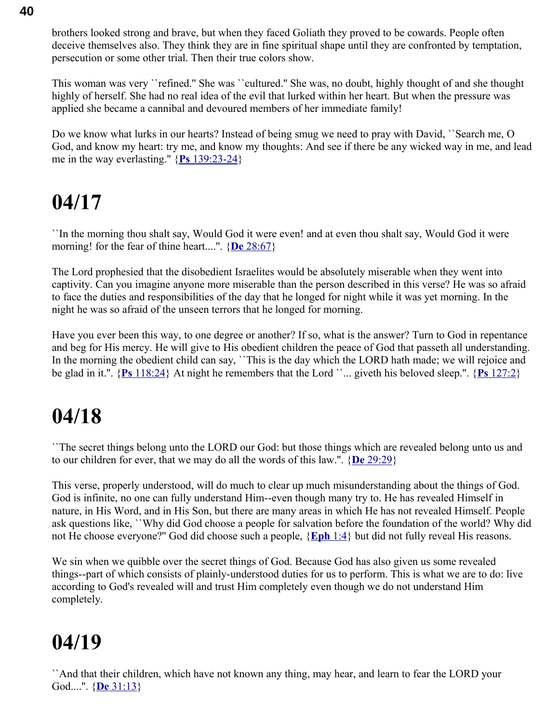brothers looked strong and brave, but when they faced Goliath they proved to be cowards. People often deceive themselves also. They think they are in fine spiritual shape until they are confronted by temptation, persecution or some other trial. Then their true colors show.

This woman was very ``refined.'' She was ``cultured.'' She was, no doubt, highly thought of and she thought highly of herself. She had no real idea of the evil that lurked within her heart. But when the pressure was applied she became a cannibal and devoured members of her immediate family!

Do we know what lurks in our hearts? Instead of being smug we need to pray with David, ``Search me, O God, and know my heart: try me, and know my thoughts: And see if there be any wicked way in me, and lead me in the way everlasting.'' { **Ps** [139:23-24}](swordsearcher://bible/Ps139.23-24)

### **04/17**

``In the morning thou shalt say, Would God it were even! and at even thou shalt say, Would God it were morning! for the fear of thine heart....''. { **De** [28:67}](swordsearcher://bible/De28.67)

The Lord prophesied that the disobedient Israelites would be absolutely miserable when they went into captivity. Can you imagine anyone more miserable than the person described in this verse? He was so afraid to face the duties and responsibilities of the day that he longed for night while it was yet morning. In the night he was so afraid of the unseen terrors that he longed for morning.

Have you ever been this way, to one degree or another? If so, what is the answer? Turn to God in repentance and beg for His mercy. He will give to His obedient children the peace of God that passeth all understanding. In the morning the obedient child can say, "This is the day which the LORD hath made; we will rejoice and be glad in it.''. { **Ps** [118:24}](swordsearcher://bible/Ps118.24) At night he remembers that the Lord ``... giveth his beloved sleep.''. { **Ps** [127:2}](swordsearcher://bible/Ps127.2)

### **04/18**

``The secret things belong unto the LORD our God: but those things which are revealed belong unto us and to our children for ever, that we may do all the words of this law.''. { **De** [29:29}](swordsearcher://bible/De29.29)

This verse, properly understood, will do much to clear up much misunderstanding about the things of God. God is infinite, no one can fully understand Him--even though many try to. He has revealed Himself in nature, in His Word, and in His Son, but there are many areas in which He has not revealed Himself. People ask questions like, ``Why did God choose a people for salvation before the foundation of the world? Why did not He choose everyone?'' God did choose such a people, { **[Eph](swordsearcher://bible/Eph1.4)** 1:4} but did not fully reveal His reasons.

We sin when we quibble over the secret things of God. Because God has also given us some revealed things--part of which consists of plainly-understood duties for us to perform. This is what we are to do: live according to God's revealed will and trust Him completely even though we do not understand Him completely.

### **04/19**

``And that their children, which have not known any thing, may hear, and learn to fear the LORD your God....''. { **De** [31:13}](swordsearcher://bible/De31.13)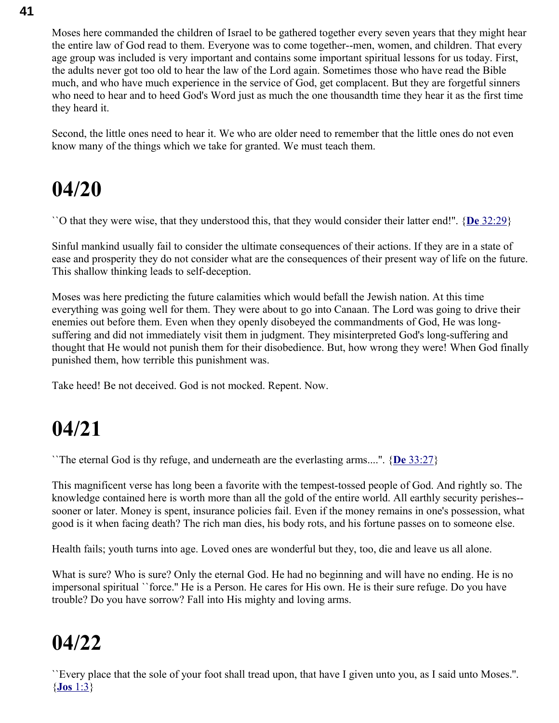Moses here commanded the children of Israel to be gathered together every seven years that they might hear the entire law of God read to them. Everyone was to come together--men, women, and children. That every age group was included is very important and contains some important spiritual lessons for us today. First, the adults never got too old to hear the law of the Lord again. Sometimes those who have read the Bible much, and who have much experience in the service of God, get complacent. But they are forgetful sinners who need to hear and to heed God's Word just as much the one thousandth time they hear it as the first time they heard it.

Second, the little ones need to hear it. We who are older need to remember that the little ones do not even know many of the things which we take for granted. We must teach them.

### **04/20**

``O that they were wise, that they understood this, that they would consider their latter end!''. { **De** [32:29}](swordsearcher://bible/De32.29)

Sinful mankind usually fail to consider the ultimate consequences of their actions. If they are in a state of ease and prosperity they do not consider what are the consequences of their present way of life on the future. This shallow thinking leads to self-deception.

Moses was here predicting the future calamities which would befall the Jewish nation. At this time everything was going well for them. They were about to go into Canaan. The Lord was going to drive their enemies out before them. Even when they openly disobeyed the commandments of God, He was longsuffering and did not immediately visit them in judgment. They misinterpreted God's long-suffering and thought that He would not punish them for their disobedience. But, how wrong they were! When God finally punished them, how terrible this punishment was.

Take heed! Be not deceived. God is not mocked. Repent. Now.

### **04/21**

``The eternal God is thy refuge, and underneath are the everlasting arms....''. { **De** [33:27}](swordsearcher://bible/De33.27)

This magnificent verse has long been a favorite with the tempest-tossed people of God. And rightly so. The knowledge contained here is worth more than all the gold of the entire world. All earthly security perishes- sooner or later. Money is spent, insurance policies fail. Even if the money remains in one's possession, what good is it when facing death? The rich man dies, his body rots, and his fortune passes on to someone else.

Health fails; youth turns into age. Loved ones are wonderful but they, too, die and leave us all alone.

What is sure? Who is sure? Only the eternal God. He had no beginning and will have no ending. He is no impersonal spiritual ``force.'' He is a Person. He cares for His own. He is their sure refuge. Do you have trouble? Do you have sorrow? Fall into His mighty and loving arms.

### **04/22**

``Every place that the sole of your foot shall tread upon, that have I given unto you, as I said unto Moses.''. { **Jos** [1:3}](swordsearcher://bible/Jos1.3)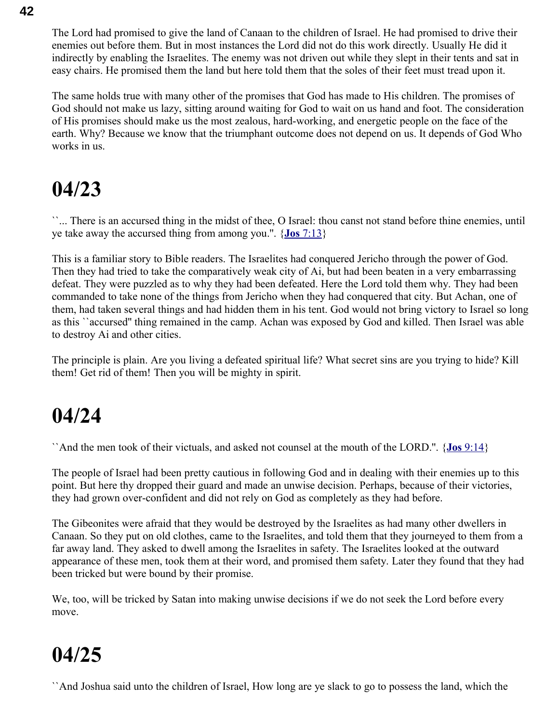The Lord had promised to give the land of Canaan to the children of Israel. He had promised to drive their enemies out before them. But in most instances the Lord did not do this work directly. Usually He did it indirectly by enabling the Israelites. The enemy was not driven out while they slept in their tents and sat in easy chairs. He promised them the land but here told them that the soles of their feet must tread upon it.

The same holds true with many other of the promises that God has made to His children. The promises of God should not make us lazy, sitting around waiting for God to wait on us hand and foot. The consideration of His promises should make us the most zealous, hard-working, and energetic people on the face of the earth. Why? Because we know that the triumphant outcome does not depend on us. It depends of God Who works in us.

#### **04/23**

``... There is an accursed thing in the midst of thee, O Israel: thou canst not stand before thine enemies, until ye take away the accursed thing from among you.''. { **Jos** [7:13}](swordsearcher://bible/Jos7.13)

This is a familiar story to Bible readers. The Israelites had conquered Jericho through the power of God. Then they had tried to take the comparatively weak city of Ai, but had been beaten in a very embarrassing defeat. They were puzzled as to why they had been defeated. Here the Lord told them why. They had been commanded to take none of the things from Jericho when they had conquered that city. But Achan, one of them, had taken several things and had hidden them in his tent. God would not bring victory to Israel so long as this ``accursed'' thing remained in the camp. Achan was exposed by God and killed. Then Israel was able to destroy Ai and other cities.

The principle is plain. Are you living a defeated spiritual life? What secret sins are you trying to hide? Kill them! Get rid of them! Then you will be mighty in spirit.

#### **04/24**

``And the men took of their victuals, and asked not counsel at the mouth of the LORD.''. { **Jos** [9:14}](swordsearcher://bible/Jos9.14)

The people of Israel had been pretty cautious in following God and in dealing with their enemies up to this point. But here thy dropped their guard and made an unwise decision. Perhaps, because of their victories, they had grown over-confident and did not rely on God as completely as they had before.

The Gibeonites were afraid that they would be destroyed by the Israelites as had many other dwellers in Canaan. So they put on old clothes, came to the Israelites, and told them that they journeyed to them from a far away land. They asked to dwell among the Israelites in safety. The Israelites looked at the outward appearance of these men, took them at their word, and promised them safety. Later they found that they had been tricked but were bound by their promise.

We, too, will be tricked by Satan into making unwise decisions if we do not seek the Lord before every move.

### **04/25**

``And Joshua said unto the children of Israel, How long are ye slack to go to possess the land, which the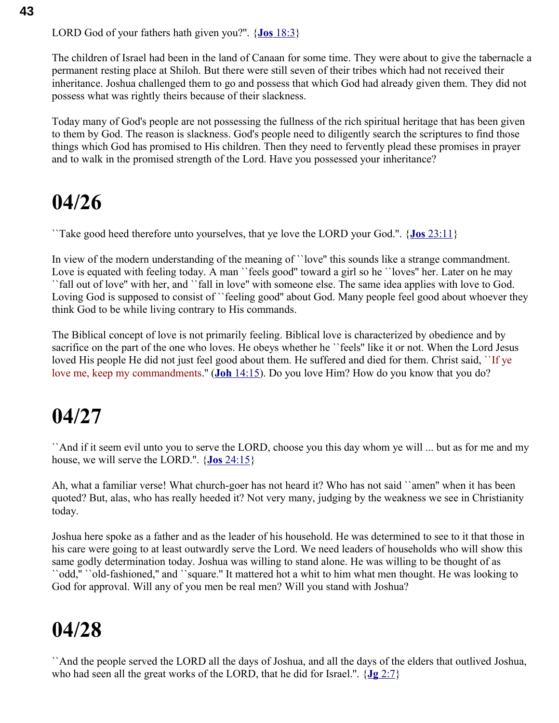LORD God of your fathers hath given you?''. { **Jos** [18:3}](swordsearcher://bible/Jos18.3)

The children of Israel had been in the land of Canaan for some time. They were about to give the tabernacle a permanent resting place at Shiloh. But there were still seven of their tribes which had not received their inheritance. Joshua challenged them to go and possess that which God had already given them. They did not possess what was rightly theirs because of their slackness.

Today many of God's people are not possessing the fullness of the rich spiritual heritage that has been given to them by God. The reason is slackness. God's people need to diligently search the scriptures to find those things which God has promised to His children. Then they need to fervently plead these promises in prayer and to walk in the promised strength of the Lord. Have you possessed your inheritance?

### **04/26**

``Take good heed therefore unto yourselves, that ye love the LORD your God.''. { **Jos** [23:11}](swordsearcher://bible/Jos23.11)

In view of the modern understanding of the meaning of ``love'' this sounds like a strange commandment. Love is equated with feeling today. A man "feels good" toward a girl so he "loves" her. Later on he may ``fall out of love'' with her, and ``fall in love'' with someone else. The same idea applies with love to God. Loving God is supposed to consist of "feeling good" about God. Many people feel good about whoever they think God to be while living contrary to His commands.

The Biblical concept of love is not primarily feeling. Biblical love is characterized by obedience and by sacrifice on the part of the one who loves. He obeys whether he ``feels'' like it or not. When the Lord Jesus loved His people He did not just feel good about them. He suffered and died for them. Christ said, "If ye love me, keep my commandments.'' ( **Joh** [14:15\)](swordsearcher://bible/Joh14.15). Do you love Him? How do you know that you do?

### **04/27**

``And if it seem evil unto you to serve the LORD, choose you this day whom ye will ... but as for me and my house, we will serve the LORD.''. { **Jos** [24:15}](swordsearcher://bible/Jos24.15)

Ah, what a familiar verse! What church-goer has not heard it? Who has not said ``amen'' when it has been quoted? But, alas, who has really heeded it? Not very many, judging by the weakness we see in Christianity today.

Joshua here spoke as a father and as the leader of his household. He was determined to see to it that those in his care were going to at least outwardly serve the Lord. We need leaders of households who will show this same godly determination today. Joshua was willing to stand alone. He was willing to be thought of as ``odd,'' ``old-fashioned,'' and ``square.'' It mattered hot a whit to him what men thought. He was looking to God for approval. Will any of you men be real men? Will you stand with Joshua?

### **04/28**

``And the people served the LORD all the days of Joshua, and all the days of the elders that outlived Joshua, who had seen all the great works of the LORD, that he did for Israel.''. { **Jg** [2:7}](swordsearcher://bible/Jg2.7)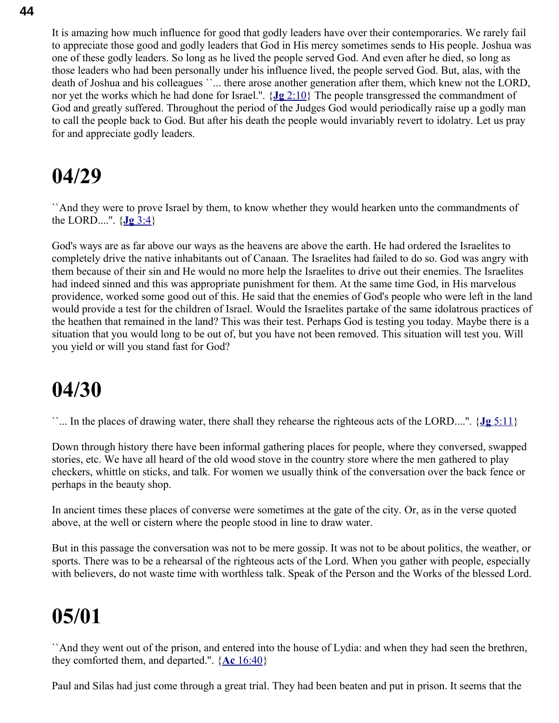It is amazing how much influence for good that godly leaders have over their contemporaries. We rarely fail to appreciate those good and godly leaders that God in His mercy sometimes sends to His people. Joshua was one of these godly leaders. So long as he lived the people served God. And even after he died, so long as those leaders who had been personally under his influence lived, the people served God. But, alas, with the death of Joshua and his colleagues ``... there arose another generation after them, which knew not the LORD, nor yet the works which he had done for Israel.''. { **Jg** [2:10}](swordsearcher://bible/Jg2.10) The people transgressed the commandment of God and greatly suffered. Throughout the period of the Judges God would periodically raise up a godly man to call the people back to God. But after his death the people would invariably revert to idolatry. Let us pray for and appreciate godly leaders.

### **04/29**

``And they were to prove Israel by them, to know whether they would hearken unto the commandments of the LORD....".  $\{Jg\}$  [3:4}](swordsearcher://bible/Jg3.4)

God's ways are as far above our ways as the heavens are above the earth. He had ordered the Israelites to completely drive the native inhabitants out of Canaan. The Israelites had failed to do so. God was angry with them because of their sin and He would no more help the Israelites to drive out their enemies. The Israelites had indeed sinned and this was appropriate punishment for them. At the same time God, in His marvelous providence, worked some good out of this. He said that the enemies of God's people who were left in the land would provide a test for the children of Israel. Would the Israelites partake of the same idolatrous practices of the heathen that remained in the land? This was their test. Perhaps God is testing you today. Maybe there is a situation that you would long to be out of, but you have not been removed. This situation will test you. Will you yield or will you stand fast for God?

### **04/30**

``... In the places of drawing water, there shall they rehearse the righteous acts of the LORD....''. { **Jg** [5:11}](swordsearcher://bible/Jg5.11)

Down through history there have been informal gathering places for people, where they conversed, swapped stories, etc. We have all heard of the old wood stove in the country store where the men gathered to play checkers, whittle on sticks, and talk. For women we usually think of the conversation over the back fence or perhaps in the beauty shop.

In ancient times these places of converse were sometimes at the gate of the city. Or, as in the verse quoted above, at the well or cistern where the people stood in line to draw water.

But in this passage the conversation was not to be mere gossip. It was not to be about politics, the weather, or sports. There was to be a rehearsal of the righteous acts of the Lord. When you gather with people, especially with believers, do not waste time with worthless talk. Speak of the Person and the Works of the blessed Lord.

### **05/01**

``And they went out of the prison, and entered into the house of Lydia: and when they had seen the brethren, they comforted them, and departed.''. { **Ac** [16:40}](swordsearcher://bible/Ac16.40)

Paul and Silas had just come through a great trial. They had been beaten and put in prison. It seems that the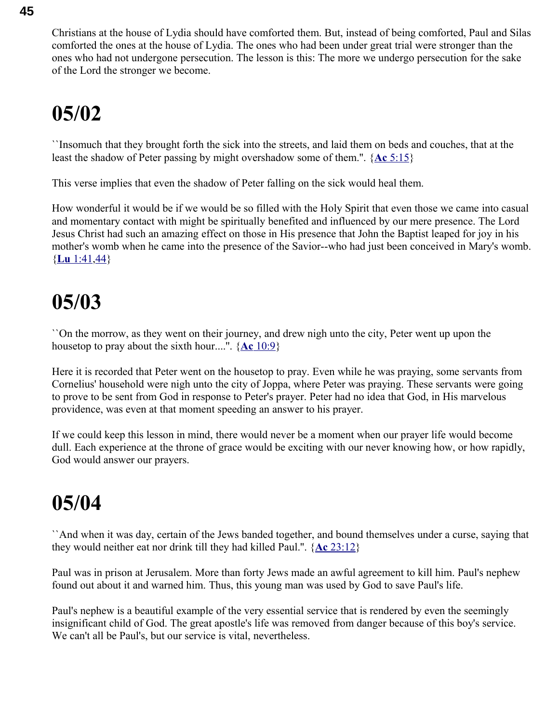Christians at the house of Lydia should have comforted them. But, instead of being comforted, Paul and Silas comforted the ones at the house of Lydia. The ones who had been under great trial were stronger than the ones who had not undergone persecution. The lesson is this: The more we undergo persecution for the sake of the Lord the stronger we become.

## **05/02**

``Insomuch that they brought forth the sick into the streets, and laid them on beds and couches, that at the least the shadow of Peter passing by might overshadow some of them.''. { **Ac** [5:15}](swordsearcher://bible/Ac5.15)

This verse implies that even the shadow of Peter falling on the sick would heal them.

How wonderful it would be if we would be so filled with the Holy Spirit that even those we came into casual and momentary contact with might be spiritually benefited and influenced by our mere presence. The Lord Jesus Christ had such an amazing effect on those in His presence that John the Baptist leaped for joy in his mother's womb when he came into the presence of the Savior--who had just been conceived in Mary's womb. { **Lu** [1:41](swordsearcher://bible/Lu1.41)[,44}](swordsearcher://bible/Lu1.44)

### **05/03**

``On the morrow, as they went on their journey, and drew nigh unto the city, Peter went up upon the housetop to pray about the sixth hour....''. { **Ac** [10:9}](swordsearcher://bible/Ac10.9)

Here it is recorded that Peter went on the housetop to pray. Even while he was praying, some servants from Cornelius' household were nigh unto the city of Joppa, where Peter was praying. These servants were going to prove to be sent from God in response to Peter's prayer. Peter had no idea that God, in His marvelous providence, was even at that moment speeding an answer to his prayer.

If we could keep this lesson in mind, there would never be a moment when our prayer life would become dull. Each experience at the throne of grace would be exciting with our never knowing how, or how rapidly, God would answer our prayers.

### **05/04**

``And when it was day, certain of the Jews banded together, and bound themselves under a curse, saying that they would neither eat nor drink till they had killed Paul.''. { **Ac** [23:12}](swordsearcher://bible/Ac23.12)

Paul was in prison at Jerusalem. More than forty Jews made an awful agreement to kill him. Paul's nephew found out about it and warned him. Thus, this young man was used by God to save Paul's life.

Paul's nephew is a beautiful example of the very essential service that is rendered by even the seemingly insignificant child of God. The great apostle's life was removed from danger because of this boy's service. We can't all be Paul's, but our service is vital, nevertheless.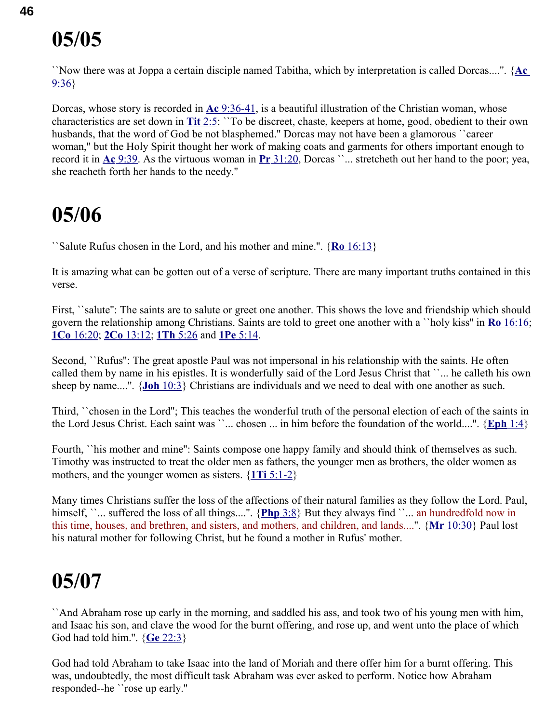``Now there was at Joppa a certain disciple named Tabitha, which by interpretation is called Dorcas....''. { **[Ac](swordsearcher://bible/Ac9.36)** [9:36}](swordsearcher://bible/Ac9.36)

Dorcas, whose story is recorded in **Ac** [9:36-41,](swordsearcher://bible/Ac9.36-41) is a beautiful illustration of the Christian woman, whose characteristics are set down in **Tit** [2:5:](swordsearcher://bible/Tit2.5) ``To be discreet, chaste, keepers at home, good, obedient to their own husbands, that the word of God be not blasphemed." Dorcas may not have been a glamorous "career woman,'' but the Holy Spirit thought her work of making coats and garments for others important enough to record it in **Ac** [9:39.](swordsearcher://bible/Ac9.39) As the virtuous woman in **Pr** [31:20,](swordsearcher://bible/Pr31.20) Dorcas ``... stretcheth out her hand to the poor; yea, she reacheth forth her hands to the needy.''

#### **05/06**

``Salute Rufus chosen in the Lord, and his mother and mine.''. { **Ro** [16:13}](swordsearcher://bible/Ro16.13)

It is amazing what can be gotten out of a verse of scripture. There are many important truths contained in this verse.

First, ``salute'': The saints are to salute or greet one another. This shows the love and friendship which should govern the relationship among Christians. Saints are told to greet one another with a ``holy kiss'' in **Ro** [16:16;](swordsearcher://bible/Ro16.16) **1Co** [16:20;](swordsearcher://bible/1Co16.20) **2Co** [13:12;](swordsearcher://bible/2Co13.12) **1Th** [5:26](swordsearcher://bible/1Th5.26) and **1Pe** [5:14.](swordsearcher://bible/1Pe5.14)

Second, ``Rufus'': The great apostle Paul was not impersonal in his relationship with the saints. He often called them by name in his epistles. It is wonderfully said of the Lord Jesus Christ that ``... he calleth his own sheep by name....''. { **Joh** [10:3}](swordsearcher://bible/Joh10.3) Christians are individuals and we need to deal with one another as such.

Third, ``chosen in the Lord''; This teaches the wonderful truth of the personal election of each of the saints in the Lord Jesus Christ. Each saint was ``... chosen ... in him before the foundation of the world....''. { **[Eph](swordsearcher://bible/Eph1.4)** 1:4}

Fourth, ``his mother and mine'': Saints compose one happy family and should think of themselves as such. Timothy was instructed to treat the older men as fathers, the younger men as brothers, the older women as mothers, and the younger women as sisters. { **1Ti** [5:1-2}](swordsearcher://bible/1Ti5.1-2)

Many times Christians suffer the loss of the affections of their natural families as they follow the Lord. Paul, himself, ``... suffered the loss of all things....". {Php 3:8} But they always find ``... an hundredfold now in this time, houses, and brethren, and sisters, and mothers, and children, and lands....''. { **Mr** [10:30}](swordsearcher://bible/Mr10.30) Paul lost his natural mother for following Christ, but he found a mother in Rufus' mother.

### **05/07**

``And Abraham rose up early in the morning, and saddled his ass, and took two of his young men with him, and Isaac his son, and clave the wood for the burnt offering, and rose up, and went unto the place of which God had told him.''. { **Ge** [22:3}](swordsearcher://bible/Ge22.3)

God had told Abraham to take Isaac into the land of Moriah and there offer him for a burnt offering. This was, undoubtedly, the most difficult task Abraham was ever asked to perform. Notice how Abraham responded--he ``rose up early.''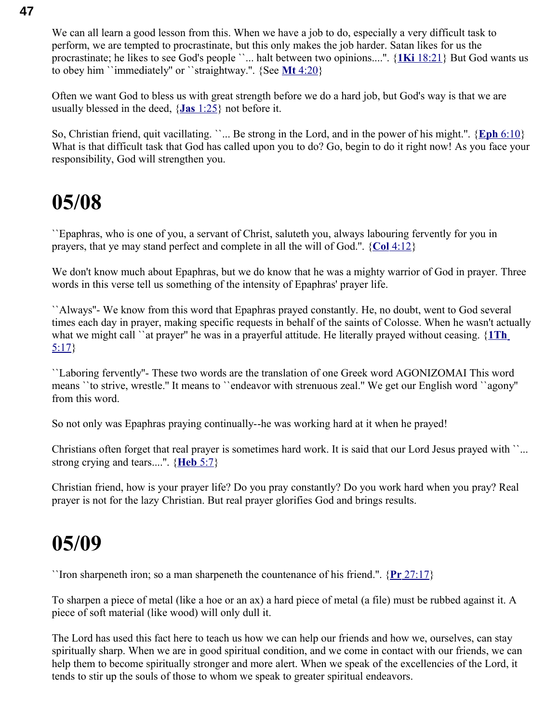We can all learn a good lesson from this. When we have a job to do, especially a very difficult task to perform, we are tempted to procrastinate, but this only makes the job harder. Satan likes for us the procrastinate; he likes to see God's people ``... halt between two opinions....''. { **1Ki** [18:21}](swordsearcher://bible/1Ki18.21) But God wants us to obey him ``immediately'' or ``straightway.''. {See **Mt** [4:20}](swordsearcher://bible/Mt4.20)

Often we want God to bless us with great strength before we do a hard job, but God's way is that we are usually blessed in the deed, { **Jas** [1:25}](swordsearcher://bible/Jas1.25) not before it.

So, Christian friend, quit vacillating. ``... Be strong in the Lord, and in the power of his might.''. { **Eph** [6:10}](swordsearcher://bible/Eph6.10) What is that difficult task that God has called upon you to do? Go, begin to do it right now! As you face your responsibility, God will strengthen you.

#### **05/08**

``Epaphras, who is one of you, a servant of Christ, saluteth you, always labouring fervently for you in prayers, that ye may stand perfect and complete in all the will of God.''. { **Col** [4:12}](swordsearcher://bible/Col4.12)

We don't know much about Epaphras, but we do know that he was a mighty warrior of God in prayer. Three words in this verse tell us something of the intensity of Epaphras' prayer life.

``Always''- We know from this word that Epaphras prayed constantly. He, no doubt, went to God several times each day in prayer, making specific requests in behalf of the saints of Colosse. When he wasn't actually what we might call ``at prayer'' he was in a prayerful attitude. He literally prayed without ceasing. { **[1Th](swordsearcher://bible/1Th5.17)** [5:17}](swordsearcher://bible/1Th5.17)

``Laboring fervently''- These two words are the translation of one Greek word AGONIZOMAI This word means ``to strive, wrestle.'' It means to ``endeavor with strenuous zeal.'' We get our English word ``agony'' from this word.

So not only was Epaphras praying continually--he was working hard at it when he prayed!

Christians often forget that real prayer is sometimes hard work. It is said that our Lord Jesus prayed with ``... strong crying and tears....''. { **[Heb](swordsearcher://bible/Heb5.7)** 5:7}

Christian friend, how is your prayer life? Do you pray constantly? Do you work hard when you pray? Real prayer is not for the lazy Christian. But real prayer glorifies God and brings results.

#### **05/09**

``Iron sharpeneth iron; so a man sharpeneth the countenance of his friend.''. { **Pr** [27:17}](swordsearcher://bible/Pr27.17)

To sharpen a piece of metal (like a hoe or an ax) a hard piece of metal (a file) must be rubbed against it. A piece of soft material (like wood) will only dull it.

The Lord has used this fact here to teach us how we can help our friends and how we, ourselves, can stay spiritually sharp. When we are in good spiritual condition, and we come in contact with our friends, we can help them to become spiritually stronger and more alert. When we speak of the excellencies of the Lord, it tends to stir up the souls of those to whom we speak to greater spiritual endeavors.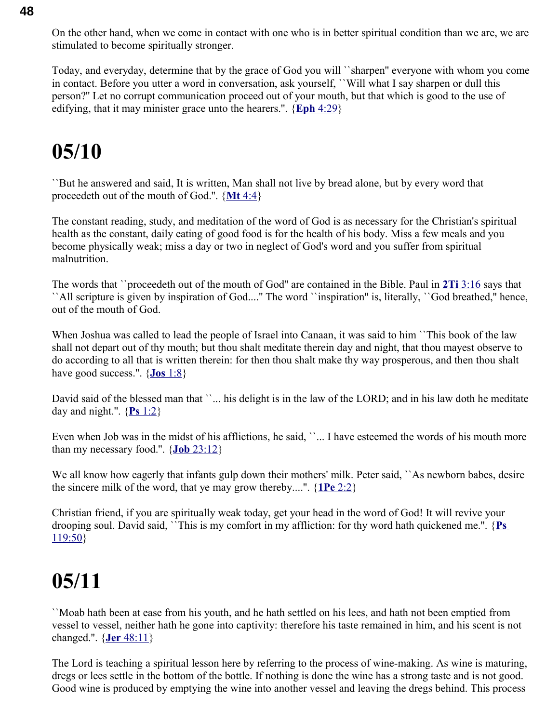On the other hand, when we come in contact with one who is in better spiritual condition than we are, we are stimulated to become spiritually stronger.

Today, and everyday, determine that by the grace of God you will ``sharpen'' everyone with whom you come in contact. Before you utter a word in conversation, ask yourself, ``Will what I say sharpen or dull this person?'' Let no corrupt communication proceed out of your mouth, but that which is good to the use of edifying, that it may minister grace unto the hearers.''. { **Eph** [4:29}](swordsearcher://bible/Eph4.29)

### **05/10**

``But he answered and said, It is written, Man shall not live by bread alone, but by every word that proceedeth out of the mouth of God.''. { **Mt** [4:4}](swordsearcher://bible/Mt4.4)

The constant reading, study, and meditation of the word of God is as necessary for the Christian's spiritual health as the constant, daily eating of good food is for the health of his body. Miss a few meals and you become physically weak; miss a day or two in neglect of God's word and you suffer from spiritual malnutrition.

The words that ``proceedeth out of the mouth of God'' are contained in the Bible. Paul in **2Ti** [3:16](swordsearcher://bible/2Ti3.16) says that ``All scripture is given by inspiration of God....'' The word ``inspiration'' is, literally, ``God breathed,'' hence, out of the mouth of God.

When Joshua was called to lead the people of Israel into Canaan, it was said to him ``This book of the law shall not depart out of thy mouth; but thou shalt meditate therein day and night, that thou mayest observe to do according to all that is written therein: for then thou shalt make thy way prosperous, and then thou shalt have good success.''. { **Jos** [1:8}](swordsearcher://bible/Jos1.8)

David said of the blessed man that "... his delight is in the law of the LORD; and in his law doth he meditate day and night.".  $\{P_s 1:2\}$ 

Even when Job was in the midst of his afflictions, he said, "... I have esteemed the words of his mouth more than my necessary food.".  $\{**Job** 23:12\}$ 

We all know how eagerly that infants gulp down their mothers' milk. Peter said, '`As newborn babes, desire the sincere milk of the word, that ye may grow thereby....''. { **1Pe** [2:2}](swordsearcher://bible/1Pe2.2)

Christian friend, if you are spiritually weak today, get your head in the word of God! It will revive your drooping soul. David said, ``This is my comfort in my affliction: for thy word hath quickened me.''. { **[Ps](swordsearcher://bible/Ps119.50)** [119:50}](swordsearcher://bible/Ps119.50)

### **05/11**

``Moab hath been at ease from his youth, and he hath settled on his lees, and hath not been emptied from vessel to vessel, neither hath he gone into captivity: therefore his taste remained in him, and his scent is not changed.''. { **Jer** [48:11}](swordsearcher://bible/Jer48.11)

The Lord is teaching a spiritual lesson here by referring to the process of wine-making. As wine is maturing, dregs or lees settle in the bottom of the bottle. If nothing is done the wine has a strong taste and is not good. Good wine is produced by emptying the wine into another vessel and leaving the dregs behind. This process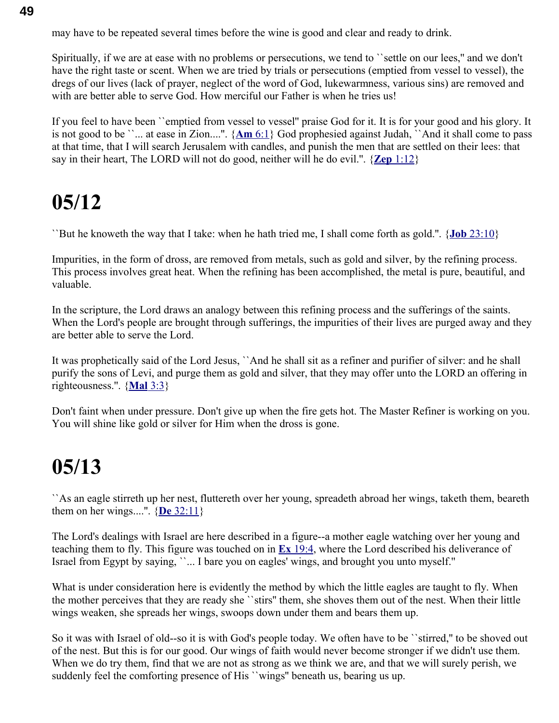may have to be repeated several times before the wine is good and clear and ready to drink.

Spiritually, if we are at ease with no problems or persecutions, we tend to ``settle on our lees,'' and we don't have the right taste or scent. When we are tried by trials or persecutions (emptied from vessel to vessel), the dregs of our lives (lack of prayer, neglect of the word of God, lukewarmness, various sins) are removed and with are better able to serve God. How merciful our Father is when he tries us!

If you feel to have been ``emptied from vessel to vessel" praise God for it. It is for your good and his glory. It is not good to be ``... at ease in Zion....''. { **Am** [6:1}](swordsearcher://bible/Am6.1) God prophesied against Judah, ``And it shall come to pass at that time, that I will search Jerusalem with candles, and punish the men that are settled on their lees: that say in their heart, The LORD will not do good, neither will he do evil.''. { **Zep** [1:12}](swordsearcher://bible/Zep1.12)

#### **05/12**

``But he knoweth the way that I take: when he hath tried me, I shall come forth as gold.''. { **Job** [23:10}](swordsearcher://bible/Job23.10)

Impurities, in the form of dross, are removed from metals, such as gold and silver, by the refining process. This process involves great heat. When the refining has been accomplished, the metal is pure, beautiful, and valuable.

In the scripture, the Lord draws an analogy between this refining process and the sufferings of the saints. When the Lord's people are brought through sufferings, the impurities of their lives are purged away and they are better able to serve the Lord.

It was prophetically said of the Lord Jesus, ``And he shall sit as a refiner and purifier of silver: and he shall purify the sons of Levi, and purge them as gold and silver, that they may offer unto the LORD an offering in righteousness.''. { **[Mal](swordsearcher://bible/Mal3.3)** 3:3}

Don't faint when under pressure. Don't give up when the fire gets hot. The Master Refiner is working on you. You will shine like gold or silver for Him when the dross is gone.

#### **05/13**

``As an eagle stirreth up her nest, fluttereth over her young, spreadeth abroad her wings, taketh them, beareth them on her wings....''. { **De** [32:11}](swordsearcher://bible/De32.11)

The Lord's dealings with Israel are here described in a figure--a mother eagle watching over her young and teaching them to fly. This figure was touched on in **Ex** [19:4,](swordsearcher://bible/Ex19.4) where the Lord described his deliverance of Israel from Egypt by saying, ``... I bare you on eagles' wings, and brought you unto myself.''

What is under consideration here is evidently the method by which the little eagles are taught to fly. When the mother perceives that they are ready she ``stirs'' them, she shoves them out of the nest. When their little wings weaken, she spreads her wings, swoops down under them and bears them up.

So it was with Israel of old--so it is with God's people today. We often have to be ``stirred,'' to be shoved out of the nest. But this is for our good. Our wings of faith would never become stronger if we didn't use them. When we do try them, find that we are not as strong as we think we are, and that we will surely perish, we suddenly feel the comforting presence of His ``wings'' beneath us, bearing us up.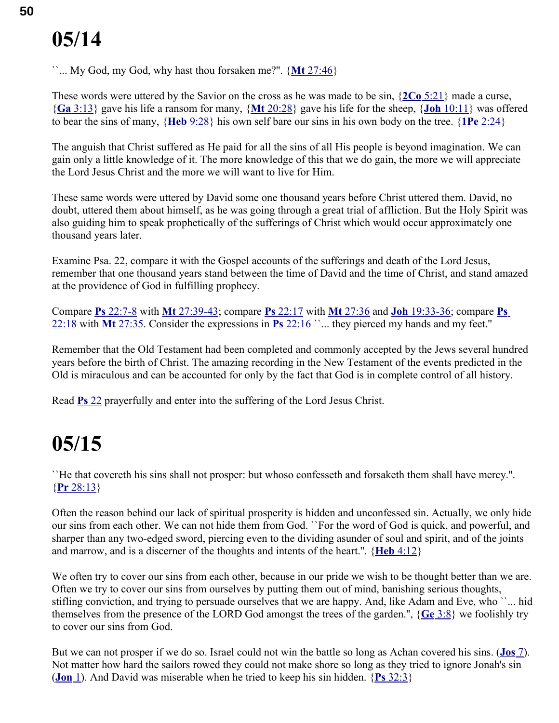``... My God, my God, why hast thou forsaken me?''. { **Mt** [27:46}](swordsearcher://bible/Mt27.46)

These words were uttered by the Savior on the cross as he was made to be sin, { **2Co** [5:21}](swordsearcher://bible/2Co5.21) made a curse, { **Ga** [3:13}](swordsearcher://bible/Ga3.13) gave his life a ransom for many, { **Mt** [20:28}](swordsearcher://bible/Mt20.28) gave his life for the sheep, { **Joh** [10:11}](swordsearcher://bible/Joh10.11) was offered to bear the sins of many, { **Heb** [9:28}](swordsearcher://bible/Heb9.28) his own self bare our sins in his own body on the tree. { **1Pe** [2:24}](swordsearcher://bible/1Pe2.24)

The anguish that Christ suffered as He paid for all the sins of all His people is beyond imagination. We can gain only a little knowledge of it. The more knowledge of this that we do gain, the more we will appreciate the Lord Jesus Christ and the more we will want to live for Him.

These same words were uttered by David some one thousand years before Christ uttered them. David, no doubt, uttered them about himself, as he was going through a great trial of affliction. But the Holy Spirit was also guiding him to speak prophetically of the sufferings of Christ which would occur approximately one thousand years later.

Examine Psa. 22, compare it with the Gospel accounts of the sufferings and death of the Lord Jesus, remember that one thousand years stand between the time of David and the time of Christ, and stand amazed at the providence of God in fulfilling prophecy.

Compare **Ps** [22:7-8](swordsearcher://bible/Ps22.7-8) with **Mt** [27:39-43;](swordsearcher://bible/Mt27.39-43) compare **Ps** [22:17](swordsearcher://bible/Ps22.17) with **Mt** [27:36](swordsearcher://bible/Mt27.36) and **Joh** [19:33-36;](swordsearcher://bible/Joh19.33-36) compare **[Ps](swordsearcher://bible/Ps22.18)** [22:18](swordsearcher://bible/Ps22.18) with **Mt** [27:35.](swordsearcher://bible/Mt27.35) Consider the expressions in **Ps** [22:16](swordsearcher://bible/Ps22.16) ``... they pierced my hands and my feet.''

Remember that the Old Testament had been completed and commonly accepted by the Jews several hundred years before the birth of Christ. The amazing recording in the New Testament of the events predicted in the Old is miraculous and can be accounted for only by the fact that God is in complete control of all history.

Read **Ps** [22](swordsearcher://bible/Ps22) prayerfully and enter into the suffering of the Lord Jesus Christ.

### **05/15**

``He that covereth his sins shall not prosper: but whoso confesseth and forsaketh them shall have mercy.''. { **Pr** [28:13}](swordsearcher://bible/Pr28.13)

Often the reason behind our lack of spiritual prosperity is hidden and unconfessed sin. Actually, we only hide our sins from each other. We can not hide them from God. ``For the word of God is quick, and powerful, and sharper than any two-edged sword, piercing even to the dividing asunder of soul and spirit, and of the joints and marrow, and is a discerner of the thoughts and intents of the heart.''. { **Heb** [4:12}](swordsearcher://bible/Heb4.12)

We often try to cover our sins from each other, because in our pride we wish to be thought better than we are. Often we try to cover our sins from ourselves by putting them out of mind, banishing serious thoughts, stifling conviction, and trying to persuade ourselves that we are happy. And, like Adam and Eve, who ``... hid themselves from the presence of the LORD God amongst the trees of the garden.'', { **Ge** [3:8}](swordsearcher://bible/Ge3.8) we foolishly try to cover our sins from God.

But we can not prosper if we do so. Israel could not win the battle so long as Achan covered his sins. ( **[Jos](swordsearcher://bible/Jos7)** 7). Not matter how hard the sailors rowed they could not make shore so long as they tried to ignore Jonah's sin ( **[Jon](swordsearcher://bible/Jon1)** 1). And David was miserable when he tried to keep his sin hidden. { **Ps** [32:3}](swordsearcher://bible/Ps32.3)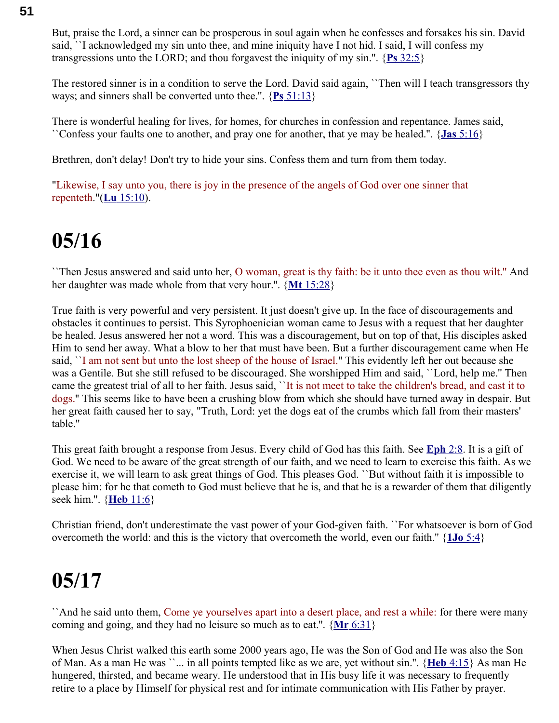But, praise the Lord, a sinner can be prosperous in soul again when he confesses and forsakes his sin. David said, ``I acknowledged my sin unto thee, and mine iniquity have I not hid. I said, I will confess my transgressions unto the LORD; and thou forgavest the iniquity of my sin.''. { **Ps** [32:5}](swordsearcher://bible/Ps32.5)

The restored sinner is in a condition to serve the Lord. David said again, ``Then will I teach transgressors thy ways; and sinners shall be converted unto thee.''. { **Ps** [51:13}](swordsearcher://bible/Ps51.13)

There is wonderful healing for lives, for homes, for churches in confession and repentance. James said, ``Confess your faults one to another, and pray one for another, that ye may be healed.''. { **Jas** [5:16}](swordsearcher://bible/Jas5.16)

Brethren, don't delay! Don't try to hide your sins. Confess them and turn from them today.

"Likewise, I say unto you, there is joy in the presence of the angels of God over one sinner that repenteth."( **Lu** [15:10\)](swordsearcher://bible/Lu15.10).

### **05/16**

``Then Jesus answered and said unto her, O woman, great is thy faith: be it unto thee even as thou wilt.'' And her daughter was made whole from that very hour.''. { **Mt** [15:28}](swordsearcher://bible/Mt15.28)

True faith is very powerful and very persistent. It just doesn't give up. In the face of discouragements and obstacles it continues to persist. This Syrophoenician woman came to Jesus with a request that her daughter be healed. Jesus answered her not a word. This was a discouragement, but on top of that, His disciples asked Him to send her away. What a blow to her that must have been. But a further discouragement came when He said, ``I am not sent but unto the lost sheep of the house of Israel.'' This evidently left her out because she was a Gentile. But she still refused to be discouraged. She worshipped Him and said, ``Lord, help me.'' Then came the greatest trial of all to her faith. Jesus said, ``It is not meet to take the children's bread, and cast it to dogs.'' This seems like to have been a crushing blow from which she should have turned away in despair. But her great faith caused her to say, "Truth, Lord: yet the dogs eat of the crumbs which fall from their masters' table.''

This great faith brought a response from Jesus. Every child of God has this faith. See **[Eph](swordsearcher://bible/Eph2.8)** 2:8. It is a gift of God. We need to be aware of the great strength of our faith, and we need to learn to exercise this faith. As we exercise it, we will learn to ask great things of God. This pleases God. ``But without faith it is impossible to please him: for he that cometh to God must believe that he is, and that he is a rewarder of them that diligently seek him.''. { **Heb** [11:6}](swordsearcher://bible/Heb11.6)

Christian friend, don't underestimate the vast power of your God-given faith. ``For whatsoever is born of God overcometh the world: and this is the victory that overcometh the world, even our faith.'' { **1Jo** [5:4}](swordsearcher://bible/1Jo5.4)

### **05/17**

``And he said unto them, Come ye yourselves apart into a desert place, and rest a while: for there were many coming and going, and they had no leisure so much as to eat.''. { **Mr** [6:31}](swordsearcher://bible/Mr6.31)

When Jesus Christ walked this earth some 2000 years ago, He was the Son of God and He was also the Son of Man. As a man He was ``... in all points tempted like as we are, yet without sin.''. { **Heb** [4:15}](swordsearcher://bible/Heb4.15) As man He hungered, thirsted, and became weary. He understood that in His busy life it was necessary to frequently retire to a place by Himself for physical rest and for intimate communication with His Father by prayer.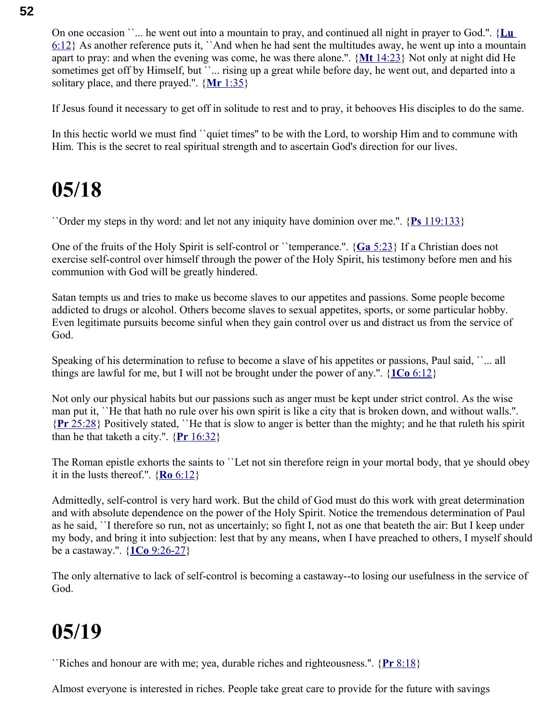On one occasion ``... he went out into a mountain to pray, and continued all night in prayer to God.''. { **[Lu](swordsearcher://bible/Lu6.12)**  $6:12$  As another reference puts it, 'And when he had sent the multitudes away, he went up into a mountain apart to pray: and when the evening was come, he was there alone.''. { **Mt** [14:23}](swordsearcher://bible/Mt14.23) Not only at night did He sometimes get off by Himself, but ''... rising up a great while before day, he went out, and departed into a solitary place, and there prayed.''. { **Mr** [1:35}](swordsearcher://bible/Mr1.35)

If Jesus found it necessary to get off in solitude to rest and to pray, it behooves His disciples to do the same.

In this hectic world we must find '`quiet times'' to be with the Lord, to worship Him and to commune with Him. This is the secret to real spiritual strength and to ascertain God's direction for our lives.

### **05/18**

``Order my steps in thy word: and let not any iniquity have dominion over me.''. { **Ps** [119:133}](swordsearcher://bible/Ps119.133)

One of the fruits of the Holy Spirit is self-control or ``temperance.''. { **Ga** [5:23}](swordsearcher://bible/Ga5.23) If a Christian does not exercise self-control over himself through the power of the Holy Spirit, his testimony before men and his communion with God will be greatly hindered.

Satan tempts us and tries to make us become slaves to our appetites and passions. Some people become addicted to drugs or alcohol. Others become slaves to sexual appetites, sports, or some particular hobby. Even legitimate pursuits become sinful when they gain control over us and distract us from the service of God.

Speaking of his determination to refuse to become a slave of his appetites or passions, Paul said, ``... all things are lawful for me, but I will not be brought under the power of any.''. { **1Co** [6:12}](swordsearcher://bible/1Co6.12)

Not only our physical habits but our passions such as anger must be kept under strict control. As the wise man put it, ``He that hath no rule over his own spirit is like a city that is broken down, and without walls.''. { **Pr** [25:28}](swordsearcher://bible/Pr25.28) Positively stated, ``He that is slow to anger is better than the mighty; and he that ruleth his spirit than he that taketh a city.".  $\{Pr\ 16:32\}$ 

The Roman epistle exhorts the saints to ``Let not sin therefore reign in your mortal body, that ye should obey it in the lusts thereof.''. { **Ro** [6:12}](swordsearcher://bible/Ro6.12)

Admittedly, self-control is very hard work. But the child of God must do this work with great determination and with absolute dependence on the power of the Holy Spirit. Notice the tremendous determination of Paul as he said, ``I therefore so run, not as uncertainly; so fight I, not as one that beateth the air: But I keep under my body, and bring it into subjection: lest that by any means, when I have preached to others, I myself should be a castaway.''. { **1Co** [9:26-27}](swordsearcher://bible/1Co9.26-27)

The only alternative to lack of self-control is becoming a castaway--to losing our usefulness in the service of God.

### **05/19**

``Riches and honour are with me; yea, durable riches and righteousness.''. { **Pr** [8:18}](swordsearcher://bible/Pr8.18)

Almost everyone is interested in riches. People take great care to provide for the future with savings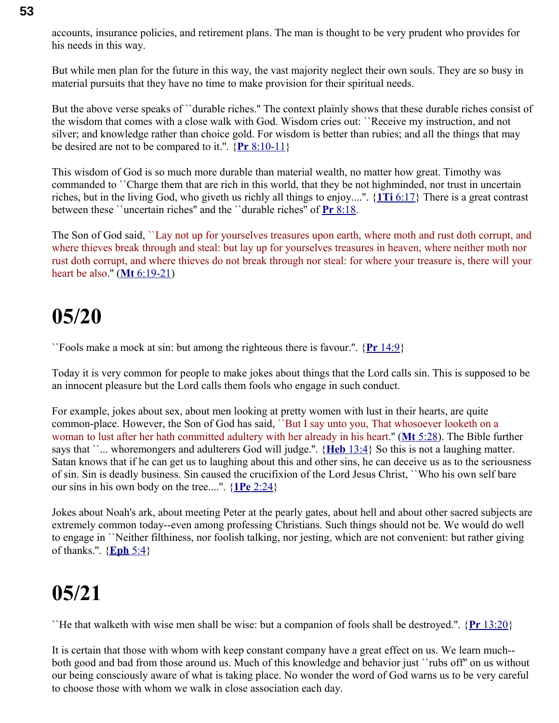accounts, insurance policies, and retirement plans. The man is thought to be very prudent who provides for his needs in this way.

But while men plan for the future in this way, the vast majority neglect their own souls. They are so busy in material pursuits that they have no time to make provision for their spiritual needs.

But the above verse speaks of ``durable riches.'' The context plainly shows that these durable riches consist of the wisdom that comes with a close walk with God. Wisdom cries out: ``Receive my instruction, and not silver; and knowledge rather than choice gold. For wisdom is better than rubies; and all the things that may be desired are not to be compared to it.''. { **Pr** [8:10-11}](swordsearcher://bible/Pr8.10-11)

This wisdom of God is so much more durable than material wealth, no matter how great. Timothy was commanded to ``Charge them that are rich in this world, that they be not highminded, nor trust in uncertain riches, but in the living God, who giveth us richly all things to enjoy....''. { **1Ti** [6:17}](swordsearcher://bible/1Ti6.17) There is a great contrast between these ``uncertain riches'' and the ``durable riches'' of **Pr** [8:18.](swordsearcher://bible/Pr8.18)

The Son of God said, ``Lay not up for yourselves treasures upon earth, where moth and rust doth corrupt, and where thieves break through and steal: but lay up for yourselves treasures in heaven, where neither moth nor rust doth corrupt, and where thieves do not break through nor steal: for where your treasure is, there will your heart be also.'' ( **Mt** [6:19-21\)](swordsearcher://bible/Mt6.19-21)

#### **05/20**

``Fools make a mock at sin: but among the righteous there is favour.''. { **Pr** [14:9}](swordsearcher://bible/Pr14.9)

Today it is very common for people to make jokes about things that the Lord calls sin. This is supposed to be an innocent pleasure but the Lord calls them fools who engage in such conduct.

For example, jokes about sex, about men looking at pretty women with lust in their hearts, are quite common-place. However, the Son of God has said, ``But I say unto you, That whosoever looketh on a woman to lust after her hath committed adultery with her already in his heart.'' ( **Mt** [5:28\)](swordsearcher://bible/Mt5.28). The Bible further says that ``... whoremongers and adulterers God will judge.". {**Heb** [13:4}](swordsearcher://bible/Heb13.4) So this is not a laughing matter. Satan knows that if he can get us to laughing about this and other sins, he can deceive us as to the seriousness of sin. Sin is deadly business. Sin caused the crucifixion of the Lord Jesus Christ, ``Who his own self bare our sins in his own body on the tree....''. { **1Pe** [2:24}](swordsearcher://bible/1Pe2.24)

Jokes about Noah's ark, about meeting Peter at the pearly gates, about hell and about other sacred subjects are extremely common today--even among professing Christians. Such things should not be. We would do well to engage in ``Neither filthiness, nor foolish talking, nor jesting, which are not convenient: but rather giving of thanks.''. { **[Eph](swordsearcher://bible/Eph5.4)** 5:4}

#### **05/21**

``He that walketh with wise men shall be wise: but a companion of fools shall be destroyed.''. { **Pr** [13:20}](swordsearcher://bible/Pr13.20)

It is certain that those with whom with keep constant company have a great effect on us. We learn much- both good and bad from those around us. Much of this knowledge and behavior just ``rubs off'' on us without our being consciously aware of what is taking place. No wonder the word of God warns us to be very careful to choose those with whom we walk in close association each day.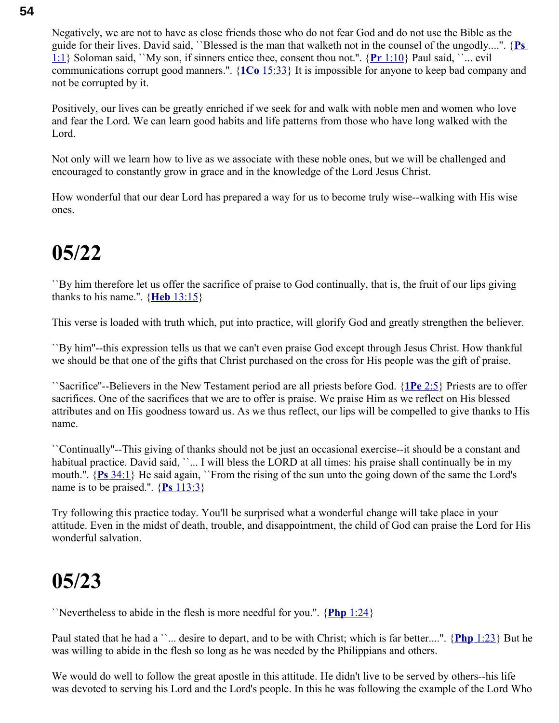Negatively, we are not to have as close friends those who do not fear God and do not use the Bible as the guide for their lives. David said, ``Blessed is the man that walketh not in the counsel of the ungodly....''. { **[Ps](swordsearcher://bible/Ps1.1)** [1:1}](swordsearcher://bible/Ps1.1) Soloman said, ``My son, if sinners entice thee, consent thou not.''. { **Pr** [1:10}](swordsearcher://bible/Pr1.10) Paul said, ``... evil communications corrupt good manners.''. { **1Co** [15:33}](swordsearcher://bible/1Co15.33) It is impossible for anyone to keep bad company and not be corrupted by it.

Positively, our lives can be greatly enriched if we seek for and walk with noble men and women who love and fear the Lord. We can learn good habits and life patterns from those who have long walked with the Lord.

Not only will we learn how to live as we associate with these noble ones, but we will be challenged and encouraged to constantly grow in grace and in the knowledge of the Lord Jesus Christ.

How wonderful that our dear Lord has prepared a way for us to become truly wise--walking with His wise ones.

### **05/22**

``By him therefore let us offer the sacrifice of praise to God continually, that is, the fruit of our lips giving thanks to his name.''. { **Heb** [13:15}](swordsearcher://bible/Heb13.15)

This verse is loaded with truth which, put into practice, will glorify God and greatly strengthen the believer.

``By him''--this expression tells us that we can't even praise God except through Jesus Christ. How thankful we should be that one of the gifts that Christ purchased on the cross for His people was the gift of praise.

``Sacrifice''--Believers in the New Testament period are all priests before God. { **1Pe** [2:5}](swordsearcher://bible/1Pe2.5) Priests are to offer sacrifices. One of the sacrifices that we are to offer is praise. We praise Him as we reflect on His blessed attributes and on His goodness toward us. As we thus reflect, our lips will be compelled to give thanks to His name.

``Continually''--This giving of thanks should not be just an occasional exercise--it should be a constant and habitual practice. David said, "... I will bless the LORD at all times: his praise shall continually be in my mouth.''. { **Ps** [34:1}](swordsearcher://bible/Ps34.1) He said again, ``From the rising of the sun unto the going down of the same the Lord's name is to be praised.''. { **Ps** [113:3}](swordsearcher://bible/Ps113.3)

Try following this practice today. You'll be surprised what a wonderful change will take place in your attitude. Even in the midst of death, trouble, and disappointment, the child of God can praise the Lord for His wonderful salvation.

#### **05/23**

``Nevertheless to abide in the flesh is more needful for you.''. { **Php** [1:24}](swordsearcher://bible/Php1.24)

Paul stated that he had a ``... desire to depart, and to be with Christ; which is far better....". {**Php** [1:23}](swordsearcher://bible/Php1.23) But he was willing to abide in the flesh so long as he was needed by the Philippians and others.

We would do well to follow the great apostle in this attitude. He didn't live to be served by others--his life was devoted to serving his Lord and the Lord's people. In this he was following the example of the Lord Who

#### **54**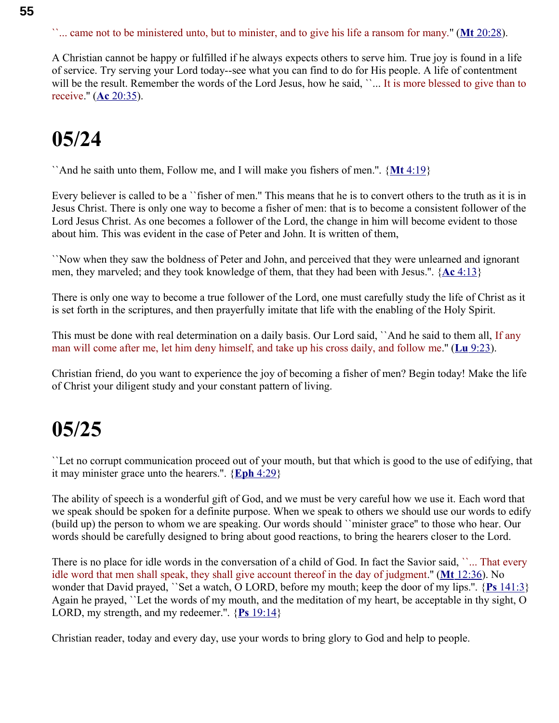``... came not to be ministered unto, but to minister, and to give his life a ransom for many.'' ( **Mt** [20:28\)](swordsearcher://bible/Mt20.28).

A Christian cannot be happy or fulfilled if he always expects others to serve him. True joy is found in a life of service. Try serving your Lord today--see what you can find to do for His people. A life of contentment will be the result. Remember the words of the Lord Jesus, how he said, "... It is more blessed to give than to receive." (**Ac** [20:35\)](swordsearcher://bible/Ac20.35).

### **05/24**

``And he saith unto them, Follow me, and I will make you fishers of men.''. { **Mt** [4:19}](swordsearcher://bible/Mt4.19)

Every believer is called to be a "fisher of men." This means that he is to convert others to the truth as it is in Jesus Christ. There is only one way to become a fisher of men: that is to become a consistent follower of the Lord Jesus Christ. As one becomes a follower of the Lord, the change in him will become evident to those about him. This was evident in the case of Peter and John. It is written of them,

``Now when they saw the boldness of Peter and John, and perceived that they were unlearned and ignorant men, they marveled; and they took knowledge of them, that they had been with Jesus.''. { **Ac** [4:13}](swordsearcher://bible/Ac4.13)

There is only one way to become a true follower of the Lord, one must carefully study the life of Christ as it is set forth in the scriptures, and then prayerfully imitate that life with the enabling of the Holy Spirit.

This must be done with real determination on a daily basis. Our Lord said, ``And he said to them all, If any man will come after me, let him deny himself, and take up his cross daily, and follow me." (Lu [9:23\)](swordsearcher://bible/Lu9.23).

Christian friend, do you want to experience the joy of becoming a fisher of men? Begin today! Make the life of Christ your diligent study and your constant pattern of living.

#### **05/25**

``Let no corrupt communication proceed out of your mouth, but that which is good to the use of edifying, that it may minister grace unto the hearers.''. { **Eph** [4:29}](swordsearcher://bible/Eph4.29)

The ability of speech is a wonderful gift of God, and we must be very careful how we use it. Each word that we speak should be spoken for a definite purpose. When we speak to others we should use our words to edify (build up) the person to whom we are speaking. Our words should ``minister grace'' to those who hear. Our words should be carefully designed to bring about good reactions, to bring the hearers closer to the Lord.

There is no place for idle words in the conversation of a child of God. In fact the Savior said, "... That every idle word that men shall speak, they shall give account thereof in the day of judgment.'' ( **Mt** [12:36\)](swordsearcher://bible/Mt12.36). No wonder that David prayed, ``Set a watch, O LORD, before my mouth; keep the door of my lips.''. { **Ps** [141:3}](swordsearcher://bible/Ps141.3) Again he prayed, ``Let the words of my mouth, and the meditation of my heart, be acceptable in thy sight, O LORD, my strength, and my redeemer.''. { **Ps** [19:14}](swordsearcher://bible/Ps19.14)

Christian reader, today and every day, use your words to bring glory to God and help to people.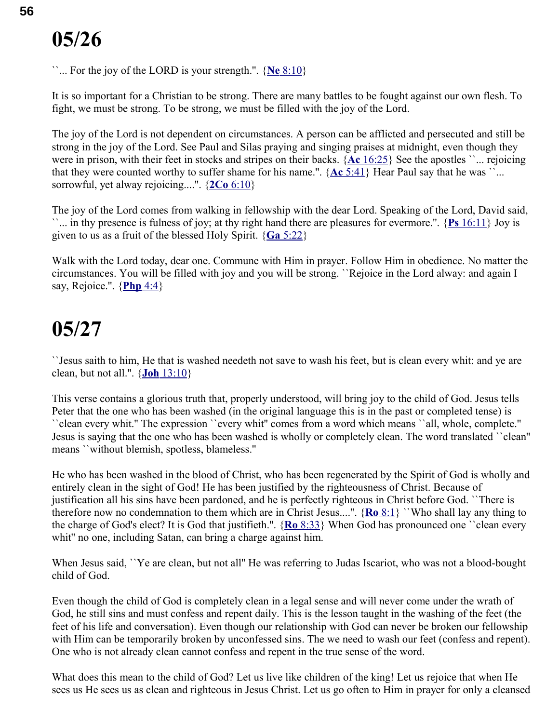``... For the joy of the LORD is your strength.''. { **Ne** [8:10}](swordsearcher://bible/Ne8.10)

It is so important for a Christian to be strong. There are many battles to be fought against our own flesh. To fight, we must be strong. To be strong, we must be filled with the joy of the Lord.

The joy of the Lord is not dependent on circumstances. A person can be afflicted and persecuted and still be strong in the joy of the Lord. See Paul and Silas praying and singing praises at midnight, even though they were in prison, with their feet in stocks and stripes on their backs. { **Ac** [16:25}](swordsearcher://bible/Ac16.25) See the apostles ``... rejoicing that they were counted worthy to suffer shame for his name.".  ${Ac 5:41}$  ${Ac 5:41}$  Hear Paul say that he was ``... sorrowful, yet alway rejoicing....''. { **2Co** [6:10}](swordsearcher://bible/2Co6.10)

The joy of the Lord comes from walking in fellowship with the dear Lord. Speaking of the Lord, David said, ``... in thy presence is fulness of joy; at thy right hand there are pleasures for evermore.''. { **Ps** [16:11}](swordsearcher://bible/Ps16.11) Joy is given to us as a fruit of the blessed Holy Spirit. { **Ga** [5:22}](swordsearcher://bible/Ga5.22)

Walk with the Lord today, dear one. Commune with Him in prayer. Follow Him in obedience. No matter the circumstances. You will be filled with joy and you will be strong. ``Rejoice in the Lord alway: and again I say, Rejoice.''. { **[Php](swordsearcher://bible/Php4.4)** 4:4}

#### **05/27**

``Jesus saith to him, He that is washed needeth not save to wash his feet, but is clean every whit: and ye are clean, but not all.''. { **Joh** [13:10}](swordsearcher://bible/Joh13.10)

This verse contains a glorious truth that, properly understood, will bring joy to the child of God. Jesus tells Peter that the one who has been washed (in the original language this is in the past or completed tense) is ``clean every whit.'' The expression ``every whit'' comes from a word which means ``all, whole, complete.'' Jesus is saying that the one who has been washed is wholly or completely clean. The word translated ``clean'' means ``without blemish, spotless, blameless.''

He who has been washed in the blood of Christ, who has been regenerated by the Spirit of God is wholly and entirely clean in the sight of God! He has been justified by the righteousness of Christ. Because of justification all his sins have been pardoned, and he is perfectly righteous in Christ before God. ``There is therefore now no condemnation to them which are in Christ Jesus....''. { **Ro** [8:1}](swordsearcher://bible/Ro8.1) ``Who shall lay any thing to the charge of God's elect? It is God that justifieth.''. { **Ro** [8:33}](swordsearcher://bible/Ro8.33) When God has pronounced one ``clean every whit'' no one, including Satan, can bring a charge against him.

When Jesus said, 'Ye are clean, but not all'' He was referring to Judas Iscariot, who was not a blood-bought child of God.

Even though the child of God is completely clean in a legal sense and will never come under the wrath of God, he still sins and must confess and repent daily. This is the lesson taught in the washing of the feet (the feet of his life and conversation). Even though our relationship with God can never be broken our fellowship with Him can be temporarily broken by unconfessed sins. The we need to wash our feet (confess and repent). One who is not already clean cannot confess and repent in the true sense of the word.

What does this mean to the child of God? Let us live like children of the king! Let us rejoice that when He sees us He sees us as clean and righteous in Jesus Christ. Let us go often to Him in prayer for only a cleansed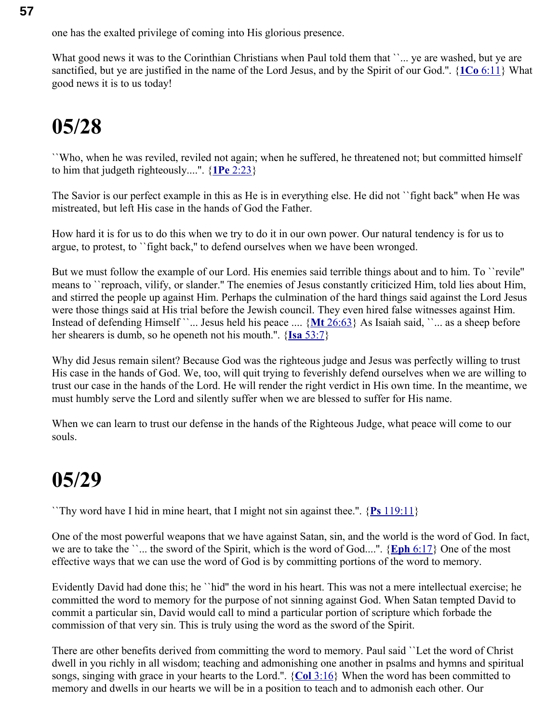one has the exalted privilege of coming into His glorious presence.

What good news it was to the Corinthian Christians when Paul told them that ''... ye are washed, but ye are sanctified, but ye are justified in the name of the Lord Jesus, and by the Spirit of our God.''. { **1Co** [6:11}](swordsearcher://bible/1Co6.11) What good news it is to us today!

### **05/28**

``Who, when he was reviled, reviled not again; when he suffered, he threatened not; but committed himself to him that judgeth righteously....''. { **1Pe** [2:23}](swordsearcher://bible/1Pe2.23)

The Savior is our perfect example in this as He is in everything else. He did not ``fight back'' when He was mistreated, but left His case in the hands of God the Father.

How hard it is for us to do this when we try to do it in our own power. Our natural tendency is for us to argue, to protest, to ``fight back,'' to defend ourselves when we have been wronged.

But we must follow the example of our Lord. His enemies said terrible things about and to him. To ``revile'' means to ``reproach, vilify, or slander.'' The enemies of Jesus constantly criticized Him, told lies about Him, and stirred the people up against Him. Perhaps the culmination of the hard things said against the Lord Jesus were those things said at His trial before the Jewish council. They even hired false witnesses against Him. Instead of defending Himself ``... Jesus held his peace .... {Mt [26:63}](swordsearcher://bible/Mt26.63) As Isaiah said, ``... as a sheep before her shearers is dumb, so he openeth not his mouth.''. { **Isa** [53:7}](swordsearcher://bible/Isa53.7)

Why did Jesus remain silent? Because God was the righteous judge and Jesus was perfectly willing to trust His case in the hands of God. We, too, will quit trying to feverishly defend ourselves when we are willing to trust our case in the hands of the Lord. He will render the right verdict in His own time. In the meantime, we must humbly serve the Lord and silently suffer when we are blessed to suffer for His name.

When we can learn to trust our defense in the hands of the Righteous Judge, what peace will come to our souls.

### **05/29**

``Thy word have I hid in mine heart, that I might not sin against thee.''. { **Ps** [119:11}](swordsearcher://bible/Ps119.11)

One of the most powerful weapons that we have against Satan, sin, and the world is the word of God. In fact, we are to take the ``... the sword of the Spirit, which is the word of God....''. { **Eph** [6:17}](swordsearcher://bible/Eph6.17) One of the most effective ways that we can use the word of God is by committing portions of the word to memory.

Evidently David had done this; he ``hid'' the word in his heart. This was not a mere intellectual exercise; he committed the word to memory for the purpose of not sinning against God. When Satan tempted David to commit a particular sin, David would call to mind a particular portion of scripture which forbade the commission of that very sin. This is truly using the word as the sword of the Spirit.

There are other benefits derived from committing the word to memory. Paul said ``Let the word of Christ dwell in you richly in all wisdom; teaching and admonishing one another in psalms and hymns and spiritual songs, singing with grace in your hearts to the Lord.''. { **Col** [3:16}](swordsearcher://bible/Col3.16) When the word has been committed to memory and dwells in our hearts we will be in a position to teach and to admonish each other. Our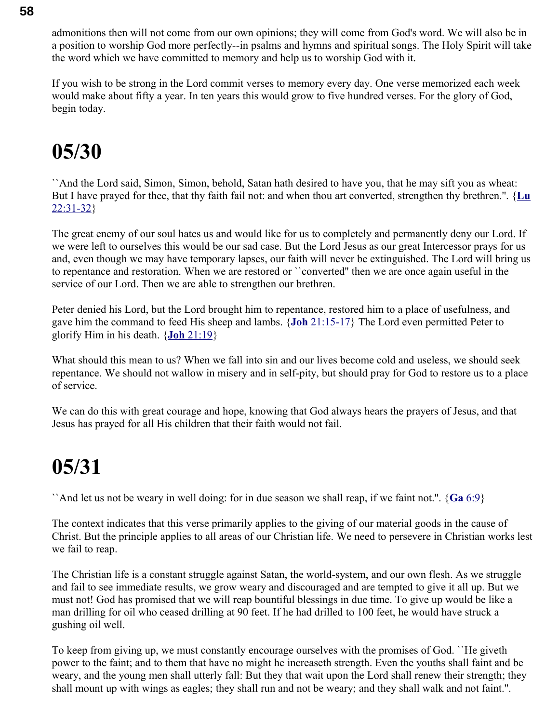admonitions then will not come from our own opinions; they will come from God's word. We will also be in a position to worship God more perfectly--in psalms and hymns and spiritual songs. The Holy Spirit will take the word which we have committed to memory and help us to worship God with it.

If you wish to be strong in the Lord commit verses to memory every day. One verse memorized each week would make about fifty a year. In ten years this would grow to five hundred verses. For the glory of God, begin today.

### **05/30**

``And the Lord said, Simon, Simon, behold, Satan hath desired to have you, that he may sift you as wheat: But I have prayed for thee, that thy faith fail not: and when thou art converted, strengthen thy brethren.''. {**[Lu](swordsearcher://bible/Lu22.31-32)** [22:31-32}](swordsearcher://bible/Lu22.31-32)

The great enemy of our soul hates us and would like for us to completely and permanently deny our Lord. If we were left to ourselves this would be our sad case. But the Lord Jesus as our great Intercessor prays for us and, even though we may have temporary lapses, our faith will never be extinguished. The Lord will bring us to repentance and restoration. When we are restored or ``converted'' then we are once again useful in the service of our Lord. Then we are able to strengthen our brethren.

Peter denied his Lord, but the Lord brought him to repentance, restored him to a place of usefulness, and gave him the command to feed His sheep and lambs. { **Joh** [21:15-17}](swordsearcher://bible/Joh21.15-17) The Lord even permitted Peter to glorify Him in his death. { **Joh** [21:19}](swordsearcher://bible/Joh21.19)

What should this mean to us? When we fall into sin and our lives become cold and useless, we should seek repentance. We should not wallow in misery and in self-pity, but should pray for God to restore us to a place of service.

We can do this with great courage and hope, knowing that God always hears the prayers of Jesus, and that Jesus has prayed for all His children that their faith would not fail.

### **05/31**

``And let us not be weary in well doing: for in due season we shall reap, if we faint not.''. { **Ga** [6:9}](swordsearcher://bible/Ga6.9)

The context indicates that this verse primarily applies to the giving of our material goods in the cause of Christ. But the principle applies to all areas of our Christian life. We need to persevere in Christian works lest we fail to reap.

The Christian life is a constant struggle against Satan, the world-system, and our own flesh. As we struggle and fail to see immediate results, we grow weary and discouraged and are tempted to give it all up. But we must not! God has promised that we will reap bountiful blessings in due time. To give up would be like a man drilling for oil who ceased drilling at 90 feet. If he had drilled to 100 feet, he would have struck a gushing oil well.

To keep from giving up, we must constantly encourage ourselves with the promises of God. ``He giveth power to the faint; and to them that have no might he increaseth strength. Even the youths shall faint and be weary, and the young men shall utterly fall: But they that wait upon the Lord shall renew their strength; they shall mount up with wings as eagles; they shall run and not be weary; and they shall walk and not faint.''.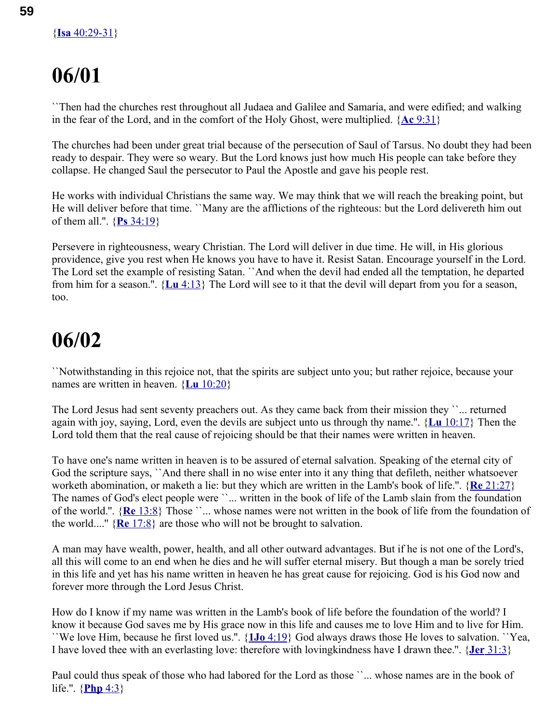``Then had the churches rest throughout all Judaea and Galilee and Samaria, and were edified; and walking in the fear of the Lord, and in the comfort of the Holy Ghost, were multiplied. { **Ac** [9:31}](swordsearcher://bible/Ac9.31)

The churches had been under great trial because of the persecution of Saul of Tarsus. No doubt they had been ready to despair. They were so weary. But the Lord knows just how much His people can take before they collapse. He changed Saul the persecutor to Paul the Apostle and gave his people rest.

He works with individual Christians the same way. We may think that we will reach the breaking point, but He will deliver before that time. ``Many are the afflictions of the righteous: but the Lord delivereth him out of them all.''. { **Ps** [34:19}](swordsearcher://bible/Ps34.19)

Persevere in righteousness, weary Christian. The Lord will deliver in due time. He will, in His glorious providence, give you rest when He knows you have to have it. Resist Satan. Encourage yourself in the Lord. The Lord set the example of resisting Satan. ``And when the devil had ended all the temptation, he departed from him for a season.''. { **Lu** [4:13}](swordsearcher://bible/Lu4.13) The Lord will see to it that the devil will depart from you for a season, too.

### **06/02**

``Notwithstanding in this rejoice not, that the spirits are subject unto you; but rather rejoice, because your names are written in heaven. { **Lu** [10:20}](swordsearcher://bible/Lu10.20)

The Lord Jesus had sent seventy preachers out. As they came back from their mission they "... returned again with joy, saying, Lord, even the devils are subject unto us through thy name.''. { **Lu** [10:17}](swordsearcher://bible/Lu10.17) Then the Lord told them that the real cause of rejoicing should be that their names were written in heaven.

To have one's name written in heaven is to be assured of eternal salvation. Speaking of the eternal city of God the scripture says, ``And there shall in no wise enter into it any thing that defileth, neither whatsoever worketh abomination, or maketh a lie: but they which are written in the Lamb's book of life.''. { **Re** [21:27}](swordsearcher://bible/Re21.27) The names of God's elect people were ''... written in the book of life of the Lamb slain from the foundation of the world.''. { **Re** [13:8}](swordsearcher://bible/Re13.8) Those ``... whose names were not written in the book of life from the foundation of the world....'' { **Re** [17:8}](swordsearcher://bible/Re17.8) are those who will not be brought to salvation.

A man may have wealth, power, health, and all other outward advantages. But if he is not one of the Lord's, all this will come to an end when he dies and he will suffer eternal misery. But though a man be sorely tried in this life and yet has his name written in heaven he has great cause for rejoicing. God is his God now and forever more through the Lord Jesus Christ.

How do I know if my name was written in the Lamb's book of life before the foundation of the world? I know it because God saves me by His grace now in this life and causes me to love Him and to live for Him. ``We love Him, because he first loved us.''. { **1Jo** [4:19}](swordsearcher://bible/1Jo4.19) God always draws those He loves to salvation. ``Yea, I have loved thee with an everlasting love: therefore with lovingkindness have I drawn thee.''. { **Jer** [31:3}](swordsearcher://bible/Jer31.3)

Paul could thus speak of those who had labored for the Lord as those ``... whose names are in the book of life.''. { **[Php](swordsearcher://bible/Php4.3)** 4:3}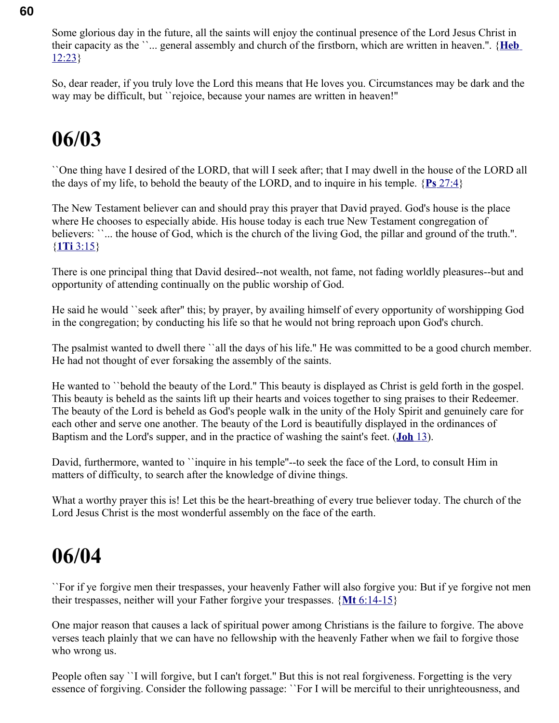Some glorious day in the future, all the saints will enjoy the continual presence of the Lord Jesus Christ in their capacity as the ``... general assembly and church of the firstborn, which are written in heaven.''. { **[Heb](swordsearcher://bible/Heb12.23)**  $12:23$ 

So, dear reader, if you truly love the Lord this means that He loves you. Circumstances may be dark and the way may be difficult, but 'rejoice, because your names are written in heaven!"

### **06/03**

``One thing have I desired of the LORD, that will I seek after; that I may dwell in the house of the LORD all the days of my life, to behold the beauty of the LORD, and to inquire in his temple. { **Ps** [27:4}](swordsearcher://bible/Ps27.4)

The New Testament believer can and should pray this prayer that David prayed. God's house is the place where He chooses to especially abide. His house today is each true New Testament congregation of believers: ``... the house of God, which is the church of the living God, the pillar and ground of the truth.". { **1Ti** [3:15}](swordsearcher://bible/1Ti3.15)

There is one principal thing that David desired--not wealth, not fame, not fading worldly pleasures--but and opportunity of attending continually on the public worship of God.

He said he would ``seek after'' this; by prayer, by availing himself of every opportunity of worshipping God in the congregation; by conducting his life so that he would not bring reproach upon God's church.

The psalmist wanted to dwell there ``all the days of his life.'' He was committed to be a good church member. He had not thought of ever forsaking the assembly of the saints.

He wanted to ``behold the beauty of the Lord.'' This beauty is displayed as Christ is geld forth in the gospel. This beauty is beheld as the saints lift up their hearts and voices together to sing praises to their Redeemer. The beauty of the Lord is beheld as God's people walk in the unity of the Holy Spirit and genuinely care for each other and serve one another. The beauty of the Lord is beautifully displayed in the ordinances of Baptism and the Lord's supper, and in the practice of washing the saint's feet. ( **[Joh](swordsearcher://bible/Joh13)** 13).

David, furthermore, wanted to ``inquire in his temple''--to seek the face of the Lord, to consult Him in matters of difficulty, to search after the knowledge of divine things.

What a worthy prayer this is! Let this be the heart-breathing of every true believer today. The church of the Lord Jesus Christ is the most wonderful assembly on the face of the earth.

### **06/04**

``For if ye forgive men their trespasses, your heavenly Father will also forgive you: But if ye forgive not men their trespasses, neither will your Father forgive your trespasses. { **Mt** [6:14-15}](swordsearcher://bible/Mt6.14-15)

One major reason that causes a lack of spiritual power among Christians is the failure to forgive. The above verses teach plainly that we can have no fellowship with the heavenly Father when we fail to forgive those who wrong us.

People often say ``I will forgive, but I can't forget." But this is not real forgiveness. Forgetting is the very essence of forgiving. Consider the following passage: ``For I will be merciful to their unrighteousness, and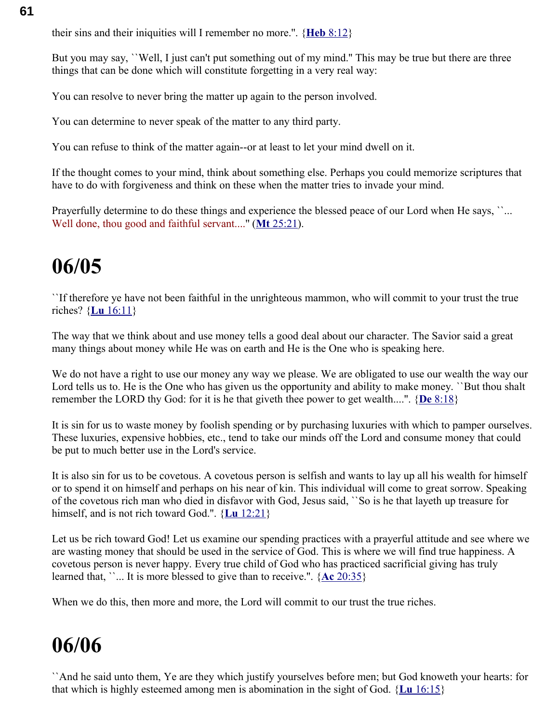their sins and their iniquities will I remember no more.''. { **Heb** [8:12}](swordsearcher://bible/Heb8.12)

But you may say, ``Well, I just can't put something out of my mind." This may be true but there are three things that can be done which will constitute forgetting in a very real way:

You can resolve to never bring the matter up again to the person involved.

You can determine to never speak of the matter to any third party.

You can refuse to think of the matter again--or at least to let your mind dwell on it.

If the thought comes to your mind, think about something else. Perhaps you could memorize scriptures that have to do with forgiveness and think on these when the matter tries to invade your mind.

Prayerfully determine to do these things and experience the blessed peace of our Lord when He says, ``... Well done, thou good and faithful servant...." (Mt [25:21\)](swordsearcher://bible/Mt25.21).

### **06/05**

``If therefore ye have not been faithful in the unrighteous mammon, who will commit to your trust the true riches? { **Lu** [16:11}](swordsearcher://bible/Lu16.11)

The way that we think about and use money tells a good deal about our character. The Savior said a great many things about money while He was on earth and He is the One who is speaking here.

We do not have a right to use our money any way we please. We are obligated to use our wealth the way our Lord tells us to. He is the One who has given us the opportunity and ability to make money. ``But thou shalt remember the LORD thy God: for it is he that giveth thee power to get wealth....''. { **De** [8:18}](swordsearcher://bible/De8.18)

It is sin for us to waste money by foolish spending or by purchasing luxuries with which to pamper ourselves. These luxuries, expensive hobbies, etc., tend to take our minds off the Lord and consume money that could be put to much better use in the Lord's service.

It is also sin for us to be covetous. A covetous person is selfish and wants to lay up all his wealth for himself or to spend it on himself and perhaps on his near of kin. This individual will come to great sorrow. Speaking of the covetous rich man who died in disfavor with God, Jesus said, ``So is he that layeth up treasure for himself, and is not rich toward God.''. { **Lu** [12:21}](swordsearcher://bible/Lu12.21)

Let us be rich toward God! Let us examine our spending practices with a prayerful attitude and see where we are wasting money that should be used in the service of God. This is where we will find true happiness. A covetous person is never happy. Every true child of God who has practiced sacrificial giving has truly learned that, ``... It is more blessed to give than to receive.''. { **Ac** [20:35}](swordsearcher://bible/Ac20.35)

When we do this, then more and more, the Lord will commit to our trust the true riches.

### **06/06**

``And he said unto them, Ye are they which justify yourselves before men; but God knoweth your hearts: for that which is highly esteemed among men is abomination in the sight of God. { **Lu** [16:15}](swordsearcher://bible/Lu16.15)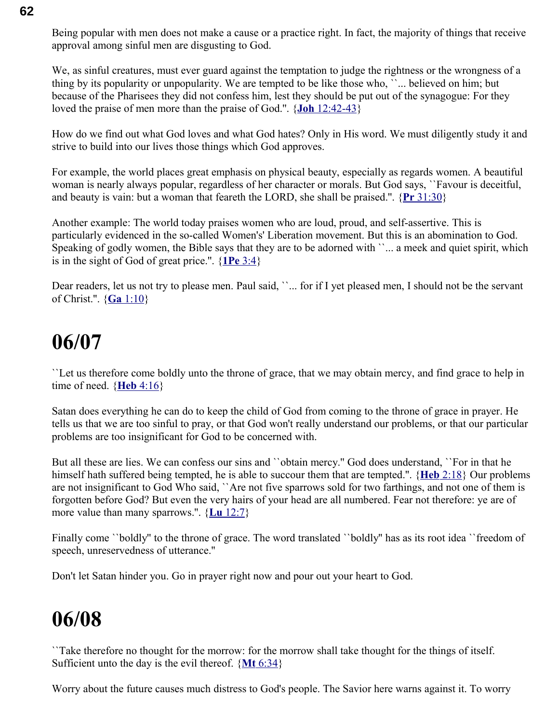Being popular with men does not make a cause or a practice right. In fact, the majority of things that receive approval among sinful men are disgusting to God.

We, as sinful creatures, must ever guard against the temptation to judge the rightness or the wrongness of a thing by its popularity or unpopularity. We are tempted to be like those who, ``... believed on him; but because of the Pharisees they did not confess him, lest they should be put out of the synagogue: For they loved the praise of men more than the praise of God.''. { **Joh** [12:42-43}](swordsearcher://bible/Joh12.42-43)

How do we find out what God loves and what God hates? Only in His word. We must diligently study it and strive to build into our lives those things which God approves.

For example, the world places great emphasis on physical beauty, especially as regards women. A beautiful woman is nearly always popular, regardless of her character or morals. But God says, ``Favour is deceitful, and beauty is vain: but a woman that feareth the LORD, she shall be praised.''. { **Pr** [31:30}](swordsearcher://bible/Pr31.30)

Another example: The world today praises women who are loud, proud, and self-assertive. This is particularly evidenced in the so-called Women's' Liberation movement. But this is an abomination to God. Speaking of godly women, the Bible says that they are to be adorned with ''... a meek and quiet spirit, which is in the sight of God of great price.''. { **1Pe** [3:4}](swordsearcher://bible/1Pe3.4)

Dear readers, let us not try to please men. Paul said, ''... for if I yet pleased men, I should not be the servant of Christ.''. { **Ga** [1:10}](swordsearcher://bible/Ga1.10)

#### **06/07**

``Let us therefore come boldly unto the throne of grace, that we may obtain mercy, and find grace to help in time of need.  $\{Heb\,4:16\}$ 

Satan does everything he can do to keep the child of God from coming to the throne of grace in prayer. He tells us that we are too sinful to pray, or that God won't really understand our problems, or that our particular problems are too insignificant for God to be concerned with.

But all these are lies. We can confess our sins and ``obtain mercy.'' God does understand, ``For in that he himself hath suffered being tempted, he is able to succour them that are tempted.''. { **Heb** [2:18}](swordsearcher://bible/Heb2.18) Our problems are not insignificant to God Who said, ``Are not five sparrows sold for two farthings, and not one of them is forgotten before God? But even the very hairs of your head are all numbered. Fear not therefore: ye are of more value than many sparrows.''. { **Lu** [12:7}](swordsearcher://bible/Lu12.7)

Finally come ``boldly" to the throne of grace. The word translated ``boldly" has as its root idea ``freedom of speech, unreservedness of utterance.''

Don't let Satan hinder you. Go in prayer right now and pour out your heart to God.

### **06/08**

``Take therefore no thought for the morrow: for the morrow shall take thought for the things of itself. Sufficient unto the day is the evil thereof. { **Mt** [6:34}](swordsearcher://bible/Mt6.34)

Worry about the future causes much distress to God's people. The Savior here warns against it. To worry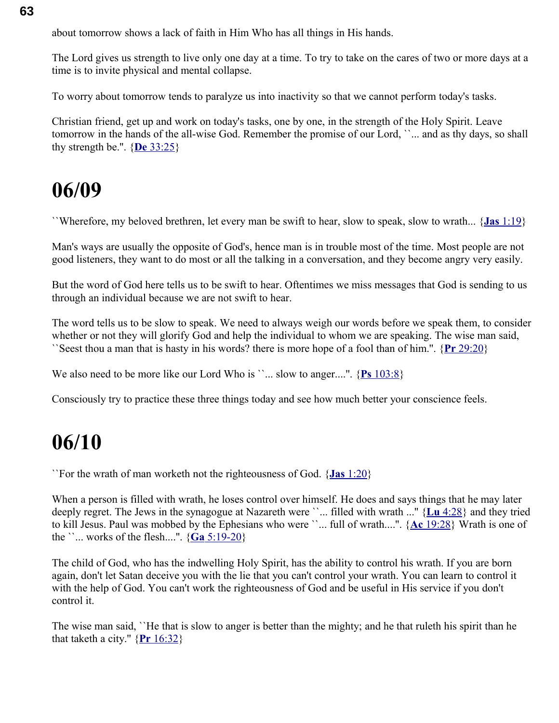about tomorrow shows a lack of faith in Him Who has all things in His hands.

The Lord gives us strength to live only one day at a time. To try to take on the cares of two or more days at a time is to invite physical and mental collapse.

To worry about tomorrow tends to paralyze us into inactivity so that we cannot perform today's tasks.

Christian friend, get up and work on today's tasks, one by one, in the strength of the Holy Spirit. Leave tomorrow in the hands of the all-wise God. Remember the promise of our Lord, ``... and as thy days, so shall thy strength be.''. { **De** [33:25}](swordsearcher://bible/De33.25)

#### **06/09**

``Wherefore, my beloved brethren, let every man be swift to hear, slow to speak, slow to wrath... { **Jas** [1:19}](swordsearcher://bible/Jas1.19)

Man's ways are usually the opposite of God's, hence man is in trouble most of the time. Most people are not good listeners, they want to do most or all the talking in a conversation, and they become angry very easily.

But the word of God here tells us to be swift to hear. Oftentimes we miss messages that God is sending to us through an individual because we are not swift to hear.

The word tells us to be slow to speak. We need to always weigh our words before we speak them, to consider whether or not they will glorify God and help the individual to whom we are speaking. The wise man said, ``Seest thou a man that is hasty in his words? there is more hope of a fool than of him.''. { **Pr** [29:20}](swordsearcher://bible/Pr29.20)

We also need to be more like our Lord Who is ``... slow to anger....". {Ps [103:8}](swordsearcher://bible/Ps103.8)

Consciously try to practice these three things today and see how much better your conscience feels.

#### **06/10**

``For the wrath of man worketh not the righteousness of God. { **Jas** [1:20}](swordsearcher://bible/Jas1.20)

When a person is filled with wrath, he loses control over himself. He does and says things that he may later deeply regret. The Jews in the synagogue at Nazareth were ``... filled with wrath ...'' { **Lu** [4:28}](swordsearcher://bible/Lu4.28) and they tried to kill Jesus. Paul was mobbed by the Ephesians who were ``... full of wrath....''. { **Ac** [19:28}](swordsearcher://bible/Ac19.28) Wrath is one of the  $\text{``...}$  works of the flesh....".  $\{ \text{Ga } 5:19-20 \}$ 

The child of God, who has the indwelling Holy Spirit, has the ability to control his wrath. If you are born again, don't let Satan deceive you with the lie that you can't control your wrath. You can learn to control it with the help of God. You can't work the righteousness of God and be useful in His service if you don't control it.

The wise man said, ``He that is slow to anger is better than the mighty; and he that ruleth his spirit than he that taketh a city."  ${Pr 16:32}$  ${Pr 16:32}$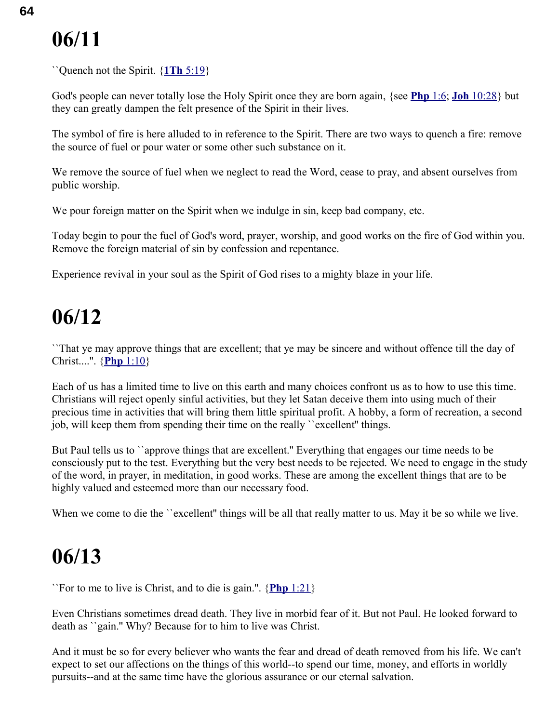``Quench not the Spirit. { **1Th** [5:19}](swordsearcher://bible/1Th5.19)

God's people can never totally lose the Holy Spirit once they are born again, {see **[Php](swordsearcher://bible/Php1.6)** 1:6; **Joh** [10:28}](swordsearcher://bible/Joh10.28) but they can greatly dampen the felt presence of the Spirit in their lives.

The symbol of fire is here alluded to in reference to the Spirit. There are two ways to quench a fire: remove the source of fuel or pour water or some other such substance on it.

We remove the source of fuel when we neglect to read the Word, cease to pray, and absent ourselves from public worship.

We pour foreign matter on the Spirit when we indulge in sin, keep bad company, etc.

Today begin to pour the fuel of God's word, prayer, worship, and good works on the fire of God within you. Remove the foreign material of sin by confession and repentance.

Experience revival in your soul as the Spirit of God rises to a mighty blaze in your life.

### **06/12**

``That ye may approve things that are excellent; that ye may be sincere and without offence till the day of Christ....''. { **Php** [1:10}](swordsearcher://bible/Php1.10)

Each of us has a limited time to live on this earth and many choices confront us as to how to use this time. Christians will reject openly sinful activities, but they let Satan deceive them into using much of their precious time in activities that will bring them little spiritual profit. A hobby, a form of recreation, a second job, will keep them from spending their time on the really ``excellent'' things.

But Paul tells us to ``approve things that are excellent.'' Everything that engages our time needs to be consciously put to the test. Everything but the very best needs to be rejected. We need to engage in the study of the word, in prayer, in meditation, in good works. These are among the excellent things that are to be highly valued and esteemed more than our necessary food.

When we come to die the ``excellent" things will be all that really matter to us. May it be so while we live.

### **06/13**

``For to me to live is Christ, and to die is gain.''. { **Php** [1:21}](swordsearcher://bible/Php1.21)

Even Christians sometimes dread death. They live in morbid fear of it. But not Paul. He looked forward to death as ``gain.'' Why? Because for to him to live was Christ.

And it must be so for every believer who wants the fear and dread of death removed from his life. We can't expect to set our affections on the things of this world--to spend our time, money, and efforts in worldly pursuits--and at the same time have the glorious assurance or our eternal salvation.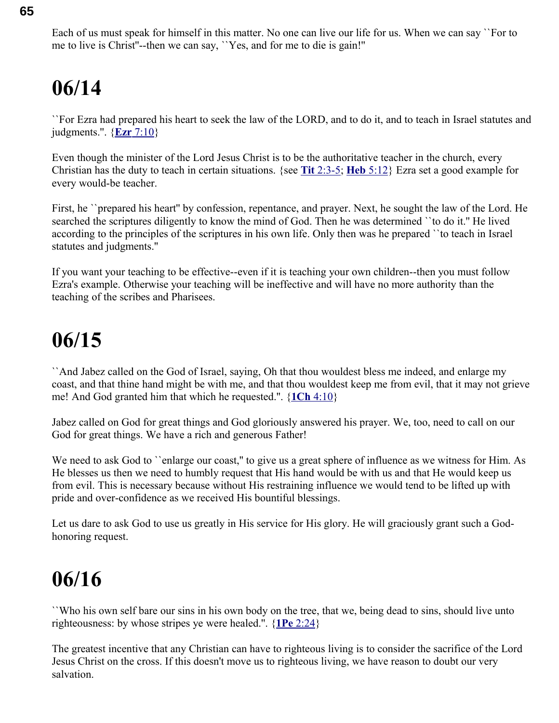``For Ezra had prepared his heart to seek the law of the LORD, and to do it, and to teach in Israel statutes and judgments.''. { **Ezr** [7:10}](swordsearcher://bible/Ezr7.10)

Even though the minister of the Lord Jesus Christ is to be the authoritative teacher in the church, every Christian has the duty to teach in certain situations. {see **Tit** [2:3-5;](swordsearcher://bible/Tit2.3-5) **Heb** [5:12}](swordsearcher://bible/Heb5.12) Ezra set a good example for every would-be teacher.

First, he ``prepared his heart" by confession, repentance, and prayer. Next, he sought the law of the Lord. He searched the scriptures diligently to know the mind of God. Then he was determined ``to do it.'' He lived according to the principles of the scriptures in his own life. Only then was he prepared ``to teach in Israel statutes and judgments.''

If you want your teaching to be effective--even if it is teaching your own children--then you must follow Ezra's example. Otherwise your teaching will be ineffective and will have no more authority than the teaching of the scribes and Pharisees.

### **06/15**

``And Jabez called on the God of Israel, saying, Oh that thou wouldest bless me indeed, and enlarge my coast, and that thine hand might be with me, and that thou wouldest keep me from evil, that it may not grieve me! And God granted him that which he requested.''. { **1Ch** [4:10}](swordsearcher://bible/1Ch4.10)

Jabez called on God for great things and God gloriously answered his prayer. We, too, need to call on our God for great things. We have a rich and generous Father!

We need to ask God to ``enlarge our coast," to give us a great sphere of influence as we witness for Him. As He blesses us then we need to humbly request that His hand would be with us and that He would keep us from evil. This is necessary because without His restraining influence we would tend to be lifted up with pride and over-confidence as we received His bountiful blessings.

Let us dare to ask God to use us greatly in His service for His glory. He will graciously grant such a Godhonoring request.

### **06/16**

``Who his own self bare our sins in his own body on the tree, that we, being dead to sins, should live unto righteousness: by whose stripes ye were healed.''. { **1Pe** [2:24}](swordsearcher://bible/1Pe2.24)

The greatest incentive that any Christian can have to righteous living is to consider the sacrifice of the Lord Jesus Christ on the cross. If this doesn't move us to righteous living, we have reason to doubt our very salvation.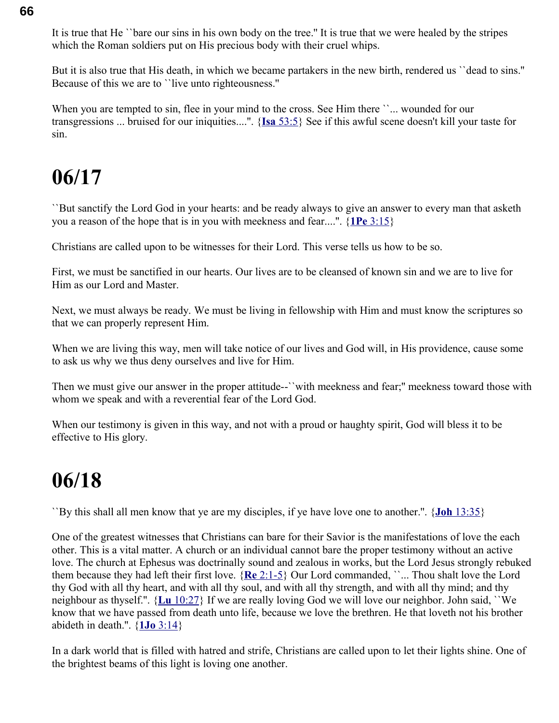It is true that He ``bare our sins in his own body on the tree.'' It is true that we were healed by the stripes which the Roman soldiers put on His precious body with their cruel whips.

But it is also true that His death, in which we became partakers in the new birth, rendered us ``dead to sins.'' Because of this we are to ``live unto righteousness.''

When you are tempted to sin, flee in your mind to the cross. See Him there ``... wounded for our transgressions ... bruised for our iniquities....''. { **Isa** [53:5}](swordsearcher://bible/Isa53.5) See if this awful scene doesn't kill your taste for sin.

### **06/17**

``But sanctify the Lord God in your hearts: and be ready always to give an answer to every man that asketh you a reason of the hope that is in you with meekness and fear....''. { **1Pe** [3:15}](swordsearcher://bible/1Pe3.15)

Christians are called upon to be witnesses for their Lord. This verse tells us how to be so.

First, we must be sanctified in our hearts. Our lives are to be cleansed of known sin and we are to live for Him as our Lord and Master.

Next, we must always be ready. We must be living in fellowship with Him and must know the scriptures so that we can properly represent Him.

When we are living this way, men will take notice of our lives and God will, in His providence, cause some to ask us why we thus deny ourselves and live for Him.

Then we must give our answer in the proper attitude--``with meekness and fear;'' meekness toward those with whom we speak and with a reverential fear of the Lord God.

When our testimony is given in this way, and not with a proud or haughty spirit, God will bless it to be effective to His glory.

### **06/18**

``By this shall all men know that ye are my disciples, if ye have love one to another.''. { **Joh** [13:35}](swordsearcher://bible/Joh13.35)

One of the greatest witnesses that Christians can bare for their Savior is the manifestations of love the each other. This is a vital matter. A church or an individual cannot bare the proper testimony without an active love. The church at Ephesus was doctrinally sound and zealous in works, but the Lord Jesus strongly rebuked them because they had left their first love. { **Re** [2:1-5}](swordsearcher://bible/Re2.1-5) Our Lord commanded, ``... Thou shalt love the Lord thy God with all thy heart, and with all thy soul, and with all thy strength, and with all thy mind; and thy neighbour as thyself.''. { **Lu** [10:27}](swordsearcher://bible/Lu10.27) If we are really loving God we will love our neighbor. John said, ``We know that we have passed from death unto life, because we love the brethren. He that loveth not his brother abideth in death.''. { **1Jo** [3:14}](swordsearcher://bible/1Jo3.14)

In a dark world that is filled with hatred and strife, Christians are called upon to let their lights shine. One of the brightest beams of this light is loving one another.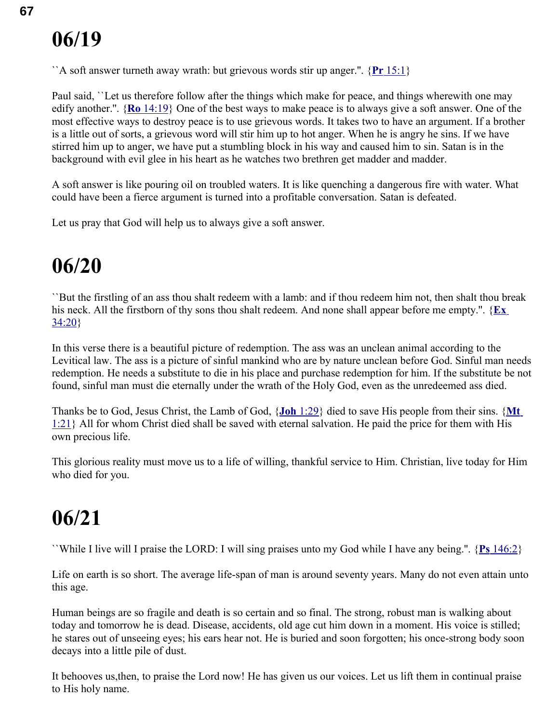``A soft answer turneth away wrath: but grievous words stir up anger.''. { **Pr** [15:1}](swordsearcher://bible/Pr15.1)

Paul said, ``Let us therefore follow after the things which make for peace, and things wherewith one may edify another.''. { **Ro** [14:19}](swordsearcher://bible/Ro14.19) One of the best ways to make peace is to always give a soft answer. One of the most effective ways to destroy peace is to use grievous words. It takes two to have an argument. If a brother is a little out of sorts, a grievous word will stir him up to hot anger. When he is angry he sins. If we have stirred him up to anger, we have put a stumbling block in his way and caused him to sin. Satan is in the background with evil glee in his heart as he watches two brethren get madder and madder.

A soft answer is like pouring oil on troubled waters. It is like quenching a dangerous fire with water. What could have been a fierce argument is turned into a profitable conversation. Satan is defeated.

Let us pray that God will help us to always give a soft answer.

### **06/20**

``But the firstling of an ass thou shalt redeem with a lamb: and if thou redeem him not, then shalt thou break his neck. All the firstborn of thy sons thou shalt redeem. And none shall appear before me empty.". {**Ex** [34:20}](swordsearcher://bible/Ex34.20)

In this verse there is a beautiful picture of redemption. The ass was an unclean animal according to the Levitical law. The ass is a picture of sinful mankind who are by nature unclean before God. Sinful man needs redemption. He needs a substitute to die in his place and purchase redemption for him. If the substitute be not found, sinful man must die eternally under the wrath of the Holy God, even as the unredeemed ass died.

Thanks be to God, Jesus Christ, the Lamb of God, { **Joh** [1:29}](swordsearcher://bible/Joh1.29) died to save His people from their sins. { **[Mt](swordsearcher://bible/Mt1.21)** [1:21}](swordsearcher://bible/Mt1.21) All for whom Christ died shall be saved with eternal salvation. He paid the price for them with His own precious life.

This glorious reality must move us to a life of willing, thankful service to Him. Christian, live today for Him who died for you.

### **06/21**

``While I live will I praise the LORD: I will sing praises unto my God while I have any being.''. { **Ps** [146:2}](swordsearcher://bible/Ps146.2)

Life on earth is so short. The average life-span of man is around seventy years. Many do not even attain unto this age.

Human beings are so fragile and death is so certain and so final. The strong, robust man is walking about today and tomorrow he is dead. Disease, accidents, old age cut him down in a moment. His voice is stilled; he stares out of unseeing eyes; his ears hear not. He is buried and soon forgotten; his once-strong body soon decays into a little pile of dust.

It behooves us,then, to praise the Lord now! He has given us our voices. Let us lift them in continual praise to His holy name.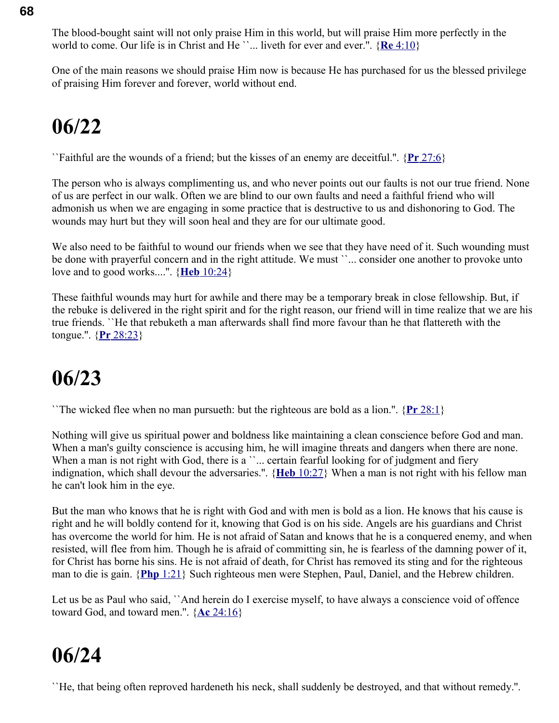The blood-bought saint will not only praise Him in this world, but will praise Him more perfectly in the world to come. Our life is in Christ and He ``... liveth for ever and ever.''. { **Re** [4:10}](swordsearcher://bible/Re4.10)

One of the main reasons we should praise Him now is because He has purchased for us the blessed privilege of praising Him forever and forever, world without end.

### **06/22**

``Faithful are the wounds of a friend; but the kisses of an enemy are deceitful.''. { **Pr** [27:6}](swordsearcher://bible/Pr27.6)

The person who is always complimenting us, and who never points out our faults is not our true friend. None of us are perfect in our walk. Often we are blind to our own faults and need a faithful friend who will admonish us when we are engaging in some practice that is destructive to us and dishonoring to God. The wounds may hurt but they will soon heal and they are for our ultimate good.

We also need to be faithful to wound our friends when we see that they have need of it. Such wounding must be done with prayerful concern and in the right attitude. We must ``... consider one another to provoke unto love and to good works....''. { **Heb** [10:24}](swordsearcher://bible/Heb10.24)

These faithful wounds may hurt for awhile and there may be a temporary break in close fellowship. But, if the rebuke is delivered in the right spirit and for the right reason, our friend will in time realize that we are his true friends. ``He that rebuketh a man afterwards shall find more favour than he that flattereth with the tongue.''. { **Pr** [28:23}](swordsearcher://bible/Pr28.23)

### **06/23**

``The wicked flee when no man pursueth: but the righteous are bold as a lion.''. { **Pr** [28:1}](swordsearcher://bible/Pr28.1)

Nothing will give us spiritual power and boldness like maintaining a clean conscience before God and man. When a man's guilty conscience is accusing him, he will imagine threats and dangers when there are none. When a man is not right with God, there is a ''... certain fearful looking for of judgment and fiery indignation, which shall devour the adversaries.''. { **Heb** [10:27}](swordsearcher://bible/Heb10.27) When a man is not right with his fellow man he can't look him in the eye.

But the man who knows that he is right with God and with men is bold as a lion. He knows that his cause is right and he will boldly contend for it, knowing that God is on his side. Angels are his guardians and Christ has overcome the world for him. He is not afraid of Satan and knows that he is a conquered enemy, and when resisted, will flee from him. Though he is afraid of committing sin, he is fearless of the damning power of it, for Christ has borne his sins. He is not afraid of death, for Christ has removed its sting and for the righteous man to die is gain. { **Php** [1:21}](swordsearcher://bible/Php1.21) Such righteous men were Stephen, Paul, Daniel, and the Hebrew children.

Let us be as Paul who said, ``And herein do I exercise myself, to have always a conscience void of offence toward God, and toward men.''. { **Ac** [24:16}](swordsearcher://bible/Ac24.16)

### **06/24**

``He, that being often reproved hardeneth his neck, shall suddenly be destroyed, and that without remedy.''.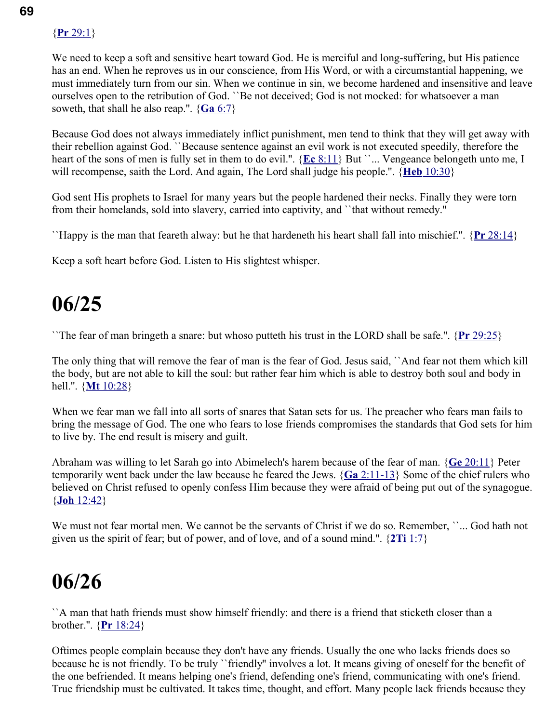#### { **Pr** [29:1}](swordsearcher://bible/Pr29.1)

We need to keep a soft and sensitive heart toward God. He is merciful and long-suffering, but His patience has an end. When he reproves us in our conscience, from His Word, or with a circumstantial happening, we must immediately turn from our sin. When we continue in sin, we become hardened and insensitive and leave ourselves open to the retribution of God. ``Be not deceived; God is not mocked: for whatsoever a man soweth, that shall he also reap.".  ${Ga 6:7}$  ${Ga 6:7}$ 

Because God does not always immediately inflict punishment, men tend to think that they will get away with their rebellion against God. ``Because sentence against an evil work is not executed speedily, therefore the heart of the sons of men is fully set in them to do evil.". {**Ec** [8:11}](swordsearcher://bible/Ec8.11) But ``... Vengeance belongeth unto me, I will recompense, saith the Lord. And again, The Lord shall judge his people.''. { **Heb** [10:30}](swordsearcher://bible/Heb10.30)

God sent His prophets to Israel for many years but the people hardened their necks. Finally they were torn from their homelands, sold into slavery, carried into captivity, and ``that without remedy.''

``Happy is the man that feareth alway: but he that hardeneth his heart shall fall into mischief.''. { **Pr** [28:14}](swordsearcher://bible/Pr28.14)

Keep a soft heart before God. Listen to His slightest whisper.

### **06/25**

``The fear of man bringeth a snare: but whoso putteth his trust in the LORD shall be safe.''. { **Pr** [29:25}](swordsearcher://bible/Pr29.25)

The only thing that will remove the fear of man is the fear of God. Jesus said, ``And fear not them which kill the body, but are not able to kill the soul: but rather fear him which is able to destroy both soul and body in hell.''. { **Mt** [10:28}](swordsearcher://bible/Mt10.28)

When we fear man we fall into all sorts of snares that Satan sets for us. The preacher who fears man fails to bring the message of God. The one who fears to lose friends compromises the standards that God sets for him to live by. The end result is misery and guilt.

Abraham was willing to let Sarah go into Abimelech's harem because of the fear of man. { **Ge** [20:11}](swordsearcher://bible/Ge20.11) Peter temporarily went back under the law because he feared the Jews. { **Ga** [2:11-13}](swordsearcher://bible/Ga2.11-13) Some of the chief rulers who believed on Christ refused to openly confess Him because they were afraid of being put out of the synagogue. { **Joh** [12:42}](swordsearcher://bible/Joh12.42)

We must not fear mortal men. We cannot be the servants of Christ if we do so. Remember, "... God hath not given us the spirit of fear; but of power, and of love, and of a sound mind.''. { **2Ti** [1:7}](swordsearcher://bible/2Ti1.7)

### **06/26**

``A man that hath friends must show himself friendly: and there is a friend that sticketh closer than a brother.''. { **Pr** [18:24}](swordsearcher://bible/Pr18.24)

Oftimes people complain because they don't have any friends. Usually the one who lacks friends does so because he is not friendly. To be truly ``friendly'' involves a lot. It means giving of oneself for the benefit of the one befriended. It means helping one's friend, defending one's friend, communicating with one's friend. True friendship must be cultivated. It takes time, thought, and effort. Many people lack friends because they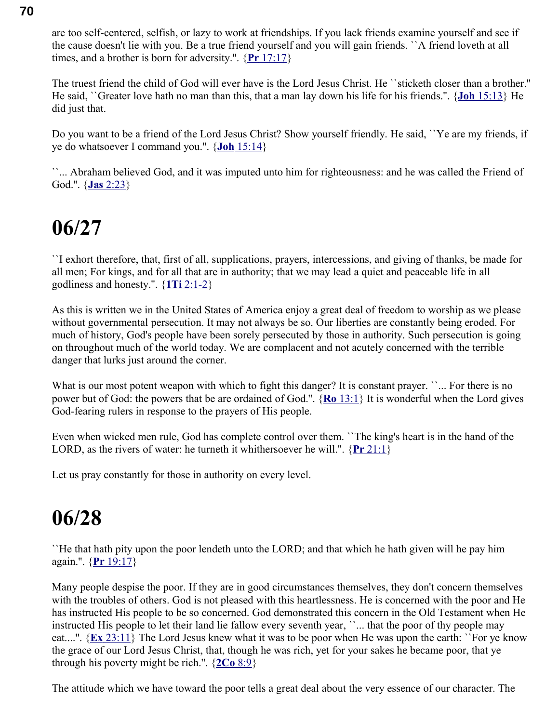are too self-centered, selfish, or lazy to work at friendships. If you lack friends examine yourself and see if the cause doesn't lie with you. Be a true friend yourself and you will gain friends. ``A friend loveth at all times, and a brother is born for adversity.''. { **Pr** [17:17}](swordsearcher://bible/Pr17.17)

The truest friend the child of God will ever have is the Lord Jesus Christ. He ``sticketh closer than a brother.'' He said, ``Greater love hath no man than this, that a man lay down his life for his friends.''. { **Joh** [15:13}](swordsearcher://bible/Joh15.13) He did just that.

Do you want to be a friend of the Lord Jesus Christ? Show yourself friendly. He said, ``Ye are my friends, if ye do whatsoever I command you.''. { **Joh** [15:14}](swordsearcher://bible/Joh15.14)

``... Abraham believed God, and it was imputed unto him for righteousness: and he was called the Friend of God.''. { **Jas** [2:23}](swordsearcher://bible/Jas2.23)

### **06/27**

``I exhort therefore, that, first of all, supplications, prayers, intercessions, and giving of thanks, be made for all men; For kings, and for all that are in authority; that we may lead a quiet and peaceable life in all godliness and honesty.''. { **1Ti** [2:1-2}](swordsearcher://bible/1Ti2.1-2)

As this is written we in the United States of America enjoy a great deal of freedom to worship as we please without governmental persecution. It may not always be so. Our liberties are constantly being eroded. For much of history, God's people have been sorely persecuted by those in authority. Such persecution is going on throughout much of the world today. We are complacent and not acutely concerned with the terrible danger that lurks just around the corner.

What is our most potent weapon with which to fight this danger? It is constant prayer. ``... For there is no power but of God: the powers that be are ordained of God.''. { **Ro** [13:1}](swordsearcher://bible/Ro13.1) It is wonderful when the Lord gives God-fearing rulers in response to the prayers of His people.

Even when wicked men rule, God has complete control over them. ``The king's heart is in the hand of the LORD, as the rivers of water: he turneth it whithersoever he will.''. { **Pr** [21:1}](swordsearcher://bible/Pr21.1)

Let us pray constantly for those in authority on every level.

### **06/28**

``He that hath pity upon the poor lendeth unto the LORD; and that which he hath given will he pay him again.''. { **Pr** [19:17}](swordsearcher://bible/Pr19.17)

Many people despise the poor. If they are in good circumstances themselves, they don't concern themselves with the troubles of others. God is not pleased with this heartlessness. He is concerned with the poor and He has instructed His people to be so concerned. God demonstrated this concern in the Old Testament when He instructed His people to let their land lie fallow every seventh year, ``... that the poor of thy people may eat....''. { **Ex** [23:11}](swordsearcher://bible/Ex23.11) The Lord Jesus knew what it was to be poor when He was upon the earth: ``For ye know the grace of our Lord Jesus Christ, that, though he was rich, yet for your sakes he became poor, that ye through his poverty might be rich.".  $\{2Co\ 8:9\}$ 

The attitude which we have toward the poor tells a great deal about the very essence of our character. The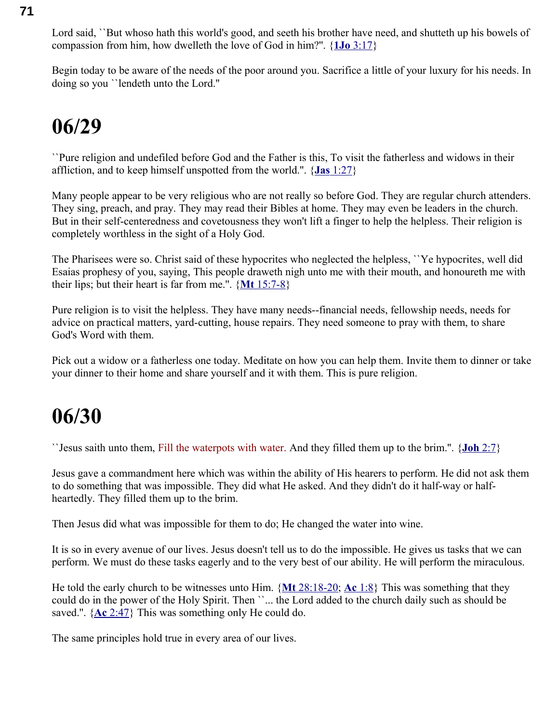Lord said, *`*But whoso hath this world's good, and seeth his brother have need, and shutteth up his bowels of compassion from him, how dwelleth the love of God in him?''. { **1Jo** [3:17}](swordsearcher://bible/1Jo3.17)

Begin today to be aware of the needs of the poor around you. Sacrifice a little of your luxury for his needs. In doing so you ``lendeth unto the Lord.''

### **06/29**

``Pure religion and undefiled before God and the Father is this, To visit the fatherless and widows in their affliction, and to keep himself unspotted from the world.''. { **Jas** [1:27}](swordsearcher://bible/Jas1.27)

Many people appear to be very religious who are not really so before God. They are regular church attenders. They sing, preach, and pray. They may read their Bibles at home. They may even be leaders in the church. But in their self-centeredness and covetousness they won't lift a finger to help the helpless. Their religion is completely worthless in the sight of a Holy God.

The Pharisees were so. Christ said of these hypocrites who neglected the helpless, ``Ye hypocrites, well did Esaias prophesy of you, saying, This people draweth nigh unto me with their mouth, and honoureth me with their lips; but their heart is far from me.''. { **Mt** [15:7-8}](swordsearcher://bible/Mt15.7-8)

Pure religion is to visit the helpless. They have many needs--financial needs, fellowship needs, needs for advice on practical matters, yard-cutting, house repairs. They need someone to pray with them, to share God's Word with them.

Pick out a widow or a fatherless one today. Meditate on how you can help them. Invite them to dinner or take your dinner to their home and share yourself and it with them. This is pure religion.

### **06/30**

``Jesus saith unto them, Fill the waterpots with water. And they filled them up to the brim.''. { **Joh** [2:7}](swordsearcher://bible/Joh2.7)

Jesus gave a commandment here which was within the ability of His hearers to perform. He did not ask them to do something that was impossible. They did what He asked. And they didn't do it half-way or halfheartedly. They filled them up to the brim.

Then Jesus did what was impossible for them to do; He changed the water into wine.

It is so in every avenue of our lives. Jesus doesn't tell us to do the impossible. He gives us tasks that we can perform. We must do these tasks eagerly and to the very best of our ability. He will perform the miraculous.

He told the early church to be witnesses unto Him. { **Mt** [28:18-20;](swordsearcher://bible/Mt28.18-20) **Ac** [1:8}](swordsearcher://bible/Ac1.8) This was something that they could do in the power of the Holy Spirit. Then ``... the Lord added to the church daily such as should be saved.''. { **Ac** [2:47}](swordsearcher://bible/Ac2.47) This was something only He could do.

The same principles hold true in every area of our lives.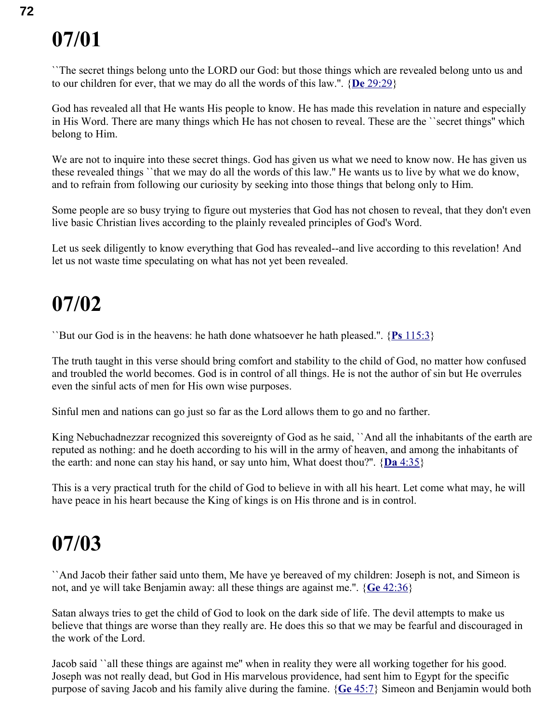``The secret things belong unto the LORD our God: but those things which are revealed belong unto us and to our children for ever, that we may do all the words of this law.''. { **De** [29:29}](swordsearcher://bible/De29.29)

God has revealed all that He wants His people to know. He has made this revelation in nature and especially in His Word. There are many things which He has not chosen to reveal. These are the ``secret things'' which belong to Him.

We are not to inquire into these secret things. God has given us what we need to know now. He has given us these revealed things ``that we may do all the words of this law.'' He wants us to live by what we do know, and to refrain from following our curiosity by seeking into those things that belong only to Him.

Some people are so busy trying to figure out mysteries that God has not chosen to reveal, that they don't even live basic Christian lives according to the plainly revealed principles of God's Word.

Let us seek diligently to know everything that God has revealed--and live according to this revelation! And let us not waste time speculating on what has not yet been revealed.

### **07/02**

``But our God is in the heavens: he hath done whatsoever he hath pleased.''. { **Ps** [115:3}](swordsearcher://bible/Ps115.3)

The truth taught in this verse should bring comfort and stability to the child of God, no matter how confused and troubled the world becomes. God is in control of all things. He is not the author of sin but He overrules even the sinful acts of men for His own wise purposes.

Sinful men and nations can go just so far as the Lord allows them to go and no farther.

King Nebuchadnezzar recognized this sovereignty of God as he said, 'And all the inhabitants of the earth are reputed as nothing: and he doeth according to his will in the army of heaven, and among the inhabitants of the earth: and none can stay his hand, or say unto him, What doest thou?".  $\{Da\ 4:35\}$ 

This is a very practical truth for the child of God to believe in with all his heart. Let come what may, he will have peace in his heart because the King of kings is on His throne and is in control.

### **07/03**

``And Jacob their father said unto them, Me have ye bereaved of my children: Joseph is not, and Simeon is not, and ye will take Benjamin away: all these things are against me.''. { **Ge** [42:36}](swordsearcher://bible/Ge42.36)

Satan always tries to get the child of God to look on the dark side of life. The devil attempts to make us believe that things are worse than they really are. He does this so that we may be fearful and discouraged in the work of the Lord.

Jacob said ``all these things are against me'' when in reality they were all working together for his good. Joseph was not really dead, but God in His marvelous providence, had sent him to Egypt for the specific purpose of saving Jacob and his family alive during the famine. { **Ge** [45:7}](swordsearcher://bible/Ge45.7) Simeon and Benjamin would both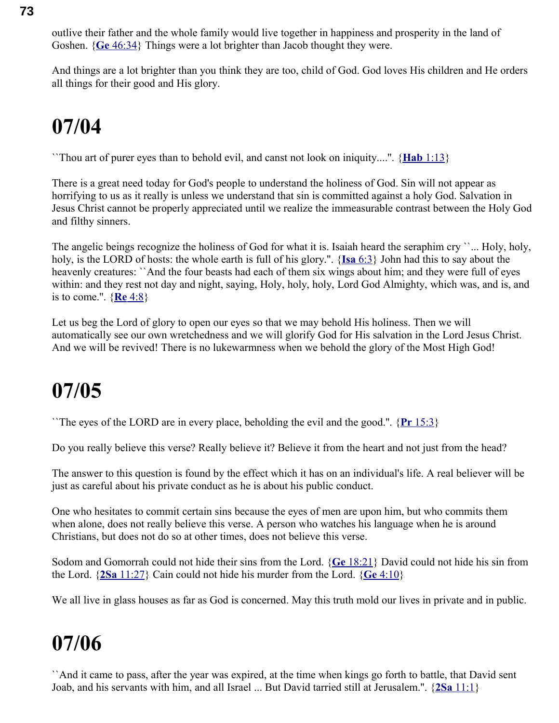outlive their father and the whole family would live together in happiness and prosperity in the land of Goshen. { **Ge** [46:34}](swordsearcher://bible/Ge46.34) Things were a lot brighter than Jacob thought they were.

And things are a lot brighter than you think they are too, child of God. God loves His children and He orders all things for their good and His glory.

## **07/04**

``Thou art of purer eyes than to behold evil, and canst not look on iniquity....''. { **Hab** [1:13}](swordsearcher://bible/Hab1.13)

There is a great need today for God's people to understand the holiness of God. Sin will not appear as horrifying to us as it really is unless we understand that sin is committed against a holy God. Salvation in Jesus Christ cannot be properly appreciated until we realize the immeasurable contrast between the Holy God and filthy sinners.

The angelic beings recognize the holiness of God for what it is. Isaiah heard the seraphim cry ``... Holy, holy, holy, is the LORD of hosts: the whole earth is full of his glory.''. { **Isa** [6:3}](swordsearcher://bible/Isa6.3) John had this to say about the heavenly creatures: ``And the four beasts had each of them six wings about him; and they were full of eyes within: and they rest not day and night, saying, Holy, holy, holy, Lord God Almighty, which was, and is, and is to come.''. { **Re** [4:8}](swordsearcher://bible/Re4.8)

Let us beg the Lord of glory to open our eyes so that we may behold His holiness. Then we will automatically see our own wretchedness and we will glorify God for His salvation in the Lord Jesus Christ. And we will be revived! There is no lukewarmness when we behold the glory of the Most High God!

## **07/05**

``The eyes of the LORD are in every place, beholding the evil and the good.''. { **Pr** [15:3}](swordsearcher://bible/Pr15.3)

Do you really believe this verse? Really believe it? Believe it from the heart and not just from the head?

The answer to this question is found by the effect which it has on an individual's life. A real believer will be just as careful about his private conduct as he is about his public conduct.

One who hesitates to commit certain sins because the eyes of men are upon him, but who commits them when alone, does not really believe this verse. A person who watches his language when he is around Christians, but does not do so at other times, does not believe this verse.

Sodom and Gomorrah could not hide their sins from the Lord. { **Ge** [18:21}](swordsearcher://bible/Ge18.21) David could not hide his sin from the Lord. { **2Sa** [11:27}](swordsearcher://bible/2Sa11.27) Cain could not hide his murder from the Lord. { **Ge** [4:10}](swordsearcher://bible/Ge4.10)

We all live in glass houses as far as God is concerned. May this truth mold our lives in private and in public.

## **07/06**

``And it came to pass, after the year was expired, at the time when kings go forth to battle, that David sent Joab, and his servants with him, and all Israel ... But David tarried still at Jerusalem.''. { **2Sa** [11:1}](swordsearcher://bible/2Sa11.1)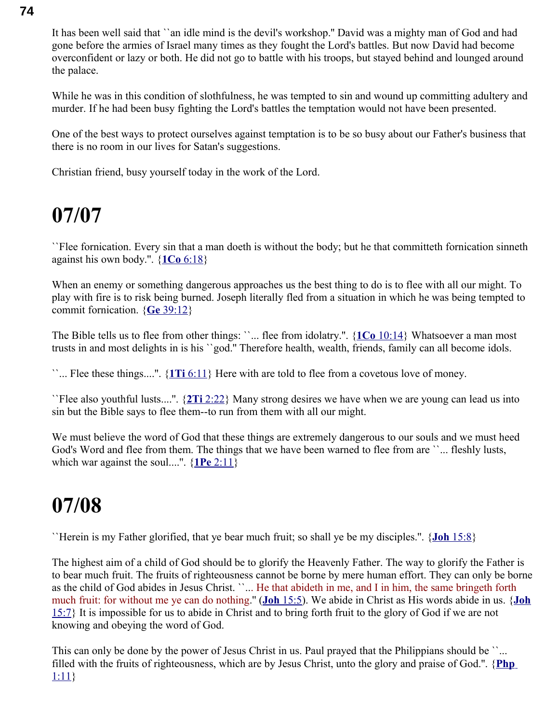It has been well said that ``an idle mind is the devil's workshop.'' David was a mighty man of God and had gone before the armies of Israel many times as they fought the Lord's battles. But now David had become overconfident or lazy or both. He did not go to battle with his troops, but stayed behind and lounged around the palace.

While he was in this condition of slothfulness, he was tempted to sin and wound up committing adultery and murder. If he had been busy fighting the Lord's battles the temptation would not have been presented.

One of the best ways to protect ourselves against temptation is to be so busy about our Father's business that there is no room in our lives for Satan's suggestions.

Christian friend, busy yourself today in the work of the Lord.

### **07/07**

``Flee fornication. Every sin that a man doeth is without the body; but he that committeth fornication sinneth against his own body.''. { **1Co** [6:18}](swordsearcher://bible/1Co6.18)

When an enemy or something dangerous approaches us the best thing to do is to flee with all our might. To play with fire is to risk being burned. Joseph literally fled from a situation in which he was being tempted to commit fornication. { **Ge** [39:12}](swordsearcher://bible/Ge39.12)

The Bible tells us to flee from other things: ''... flee from idolatry.". {1Co [10:14}](swordsearcher://bible/1Co10.14) Whatsoever a man most trusts in and most delights in is his ``god.'' Therefore health, wealth, friends, family can all become idols.

``... Flee these things....''. { **1Ti** [6:11}](swordsearcher://bible/1Ti6.11) Here with are told to flee from a covetous love of money.

``Flee also youthful lusts....''. { **2Ti** [2:22}](swordsearcher://bible/2Ti2.22) Many strong desires we have when we are young can lead us into sin but the Bible says to flee them--to run from them with all our might.

We must believe the word of God that these things are extremely dangerous to our souls and we must heed God's Word and flee from them. The things that we have been warned to flee from are ``... fleshly lusts, which war against the soul....".  $\{1\text{Pe }2:11\}$ 

## **07/08**

``Herein is my Father glorified, that ye bear much fruit; so shall ye be my disciples.''. { **Joh** [15:8}](swordsearcher://bible/Joh15.8)

The highest aim of a child of God should be to glorify the Heavenly Father. The way to glorify the Father is to bear much fruit. The fruits of righteousness cannot be borne by mere human effort. They can only be borne as the child of God abides in Jesus Christ. ``... He that abideth in me, and I in him, the same bringeth forth much fruit: for without me ye can do nothing.'' ( **Joh** [15:5\)](swordsearcher://bible/Joh15.5). We abide in Christ as His words abide in us. {**[Joh](swordsearcher://bible/Joh15.7)** [15:7}](swordsearcher://bible/Joh15.7) It is impossible for us to abide in Christ and to bring forth fruit to the glory of God if we are not knowing and obeying the word of God.

This can only be done by the power of Jesus Christ in us. Paul prayed that the Philippians should be ``... filled with the fruits of righteousness, which are by Jesus Christ, unto the glory and praise of God.''. { **[Php](swordsearcher://bible/Php1.11)** [1:11}](swordsearcher://bible/Php1.11)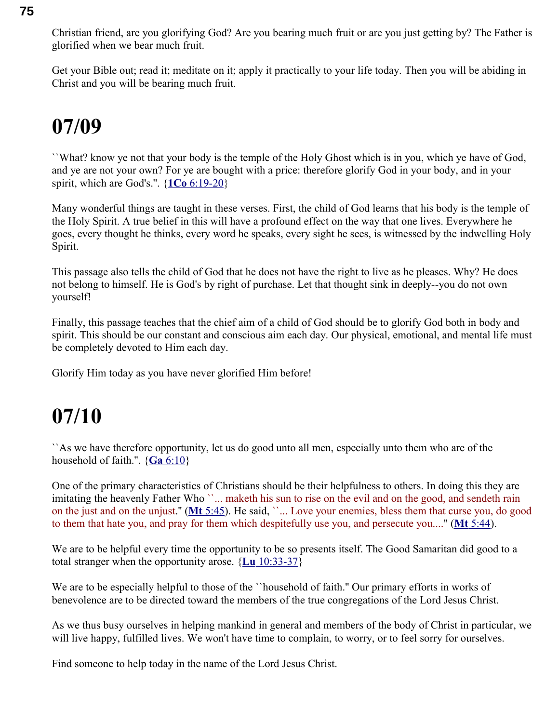Christian friend, are you glorifying God? Are you bearing much fruit or are you just getting by? The Father is glorified when we bear much fruit.

Get your Bible out; read it; meditate on it; apply it practically to your life today. Then you will be abiding in Christ and you will be bearing much fruit.

### **07/09**

``What? know ye not that your body is the temple of the Holy Ghost which is in you, which ye have of God, and ye are not your own? For ye are bought with a price: therefore glorify God in your body, and in your spirit, which are God's.''. { **1Co** [6:19-20}](swordsearcher://bible/1Co6.19-20)

Many wonderful things are taught in these verses. First, the child of God learns that his body is the temple of the Holy Spirit. A true belief in this will have a profound effect on the way that one lives. Everywhere he goes, every thought he thinks, every word he speaks, every sight he sees, is witnessed by the indwelling Holy Spirit.

This passage also tells the child of God that he does not have the right to live as he pleases. Why? He does not belong to himself. He is God's by right of purchase. Let that thought sink in deeply--you do not own yourself!

Finally, this passage teaches that the chief aim of a child of God should be to glorify God both in body and spirit. This should be our constant and conscious aim each day. Our physical, emotional, and mental life must be completely devoted to Him each day.

Glorify Him today as you have never glorified Him before!

## **07/10**

``As we have therefore opportunity, let us do good unto all men, especially unto them who are of the household of faith.".  $\{Ga\ 6:10\}$ 

One of the primary characteristics of Christians should be their helpfulness to others. In doing this they are imitating the heavenly Father Who ``... maketh his sun to rise on the evil and on the good, and sendeth rain on the just and on the unjust.'' ( **Mt** [5:45\)](swordsearcher://bible/Mt5.45). He said, ``... Love your enemies, bless them that curse you, do good to them that hate you, and pray for them which despitefully use you, and persecute you....'' ( **Mt** [5:44\)](swordsearcher://bible/Mt5.44).

We are to be helpful every time the opportunity to be so presents itself. The Good Samaritan did good to a total stranger when the opportunity arose. { **Lu** [10:33-37}](swordsearcher://bible/Lu10.33-37)

We are to be especially helpful to those of the ``household of faith." Our primary efforts in works of benevolence are to be directed toward the members of the true congregations of the Lord Jesus Christ.

As we thus busy ourselves in helping mankind in general and members of the body of Christ in particular, we will live happy, fulfilled lives. We won't have time to complain, to worry, or to feel sorry for ourselves.

Find someone to help today in the name of the Lord Jesus Christ.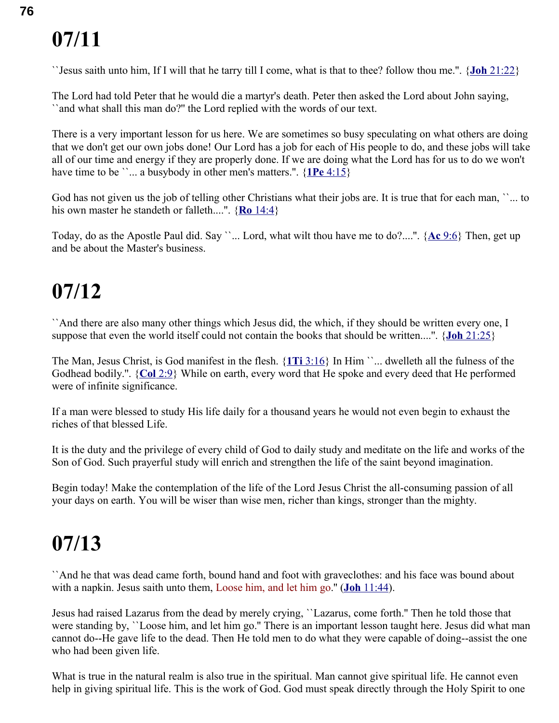``Jesus saith unto him, If I will that he tarry till I come, what is that to thee? follow thou me.''. { **Joh** [21:22}](swordsearcher://bible/Joh21.22)

The Lord had told Peter that he would die a martyr's death. Peter then asked the Lord about John saying, ``and what shall this man do?'' the Lord replied with the words of our text.

There is a very important lesson for us here. We are sometimes so busy speculating on what others are doing that we don't get our own jobs done! Our Lord has a job for each of His people to do, and these jobs will take all of our time and energy if they are properly done. If we are doing what the Lord has for us to do we won't have time to be ``... a busybody in other men's matters.".  $\{1\text{Pe }4:15\}$ 

God has not given us the job of telling other Christians what their jobs are. It is true that for each man, "... to his own master he standeth or falleth....''. { **Ro** [14:4}](swordsearcher://bible/Ro14.4)

Today, do as the Apostle Paul did. Say ``... Lord, what wilt thou have me to do?....''. { **Ac** [9:6}](swordsearcher://bible/Ac9.6) Then, get up and be about the Master's business.

## **07/12**

``And there are also many other things which Jesus did, the which, if they should be written every one, I suppose that even the world itself could not contain the books that should be written....''. { **Joh** [21:25}](swordsearcher://bible/Joh21.25)

The Man, Jesus Christ, is God manifest in the flesh. { **1Ti** [3:16}](swordsearcher://bible/1Ti3.16) In Him ``... dwelleth all the fulness of the Godhead bodily.''. { **Col** [2:9}](swordsearcher://bible/Col2.9) While on earth, every word that He spoke and every deed that He performed were of infinite significance.

If a man were blessed to study His life daily for a thousand years he would not even begin to exhaust the riches of that blessed Life.

It is the duty and the privilege of every child of God to daily study and meditate on the life and works of the Son of God. Such prayerful study will enrich and strengthen the life of the saint beyond imagination.

Begin today! Make the contemplation of the life of the Lord Jesus Christ the all-consuming passion of all your days on earth. You will be wiser than wise men, richer than kings, stronger than the mighty.

## **07/13**

``And he that was dead came forth, bound hand and foot with graveclothes: and his face was bound about with a napkin. Jesus saith unto them, Loose him, and let him go." (**Joh** [11:44\)](swordsearcher://bible/Joh11.44).

Jesus had raised Lazarus from the dead by merely crying, ``Lazarus, come forth.'' Then he told those that were standing by, ``Loose him, and let him go." There is an important lesson taught here. Jesus did what man cannot do--He gave life to the dead. Then He told men to do what they were capable of doing--assist the one who had been given life.

What is true in the natural realm is also true in the spiritual. Man cannot give spiritual life. He cannot even help in giving spiritual life. This is the work of God. God must speak directly through the Holy Spirit to one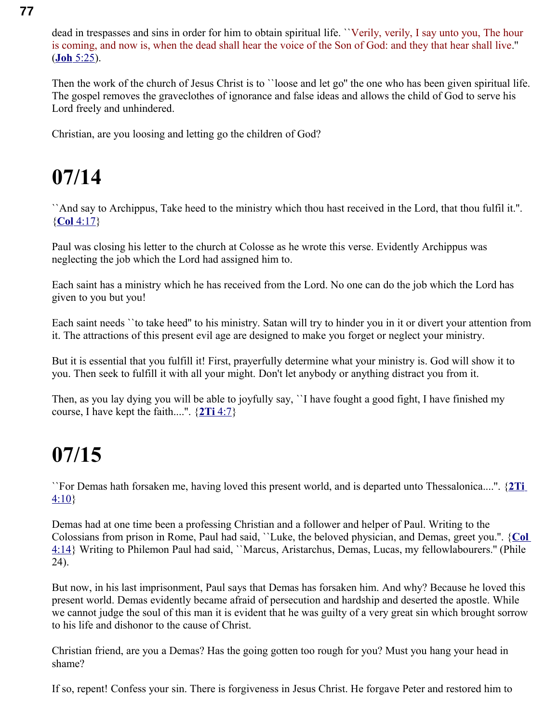dead in trespasses and sins in order for him to obtain spiritual life. ``Verily, verily, I say unto you, The hour is coming, and now is, when the dead shall hear the voice of the Son of God: and they that hear shall live.'' ( **Joh** [5:25\)](swordsearcher://bible/Joh5.25).

Then the work of the church of Jesus Christ is to ''loose and let go'' the one who has been given spiritual life. The gospel removes the graveclothes of ignorance and false ideas and allows the child of God to serve his Lord freely and unhindered.

Christian, are you loosing and letting go the children of God?

## **07/14**

``And say to Archippus, Take heed to the ministry which thou hast received in the Lord, that thou fulfil it.''. { **Col** [4:17}](swordsearcher://bible/Col4.17)

Paul was closing his letter to the church at Colosse as he wrote this verse. Evidently Archippus was neglecting the job which the Lord had assigned him to.

Each saint has a ministry which he has received from the Lord. No one can do the job which the Lord has given to you but you!

Each saint needs ``to take heed'' to his ministry. Satan will try to hinder you in it or divert your attention from it. The attractions of this present evil age are designed to make you forget or neglect your ministry.

But it is essential that you fulfill it! First, prayerfully determine what your ministry is. God will show it to you. Then seek to fulfill it with all your might. Don't let anybody or anything distract you from it.

Then, as you lay dying you will be able to joyfully say, ``I have fought a good fight, I have finished my course, I have kept the faith....''. { **2Ti** [4:7}](swordsearcher://bible/2Ti4.7)

## **07/15**

``For Demas hath forsaken me, having loved this present world, and is departed unto Thessalonica....''. { **[2Ti](swordsearcher://bible/2Ti4.10)**  $4:10$ 

Demas had at one time been a professing Christian and a follower and helper of Paul. Writing to the Colossians from prison in Rome, Paul had said, ``Luke, the beloved physician, and Demas, greet you.''. { **[Col](swordsearcher://bible/Col4.14)** [4:14}](swordsearcher://bible/Col4.14) Writing to Philemon Paul had said, ``Marcus, Aristarchus, Demas, Lucas, my fellowlabourers.'' (Phile 24).

But now, in his last imprisonment, Paul says that Demas has forsaken him. And why? Because he loved this present world. Demas evidently became afraid of persecution and hardship and deserted the apostle. While we cannot judge the soul of this man it is evident that he was guilty of a very great sin which brought sorrow to his life and dishonor to the cause of Christ.

Christian friend, are you a Demas? Has the going gotten too rough for you? Must you hang your head in shame?

If so, repent! Confess your sin. There is forgiveness in Jesus Christ. He forgave Peter and restored him to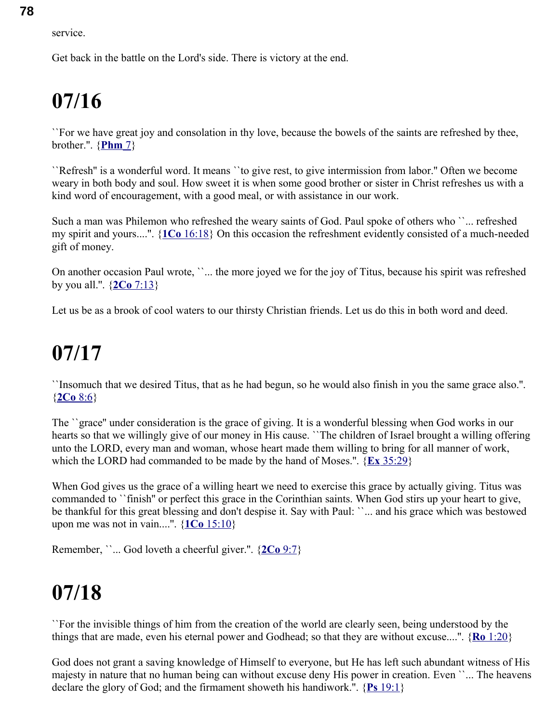service.

Get back in the battle on the Lord's side. There is victory at the end.

## **07/16**

``For we have great joy and consolation in thy love, because the bowels of the saints are refreshed by thee, brother.''. { **[Phm](swordsearcher://bible/Phm1.7)** 7}

``Refresh'' is a wonderful word. It means ``to give rest, to give intermission from labor.'' Often we become weary in both body and soul. How sweet it is when some good brother or sister in Christ refreshes us with a kind word of encouragement, with a good meal, or with assistance in our work.

Such a man was Philemon who refreshed the weary saints of God. Paul spoke of others who ``... refreshed my spirit and yours....''. { **1Co** [16:18}](swordsearcher://bible/1Co16.18) On this occasion the refreshment evidently consisted of a much-needed gift of money.

On another occasion Paul wrote, ``... the more joyed we for the joy of Titus, because his spirit was refreshed by you all.''. { **2Co** [7:13}](swordsearcher://bible/2Co7.13)

Let us be as a brook of cool waters to our thirsty Christian friends. Let us do this in both word and deed.

## **07/17**

``Insomuch that we desired Titus, that as he had begun, so he would also finish in you the same grace also.''. { **[2Co](swordsearcher://bible/2Co8.6)** 8:6}

The ``grace'' under consideration is the grace of giving. It is a wonderful blessing when God works in our hearts so that we willingly give of our money in His cause. ``The children of Israel brought a willing offering unto the LORD, every man and woman, whose heart made them willing to bring for all manner of work, which the LORD had commanded to be made by the hand of Moses.''. { **Ex** [35:29}](swordsearcher://bible/Ex35.29)

When God gives us the grace of a willing heart we need to exercise this grace by actually giving. Titus was commanded to ``finish'' or perfect this grace in the Corinthian saints. When God stirs up your heart to give, be thankful for this great blessing and don't despise it. Say with Paul: ``... and his grace which was bestowed upon me was not in vain....''. { **1Co** [15:10}](swordsearcher://bible/1Co15.10)

Remember, ``... God loveth a cheerful giver.''. { **[2Co](swordsearcher://bible/2Co9.7)** 9:7}

## **07/18**

``For the invisible things of him from the creation of the world are clearly seen, being understood by the things that are made, even his eternal power and Godhead; so that they are without excuse....''. { **Ro** [1:20}](swordsearcher://bible/Ro1.20)

God does not grant a saving knowledge of Himself to everyone, but He has left such abundant witness of His majesty in nature that no human being can without excuse deny His power in creation. Even ``... The heavens declare the glory of God; and the firmament showeth his handiwork.''. { **Ps** [19:1}](swordsearcher://bible/Ps19.1)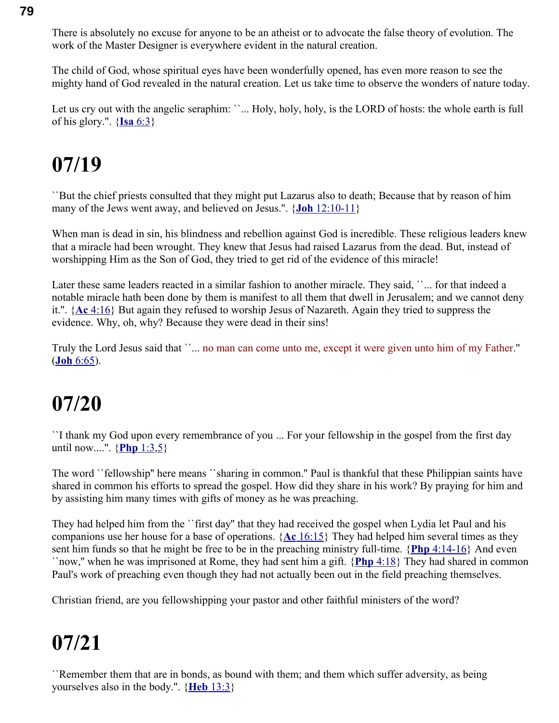There is absolutely no excuse for anyone to be an atheist or to advocate the false theory of evolution. The work of the Master Designer is everywhere evident in the natural creation.

The child of God, whose spiritual eyes have been wonderfully opened, has even more reason to see the mighty hand of God revealed in the natural creation. Let us take time to observe the wonders of nature today.

Let us cry out with the angelic seraphim: ``... Holy, holy, holy, is the LORD of hosts: the whole earth is full of his glory.''. { **Isa** [6:3}](swordsearcher://bible/Isa6.3)

## **07/19**

``But the chief priests consulted that they might put Lazarus also to death; Because that by reason of him many of the Jews went away, and believed on Jesus.''. { **Joh** [12:10-11}](swordsearcher://bible/Joh12.10-11)

When man is dead in sin, his blindness and rebellion against God is incredible. These religious leaders knew that a miracle had been wrought. They knew that Jesus had raised Lazarus from the dead. But, instead of worshipping Him as the Son of God, they tried to get rid of the evidence of this miracle!

Later these same leaders reacted in a similar fashion to another miracle. They said, ``... for that indeed a notable miracle hath been done by them is manifest to all them that dwell in Jerusalem; and we cannot deny it.''. { **Ac** [4:16}](swordsearcher://bible/Ac4.16) But again they refused to worship Jesus of Nazareth. Again they tried to suppress the evidence. Why, oh, why? Because they were dead in their sins!

Truly the Lord Jesus said that ``... no man can come unto me, except it were given unto him of my Father." ( **Joh** [6:65\)](swordsearcher://bible/Joh6.65).

## **07/20**

``I thank my God upon every remembrance of you ... For your fellowship in the gospel from the first day until now....''. { **[Php](swordsearcher://bible/Php1.3)** 1:3[,5}](swordsearcher://bible/Php1.5)

The word ``fellowship'' here means ``sharing in common.'' Paul is thankful that these Philippian saints have shared in common his efforts to spread the gospel. How did they share in his work? By praying for him and by assisting him many times with gifts of money as he was preaching.

They had helped him from the ``first day'' that they had received the gospel when Lydia let Paul and his companions use her house for a base of operations. { **Ac** [16:15}](swordsearcher://bible/Ac16.15) They had helped him several times as they sent him funds so that he might be free to be in the preaching ministry full-time. { **Php** [4:14-16}](swordsearcher://bible/Php4.14-16) And even ``now,'' when he was imprisoned at Rome, they had sent him a gift. { **Php** [4:18}](swordsearcher://bible/Php4.18) They had shared in common Paul's work of preaching even though they had not actually been out in the field preaching themselves.

Christian friend, are you fellowshipping your pastor and other faithful ministers of the word?

## **07/21**

``Remember them that are in bonds, as bound with them; and them which suffer adversity, as being yourselves also in the body.''. { **Heb** [13:3}](swordsearcher://bible/Heb13.3)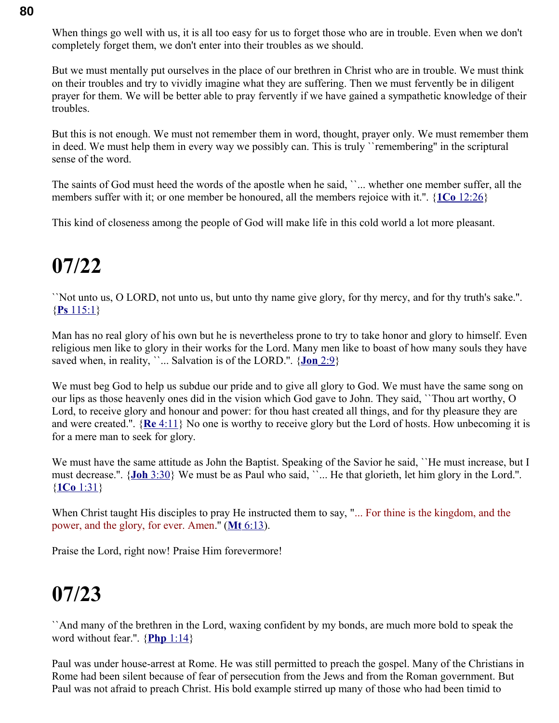When things go well with us, it is all too easy for us to forget those who are in trouble. Even when we don't completely forget them, we don't enter into their troubles as we should.

But we must mentally put ourselves in the place of our brethren in Christ who are in trouble. We must think on their troubles and try to vividly imagine what they are suffering. Then we must fervently be in diligent prayer for them. We will be better able to pray fervently if we have gained a sympathetic knowledge of their troubles.

But this is not enough. We must not remember them in word, thought, prayer only. We must remember them in deed. We must help them in every way we possibly can. This is truly ``remembering'' in the scriptural sense of the word.

The saints of God must heed the words of the apostle when he said, ``... whether one member suffer, all the members suffer with it; or one member be honoured, all the members rejoice with it.''. { **1Co** [12:26}](swordsearcher://bible/1Co12.26)

This kind of closeness among the people of God will make life in this cold world a lot more pleasant.

## **07/22**

``Not unto us, O LORD, not unto us, but unto thy name give glory, for thy mercy, and for thy truth's sake.''. { **Ps** [115:1}](swordsearcher://bible/Ps115.1)

Man has no real glory of his own but he is nevertheless prone to try to take honor and glory to himself. Even religious men like to glory in their works for the Lord. Many men like to boast of how many souls they have saved when, in reality, ``... Salvation is of the LORD.". {**Jon** [2:9}](swordsearcher://bible/Jon2.9)

We must beg God to help us subdue our pride and to give all glory to God. We must have the same song on our lips as those heavenly ones did in the vision which God gave to John. They said, ``Thou art worthy, O Lord, to receive glory and honour and power: for thou hast created all things, and for thy pleasure they are and were created.''. { **Re** [4:11}](swordsearcher://bible/Re4.11) No one is worthy to receive glory but the Lord of hosts. How unbecoming it is for a mere man to seek for glory.

We must have the same attitude as John the Baptist. Speaking of the Savior he said, ''He must increase, but I must decrease.''. { **Joh** [3:30}](swordsearcher://bible/Joh3.30) We must be as Paul who said, ``... He that glorieth, let him glory in the Lord.''. { **1Co** [1:31}](swordsearcher://bible/1Co1.31)

When Christ taught His disciples to pray He instructed them to say, "... For thine is the kingdom, and the power, and the glory, for ever. Amen." (Mt [6:13\)](swordsearcher://bible/Mt6.13).

Praise the Lord, right now! Praise Him forevermore!

#### **07/23**

``And many of the brethren in the Lord, waxing confident by my bonds, are much more bold to speak the word without fear.''. { **Php** [1:14}](swordsearcher://bible/Php1.14)

Paul was under house-arrest at Rome. He was still permitted to preach the gospel. Many of the Christians in Rome had been silent because of fear of persecution from the Jews and from the Roman government. But Paul was not afraid to preach Christ. His bold example stirred up many of those who had been timid to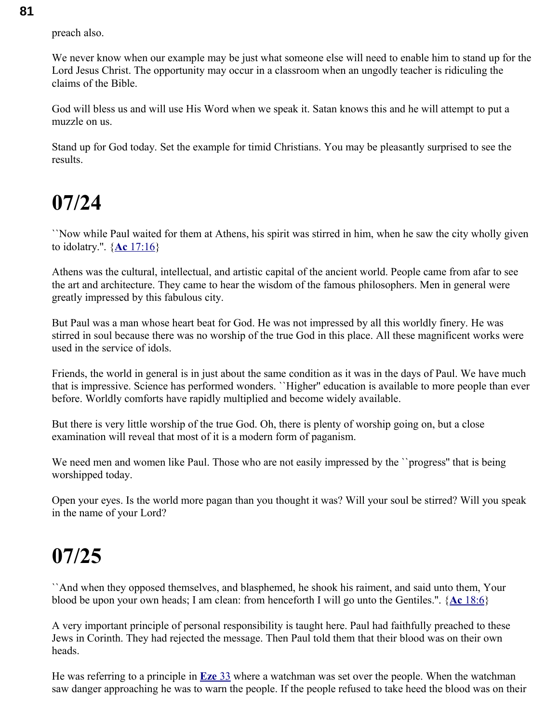preach also.

We never know when our example may be just what someone else will need to enable him to stand up for the Lord Jesus Christ. The opportunity may occur in a classroom when an ungodly teacher is ridiculing the claims of the Bible.

God will bless us and will use His Word when we speak it. Satan knows this and he will attempt to put a muzzle on us.

Stand up for God today. Set the example for timid Christians. You may be pleasantly surprised to see the results.

### **07/24**

``Now while Paul waited for them at Athens, his spirit was stirred in him, when he saw the city wholly given to idolatry.''. { **Ac** [17:16}](swordsearcher://bible/Ac17.16)

Athens was the cultural, intellectual, and artistic capital of the ancient world. People came from afar to see the art and architecture. They came to hear the wisdom of the famous philosophers. Men in general were greatly impressed by this fabulous city.

But Paul was a man whose heart beat for God. He was not impressed by all this worldly finery. He was stirred in soul because there was no worship of the true God in this place. All these magnificent works were used in the service of idols.

Friends, the world in general is in just about the same condition as it was in the days of Paul. We have much that is impressive. Science has performed wonders. ``Higher'' education is available to more people than ever before. Worldly comforts have rapidly multiplied and become widely available.

But there is very little worship of the true God. Oh, there is plenty of worship going on, but a close examination will reveal that most of it is a modern form of paganism.

We need men and women like Paul. Those who are not easily impressed by the ``progress'' that is being worshipped today.

Open your eyes. Is the world more pagan than you thought it was? Will your soul be stirred? Will you speak in the name of your Lord?

### **07/25**

``And when they opposed themselves, and blasphemed, he shook his raiment, and said unto them, Your blood be upon your own heads; I am clean: from henceforth I will go unto the Gentiles.''. { **Ac** [18:6}](swordsearcher://bible/Ac18.6)

A very important principle of personal responsibility is taught here. Paul had faithfully preached to these Jews in Corinth. They had rejected the message. Then Paul told them that their blood was on their own heads.

He was referring to a principle in **[Eze](swordsearcher://bible/Eze33)** 33 where a watchman was set over the people. When the watchman saw danger approaching he was to warn the people. If the people refused to take heed the blood was on their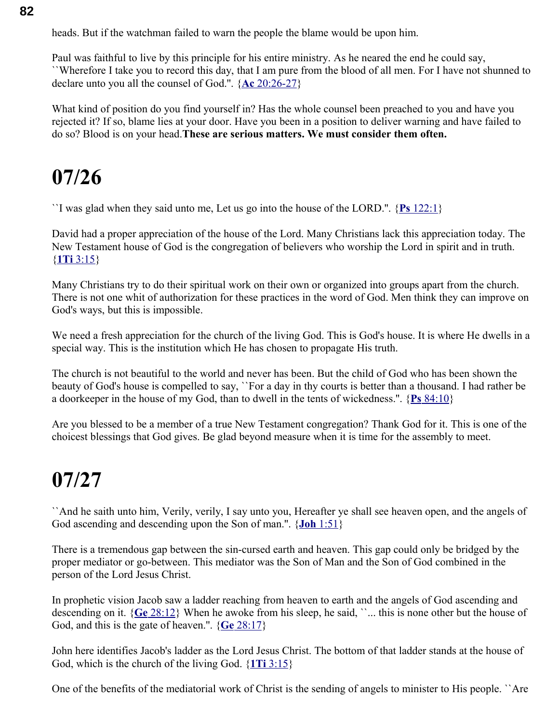heads. But if the watchman failed to warn the people the blame would be upon him.

Paul was faithful to live by this principle for his entire ministry. As he neared the end he could say, ``Wherefore I take you to record this day, that I am pure from the blood of all men. For I have not shunned to declare unto you all the counsel of God.''. { **Ac** [20:26-27}](swordsearcher://bible/Ac20.26-27)

What kind of position do you find yourself in? Has the whole counsel been preached to you and have you rejected it? If so, blame lies at your door. Have you been in a position to deliver warning and have failed to do so? Blood is on your head.**These are serious matters. We must consider them often.** 

## **07/26**

``I was glad when they said unto me, Let us go into the house of the LORD.''. { **Ps** [122:1}](swordsearcher://bible/Ps122.1)

David had a proper appreciation of the house of the Lord. Many Christians lack this appreciation today. The New Testament house of God is the congregation of believers who worship the Lord in spirit and in truth. { **1Ti** [3:15}](swordsearcher://bible/1Ti3.15)

Many Christians try to do their spiritual work on their own or organized into groups apart from the church. There is not one whit of authorization for these practices in the word of God. Men think they can improve on God's ways, but this is impossible.

We need a fresh appreciation for the church of the living God. This is God's house. It is where He dwells in a special way. This is the institution which He has chosen to propagate His truth.

The church is not beautiful to the world and never has been. But the child of God who has been shown the beauty of God's house is compelled to say, ``For a day in thy courts is better than a thousand. I had rather be a doorkeeper in the house of my God, than to dwell in the tents of wickedness.''. { **Ps** [84:10}](swordsearcher://bible/Ps84.10)

Are you blessed to be a member of a true New Testament congregation? Thank God for it. This is one of the choicest blessings that God gives. Be glad beyond measure when it is time for the assembly to meet.

#### **07/27**

``And he saith unto him, Verily, verily, I say unto you, Hereafter ye shall see heaven open, and the angels of God ascending and descending upon the Son of man.''. { **Joh** [1:51}](swordsearcher://bible/Joh1.51)

There is a tremendous gap between the sin-cursed earth and heaven. This gap could only be bridged by the proper mediator or go-between. This mediator was the Son of Man and the Son of God combined in the person of the Lord Jesus Christ.

In prophetic vision Jacob saw a ladder reaching from heaven to earth and the angels of God ascending and descending on it. {**Ge** [28:12}](swordsearcher://bible/Ge28.12) When he awoke from his sleep, he said, ``... this is none other but the house of God, and this is the gate of heaven.''. { **Ge** [28:17}](swordsearcher://bible/Ge28.17)

John here identifies Jacob's ladder as the Lord Jesus Christ. The bottom of that ladder stands at the house of God, which is the church of the living God. { **1Ti** [3:15}](swordsearcher://bible/1Ti3.15)

One of the benefits of the mediatorial work of Christ is the sending of angels to minister to His people. ``Are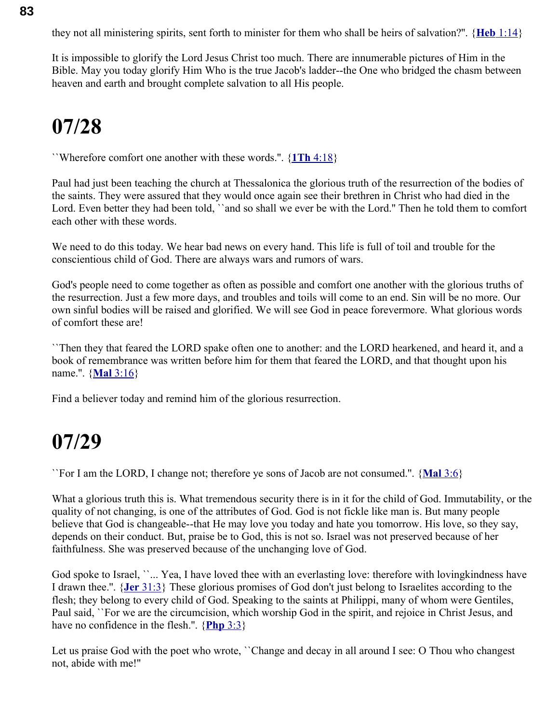they not all ministering spirits, sent forth to minister for them who shall be heirs of salvation?''. { **Heb** [1:14}](swordsearcher://bible/Heb1.14)

It is impossible to glorify the Lord Jesus Christ too much. There are innumerable pictures of Him in the Bible. May you today glorify Him Who is the true Jacob's ladder--the One who bridged the chasm between heaven and earth and brought complete salvation to all His people.

### **07/28**

``Wherefore comfort one another with these words.''. { **1Th** [4:18}](swordsearcher://bible/1Th4.18)

Paul had just been teaching the church at Thessalonica the glorious truth of the resurrection of the bodies of the saints. They were assured that they would once again see their brethren in Christ who had died in the Lord. Even better they had been told, "and so shall we ever be with the Lord." Then he told them to comfort each other with these words.

We need to do this today. We hear bad news on every hand. This life is full of toil and trouble for the conscientious child of God. There are always wars and rumors of wars.

God's people need to come together as often as possible and comfort one another with the glorious truths of the resurrection. Just a few more days, and troubles and toils will come to an end. Sin will be no more. Our own sinful bodies will be raised and glorified. We will see God in peace forevermore. What glorious words of comfort these are!

``Then they that feared the LORD spake often one to another: and the LORD hearkened, and heard it, and a book of remembrance was written before him for them that feared the LORD, and that thought upon his name.''. { **Mal** [3:16}](swordsearcher://bible/Mal3.16)

Find a believer today and remind him of the glorious resurrection.

#### **07/29**

``For I am the LORD, I change not; therefore ye sons of Jacob are not consumed.''. { **[Mal](swordsearcher://bible/Mal3.6)** 3:6}

What a glorious truth this is. What tremendous security there is in it for the child of God. Immutability, or the quality of not changing, is one of the attributes of God. God is not fickle like man is. But many people believe that God is changeable--that He may love you today and hate you tomorrow. His love, so they say, depends on their conduct. But, praise be to God, this is not so. Israel was not preserved because of her faithfulness. She was preserved because of the unchanging love of God.

God spoke to Israel, ``... Yea, I have loved thee with an everlasting love: therefore with lovingkindness have I drawn thee.''. { **Jer** [31:3}](swordsearcher://bible/Jer31.3) These glorious promises of God don't just belong to Israelites according to the flesh; they belong to every child of God. Speaking to the saints at Philippi, many of whom were Gentiles, Paul said, ``For we are the circumcision, which worship God in the spirit, and rejoice in Christ Jesus, and have no confidence in the flesh.''. { **[Php](swordsearcher://bible/Php3.3)** 3:3}

Let us praise God with the poet who wrote, ``Change and decay in all around I see: O Thou who changest not, abide with me!''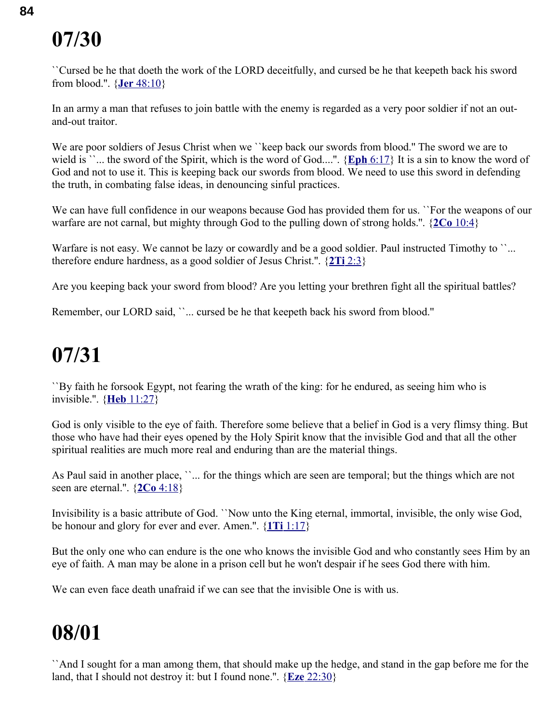``Cursed be he that doeth the work of the LORD deceitfully, and cursed be he that keepeth back his sword from blood.''. { **Jer** [48:10}](swordsearcher://bible/Jer48.10)

In an army a man that refuses to join battle with the enemy is regarded as a very poor soldier if not an outand-out traitor.

We are poor soldiers of Jesus Christ when we "keep back our swords from blood." The sword we are to wield is ``... the sword of the Spirit, which is the word of God....". {**Eph** [6:17}](swordsearcher://bible/Eph6.17) It is a sin to know the word of God and not to use it. This is keeping back our swords from blood. We need to use this sword in defending the truth, in combating false ideas, in denouncing sinful practices.

We can have full confidence in our weapons because God has provided them for us. ``For the weapons of our warfare are not carnal, but mighty through God to the pulling down of strong holds.''. { **2Co** [10:4}](swordsearcher://bible/2Co10.4)

Warfare is not easy. We cannot be lazy or cowardly and be a good soldier. Paul instructed Timothy to "... therefore endure hardness, as a good soldier of Jesus Christ.''. { **2Ti** [2:3}](swordsearcher://bible/2Ti2.3)

Are you keeping back your sword from blood? Are you letting your brethren fight all the spiritual battles?

Remember, our LORD said, ``... cursed be he that keepeth back his sword from blood."

## **07/31**

``By faith he forsook Egypt, not fearing the wrath of the king: for he endured, as seeing him who is invisible.''. { **Heb** [11:27}](swordsearcher://bible/Heb11.27)

God is only visible to the eye of faith. Therefore some believe that a belief in God is a very flimsy thing. But those who have had their eyes opened by the Holy Spirit know that the invisible God and that all the other spiritual realities are much more real and enduring than are the material things.

As Paul said in another place, ''... for the things which are seen are temporal; but the things which are not seen are eternal.''. { **2Co** [4:18}](swordsearcher://bible/2Co4.18)

Invisibility is a basic attribute of God. ``Now unto the King eternal, immortal, invisible, the only wise God, be honour and glory for ever and ever. Amen.''. { **1Ti** [1:17}](swordsearcher://bible/1Ti1.17)

But the only one who can endure is the one who knows the invisible God and who constantly sees Him by an eye of faith. A man may be alone in a prison cell but he won't despair if he sees God there with him.

We can even face death unafraid if we can see that the invisible One is with us.

### **08/01**

``And I sought for a man among them, that should make up the hedge, and stand in the gap before me for the land, that I should not destroy it: but I found none.''. { **Eze** [22:30}](swordsearcher://bible/Eze22.30)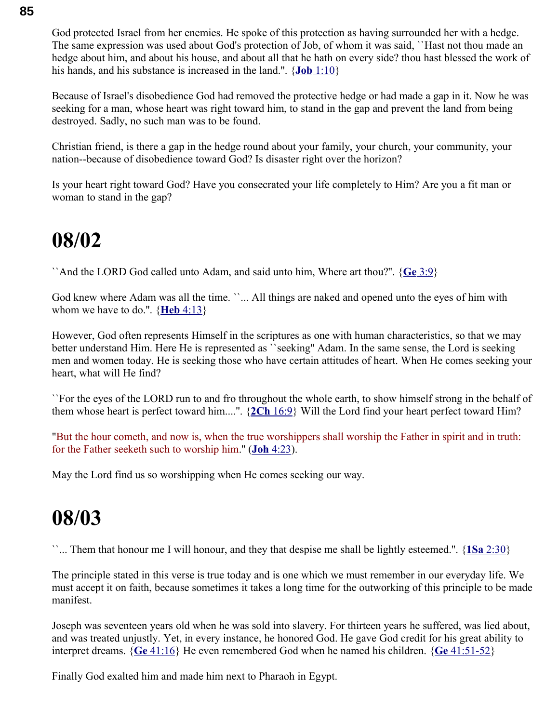God protected Israel from her enemies. He spoke of this protection as having surrounded her with a hedge. The same expression was used about God's protection of Job, of whom it was said, ``Hast not thou made an hedge about him, and about his house, and about all that he hath on every side? thou hast blessed the work of his hands, and his substance is increased in the land.''. { **Job** [1:10}](swordsearcher://bible/Job1.10)

Because of Israel's disobedience God had removed the protective hedge or had made a gap in it. Now he was seeking for a man, whose heart was right toward him, to stand in the gap and prevent the land from being destroyed. Sadly, no such man was to be found.

Christian friend, is there a gap in the hedge round about your family, your church, your community, your nation--because of disobedience toward God? Is disaster right over the horizon?

Is your heart right toward God? Have you consecrated your life completely to Him? Are you a fit man or woman to stand in the gap?

#### **08/02**

``And the LORD God called unto Adam, and said unto him, Where art thou?''. { **Ge** [3:9}](swordsearcher://bible/Ge3.9)

God knew where Adam was all the time. ``... All things are naked and opened unto the eyes of him with whom we have to do.''. { **Heb** [4:13}](swordsearcher://bible/Heb4.13)

However, God often represents Himself in the scriptures as one with human characteristics, so that we may better understand Him. Here He is represented as ``seeking'' Adam. In the same sense, the Lord is seeking men and women today. He is seeking those who have certain attitudes of heart. When He comes seeking your heart, what will He find?

``For the eyes of the LORD run to and fro throughout the whole earth, to show himself strong in the behalf of them whose heart is perfect toward him....''. { **2Ch** [16:9}](swordsearcher://bible/2Ch16.9) Will the Lord find your heart perfect toward Him?

"But the hour cometh, and now is, when the true worshippers shall worship the Father in spirit and in truth: for the Father seeketh such to worship him.'' ( **Joh** [4:23\)](swordsearcher://bible/Joh4.23).

May the Lord find us so worshipping when He comes seeking our way.

#### **08/03**

``... Them that honour me I will honour, and they that despise me shall be lightly esteemed.''. { **1Sa** [2:30}](swordsearcher://bible/1Sa2.30)

The principle stated in this verse is true today and is one which we must remember in our everyday life. We must accept it on faith, because sometimes it takes a long time for the outworking of this principle to be made manifest.

Joseph was seventeen years old when he was sold into slavery. For thirteen years he suffered, was lied about, and was treated unjustly. Yet, in every instance, he honored God. He gave God credit for his great ability to interpret dreams. { **Ge** [41:16}](swordsearcher://bible/Ge41.16) He even remembered God when he named his children. { **Ge** [41:51-52}](swordsearcher://bible/Ge41.51-52)

Finally God exalted him and made him next to Pharaoh in Egypt.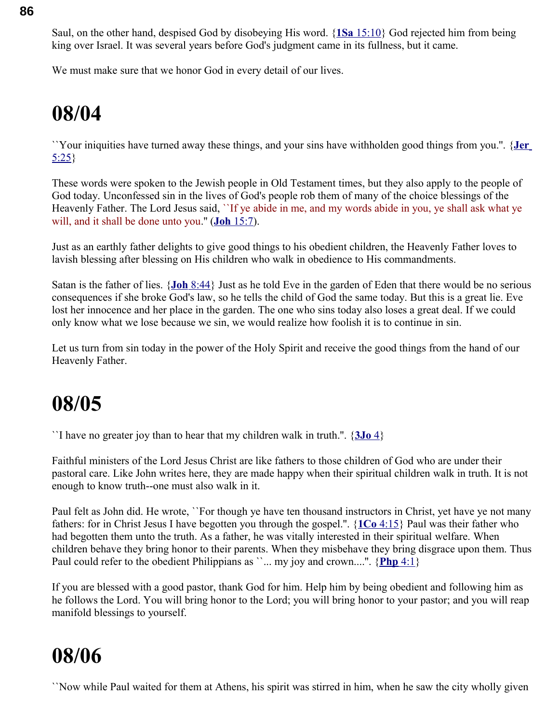Saul, on the other hand, despised God by disobeying His word. { **1Sa** [15:10}](swordsearcher://bible/1Sa15.10) God rejected him from being king over Israel. It was several years before God's judgment came in its fullness, but it came.

We must make sure that we honor God in every detail of our lives.

## **08/04**

``Your iniquities have turned away these things, and your sins have withholden good things from you.''. { **[Jer](swordsearcher://bible/Jer5.25)** [5:25}](swordsearcher://bible/Jer5.25)

These words were spoken to the Jewish people in Old Testament times, but they also apply to the people of God today. Unconfessed sin in the lives of God's people rob them of many of the choice blessings of the Heavenly Father. The Lord Jesus said, ``If ye abide in me, and my words abide in you, ye shall ask what ye will, and it shall be done unto you." (**Joh** [15:7\)](swordsearcher://bible/Joh15.7).

Just as an earthly father delights to give good things to his obedient children, the Heavenly Father loves to lavish blessing after blessing on His children who walk in obedience to His commandments.

Satan is the father of lies. { **Joh** [8:44}](swordsearcher://bible/Joh8.44) Just as he told Eve in the garden of Eden that there would be no serious consequences if she broke God's law, so he tells the child of God the same today. But this is a great lie. Eve lost her innocence and her place in the garden. The one who sins today also loses a great deal. If we could only know what we lose because we sin, we would realize how foolish it is to continue in sin.

Let us turn from sin today in the power of the Holy Spirit and receive the good things from the hand of our Heavenly Father.

### **08/05**

``I have no greater joy than to hear that my children walk in truth.''. { **[3Jo](swordsearcher://bible/3Jo1.4)** 4}

Faithful ministers of the Lord Jesus Christ are like fathers to those children of God who are under their pastoral care. Like John writes here, they are made happy when their spiritual children walk in truth. It is not enough to know truth--one must also walk in it.

Paul felt as John did. He wrote, ``For though ye have ten thousand instructors in Christ, yet have ye not many fathers: for in Christ Jesus I have begotten you through the gospel.''. { **1Co** [4:15}](swordsearcher://bible/1Co4.15) Paul was their father who had begotten them unto the truth. As a father, he was vitally interested in their spiritual welfare. When children behave they bring honor to their parents. When they misbehave they bring disgrace upon them. Thus Paul could refer to the obedient Philippians as ``... my joy and crown....". {**Php** 4:1}

If you are blessed with a good pastor, thank God for him. Help him by being obedient and following him as he follows the Lord. You will bring honor to the Lord; you will bring honor to your pastor; and you will reap manifold blessings to yourself.

## **08/06**

``Now while Paul waited for them at Athens, his spirit was stirred in him, when he saw the city wholly given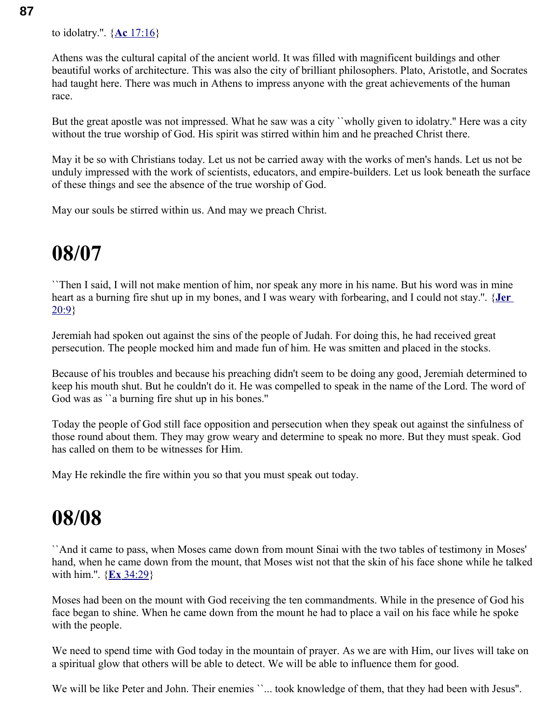Athens was the cultural capital of the ancient world. It was filled with magnificent buildings and other beautiful works of architecture. This was also the city of brilliant philosophers. Plato, Aristotle, and Socrates had taught here. There was much in Athens to impress anyone with the great achievements of the human race.

But the great apostle was not impressed. What he saw was a city ``wholly given to idolatry.'' Here was a city without the true worship of God. His spirit was stirred within him and he preached Christ there.

May it be so with Christians today. Let us not be carried away with the works of men's hands. Let us not be unduly impressed with the work of scientists, educators, and empire-builders. Let us look beneath the surface of these things and see the absence of the true worship of God.

May our souls be stirred within us. And may we preach Christ.

## **08/07**

``Then I said, I will not make mention of him, nor speak any more in his name. But his word was in mine heart as a burning fire shut up in my bones, and I was weary with forbearing, and I could not stay.''. { **[Jer](swordsearcher://bible/Jer20.9)** [20:9}](swordsearcher://bible/Jer20.9)

Jeremiah had spoken out against the sins of the people of Judah. For doing this, he had received great persecution. The people mocked him and made fun of him. He was smitten and placed in the stocks.

Because of his troubles and because his preaching didn't seem to be doing any good, Jeremiah determined to keep his mouth shut. But he couldn't do it. He was compelled to speak in the name of the Lord. The word of God was as "a burning fire shut up in his bones."

Today the people of God still face opposition and persecution when they speak out against the sinfulness of those round about them. They may grow weary and determine to speak no more. But they must speak. God has called on them to be witnesses for Him.

May He rekindle the fire within you so that you must speak out today.

### **08/08**

``And it came to pass, when Moses came down from mount Sinai with the two tables of testimony in Moses' hand, when he came down from the mount, that Moses wist not that the skin of his face shone while he talked with him.''. { **Ex** [34:29}](swordsearcher://bible/Ex34.29)

Moses had been on the mount with God receiving the ten commandments. While in the presence of God his face began to shine. When he came down from the mount he had to place a vail on his face while he spoke with the people.

We need to spend time with God today in the mountain of prayer. As we are with Him, our lives will take on a spiritual glow that others will be able to detect. We will be able to influence them for good.

We will be like Peter and John. Their enemies ``... took knowledge of them, that they had been with Jesus".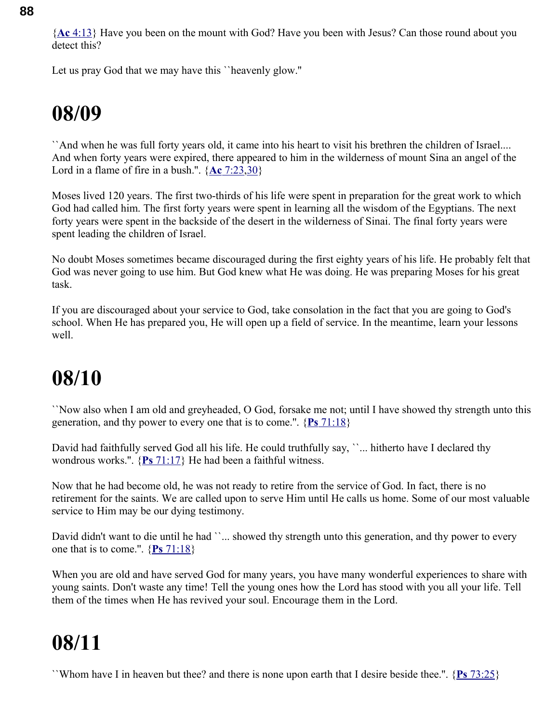{ **Ac** [4:13}](swordsearcher://bible/Ac4.13) Have you been on the mount with God? Have you been with Jesus? Can those round about you detect this?

Let us pray God that we may have this ``heavenly glow.''

## **08/09**

``And when he was full forty years old, it came into his heart to visit his brethren the children of Israel.... And when forty years were expired, there appeared to him in the wilderness of mount Sina an angel of the Lord in a flame of fire in a bush.".  $\{Ac \, 7:23,30\}$  $\{Ac \, 7:23,30\}$  $\{Ac \, 7:23,30\}$ 

Moses lived 120 years. The first two-thirds of his life were spent in preparation for the great work to which God had called him. The first forty years were spent in learning all the wisdom of the Egyptians. The next forty years were spent in the backside of the desert in the wilderness of Sinai. The final forty years were spent leading the children of Israel.

No doubt Moses sometimes became discouraged during the first eighty years of his life. He probably felt that God was never going to use him. But God knew what He was doing. He was preparing Moses for his great task.

If you are discouraged about your service to God, take consolation in the fact that you are going to God's school. When He has prepared you, He will open up a field of service. In the meantime, learn your lessons well.

### **08/10**

``Now also when I am old and greyheaded, O God, forsake me not; until I have showed thy strength unto this generation, and thy power to every one that is to come.''. { **Ps** [71:18}](swordsearcher://bible/Ps71.18)

David had faithfully served God all his life. He could truthfully say, "... hitherto have I declared thy wondrous works.''. { **Ps** [71:17}](swordsearcher://bible/Ps71.17) He had been a faithful witness.

Now that he had become old, he was not ready to retire from the service of God. In fact, there is no retirement for the saints. We are called upon to serve Him until He calls us home. Some of our most valuable service to Him may be our dying testimony.

David didn't want to die until he had ''... showed thy strength unto this generation, and thy power to every one that is to come.''. { **Ps** [71:18}](swordsearcher://bible/Ps71.18)

When you are old and have served God for many years, you have many wonderful experiences to share with young saints. Don't waste any time! Tell the young ones how the Lord has stood with you all your life. Tell them of the times when He has revived your soul. Encourage them in the Lord.

## **08/11**

``Whom have I in heaven but thee? and there is none upon earth that I desire beside thee.''. { **Ps** [73:25}](swordsearcher://bible/Ps73.25)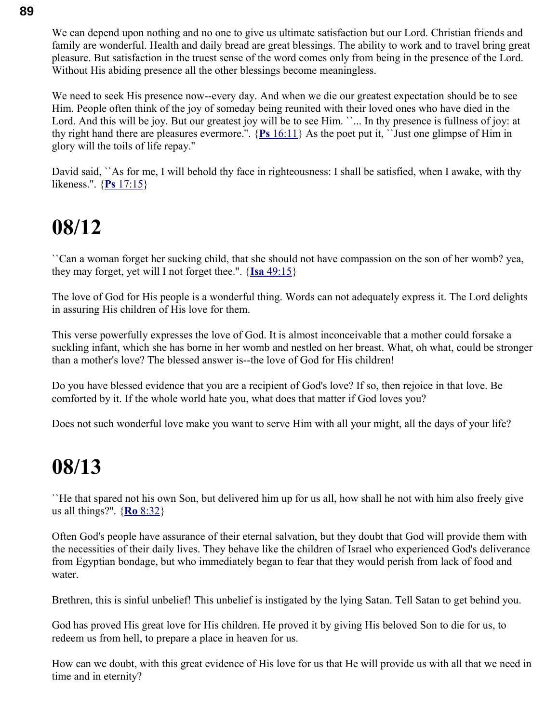We can depend upon nothing and no one to give us ultimate satisfaction but our Lord. Christian friends and family are wonderful. Health and daily bread are great blessings. The ability to work and to travel bring great pleasure. But satisfaction in the truest sense of the word comes only from being in the presence of the Lord. Without His abiding presence all the other blessings become meaningless.

We need to seek His presence now--every day. And when we die our greatest expectation should be to see Him. People often think of the joy of someday being reunited with their loved ones who have died in the Lord. And this will be joy. But our greatest joy will be to see Him. ``... In thy presence is fullness of joy: at thy right hand there are pleasures evermore.''. { **Ps** [16:11}](swordsearcher://bible/Ps16.11) As the poet put it, ``Just one glimpse of Him in glory will the toils of life repay.''

David said, ``As for me, I will behold thy face in righteousness: I shall be satisfied, when I awake, with thy likeness.''. { **Ps** [17:15}](swordsearcher://bible/Ps17.15)

### **08/12**

``Can a woman forget her sucking child, that she should not have compassion on the son of her womb? yea, they may forget, yet will I not forget thee.''. { **Isa** [49:15}](swordsearcher://bible/Isa49.15)

The love of God for His people is a wonderful thing. Words can not adequately express it. The Lord delights in assuring His children of His love for them.

This verse powerfully expresses the love of God. It is almost inconceivable that a mother could forsake a suckling infant, which she has borne in her womb and nestled on her breast. What, oh what, could be stronger than a mother's love? The blessed answer is--the love of God for His children!

Do you have blessed evidence that you are a recipient of God's love? If so, then rejoice in that love. Be comforted by it. If the whole world hate you, what does that matter if God loves you?

Does not such wonderful love make you want to serve Him with all your might, all the days of your life?

#### **08/13**

``He that spared not his own Son, but delivered him up for us all, how shall he not with him also freely give us all things?''. { **Ro** [8:32}](swordsearcher://bible/Ro8.32)

Often God's people have assurance of their eternal salvation, but they doubt that God will provide them with the necessities of their daily lives. They behave like the children of Israel who experienced God's deliverance from Egyptian bondage, but who immediately began to fear that they would perish from lack of food and water.

Brethren, this is sinful unbelief! This unbelief is instigated by the lying Satan. Tell Satan to get behind you.

God has proved His great love for His children. He proved it by giving His beloved Son to die for us, to redeem us from hell, to prepare a place in heaven for us.

How can we doubt, with this great evidence of His love for us that He will provide us with all that we need in time and in eternity?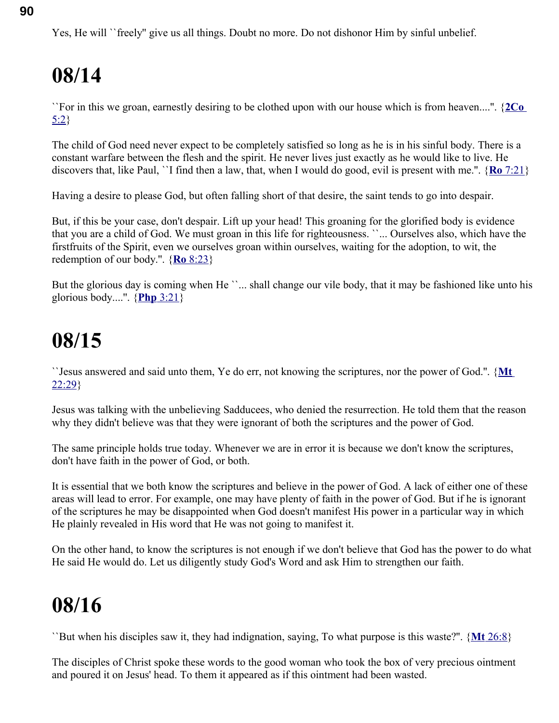``For in this we groan, earnestly desiring to be clothed upon with our house which is from heaven....''. { **[2Co](swordsearcher://bible/2Co5.2)** [5:2}](swordsearcher://bible/2Co5.2)

The child of God need never expect to be completely satisfied so long as he is in his sinful body. There is a constant warfare between the flesh and the spirit. He never lives just exactly as he would like to live. He discovers that, like Paul, ``I find then a law, that, when I would do good, evil is present with me.''. { **Ro** [7:21}](swordsearcher://bible/Ro7.21)

Having a desire to please God, but often falling short of that desire, the saint tends to go into despair.

But, if this be your case, don't despair. Lift up your head! This groaning for the glorified body is evidence that you are a child of God. We must groan in this life for righteousness. ``... Ourselves also, which have the firstfruits of the Spirit, even we ourselves groan within ourselves, waiting for the adoption, to wit, the redemption of our body.''. { **Ro** [8:23}](swordsearcher://bible/Ro8.23)

But the glorious day is coming when He ``... shall change our vile body, that it may be fashioned like unto his glorious body....''. { **Php** [3:21}](swordsearcher://bible/Php3.21)

## **08/15**

``Jesus answered and said unto them, Ye do err, not knowing the scriptures, nor the power of God.''. { **[Mt](swordsearcher://bible/Mt22.29)** [22:29}](swordsearcher://bible/Mt22.29)

Jesus was talking with the unbelieving Sadducees, who denied the resurrection. He told them that the reason why they didn't believe was that they were ignorant of both the scriptures and the power of God.

The same principle holds true today. Whenever we are in error it is because we don't know the scriptures, don't have faith in the power of God, or both.

It is essential that we both know the scriptures and believe in the power of God. A lack of either one of these areas will lead to error. For example, one may have plenty of faith in the power of God. But if he is ignorant of the scriptures he may be disappointed when God doesn't manifest His power in a particular way in which He plainly revealed in His word that He was not going to manifest it.

On the other hand, to know the scriptures is not enough if we don't believe that God has the power to do what He said He would do. Let us diligently study God's Word and ask Him to strengthen our faith.

### **08/16**

``But when his disciples saw it, they had indignation, saying, To what purpose is this waste?''. { **Mt** [26:8}](swordsearcher://bible/Mt26.8)

The disciples of Christ spoke these words to the good woman who took the box of very precious ointment and poured it on Jesus' head. To them it appeared as if this ointment had been wasted.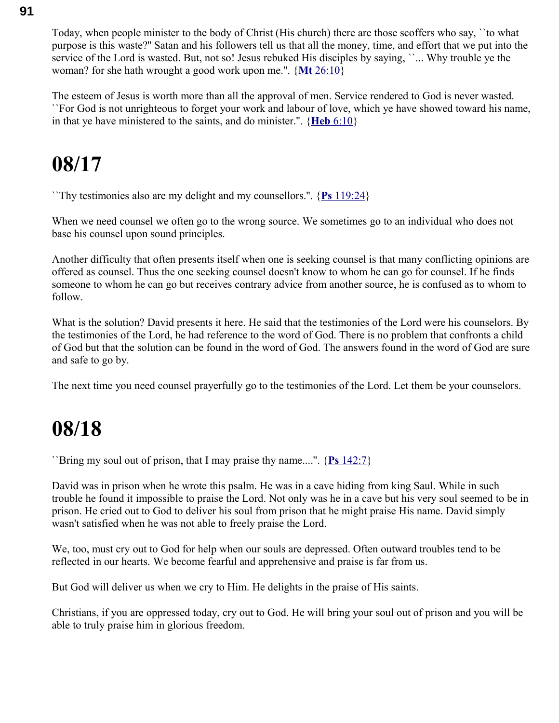Today, when people minister to the body of Christ (His church) there are those scoffers who say, ``to what purpose is this waste?'' Satan and his followers tell us that all the money, time, and effort that we put into the service of the Lord is wasted. But, not so! Jesus rebuked His disciples by saying, "... Why trouble ye the woman? for she hath wrought a good work upon me.''. { **Mt** [26:10}](swordsearcher://bible/Mt26.10)

The esteem of Jesus is worth more than all the approval of men. Service rendered to God is never wasted. ``For God is not unrighteous to forget your work and labour of love, which ye have showed toward his name, in that ye have ministered to the saints, and do minister.''. { **Heb** [6:10}](swordsearcher://bible/Heb6.10)

### **08/17**

``Thy testimonies also are my delight and my counsellors.''. { **Ps** [119:24}](swordsearcher://bible/Ps119.24)

When we need counsel we often go to the wrong source. We sometimes go to an individual who does not base his counsel upon sound principles.

Another difficulty that often presents itself when one is seeking counsel is that many conflicting opinions are offered as counsel. Thus the one seeking counsel doesn't know to whom he can go for counsel. If he finds someone to whom he can go but receives contrary advice from another source, he is confused as to whom to follow.

What is the solution? David presents it here. He said that the testimonies of the Lord were his counselors. By the testimonies of the Lord, he had reference to the word of God. There is no problem that confronts a child of God but that the solution can be found in the word of God. The answers found in the word of God are sure and safe to go by.

The next time you need counsel prayerfully go to the testimonies of the Lord. Let them be your counselors.

#### **08/18**

``Bring my soul out of prison, that I may praise thy name....''. { **Ps** [142:7}](swordsearcher://bible/Ps142.7)

David was in prison when he wrote this psalm. He was in a cave hiding from king Saul. While in such trouble he found it impossible to praise the Lord. Not only was he in a cave but his very soul seemed to be in prison. He cried out to God to deliver his soul from prison that he might praise His name. David simply wasn't satisfied when he was not able to freely praise the Lord.

We, too, must cry out to God for help when our souls are depressed. Often outward troubles tend to be reflected in our hearts. We become fearful and apprehensive and praise is far from us.

But God will deliver us when we cry to Him. He delights in the praise of His saints.

Christians, if you are oppressed today, cry out to God. He will bring your soul out of prison and you will be able to truly praise him in glorious freedom.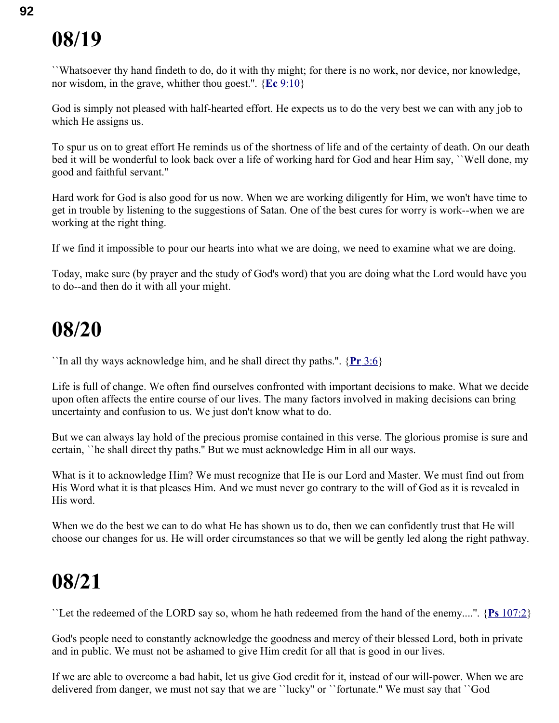``Whatsoever thy hand findeth to do, do it with thy might; for there is no work, nor device, nor knowledge, nor wisdom, in the grave, whither thou goest.''. { **Ec** [9:10}](swordsearcher://bible/Ec9.10)

God is simply not pleased with half-hearted effort. He expects us to do the very best we can with any job to which He assigns us.

To spur us on to great effort He reminds us of the shortness of life and of the certainty of death. On our death bed it will be wonderful to look back over a life of working hard for God and hear Him say, ``Well done, my good and faithful servant.''

Hard work for God is also good for us now. When we are working diligently for Him, we won't have time to get in trouble by listening to the suggestions of Satan. One of the best cures for worry is work--when we are working at the right thing.

If we find it impossible to pour our hearts into what we are doing, we need to examine what we are doing.

Today, make sure (by prayer and the study of God's word) that you are doing what the Lord would have you to do--and then do it with all your might.

#### **08/20**

``In all thy ways acknowledge him, and he shall direct thy paths.''. { **Pr** [3:6}](swordsearcher://bible/Pr3.6)

Life is full of change. We often find ourselves confronted with important decisions to make. What we decide upon often affects the entire course of our lives. The many factors involved in making decisions can bring uncertainty and confusion to us. We just don't know what to do.

But we can always lay hold of the precious promise contained in this verse. The glorious promise is sure and certain, ``he shall direct thy paths.'' But we must acknowledge Him in all our ways.

What is it to acknowledge Him? We must recognize that He is our Lord and Master. We must find out from His Word what it is that pleases Him. And we must never go contrary to the will of God as it is revealed in His word.

When we do the best we can to do what He has shown us to do, then we can confidently trust that He will choose our changes for us. He will order circumstances so that we will be gently led along the right pathway.

## **08/21**

``Let the redeemed of the LORD say so, whom he hath redeemed from the hand of the enemy....''. { **Ps** [107:2}](swordsearcher://bible/Ps107.2)

God's people need to constantly acknowledge the goodness and mercy of their blessed Lord, both in private and in public. We must not be ashamed to give Him credit for all that is good in our lives.

If we are able to overcome a bad habit, let us give God credit for it, instead of our will-power. When we are delivered from danger, we must not say that we are ``lucky'' or ``fortunate.'' We must say that ``God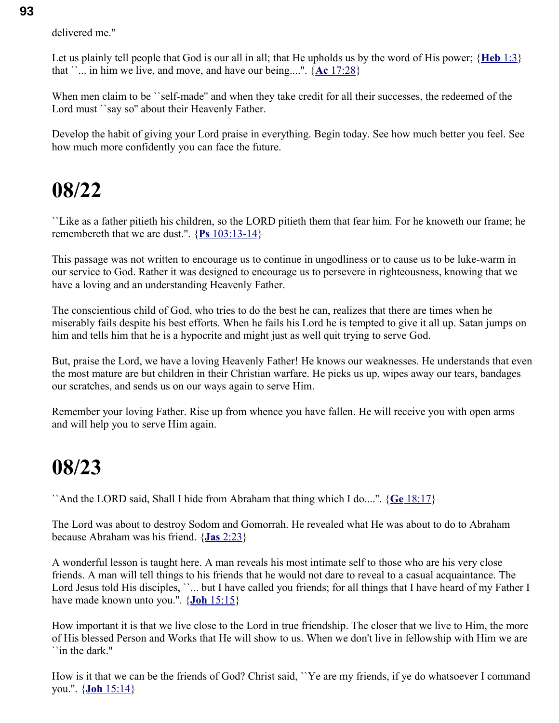delivered me.''

Let us plainly tell people that God is our all in all; that He upholds us by the word of His power; { **[Heb](swordsearcher://bible/Heb1.3)** 1:3} that  $\ldots$  in him we live, and move, and have our being....".  $\{Ac\}$  [17:28}](swordsearcher://bible/Ac17.28)

When men claim to be ``self-made'' and when they take credit for all their successes, the redeemed of the Lord must ''say so" about their Heavenly Father.

Develop the habit of giving your Lord praise in everything. Begin today. See how much better you feel. See how much more confidently you can face the future.

#### **08/22**

``Like as a father pitieth his children, so the LORD pitieth them that fear him. For he knoweth our frame; he remembereth that we are dust.''. { **Ps** [103:13-14}](swordsearcher://bible/Ps103.13-14)

This passage was not written to encourage us to continue in ungodliness or to cause us to be luke-warm in our service to God. Rather it was designed to encourage us to persevere in righteousness, knowing that we have a loving and an understanding Heavenly Father.

The conscientious child of God, who tries to do the best he can, realizes that there are times when he miserably fails despite his best efforts. When he fails his Lord he is tempted to give it all up. Satan jumps on him and tells him that he is a hypocrite and might just as well quit trying to serve God.

But, praise the Lord, we have a loving Heavenly Father! He knows our weaknesses. He understands that even the most mature are but children in their Christian warfare. He picks us up, wipes away our tears, bandages our scratches, and sends us on our ways again to serve Him.

Remember your loving Father. Rise up from whence you have fallen. He will receive you with open arms and will help you to serve Him again.

#### **08/23**

``And the LORD said, Shall I hide from Abraham that thing which I do....''. { **Ge** [18:17}](swordsearcher://bible/Ge18.17)

The Lord was about to destroy Sodom and Gomorrah. He revealed what He was about to do to Abraham because Abraham was his friend. { **Jas** [2:23}](swordsearcher://bible/Jas2.23)

A wonderful lesson is taught here. A man reveals his most intimate self to those who are his very close friends. A man will tell things to his friends that he would not dare to reveal to a casual acquaintance. The Lord Jesus told His disciples, ``... but I have called you friends; for all things that I have heard of my Father I have made known unto you.''. { **Joh** [15:15}](swordsearcher://bible/Joh15.15)

How important it is that we live close to the Lord in true friendship. The closer that we live to Him, the more of His blessed Person and Works that He will show to us. When we don't live in fellowship with Him we are ``in the dark.''

How is it that we can be the friends of God? Christ said, "Ye are my friends, if ye do whatsoever I command you.''. { **Joh** [15:14}](swordsearcher://bible/Joh15.14)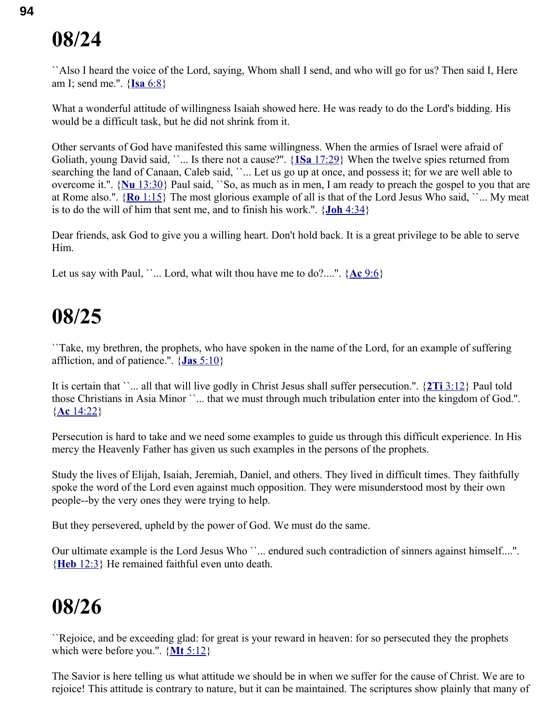``Also I heard the voice of the Lord, saying, Whom shall I send, and who will go for us? Then said I, Here am I; send me.''. { **Isa** [6:8}](swordsearcher://bible/Isa6.8)

What a wonderful attitude of willingness Isaiah showed here. He was ready to do the Lord's bidding. His would be a difficult task, but he did not shrink from it.

Other servants of God have manifested this same willingness. When the armies of Israel were afraid of Goliath, young David said, ``... Is there not a cause?''. { **1Sa** [17:29}](swordsearcher://bible/1Sa17.29) When the twelve spies returned from searching the land of Canaan, Caleb said, ``... Let us go up at once, and possess it; for we are well able to overcome it.''. { **Nu** [13:30}](swordsearcher://bible/Nu13.30) Paul said, ``So, as much as in men, I am ready to preach the gospel to you that are at Rome also.''. { **Ro** [1:15}](swordsearcher://bible/Ro1.15) The most glorious example of all is that of the Lord Jesus Who said, ``... My meat is to do the will of him that sent me, and to finish his work.''. { **Joh** [4:34}](swordsearcher://bible/Joh4.34)

Dear friends, ask God to give you a willing heart. Don't hold back. It is a great privilege to be able to serve Him.

Let us say with Paul, ''... Lord, what wilt thou have me to do?....".  $\{\text{Ac } 9:6\}$ 

#### **08/25**

``Take, my brethren, the prophets, who have spoken in the name of the Lord, for an example of suffering affliction, and of patience.''. { **Jas** [5:10}](swordsearcher://bible/Jas5.10)

It is certain that ``... all that will live godly in Christ Jesus shall suffer persecution.''. { **2Ti** [3:12}](swordsearcher://bible/2Ti3.12) Paul told those Christians in Asia Minor ``... that we must through much tribulation enter into the kingdom of God.''. { **Ac** [14:22}](swordsearcher://bible/Ac14.22)

Persecution is hard to take and we need some examples to guide us through this difficult experience. In His mercy the Heavenly Father has given us such examples in the persons of the prophets.

Study the lives of Elijah, Isaiah, Jeremiah, Daniel, and others. They lived in difficult times. They faithfully spoke the word of the Lord even against much opposition. They were misunderstood most by their own people--by the very ones they were trying to help.

But they persevered, upheld by the power of God. We must do the same.

Our ultimate example is the Lord Jesus Who ``... endured such contradiction of sinners against himself....". { **Heb** [12:3}](swordsearcher://bible/Heb12.3) He remained faithful even unto death.

## **08/26**

``Rejoice, and be exceeding glad: for great is your reward in heaven: for so persecuted they the prophets which were before you.''. { **Mt** [5:12}](swordsearcher://bible/Mt5.12)

The Savior is here telling us what attitude we should be in when we suffer for the cause of Christ. We are to rejoice! This attitude is contrary to nature, but it can be maintained. The scriptures show plainly that many of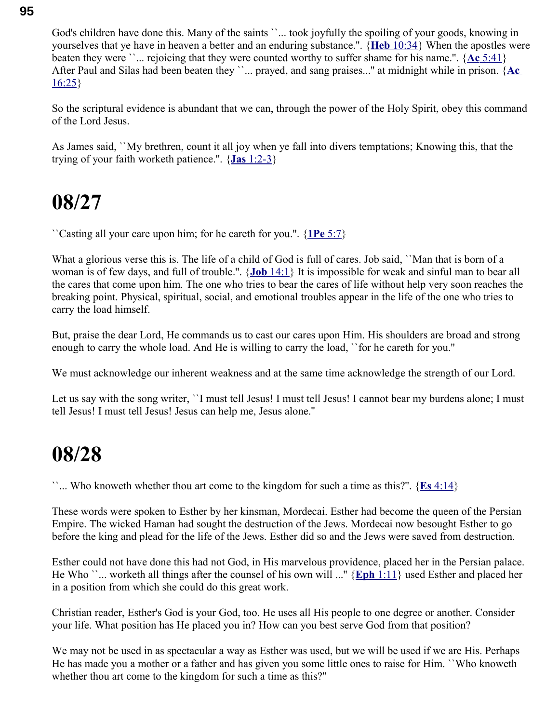God's children have done this. Many of the saints ``... took joyfully the spoiling of your goods, knowing in yourselves that ye have in heaven a better and an enduring substance.''. { **Heb** [10:34}](swordsearcher://bible/Heb10.34) When the apostles were beaten they were ``... rejoicing that they were counted worthy to suffer shame for his name.''. { **Ac** [5:41}](swordsearcher://bible/Ac5.41) After Paul and Silas had been beaten they ``... prayed, and sang praises..." at midnight while in prison. {Ac  $16:25$ 

So the scriptural evidence is abundant that we can, through the power of the Holy Spirit, obey this command of the Lord Jesus.

As James said, ``My brethren, count it all joy when ye fall into divers temptations; Knowing this, that the trying of your faith worketh patience.''. { **Jas** [1:2-3}](swordsearcher://bible/Jas1.2-3)

#### **08/27**

``Casting all your care upon him; for he careth for you.''. { **1Pe** [5:7}](swordsearcher://bible/1Pe5.7)

What a glorious verse this is. The life of a child of God is full of cares. Job said, ``Man that is born of a woman is of few days, and full of trouble.''. { **Job** [14:1}](swordsearcher://bible/Job14.1) It is impossible for weak and sinful man to bear all the cares that come upon him. The one who tries to bear the cares of life without help very soon reaches the breaking point. Physical, spiritual, social, and emotional troubles appear in the life of the one who tries to carry the load himself.

But, praise the dear Lord, He commands us to cast our cares upon Him. His shoulders are broad and strong enough to carry the whole load. And He is willing to carry the load, ``for he careth for you.''

We must acknowledge our inherent weakness and at the same time acknowledge the strength of our Lord.

Let us say with the song writer, ''I must tell Jesus! I must tell Jesus! I cannot bear my burdens alone; I must tell Jesus! I must tell Jesus! Jesus can help me, Jesus alone.''

#### **08/28**

``... Who knoweth whether thou art come to the kingdom for such a time as this?''. { **Es** [4:14}](swordsearcher://bible/Es4.14)

These words were spoken to Esther by her kinsman, Mordecai. Esther had become the queen of the Persian Empire. The wicked Haman had sought the destruction of the Jews. Mordecai now besought Esther to go before the king and plead for the life of the Jews. Esther did so and the Jews were saved from destruction.

Esther could not have done this had not God, in His marvelous providence, placed her in the Persian palace. He Who ``... worketh all things after the counsel of his own will ...'' { **Eph** [1:11}](swordsearcher://bible/Eph1.11) used Esther and placed her in a position from which she could do this great work.

Christian reader, Esther's God is your God, too. He uses all His people to one degree or another. Consider your life. What position has He placed you in? How can you best serve God from that position?

We may not be used in as spectacular a way as Esther was used, but we will be used if we are His. Perhaps He has made you a mother or a father and has given you some little ones to raise for Him. ``Who knoweth whether thou art come to the kingdom for such a time as this?''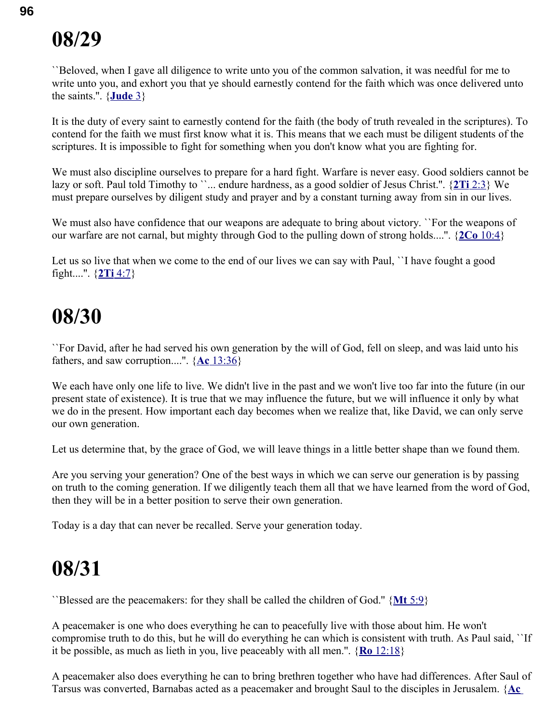``Beloved, when I gave all diligence to write unto you of the common salvation, it was needful for me to write unto you, and exhort you that ye should earnestly contend for the faith which was once delivered unto the saints.''. { **[Jude](swordsearcher://bible/Jude1.3)** 3}

It is the duty of every saint to earnestly contend for the faith (the body of truth revealed in the scriptures). To contend for the faith we must first know what it is. This means that we each must be diligent students of the scriptures. It is impossible to fight for something when you don't know what you are fighting for.

We must also discipline ourselves to prepare for a hard fight. Warfare is never easy. Good soldiers cannot be lazy or soft. Paul told Timothy to ``... endure hardness, as a good soldier of Jesus Christ.". {2Ti [2:3}](swordsearcher://bible/2Ti2.3) We must prepare ourselves by diligent study and prayer and by a constant turning away from sin in our lives.

We must also have confidence that our weapons are adequate to bring about victory. ``For the weapons of our warfare are not carnal, but mighty through God to the pulling down of strong holds....''. { **2Co** [10:4}](swordsearcher://bible/2Co10.4)

Let us so live that when we come to the end of our lives we can say with Paul, "I have fought a good fight....''. { **2Ti** [4:7}](swordsearcher://bible/2Ti4.7)

#### **08/30**

``For David, after he had served his own generation by the will of God, fell on sleep, and was laid unto his fathers, and saw corruption....''. { **Ac** [13:36}](swordsearcher://bible/Ac13.36)

We each have only one life to live. We didn't live in the past and we won't live too far into the future (in our present state of existence). It is true that we may influence the future, but we will influence it only by what we do in the present. How important each day becomes when we realize that, like David, we can only serve our own generation.

Let us determine that, by the grace of God, we will leave things in a little better shape than we found them.

Are you serving your generation? One of the best ways in which we can serve our generation is by passing on truth to the coming generation. If we diligently teach them all that we have learned from the word of God, then they will be in a better position to serve their own generation.

Today is a day that can never be recalled. Serve your generation today.

### **08/31**

``Blessed are the peacemakers: for they shall be called the children of God.'' { **Mt** [5:9}](swordsearcher://bible/Mt5.9)

A peacemaker is one who does everything he can to peacefully live with those about him. He won't compromise truth to do this, but he will do everything he can which is consistent with truth. As Paul said, ``If it be possible, as much as lieth in you, live peaceably with all men.''. { **Ro** [12:18}](swordsearcher://bible/Ro12.18)

A peacemaker also does everything he can to bring brethren together who have had differences. After Saul of Tarsus was converted, Barnabas acted as a peacemaker and brought Saul to the disciples in Jerusalem. { **[Ac](swordsearcher://bible/Ac9.26-27)**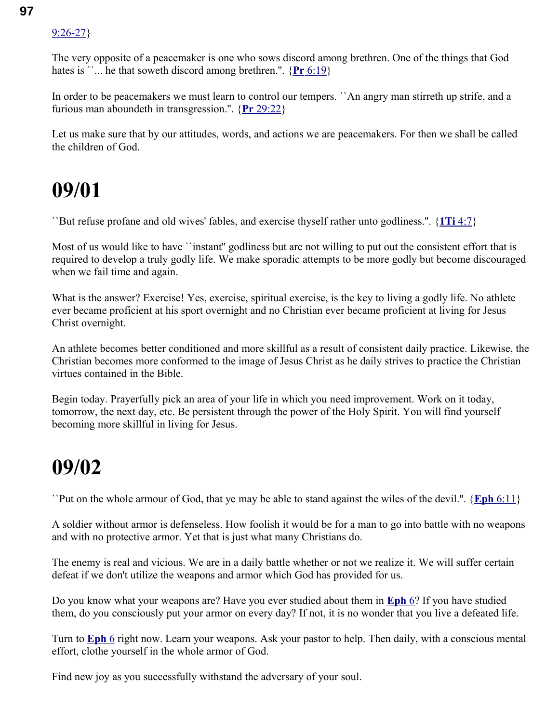#### [9:26-27}](swordsearcher://bible/Ac9.26-27)

The very opposite of a peacemaker is one who sows discord among brethren. One of the things that God hates is  $\ldots$  he that soweth discord among brethren.".  $\{Pr\ 6:19\}$ 

In order to be peacemakers we must learn to control our tempers. `An angry man stirreth up strife, and a furious man aboundeth in transgression.''. { **Pr** [29:22}](swordsearcher://bible/Pr29.22)

Let us make sure that by our attitudes, words, and actions we are peacemakers. For then we shall be called the children of God.

#### **09/01**

``But refuse profane and old wives' fables, and exercise thyself rather unto godliness.''. { **1Ti** [4:7}](swordsearcher://bible/1Ti4.7)

Most of us would like to have "instant" godliness but are not willing to put out the consistent effort that is required to develop a truly godly life. We make sporadic attempts to be more godly but become discouraged when we fail time and again.

What is the answer? Exercise! Yes, exercise, spiritual exercise, is the key to living a godly life. No athlete ever became proficient at his sport overnight and no Christian ever became proficient at living for Jesus Christ overnight.

An athlete becomes better conditioned and more skillful as a result of consistent daily practice. Likewise, the Christian becomes more conformed to the image of Jesus Christ as he daily strives to practice the Christian virtues contained in the Bible.

Begin today. Prayerfully pick an area of your life in which you need improvement. Work on it today, tomorrow, the next day, etc. Be persistent through the power of the Holy Spirit. You will find yourself becoming more skillful in living for Jesus.

#### **09/02**

``Put on the whole armour of God, that ye may be able to stand against the wiles of the devil.''. { **Eph** [6:11}](swordsearcher://bible/Eph6.11)

A soldier without armor is defenseless. How foolish it would be for a man to go into battle with no weapons and with no protective armor. Yet that is just what many Christians do.

The enemy is real and vicious. We are in a daily battle whether or not we realize it. We will suffer certain defeat if we don't utilize the weapons and armor which God has provided for us.

Do you know what your weapons are? Have you ever studied about them in **[Eph](swordsearcher://bible/Eph6)** 6? If you have studied them, do you consciously put your armor on every day? If not, it is no wonder that you live a defeated life.

Turn to **[Eph](swordsearcher://bible/Eph6)** 6 right now. Learn your weapons. Ask your pastor to help. Then daily, with a conscious mental effort, clothe yourself in the whole armor of God.

Find new joy as you successfully withstand the adversary of your soul.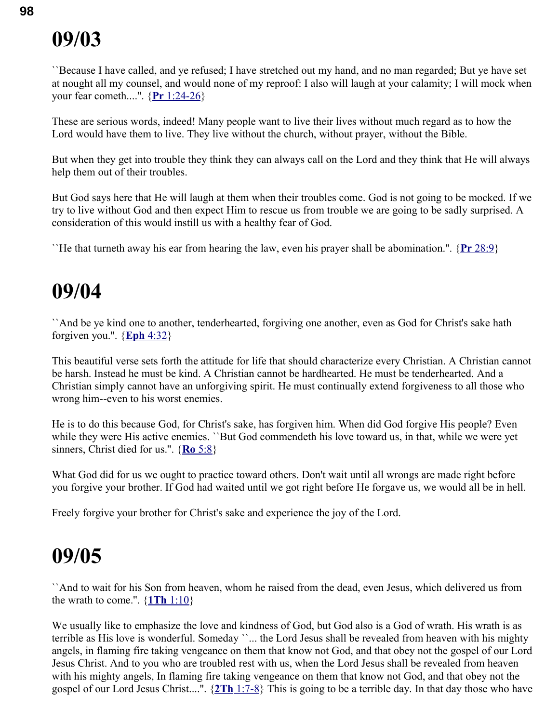``Because I have called, and ye refused; I have stretched out my hand, and no man regarded; But ye have set at nought all my counsel, and would none of my reproof: I also will laugh at your calamity; I will mock when your fear cometh....''. { **Pr** [1:24-26}](swordsearcher://bible/Pr1.24-26)

These are serious words, indeed! Many people want to live their lives without much regard as to how the Lord would have them to live. They live without the church, without prayer, without the Bible.

But when they get into trouble they think they can always call on the Lord and they think that He will always help them out of their troubles.

But God says here that He will laugh at them when their troubles come. God is not going to be mocked. If we try to live without God and then expect Him to rescue us from trouble we are going to be sadly surprised. A consideration of this would instill us with a healthy fear of God.

``He that turneth away his ear from hearing the law, even his prayer shall be abomination.''. { **Pr** [28:9}](swordsearcher://bible/Pr28.9)

#### **09/04**

``And be ye kind one to another, tenderhearted, forgiving one another, even as God for Christ's sake hath forgiven you.''. { **Eph** [4:32}](swordsearcher://bible/Eph4.32)

This beautiful verse sets forth the attitude for life that should characterize every Christian. A Christian cannot be harsh. Instead he must be kind. A Christian cannot be hardhearted. He must be tenderhearted. And a Christian simply cannot have an unforgiving spirit. He must continually extend forgiveness to all those who wrong him--even to his worst enemies.

He is to do this because God, for Christ's sake, has forgiven him. When did God forgive His people? Even while they were His active enemies. ``But God commendeth his love toward us, in that, while we were yet sinners, Christ died for us.''. { **Ro** [5:8}](swordsearcher://bible/Ro5.8)

What God did for us we ought to practice toward others. Don't wait until all wrongs are made right before you forgive your brother. If God had waited until we got right before He forgave us, we would all be in hell.

Freely forgive your brother for Christ's sake and experience the joy of the Lord.

#### **09/05**

``And to wait for his Son from heaven, whom he raised from the dead, even Jesus, which delivered us from the wrath to come.''. { **1Th** [1:10}](swordsearcher://bible/1Th1.10)

We usually like to emphasize the love and kindness of God, but God also is a God of wrath. His wrath is as terrible as His love is wonderful. Someday ``... the Lord Jesus shall be revealed from heaven with his mighty angels, in flaming fire taking vengeance on them that know not God, and that obey not the gospel of our Lord Jesus Christ. And to you who are troubled rest with us, when the Lord Jesus shall be revealed from heaven with his mighty angels, In flaming fire taking vengeance on them that know not God, and that obey not the gospel of our Lord Jesus Christ....''. { **2Th** [1:7-8}](swordsearcher://bible/2Th1.7-8) This is going to be a terrible day. In that day those who have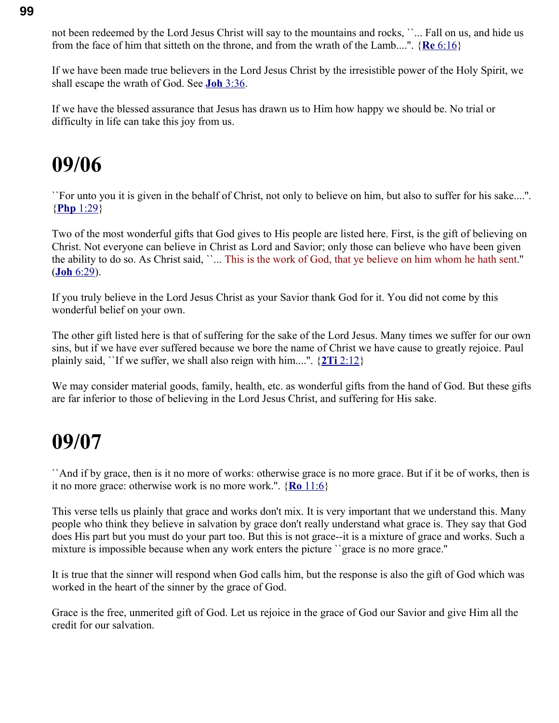not been redeemed by the Lord Jesus Christ will say to the mountains and rocks, ``... Fall on us, and hide us from the face of him that sitteth on the throne, and from the wrath of the Lamb....''. { **Re** [6:16}](swordsearcher://bible/Re6.16)

If we have been made true believers in the Lord Jesus Christ by the irresistible power of the Holy Spirit, we shall escape the wrath of God. See **Joh** [3:36.](swordsearcher://bible/Joh3.36)

If we have the blessed assurance that Jesus has drawn us to Him how happy we should be. No trial or difficulty in life can take this joy from us.

#### **09/06**

``For unto you it is given in the behalf of Christ, not only to believe on him, but also to suffer for his sake....''. { **Php** [1:29}](swordsearcher://bible/Php1.29)

Two of the most wonderful gifts that God gives to His people are listed here. First, is the gift of believing on Christ. Not everyone can believe in Christ as Lord and Savior; only those can believe who have been given the ability to do so. As Christ said, ``... This is the work of God, that ye believe on him whom he hath sent.'' ( **Joh** [6:29\)](swordsearcher://bible/Joh6.29).

If you truly believe in the Lord Jesus Christ as your Savior thank God for it. You did not come by this wonderful belief on your own.

The other gift listed here is that of suffering for the sake of the Lord Jesus. Many times we suffer for our own sins, but if we have ever suffered because we bore the name of Christ we have cause to greatly rejoice. Paul plainly said, "If we suffer, we shall also reign with him....".  $\{2Ti\ 2:12\}$ 

We may consider material goods, family, health, etc. as wonderful gifts from the hand of God. But these gifts are far inferior to those of believing in the Lord Jesus Christ, and suffering for His sake.

#### **09/07**

``And if by grace, then is it no more of works: otherwise grace is no more grace. But if it be of works, then is it no more grace: otherwise work is no more work.''. { **Ro** [11:6}](swordsearcher://bible/Ro11.6)

This verse tells us plainly that grace and works don't mix. It is very important that we understand this. Many people who think they believe in salvation by grace don't really understand what grace is. They say that God does His part but you must do your part too. But this is not grace--it is a mixture of grace and works. Such a mixture is impossible because when any work enters the picture ``grace is no more grace.''

It is true that the sinner will respond when God calls him, but the response is also the gift of God which was worked in the heart of the sinner by the grace of God.

Grace is the free, unmerited gift of God. Let us rejoice in the grace of God our Savior and give Him all the credit for our salvation.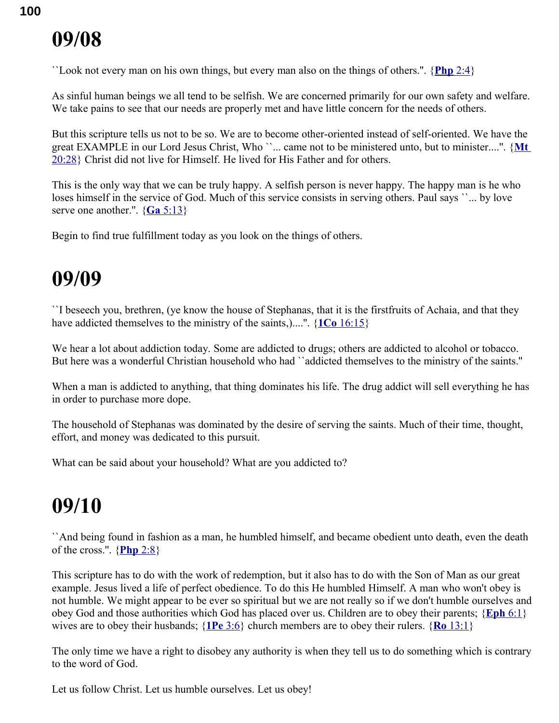``Look not every man on his own things, but every man also on the things of others.''. { **[Php](swordsearcher://bible/Php2.4)** 2:4}

As sinful human beings we all tend to be selfish. We are concerned primarily for our own safety and welfare. We take pains to see that our needs are properly met and have little concern for the needs of others.

But this scripture tells us not to be so. We are to become other-oriented instead of self-oriented. We have the great EXAMPLE in our Lord Jesus Christ, Who ``... came not to be ministered unto, but to minister....". {Mt [20:28}](swordsearcher://bible/Mt20.28) Christ did not live for Himself. He lived for His Father and for others.

This is the only way that we can be truly happy. A selfish person is never happy. The happy man is he who loses himself in the service of God. Much of this service consists in serving others. Paul says ``... by love serve one another.''. { **Ga** [5:13}](swordsearcher://bible/Ga5.13)

Begin to find true fulfillment today as you look on the things of others.

### **09/09**

``I beseech you, brethren, (ye know the house of Stephanas, that it is the firstfruits of Achaia, and that they have addicted themselves to the ministry of the saints,)....''. { **1Co** [16:15}](swordsearcher://bible/1Co16.15)

We hear a lot about addiction today. Some are addicted to drugs; others are addicted to alcohol or tobacco. But here was a wonderful Christian household who had "addicted themselves to the ministry of the saints."

When a man is addicted to anything, that thing dominates his life. The drug addict will sell everything he has in order to purchase more dope.

The household of Stephanas was dominated by the desire of serving the saints. Much of their time, thought, effort, and money was dedicated to this pursuit.

What can be said about your household? What are you addicted to?

## **09/10**

``And being found in fashion as a man, he humbled himself, and became obedient unto death, even the death of the cross.''. { **[Php](swordsearcher://bible/Php2.8)** 2:8}

This scripture has to do with the work of redemption, but it also has to do with the Son of Man as our great example. Jesus lived a life of perfect obedience. To do this He humbled Himself. A man who won't obey is not humble. We might appear to be ever so spiritual but we are not really so if we don't humble ourselves and obey God and those authorities which God has placed over us. Children are to obey their parents; { **[Eph](swordsearcher://bible/Eph6.1)** 6:1} wives are to obey their husbands; { **1Pe** [3:6}](swordsearcher://bible/1Pe3.6) church members are to obey their rulers. { **Ro** [13:1}](swordsearcher://bible/Ro13.1)

The only time we have a right to disobey any authority is when they tell us to do something which is contrary to the word of God.

Let us follow Christ. Let us humble ourselves. Let us obey!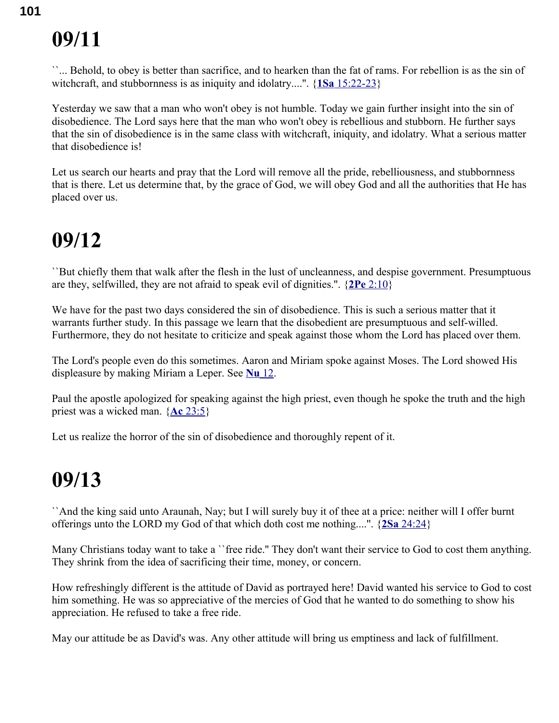``... Behold, to obey is better than sacrifice, and to hearken than the fat of rams. For rebellion is as the sin of witchcraft, and stubbornness is as iniquity and idolatry....''. { **1Sa** [15:22-23}](swordsearcher://bible/1Sa15.22-23)

Yesterday we saw that a man who won't obey is not humble. Today we gain further insight into the sin of disobedience. The Lord says here that the man who won't obey is rebellious and stubborn. He further says that the sin of disobedience is in the same class with witchcraft, iniquity, and idolatry. What a serious matter that disobedience is!

Let us search our hearts and pray that the Lord will remove all the pride, rebelliousness, and stubbornness that is there. Let us determine that, by the grace of God, we will obey God and all the authorities that He has placed over us.

#### **09/12**

``But chiefly them that walk after the flesh in the lust of uncleanness, and despise government. Presumptuous are they, selfwilled, they are not afraid to speak evil of dignities.''. { **2Pe** [2:10}](swordsearcher://bible/2Pe2.10)

We have for the past two days considered the sin of disobedience. This is such a serious matter that it warrants further study. In this passage we learn that the disobedient are presumptuous and self-willed. Furthermore, they do not hesitate to criticize and speak against those whom the Lord has placed over them.

The Lord's people even do this sometimes. Aaron and Miriam spoke against Moses. The Lord showed His displeasure by making Miriam a Leper. See **[Nu](swordsearcher://bible/Nu12)** 12.

Paul the apostle apologized for speaking against the high priest, even though he spoke the truth and the high priest was a wicked man. { **Ac** [23:5}](swordsearcher://bible/Ac23.5)

Let us realize the horror of the sin of disobedience and thoroughly repent of it.

#### **09/13**

``And the king said unto Araunah, Nay; but I will surely buy it of thee at a price: neither will I offer burnt offerings unto the LORD my God of that which doth cost me nothing....''. { **2Sa** [24:24}](swordsearcher://bible/2Sa24.24)

Many Christians today want to take a ``free ride.'' They don't want their service to God to cost them anything. They shrink from the idea of sacrificing their time, money, or concern.

How refreshingly different is the attitude of David as portrayed here! David wanted his service to God to cost him something. He was so appreciative of the mercies of God that he wanted to do something to show his appreciation. He refused to take a free ride.

May our attitude be as David's was. Any other attitude will bring us emptiness and lack of fulfillment.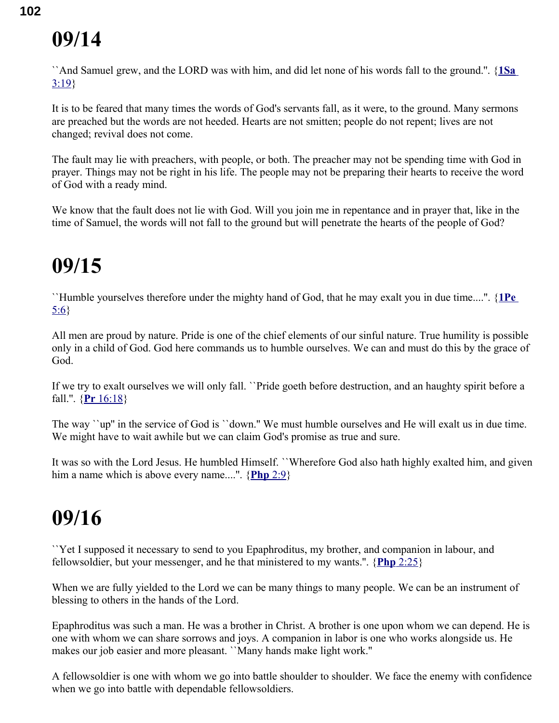``And Samuel grew, and the LORD was with him, and did let none of his words fall to the ground.''. { **[1Sa](swordsearcher://bible/1Sa3.19)** [3:19}](swordsearcher://bible/1Sa3.19)

It is to be feared that many times the words of God's servants fall, as it were, to the ground. Many sermons are preached but the words are not heeded. Hearts are not smitten; people do not repent; lives are not changed; revival does not come.

The fault may lie with preachers, with people, or both. The preacher may not be spending time with God in prayer. Things may not be right in his life. The people may not be preparing their hearts to receive the word of God with a ready mind.

We know that the fault does not lie with God. Will you join me in repentance and in prayer that, like in the time of Samuel, the words will not fall to the ground but will penetrate the hearts of the people of God?

## **09/15**

``Humble yourselves therefore under the mighty hand of God, that he may exalt you in due time....''. { **[1Pe](swordsearcher://bible/1Pe5.6)** [5:6}](swordsearcher://bible/1Pe5.6)

All men are proud by nature. Pride is one of the chief elements of our sinful nature. True humility is possible only in a child of God. God here commands us to humble ourselves. We can and must do this by the grace of God.

If we try to exalt ourselves we will only fall. ``Pride goeth before destruction, and an haughty spirit before a fall.''. { **Pr** [16:18}](swordsearcher://bible/Pr16.18)

The way ``up'' in the service of God is ``down.'' We must humble ourselves and He will exalt us in due time. We might have to wait awhile but we can claim God's promise as true and sure.

It was so with the Lord Jesus. He humbled Himself. ``Wherefore God also hath highly exalted him, and given him a name which is above every name....''. { **[Php](swordsearcher://bible/Php2.9)** 2:9}

## **09/16**

``Yet I supposed it necessary to send to you Epaphroditus, my brother, and companion in labour, and fellowsoldier, but your messenger, and he that ministered to my wants.''. { **Php** [2:25}](swordsearcher://bible/Php2.25)

When we are fully yielded to the Lord we can be many things to many people. We can be an instrument of blessing to others in the hands of the Lord.

Epaphroditus was such a man. He was a brother in Christ. A brother is one upon whom we can depend. He is one with whom we can share sorrows and joys. A companion in labor is one who works alongside us. He makes our job easier and more pleasant. ``Many hands make light work.''

A fellowsoldier is one with whom we go into battle shoulder to shoulder. We face the enemy with confidence when we go into battle with dependable fellowsoldiers.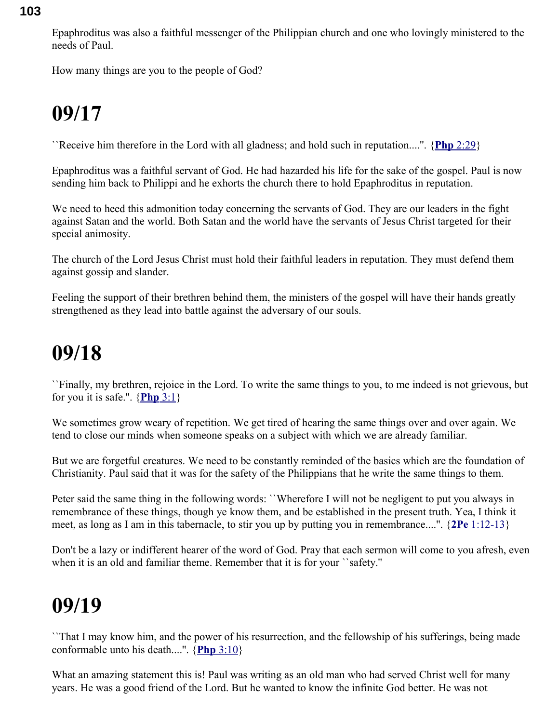Epaphroditus was also a faithful messenger of the Philippian church and one who lovingly ministered to the needs of Paul.

How many things are you to the people of God?

## **09/17**

``Receive him therefore in the Lord with all gladness; and hold such in reputation....''. { **Php** [2:29}](swordsearcher://bible/Php2.29)

Epaphroditus was a faithful servant of God. He had hazarded his life for the sake of the gospel. Paul is now sending him back to Philippi and he exhorts the church there to hold Epaphroditus in reputation.

We need to heed this admonition today concerning the servants of God. They are our leaders in the fight against Satan and the world. Both Satan and the world have the servants of Jesus Christ targeted for their special animosity.

The church of the Lord Jesus Christ must hold their faithful leaders in reputation. They must defend them against gossip and slander.

Feeling the support of their brethren behind them, the ministers of the gospel will have their hands greatly strengthened as they lead into battle against the adversary of our souls.

### **09/18**

``Finally, my brethren, rejoice in the Lord. To write the same things to you, to me indeed is not grievous, but for you it is safe.".  ${Php 3:1}$ 

We sometimes grow weary of repetition. We get tired of hearing the same things over and over again. We tend to close our minds when someone speaks on a subject with which we are already familiar.

But we are forgetful creatures. We need to be constantly reminded of the basics which are the foundation of Christianity. Paul said that it was for the safety of the Philippians that he write the same things to them.

Peter said the same thing in the following words: ``Wherefore I will not be negligent to put you always in remembrance of these things, though ye know them, and be established in the present truth. Yea, I think it meet, as long as I am in this tabernacle, to stir you up by putting you in remembrance....''. { **2Pe** [1:12-13}](swordsearcher://bible/2Pe1.12-13)

Don't be a lazy or indifferent hearer of the word of God. Pray that each sermon will come to you afresh, even when it is an old and familiar theme. Remember that it is for your ``safety.''

## **09/19**

``That I may know him, and the power of his resurrection, and the fellowship of his sufferings, being made conformable unto his death....''. { **Php** [3:10}](swordsearcher://bible/Php3.10)

What an amazing statement this is! Paul was writing as an old man who had served Christ well for many years. He was a good friend of the Lord. But he wanted to know the infinite God better. He was not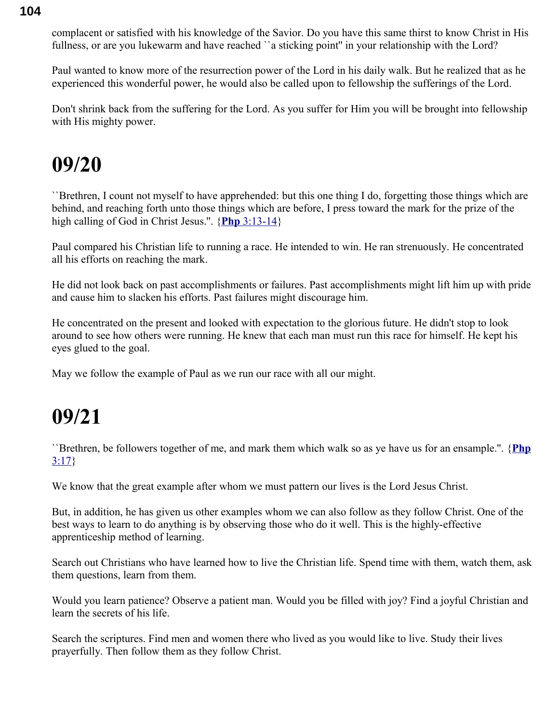complacent or satisfied with his knowledge of the Savior. Do you have this same thirst to know Christ in His fullness, or are you lukewarm and have reached "a sticking point" in your relationship with the Lord?

Paul wanted to know more of the resurrection power of the Lord in his daily walk. But he realized that as he experienced this wonderful power, he would also be called upon to fellowship the sufferings of the Lord.

Don't shrink back from the suffering for the Lord. As you suffer for Him you will be brought into fellowship with His mighty power.

### **09/20**

``Brethren, I count not myself to have apprehended: but this one thing I do, forgetting those things which are behind, and reaching forth unto those things which are before, I press toward the mark for the prize of the high calling of God in Christ Jesus.''. { **Php** [3:13-14}](swordsearcher://bible/Php3.13-14)

Paul compared his Christian life to running a race. He intended to win. He ran strenuously. He concentrated all his efforts on reaching the mark.

He did not look back on past accomplishments or failures. Past accomplishments might lift him up with pride and cause him to slacken his efforts. Past failures might discourage him.

He concentrated on the present and looked with expectation to the glorious future. He didn't stop to look around to see how others were running. He knew that each man must run this race for himself. He kept his eyes glued to the goal.

May we follow the example of Paul as we run our race with all our might.

## **09/21**

``Brethren, be followers together of me, and mark them which walk so as ye have us for an ensample.''. {**[Php](swordsearcher://bible/Php3.17)**  $3:17$ 

We know that the great example after whom we must pattern our lives is the Lord Jesus Christ.

But, in addition, he has given us other examples whom we can also follow as they follow Christ. One of the best ways to learn to do anything is by observing those who do it well. This is the highly-effective apprenticeship method of learning.

Search out Christians who have learned how to live the Christian life. Spend time with them, watch them, ask them questions, learn from them.

Would you learn patience? Observe a patient man. Would you be filled with joy? Find a joyful Christian and learn the secrets of his life.

Search the scriptures. Find men and women there who lived as you would like to live. Study their lives prayerfully. Then follow them as they follow Christ.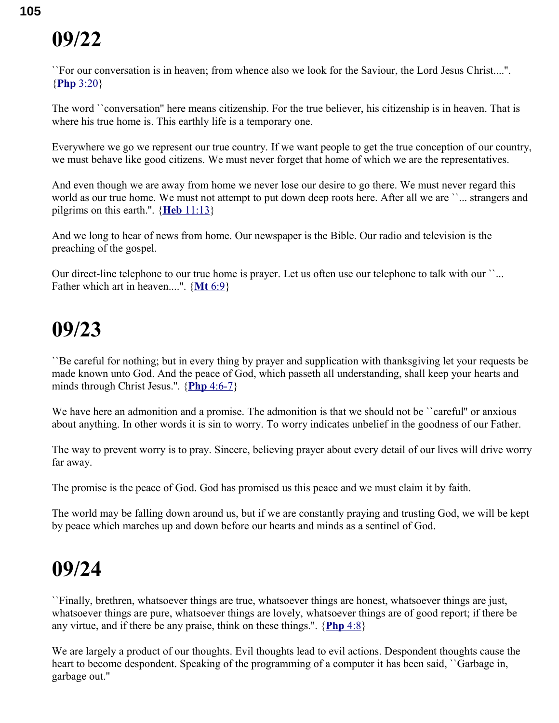``For our conversation is in heaven; from whence also we look for the Saviour, the Lord Jesus Christ....''. { **Php** [3:20}](swordsearcher://bible/Php3.20)

The word ``conversation'' here means citizenship. For the true believer, his citizenship is in heaven. That is where his true home is. This earthly life is a temporary one.

Everywhere we go we represent our true country. If we want people to get the true conception of our country, we must behave like good citizens. We must never forget that home of which we are the representatives.

And even though we are away from home we never lose our desire to go there. We must never regard this world as our true home. We must not attempt to put down deep roots here. After all we are ``... strangers and pilgrims on this earth.''. { **Heb** [11:13}](swordsearcher://bible/Heb11.13)

And we long to hear of news from home. Our newspaper is the Bible. Our radio and television is the preaching of the gospel.

Our direct-line telephone to our true home is prayer. Let us often use our telephone to talk with our ``... Father which art in heaven....''. { **Mt** [6:9}](swordsearcher://bible/Mt6.9)

### **09/23**

``Be careful for nothing; but in every thing by prayer and supplication with thanksgiving let your requests be made known unto God. And the peace of God, which passeth all understanding, shall keep your hearts and minds through Christ Jesus.''. { **Php** [4:6-7}](swordsearcher://bible/Php4.6-7)

We have here an admonition and a promise. The admonition is that we should not be "careful" or anxious about anything. In other words it is sin to worry. To worry indicates unbelief in the goodness of our Father.

The way to prevent worry is to pray. Sincere, believing prayer about every detail of our lives will drive worry far away.

The promise is the peace of God. God has promised us this peace and we must claim it by faith.

The world may be falling down around us, but if we are constantly praying and trusting God, we will be kept by peace which marches up and down before our hearts and minds as a sentinel of God.

### **09/24**

``Finally, brethren, whatsoever things are true, whatsoever things are honest, whatsoever things are just, whatsoever things are pure, whatsoever things are lovely, whatsoever things are of good report; if there be any virtue, and if there be any praise, think on these things.''. { **[Php](swordsearcher://bible/Php4.8)** 4:8}

We are largely a product of our thoughts. Evil thoughts lead to evil actions. Despondent thoughts cause the heart to become despondent. Speaking of the programming of a computer it has been said, ``Garbage in, garbage out.''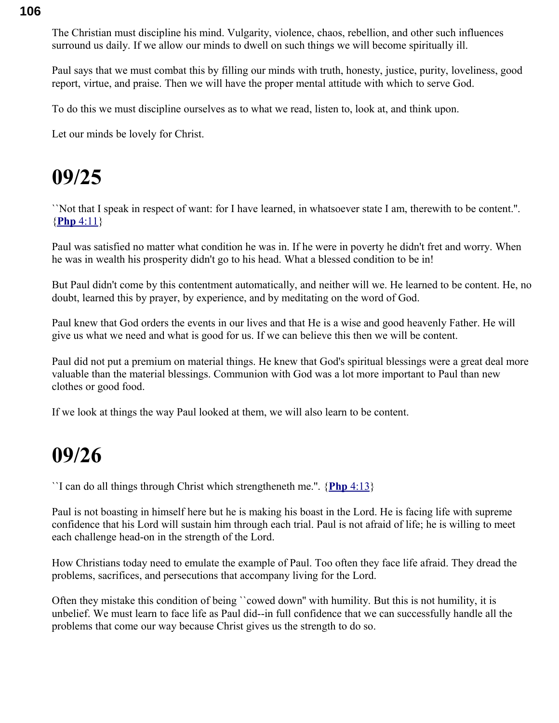The Christian must discipline his mind. Vulgarity, violence, chaos, rebellion, and other such influences surround us daily. If we allow our minds to dwell on such things we will become spiritually ill.

Paul says that we must combat this by filling our minds with truth, honesty, justice, purity, loveliness, good report, virtue, and praise. Then we will have the proper mental attitude with which to serve God.

To do this we must discipline ourselves as to what we read, listen to, look at, and think upon.

Let our minds be lovely for Christ.

### **09/25**

``Not that I speak in respect of want: for I have learned, in whatsoever state I am, therewith to be content.''. { **Php** [4:11}](swordsearcher://bible/Php4.11)

Paul was satisfied no matter what condition he was in. If he were in poverty he didn't fret and worry. When he was in wealth his prosperity didn't go to his head. What a blessed condition to be in!

But Paul didn't come by this contentment automatically, and neither will we. He learned to be content. He, no doubt, learned this by prayer, by experience, and by meditating on the word of God.

Paul knew that God orders the events in our lives and that He is a wise and good heavenly Father. He will give us what we need and what is good for us. If we can believe this then we will be content.

Paul did not put a premium on material things. He knew that God's spiritual blessings were a great deal more valuable than the material blessings. Communion with God was a lot more important to Paul than new clothes or good food.

If we look at things the way Paul looked at them, we will also learn to be content.

#### **09/26**

``I can do all things through Christ which strengtheneth me.''. { **Php** [4:13}](swordsearcher://bible/Php4.13)

Paul is not boasting in himself here but he is making his boast in the Lord. He is facing life with supreme confidence that his Lord will sustain him through each trial. Paul is not afraid of life; he is willing to meet each challenge head-on in the strength of the Lord.

How Christians today need to emulate the example of Paul. Too often they face life afraid. They dread the problems, sacrifices, and persecutions that accompany living for the Lord.

Often they mistake this condition of being ``cowed down'' with humility. But this is not humility, it is unbelief. We must learn to face life as Paul did--in full confidence that we can successfully handle all the problems that come our way because Christ gives us the strength to do so.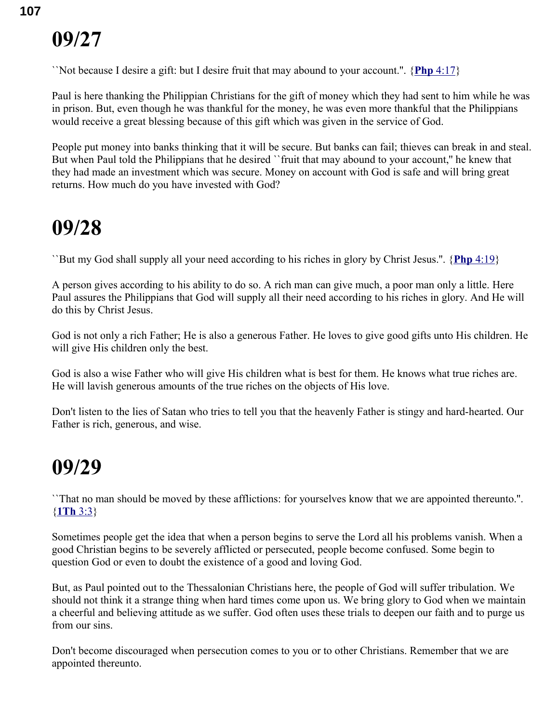``Not because I desire a gift: but I desire fruit that may abound to your account.''. { **Php** [4:17}](swordsearcher://bible/Php4.17)

Paul is here thanking the Philippian Christians for the gift of money which they had sent to him while he was in prison. But, even though he was thankful for the money, he was even more thankful that the Philippians would receive a great blessing because of this gift which was given in the service of God.

People put money into banks thinking that it will be secure. But banks can fail; thieves can break in and steal. But when Paul told the Philippians that he desired "fruit that may abound to your account," he knew that they had made an investment which was secure. Money on account with God is safe and will bring great returns. How much do you have invested with God?

#### **09/28**

``But my God shall supply all your need according to his riches in glory by Christ Jesus.''. { **Php** [4:19}](swordsearcher://bible/Php4.19)

A person gives according to his ability to do so. A rich man can give much, a poor man only a little. Here Paul assures the Philippians that God will supply all their need according to his riches in glory. And He will do this by Christ Jesus.

God is not only a rich Father; He is also a generous Father. He loves to give good gifts unto His children. He will give His children only the best.

God is also a wise Father who will give His children what is best for them. He knows what true riches are. He will lavish generous amounts of the true riches on the objects of His love.

Don't listen to the lies of Satan who tries to tell you that the heavenly Father is stingy and hard-hearted. Our Father is rich, generous, and wise.

### **09/29**

``That no man should be moved by these afflictions: for yourselves know that we are appointed thereunto.''. { **[1Th](swordsearcher://bible/1Th3.3)** 3:3}

Sometimes people get the idea that when a person begins to serve the Lord all his problems vanish. When a good Christian begins to be severely afflicted or persecuted, people become confused. Some begin to question God or even to doubt the existence of a good and loving God.

But, as Paul pointed out to the Thessalonian Christians here, the people of God will suffer tribulation. We should not think it a strange thing when hard times come upon us. We bring glory to God when we maintain a cheerful and believing attitude as we suffer. God often uses these trials to deepen our faith and to purge us from our sins.

Don't become discouraged when persecution comes to you or to other Christians. Remember that we are appointed thereunto.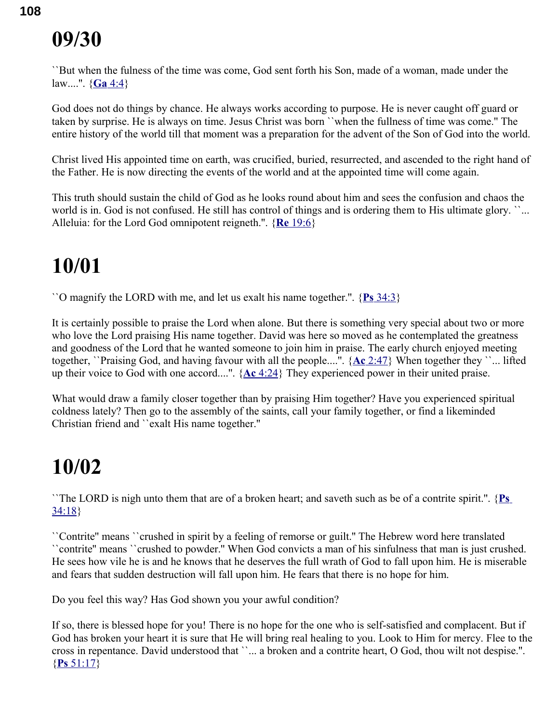``But when the fulness of the time was come, God sent forth his Son, made of a woman, made under the law....''. { **Ga** [4:4}](swordsearcher://bible/Ga4.4)

God does not do things by chance. He always works according to purpose. He is never caught off guard or taken by surprise. He is always on time. Jesus Christ was born ``when the fullness of time was come.'' The entire history of the world till that moment was a preparation for the advent of the Son of God into the world.

Christ lived His appointed time on earth, was crucified, buried, resurrected, and ascended to the right hand of the Father. He is now directing the events of the world and at the appointed time will come again.

This truth should sustain the child of God as he looks round about him and sees the confusion and chaos the world is in. God is not confused. He still has control of things and is ordering them to His ultimate glory. ``... Alleluia: for the Lord God omnipotent reigneth.''. { **Re** [19:6}](swordsearcher://bible/Re19.6)

## **10/01**

``O magnify the LORD with me, and let us exalt his name together.''. { **Ps** [34:3}](swordsearcher://bible/Ps34.3)

It is certainly possible to praise the Lord when alone. But there is something very special about two or more who love the Lord praising His name together. David was here so moved as he contemplated the greatness and goodness of the Lord that he wanted someone to join him in praise. The early church enjoyed meeting together, ``Praising God, and having favour with all the people....''. { **Ac** [2:47}](swordsearcher://bible/Ac2.47) When together they ``... lifted up their voice to God with one accord....''. { **Ac** [4:24}](swordsearcher://bible/Ac4.24) They experienced power in their united praise.

What would draw a family closer together than by praising Him together? Have you experienced spiritual coldness lately? Then go to the assembly of the saints, call your family together, or find a likeminded Christian friend and ``exalt His name together.''

## **10/02**

``The LORD is nigh unto them that are of a broken heart; and saveth such as be of a contrite spirit.''. { **[Ps](swordsearcher://bible/Ps34.18)** [34:18}](swordsearcher://bible/Ps34.18)

``Contrite'' means ``crushed in spirit by a feeling of remorse or guilt.'' The Hebrew word here translated ``contrite'' means ``crushed to powder.'' When God convicts a man of his sinfulness that man is just crushed. He sees how vile he is and he knows that he deserves the full wrath of God to fall upon him. He is miserable and fears that sudden destruction will fall upon him. He fears that there is no hope for him.

Do you feel this way? Has God shown you your awful condition?

If so, there is blessed hope for you! There is no hope for the one who is self-satisfied and complacent. But if God has broken your heart it is sure that He will bring real healing to you. Look to Him for mercy. Flee to the cross in repentance. David understood that ``... a broken and a contrite heart, O God, thou wilt not despise.". { **Ps** [51:17}](swordsearcher://bible/Ps51.17)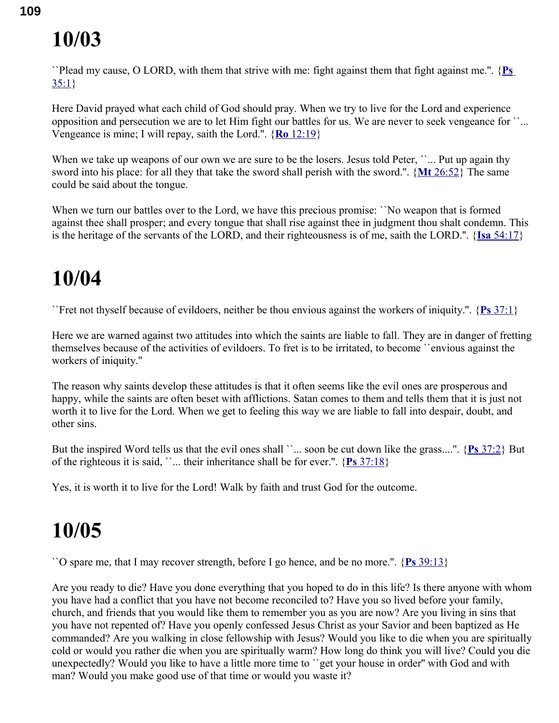``Plead my cause, O LORD, with them that strive with me: fight against them that fight against me.''. { **[Ps](swordsearcher://bible/Ps35.1)**  $35:1$ 

Here David prayed what each child of God should pray. When we try to live for the Lord and experience opposition and persecution we are to let Him fight our battles for us. We are never to seek vengeance for ``... Vengeance is mine; I will repay, saith the Lord.''. { **Ro** [12:19}](swordsearcher://bible/Ro12.19)

When we take up weapons of our own we are sure to be the losers. Jesus told Peter, "... Put up again thy sword into his place: for all they that take the sword shall perish with the sword.''. { **Mt** [26:52}](swordsearcher://bible/Mt26.52) The same could be said about the tongue.

When we turn our battles over to the Lord, we have this precious promise: 'No weapon that is formed against thee shall prosper; and every tongue that shall rise against thee in judgment thou shalt condemn. This is the heritage of the servants of the LORD, and their righteousness is of me, saith the LORD.''. { **Isa** [54:17}](swordsearcher://bible/Isa54.17)

## **10/04**

``Fret not thyself because of evildoers, neither be thou envious against the workers of iniquity.''. { **Ps** [37:1}](swordsearcher://bible/Ps37.1)

Here we are warned against two attitudes into which the saints are liable to fall. They are in danger of fretting themselves because of the activities of evildoers. To fret is to be irritated, to become ``envious against the workers of iniquity.''

The reason why saints develop these attitudes is that it often seems like the evil ones are prosperous and happy, while the saints are often beset with afflictions. Satan comes to them and tells them that it is just not worth it to live for the Lord. When we get to feeling this way we are liable to fall into despair, doubt, and other sins.

But the inspired Word tells us that the evil ones shall ``... soon be cut down like the grass....''. { **Ps** [37:2}](swordsearcher://bible/Ps37.2) But of the righteous it is said, ''... their inheritance shall be for ever.".  $\{P_s\}$  [37:18}](swordsearcher://bible/Ps37.18)

Yes, it is worth it to live for the Lord! Walk by faith and trust God for the outcome.

## **10/05**

``O spare me, that I may recover strength, before I go hence, and be no more.''. { **Ps** [39:13}](swordsearcher://bible/Ps39.13)

Are you ready to die? Have you done everything that you hoped to do in this life? Is there anyone with whom you have had a conflict that you have not become reconciled to? Have you so lived before your family, church, and friends that you would like them to remember you as you are now? Are you living in sins that you have not repented of? Have you openly confessed Jesus Christ as your Savior and been baptized as He commanded? Are you walking in close fellowship with Jesus? Would you like to die when you are spiritually cold or would you rather die when you are spiritually warm? How long do think you will live? Could you die unexpectedly? Would you like to have a little more time to ``get your house in order'' with God and with man? Would you make good use of that time or would you waste it?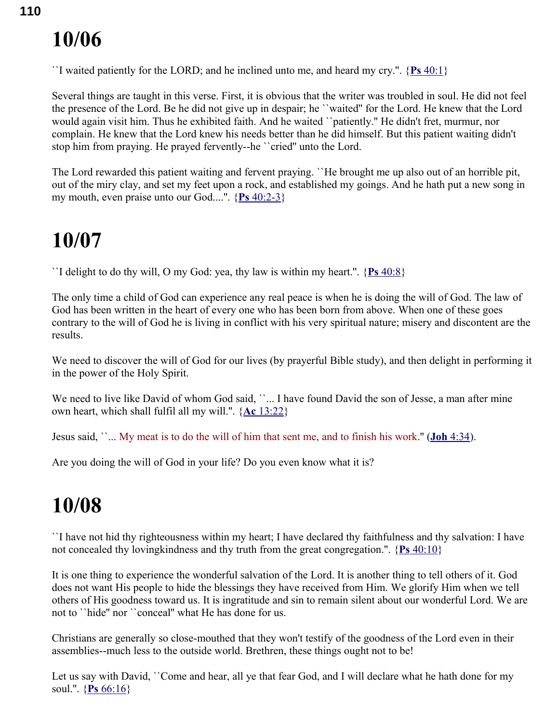``I waited patiently for the LORD; and he inclined unto me, and heard my cry.".  $\{P_s\ 40:1\}$ 

Several things are taught in this verse. First, it is obvious that the writer was troubled in soul. He did not feel the presence of the Lord. Be he did not give up in despair; he ``waited'' for the Lord. He knew that the Lord would again visit him. Thus he exhibited faith. And he waited ``patiently.'' He didn't fret, murmur, nor complain. He knew that the Lord knew his needs better than he did himself. But this patient waiting didn't stop him from praying. He prayed fervently--he ``cried'' unto the Lord.

The Lord rewarded this patient waiting and fervent praying. ``He brought me up also out of an horrible pit, out of the miry clay, and set my feet upon a rock, and established my goings. And he hath put a new song in my mouth, even praise unto our God....''. { **Ps** [40:2-3}](swordsearcher://bible/Ps40.2-3)

#### **10/07**

``I delight to do thy will, O my God: yea, thy law is within my heart.''. { **Ps** [40:8}](swordsearcher://bible/Ps40.8)

The only time a child of God can experience any real peace is when he is doing the will of God. The law of God has been written in the heart of every one who has been born from above. When one of these goes contrary to the will of God he is living in conflict with his very spiritual nature; misery and discontent are the results.

We need to discover the will of God for our lives (by prayerful Bible study), and then delight in performing it in the power of the Holy Spirit.

We need to live like David of whom God said, '`... I have found David the son of Jesse, a man after mine own heart, which shall fulfil all my will.''. { **Ac** [13:22}](swordsearcher://bible/Ac13.22)

Jesus said, ``... My meat is to do the will of him that sent me, and to finish his work.'' ( **Joh** [4:34\)](swordsearcher://bible/Joh4.34).

Are you doing the will of God in your life? Do you even know what it is?

#### **10/08**

``I have not hid thy righteousness within my heart; I have declared thy faithfulness and thy salvation: I have not concealed thy lovingkindness and thy truth from the great congregation.''. { **Ps** [40:10}](swordsearcher://bible/Ps40.10)

It is one thing to experience the wonderful salvation of the Lord. It is another thing to tell others of it. God does not want His people to hide the blessings they have received from Him. We glorify Him when we tell others of His goodness toward us. It is ingratitude and sin to remain silent about our wonderful Lord. We are not to ``hide'' nor ``conceal'' what He has done for us.

Christians are generally so close-mouthed that they won't testify of the goodness of the Lord even in their assemblies--much less to the outside world. Brethren, these things ought not to be!

Let us say with David, ''Come and hear, all ye that fear God, and I will declare what he hath done for my soul.''. { **Ps** [66:16}](swordsearcher://bible/Ps66.16)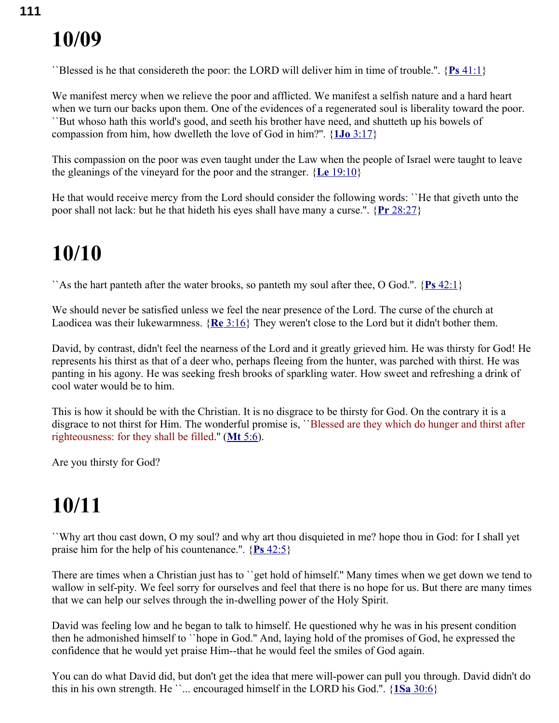``Blessed is he that considereth the poor: the LORD will deliver him in time of trouble.''. { **Ps** [41:1}](swordsearcher://bible/Ps41.1)

We manifest mercy when we relieve the poor and afflicted. We manifest a selfish nature and a hard heart when we turn our backs upon them. One of the evidences of a regenerated soul is liberality toward the poor. ``But whoso hath this world's good, and seeth his brother have need, and shutteth up his bowels of compassion from him, how dwelleth the love of God in him?''. { **1Jo** [3:17}](swordsearcher://bible/1Jo3.17)

This compassion on the poor was even taught under the Law when the people of Israel were taught to leave the gleanings of the vineyard for the poor and the stranger. { **Le** [19:10}](swordsearcher://bible/Le19.10)

He that would receive mercy from the Lord should consider the following words: ``He that giveth unto the poor shall not lack: but he that hideth his eyes shall have many a curse.''. { **Pr** [28:27}](swordsearcher://bible/Pr28.27)

## **10/10**

``As the hart panteth after the water brooks, so panteth my soul after thee, O God.''. { **Ps** [42:1}](swordsearcher://bible/Ps42.1)

We should never be satisfied unless we feel the near presence of the Lord. The curse of the church at Laodicea was their lukewarmness. { **Re** [3:16}](swordsearcher://bible/Re3.16) They weren't close to the Lord but it didn't bother them.

David, by contrast, didn't feel the nearness of the Lord and it greatly grieved him. He was thirsty for God! He represents his thirst as that of a deer who, perhaps fleeing from the hunter, was parched with thirst. He was panting in his agony. He was seeking fresh brooks of sparkling water. How sweet and refreshing a drink of cool water would be to him.

This is how it should be with the Christian. It is no disgrace to be thirsty for God. On the contrary it is a disgrace to not thirst for Him. The wonderful promise is, ``Blessed are they which do hunger and thirst after righteousness: for they shall be filled.'' ( **Mt** [5:6\)](swordsearcher://bible/Mt5.6).

Are you thirsty for God?

## **10/11**

``Why art thou cast down, O my soul? and why art thou disquieted in me? hope thou in God: for I shall yet praise him for the help of his countenance.''. { **Ps** [42:5}](swordsearcher://bible/Ps42.5)

There are times when a Christian just has to ``get hold of himself.'' Many times when we get down we tend to wallow in self-pity. We feel sorry for ourselves and feel that there is no hope for us. But there are many times that we can help our selves through the in-dwelling power of the Holy Spirit.

David was feeling low and he began to talk to himself. He questioned why he was in his present condition then he admonished himself to ``hope in God.'' And, laying hold of the promises of God, he expressed the confidence that he would yet praise Him--that he would feel the smiles of God again.

You can do what David did, but don't get the idea that mere will-power can pull you through. David didn't do this in his own strength. He  $\ldots$  encouraged himself in the LORD his God.".  $\{1Sa\,30:6\}$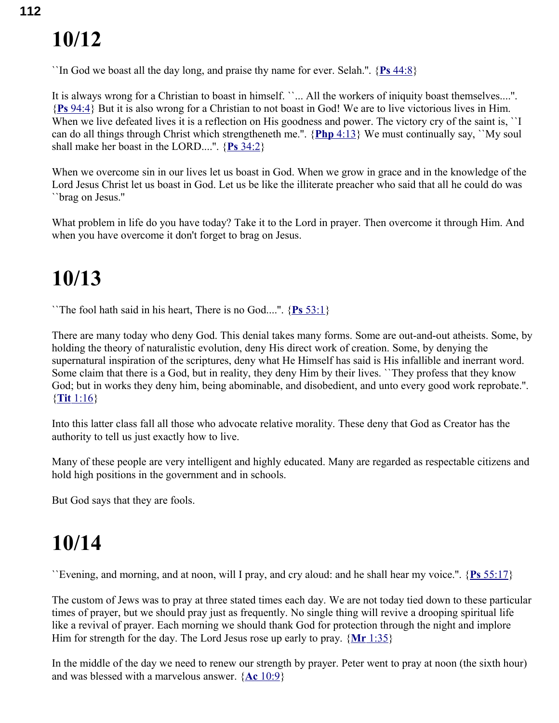``In God we boast all the day long, and praise thy name for ever. Selah.''. { **Ps** [44:8}](swordsearcher://bible/Ps44.8)

It is always wrong for a Christian to boast in himself. ``... All the workers of iniquity boast themselves....''. { **Ps** [94:4}](swordsearcher://bible/Ps94.4) But it is also wrong for a Christian to not boast in God! We are to live victorious lives in Him. When we live defeated lives it is a reflection on His goodness and power. The victory cry of the saint is, "I can do all things through Christ which strengtheneth me.''. { **Php** [4:13}](swordsearcher://bible/Php4.13) We must continually say, ``My soul shall make her boast in the LORD....''. { **Ps** [34:2}](swordsearcher://bible/Ps34.2)

When we overcome sin in our lives let us boast in God. When we grow in grace and in the knowledge of the Lord Jesus Christ let us boast in God. Let us be like the illiterate preacher who said that all he could do was ``brag on Jesus.''

What problem in life do you have today? Take it to the Lord in prayer. Then overcome it through Him. And when you have overcome it don't forget to brag on Jesus.

#### **10/13**

``The fool hath said in his heart, There is no God....''. { **Ps** [53:1}](swordsearcher://bible/Ps53.1)

There are many today who deny God. This denial takes many forms. Some are out-and-out atheists. Some, by holding the theory of naturalistic evolution, deny His direct work of creation. Some, by denying the supernatural inspiration of the scriptures, deny what He Himself has said is His infallible and inerrant word. Some claim that there is a God, but in reality, they deny Him by their lives. ``They profess that they know God; but in works they deny him, being abominable, and disobedient, and unto every good work reprobate.". { **Tit** [1:16}](swordsearcher://bible/Tit1.16)

Into this latter class fall all those who advocate relative morality. These deny that God as Creator has the authority to tell us just exactly how to live.

Many of these people are very intelligent and highly educated. Many are regarded as respectable citizens and hold high positions in the government and in schools.

But God says that they are fools.

## **10/14**

``Evening, and morning, and at noon, will I pray, and cry aloud: and he shall hear my voice.''. { **Ps** [55:17}](swordsearcher://bible/Ps55.17)

The custom of Jews was to pray at three stated times each day. We are not today tied down to these particular times of prayer, but we should pray just as frequently. No single thing will revive a drooping spiritual life like a revival of prayer. Each morning we should thank God for protection through the night and implore Him for strength for the day. The Lord Jesus rose up early to pray. { **Mr** [1:35}](swordsearcher://bible/Mr1.35)

In the middle of the day we need to renew our strength by prayer. Peter went to pray at noon (the sixth hour) and was blessed with a marvelous answer. { **Ac** [10:9}](swordsearcher://bible/Ac10.9)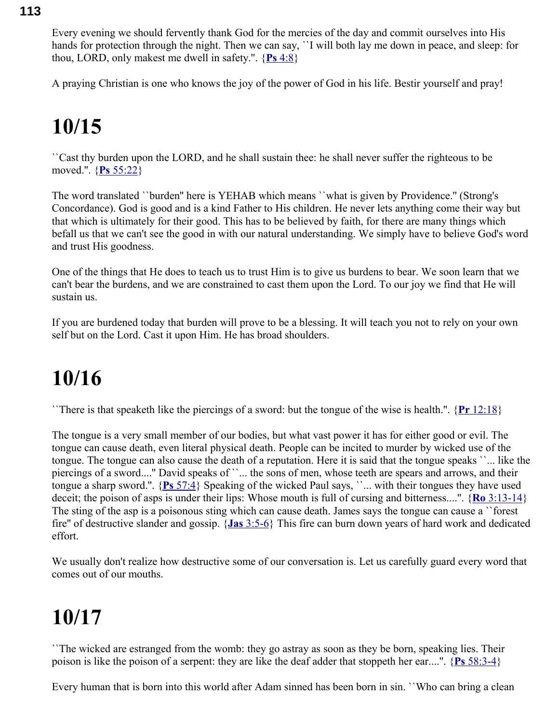Every evening we should fervently thank God for the mercies of the day and commit ourselves into His hands for protection through the night. Then we can say, ``I will both lay me down in peace, and sleep: for thou, LORD, only makest me dwell in safety.''. { **Ps** [4:8}](swordsearcher://bible/Ps4.8)

A praying Christian is one who knows the joy of the power of God in his life. Bestir yourself and pray!

## **10/15**

``Cast thy burden upon the LORD, and he shall sustain thee: he shall never suffer the righteous to be moved.''. { **Ps** [55:22}](swordsearcher://bible/Ps55.22)

The word translated ``burden'' here is YEHAB which means ``what is given by Providence.'' (Strong's Concordance). God is good and is a kind Father to His children. He never lets anything come their way but that which is ultimately for their good. This has to be believed by faith, for there are many things which befall us that we can't see the good in with our natural understanding. We simply have to believe God's word and trust His goodness.

One of the things that He does to teach us to trust Him is to give us burdens to bear. We soon learn that we can't bear the burdens, and we are constrained to cast them upon the Lord. To our joy we find that He will sustain us.

If you are burdened today that burden will prove to be a blessing. It will teach you not to rely on your own self but on the Lord. Cast it upon Him. He has broad shoulders.

#### **10/16**

``There is that speaketh like the piercings of a sword: but the tongue of the wise is health.''. { **Pr** [12:18}](swordsearcher://bible/Pr12.18)

The tongue is a very small member of our bodies, but what vast power it has for either good or evil. The tongue can cause death, even literal physical death. People can be incited to murder by wicked use of the tongue. The tongue can also cause the death of a reputation. Here it is said that the tongue speaks ``... like the piercings of a sword....'' David speaks of ``... the sons of men, whose teeth are spears and arrows, and their tongue a sharp sword.''. { **Ps** [57:4}](swordsearcher://bible/Ps57.4) Speaking of the wicked Paul says, ``... with their tongues they have used deceit; the poison of asps is under their lips: Whose mouth is full of cursing and bitterness....''. { **Ro** [3:13-14}](swordsearcher://bible/Ro3.13-14) The sting of the asp is a poisonous sting which can cause death. James says the tongue can cause a ``forest fire'' of destructive slander and gossip. { **Jas** [3:5-6}](swordsearcher://bible/Jas3.5-6) This fire can burn down years of hard work and dedicated effort.

We usually don't realize how destructive some of our conversation is. Let us carefully guard every word that comes out of our mouths.

## **10/17**

``The wicked are estranged from the womb: they go astray as soon as they be born, speaking lies. Their poison is like the poison of a serpent: they are like the deaf adder that stoppeth her ear....''. { **Ps** [58:3-4}](swordsearcher://bible/Ps58.3-4)

Every human that is born into this world after Adam sinned has been born in sin. ``Who can bring a clean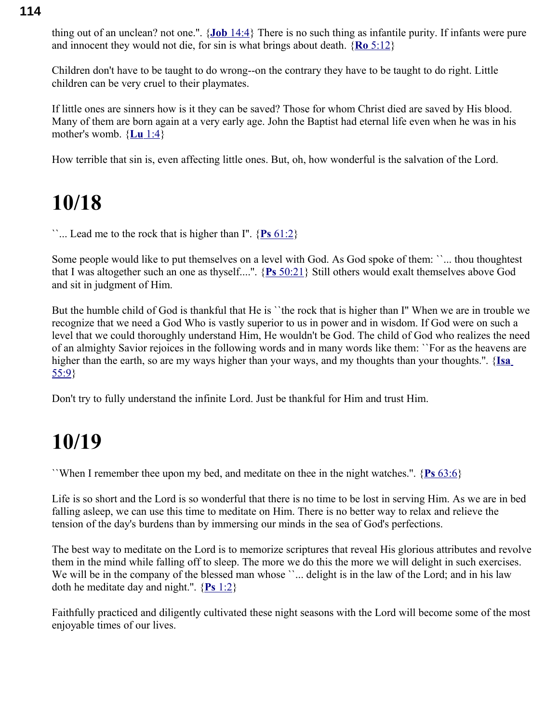thing out of an unclean? not one.''. { **Job** [14:4}](swordsearcher://bible/Job14.4) There is no such thing as infantile purity. If infants were pure and innocent they would not die, for sin is what brings about death. { **Ro** [5:12}](swordsearcher://bible/Ro5.12)

Children don't have to be taught to do wrong--on the contrary they have to be taught to do right. Little children can be very cruel to their playmates.

If little ones are sinners how is it they can be saved? Those for whom Christ died are saved by His blood. Many of them are born again at a very early age. John the Baptist had eternal life even when he was in his mother's womb. { **Lu** [1:4}](swordsearcher://bible/Lu1.4)

How terrible that sin is, even affecting little ones. But, oh, how wonderful is the salvation of the Lord.

#### **10/18**

``... Lead me to the rock that is higher than I''. { **Ps** [61:2}](swordsearcher://bible/Ps61.2)

Some people would like to put themselves on a level with God. As God spoke of them: ``... thou thoughtest that I was altogether such an one as thyself....''. { **Ps** [50:21}](swordsearcher://bible/Ps50.21) Still others would exalt themselves above God and sit in judgment of Him.

But the humble child of God is thankful that He is ``the rock that is higher than I'' When we are in trouble we recognize that we need a God Who is vastly superior to us in power and in wisdom. If God were on such a level that we could thoroughly understand Him, He wouldn't be God. The child of God who realizes the need of an almighty Savior rejoices in the following words and in many words like them: ``For as the heavens are higher than the earth, so are my ways higher than your ways, and my thoughts than your thoughts.''. { **[Isa](swordsearcher://bible/Isa55.9)** [55:9}](swordsearcher://bible/Isa55.9)

Don't try to fully understand the infinite Lord. Just be thankful for Him and trust Him.

## **10/19**

``When I remember thee upon my bed, and meditate on thee in the night watches.''. { **Ps** [63:6}](swordsearcher://bible/Ps63.6)

Life is so short and the Lord is so wonderful that there is no time to be lost in serving Him. As we are in bed falling asleep, we can use this time to meditate on Him. There is no better way to relax and relieve the tension of the day's burdens than by immersing our minds in the sea of God's perfections.

The best way to meditate on the Lord is to memorize scriptures that reveal His glorious attributes and revolve them in the mind while falling off to sleep. The more we do this the more we will delight in such exercises. We will be in the company of the blessed man whose ''... delight is in the law of the Lord; and in his law doth he meditate day and night.''. { **Ps** [1:2}](swordsearcher://bible/Ps1.2)

Faithfully practiced and diligently cultivated these night seasons with the Lord will become some of the most enjoyable times of our lives.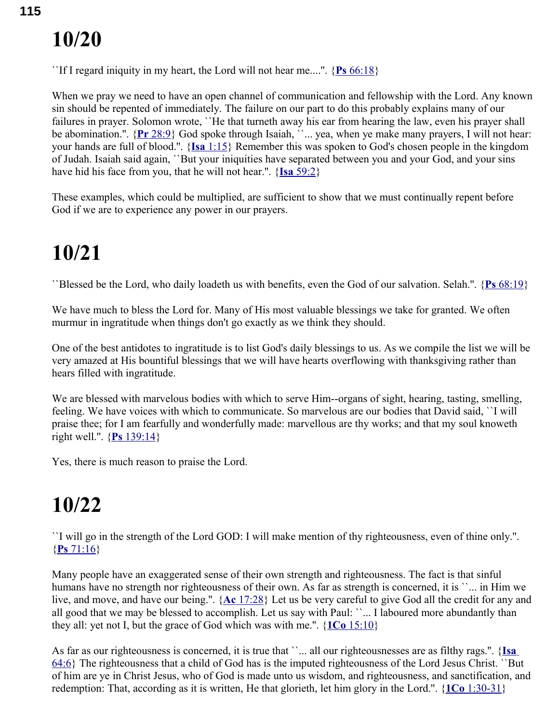``If I regard iniquity in my heart, the Lord will not hear me....''. { **Ps** [66:18}](swordsearcher://bible/Ps66.18)

When we pray we need to have an open channel of communication and fellowship with the Lord. Any known sin should be repented of immediately. The failure on our part to do this probably explains many of our failures in prayer. Solomon wrote, ``He that turneth away his ear from hearing the law, even his prayer shall be abomination.". {Pr [28:9}](swordsearcher://bible/Pr28.9) God spoke through Isaiah, ``... yea, when ye make many prayers, I will not hear: your hands are full of blood.''. { **Isa** [1:15}](swordsearcher://bible/Isa1.15) Remember this was spoken to God's chosen people in the kingdom of Judah. Isaiah said again, ``But your iniquities have separated between you and your God, and your sins have hid his face from you, that he will not hear.''. { **Isa** [59:2}](swordsearcher://bible/Isa59.2)

These examples, which could be multiplied, are sufficient to show that we must continually repent before God if we are to experience any power in our prayers.

## **10/21**

``Blessed be the Lord, who daily loadeth us with benefits, even the God of our salvation. Selah.''. { **Ps** [68:19}](swordsearcher://bible/Ps68.19)

We have much to bless the Lord for. Many of His most valuable blessings we take for granted. We often murmur in ingratitude when things don't go exactly as we think they should.

One of the best antidotes to ingratitude is to list God's daily blessings to us. As we compile the list we will be very amazed at His bountiful blessings that we will have hearts overflowing with thanksgiving rather than hears filled with ingratitude.

We are blessed with marvelous bodies with which to serve Him--organs of sight, hearing, tasting, smelling, feeling. We have voices with which to communicate. So marvelous are our bodies that David said, ``I will praise thee; for I am fearfully and wonderfully made: marvellous are thy works; and that my soul knoweth right well.''. { **Ps** [139:14}](swordsearcher://bible/Ps139.14)

Yes, there is much reason to praise the Lord.

## **10/22**

``I will go in the strength of the Lord GOD: I will make mention of thy righteousness, even of thine only.''. { **Ps** [71:16}](swordsearcher://bible/Ps71.16)

Many people have an exaggerated sense of their own strength and righteousness. The fact is that sinful humans have no strength nor righteousness of their own. As far as strength is concerned, it is ``... in Him we live, and move, and have our being.''. { **Ac** [17:28}](swordsearcher://bible/Ac17.28) Let us be very careful to give God all the credit for any and all good that we may be blessed to accomplish. Let us say with Paul: ``... I laboured more abundantly than they all: yet not I, but the grace of God which was with me.''. { **1Co** [15:10}](swordsearcher://bible/1Co15.10)

As far as our righteousness is concerned, it is true that ``... all our righteousnesses are as filthy rags.". {**Isa** [64:6}](swordsearcher://bible/Isa64.6) The righteousness that a child of God has is the imputed righteousness of the Lord Jesus Christ. ``But of him are ye in Christ Jesus, who of God is made unto us wisdom, and righteousness, and sanctification, and redemption: That, according as it is written, He that glorieth, let him glory in the Lord.''. { **1Co** [1:30-31}](swordsearcher://bible/1Co1.30-31)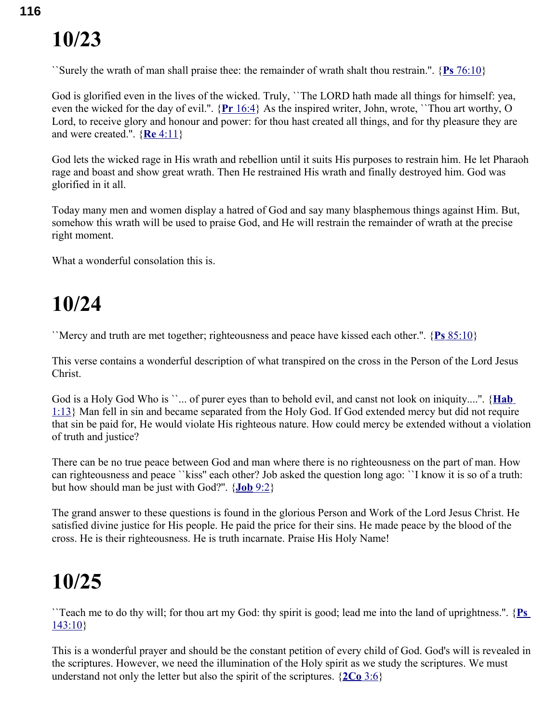``Surely the wrath of man shall praise thee: the remainder of wrath shalt thou restrain.''. { **Ps** [76:10}](swordsearcher://bible/Ps76.10)

God is glorified even in the lives of the wicked. Truly, "The LORD hath made all things for himself: yea, even the wicked for the day of evil.''. { **Pr** [16:4}](swordsearcher://bible/Pr16.4) As the inspired writer, John, wrote, ``Thou art worthy, O Lord, to receive glory and honour and power: for thou hast created all things, and for thy pleasure they are and were created.''. { **Re** [4:11}](swordsearcher://bible/Re4.11)

God lets the wicked rage in His wrath and rebellion until it suits His purposes to restrain him. He let Pharaoh rage and boast and show great wrath. Then He restrained His wrath and finally destroyed him. God was glorified in it all.

Today many men and women display a hatred of God and say many blasphemous things against Him. But, somehow this wrath will be used to praise God, and He will restrain the remainder of wrath at the precise right moment.

What a wonderful consolation this is.

#### **10/24**

``Mercy and truth are met together; righteousness and peace have kissed each other.''. { **Ps** [85:10}](swordsearcher://bible/Ps85.10)

This verse contains a wonderful description of what transpired on the cross in the Person of the Lord Jesus Christ.

God is a Holy God Who is ``... of purer eyes than to behold evil, and canst not look on iniquity....". {**Hab** [1:13}](swordsearcher://bible/Hab1.13) Man fell in sin and became separated from the Holy God. If God extended mercy but did not require that sin be paid for, He would violate His righteous nature. How could mercy be extended without a violation of truth and justice?

There can be no true peace between God and man where there is no righteousness on the part of man. How can righteousness and peace ``kiss'' each other? Job asked the question long ago: ``I know it is so of a truth: but how should man be just with God?''. { **Job** [9:2}](swordsearcher://bible/Job9.2)

The grand answer to these questions is found in the glorious Person and Work of the Lord Jesus Christ. He satisfied divine justice for His people. He paid the price for their sins. He made peace by the blood of the cross. He is their righteousness. He is truth incarnate. Praise His Holy Name!

## **10/25**

``Teach me to do thy will; for thou art my God: thy spirit is good; lead me into the land of uprightness.''. { **[Ps](swordsearcher://bible/Ps143.10)** [143:10}](swordsearcher://bible/Ps143.10)

This is a wonderful prayer and should be the constant petition of every child of God. God's will is revealed in the scriptures. However, we need the illumination of the Holy spirit as we study the scriptures. We must understand not only the letter but also the spirit of the scriptures.  $\{2Co\}3.6\}$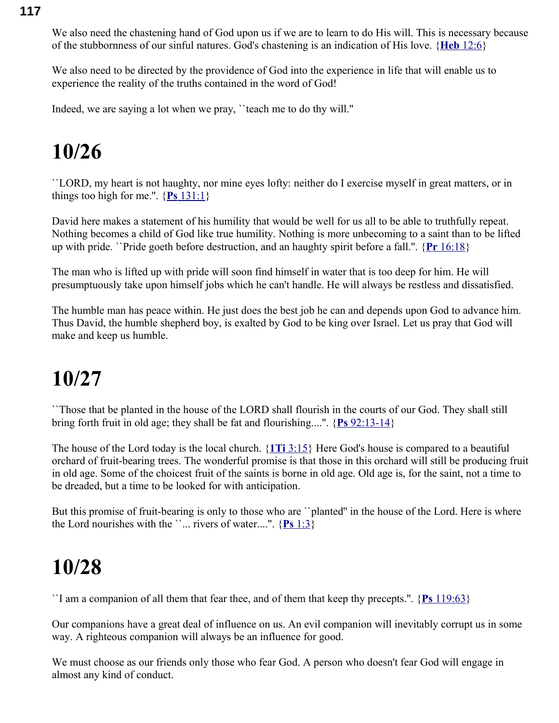We also need the chastening hand of God upon us if we are to learn to do His will. This is necessary because of the stubbornness of our sinful natures. God's chastening is an indication of His love. { **Heb** [12:6}](swordsearcher://bible/Heb12.6)

We also need to be directed by the providence of God into the experience in life that will enable us to experience the reality of the truths contained in the word of God!

Indeed, we are saying a lot when we pray, ``teach me to do thy will.''

#### **10/26**

``LORD, my heart is not haughty, nor mine eyes lofty: neither do I exercise myself in great matters, or in things too high for me.".  ${Ps\ 131:1}$  ${Ps\ 131:1}$ 

David here makes a statement of his humility that would be well for us all to be able to truthfully repeat. Nothing becomes a child of God like true humility. Nothing is more unbecoming to a saint than to be lifted up with pride. ``Pride goeth before destruction, and an haughty spirit before a fall.''. { **Pr** [16:18}](swordsearcher://bible/Pr16.18)

The man who is lifted up with pride will soon find himself in water that is too deep for him. He will presumptuously take upon himself jobs which he can't handle. He will always be restless and dissatisfied.

The humble man has peace within. He just does the best job he can and depends upon God to advance him. Thus David, the humble shepherd boy, is exalted by God to be king over Israel. Let us pray that God will make and keep us humble.

#### **10/27**

``Those that be planted in the house of the LORD shall flourish in the courts of our God. They shall still bring forth fruit in old age; they shall be fat and flourishing....''. { **Ps** [92:13-14}](swordsearcher://bible/Ps92.13-14)

The house of the Lord today is the local church. { **1Ti** [3:15}](swordsearcher://bible/1Ti3.15) Here God's house is compared to a beautiful orchard of fruit-bearing trees. The wonderful promise is that those in this orchard will still be producing fruit in old age. Some of the choicest fruit of the saints is borne in old age. Old age is, for the saint, not a time to be dreaded, but a time to be looked for with anticipation.

But this promise of fruit-bearing is only to those who are ``planted'' in the house of the Lord. Here is where the Lord nourishes with the  $\ldots$  rivers of water....".  $\{Ps\ 1:3\}$ 

#### **10/28**

``I am a companion of all them that fear thee, and of them that keep thy precepts.''. { **Ps** [119:63}](swordsearcher://bible/Ps119.63)

Our companions have a great deal of influence on us. An evil companion will inevitably corrupt us in some way. A righteous companion will always be an influence for good.

We must choose as our friends only those who fear God. A person who doesn't fear God will engage in almost any kind of conduct.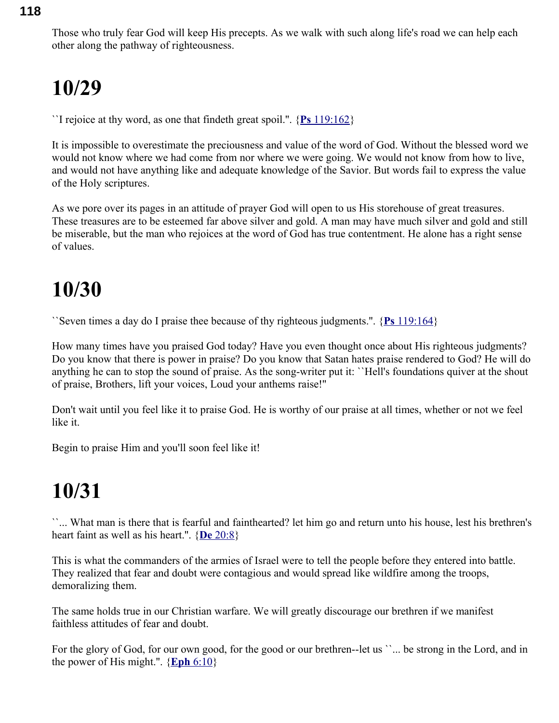Those who truly fear God will keep His precepts. As we walk with such along life's road we can help each other along the pathway of righteousness.

## **10/29**

``I rejoice at thy word, as one that findeth great spoil.''. { **Ps** [119:162}](swordsearcher://bible/Ps119.162)

It is impossible to overestimate the preciousness and value of the word of God. Without the blessed word we would not know where we had come from nor where we were going. We would not know from how to live, and would not have anything like and adequate knowledge of the Savior. But words fail to express the value of the Holy scriptures.

As we pore over its pages in an attitude of prayer God will open to us His storehouse of great treasures. These treasures are to be esteemed far above silver and gold. A man may have much silver and gold and still be miserable, but the man who rejoices at the word of God has true contentment. He alone has a right sense of values.

#### **10/30**

``Seven times a day do I praise thee because of thy righteous judgments.''. { **Ps** [119:164}](swordsearcher://bible/Ps119.164)

How many times have you praised God today? Have you even thought once about His righteous judgments? Do you know that there is power in praise? Do you know that Satan hates praise rendered to God? He will do anything he can to stop the sound of praise. As the song-writer put it: ``Hell's foundations quiver at the shout of praise, Brothers, lift your voices, Loud your anthems raise!''

Don't wait until you feel like it to praise God. He is worthy of our praise at all times, whether or not we feel like it.

Begin to praise Him and you'll soon feel like it!

## **10/31**

``... What man is there that is fearful and fainthearted? let him go and return unto his house, lest his brethren's heart faint as well as his heart.''. { **De** [20:8}](swordsearcher://bible/De20.8)

This is what the commanders of the armies of Israel were to tell the people before they entered into battle. They realized that fear and doubt were contagious and would spread like wildfire among the troops, demoralizing them.

The same holds true in our Christian warfare. We will greatly discourage our brethren if we manifest faithless attitudes of fear and doubt.

For the glory of God, for our own good, for the good or our brethren--let us ''... be strong in the Lord, and in the power of His might.".  ${Eph 6:10}$  ${Eph 6:10}$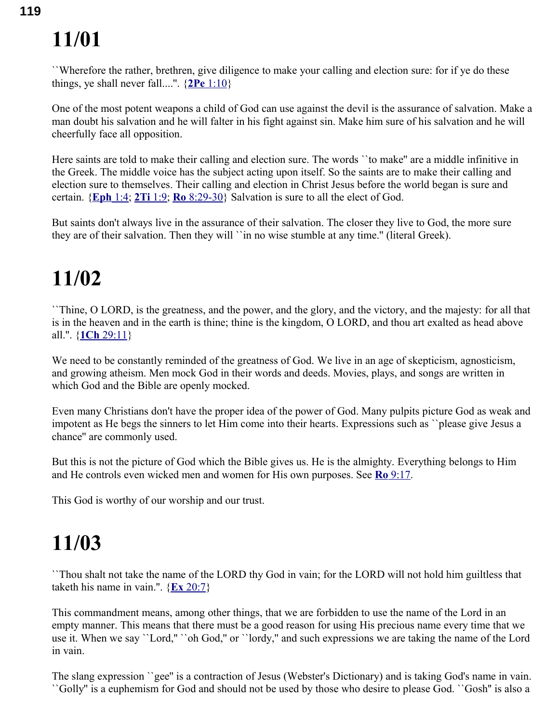``Wherefore the rather, brethren, give diligence to make your calling and election sure: for if ye do these things, ye shall never fall....".  $\{2Pe\}$  [1:10}](swordsearcher://bible/2Pe1.10)

One of the most potent weapons a child of God can use against the devil is the assurance of salvation. Make a man doubt his salvation and he will falter in his fight against sin. Make him sure of his salvation and he will cheerfully face all opposition.

Here saints are told to make their calling and election sure. The words ``to make'' are a middle infinitive in the Greek. The middle voice has the subject acting upon itself. So the saints are to make their calling and election sure to themselves. Their calling and election in Christ Jesus before the world began is sure and certain. { **[Eph](swordsearcher://bible/Eph1.4)** 1:4; **2Ti** [1:9;](swordsearcher://bible/2Ti1.9) **Ro** [8:29-30}](swordsearcher://bible/Ro8.29-30) Salvation is sure to all the elect of God.

But saints don't always live in the assurance of their salvation. The closer they live to God, the more sure they are of their salvation. Then they will ``in no wise stumble at any time.'' (literal Greek).

#### **11/02**

``Thine, O LORD, is the greatness, and the power, and the glory, and the victory, and the majesty: for all that is in the heaven and in the earth is thine; thine is the kingdom, O LORD, and thou art exalted as head above all.''. { **1Ch** [29:11}](swordsearcher://bible/1Ch29.11)

We need to be constantly reminded of the greatness of God. We live in an age of skepticism, agnosticism, and growing atheism. Men mock God in their words and deeds. Movies, plays, and songs are written in which God and the Bible are openly mocked.

Even many Christians don't have the proper idea of the power of God. Many pulpits picture God as weak and impotent as He begs the sinners to let Him come into their hearts. Expressions such as ``please give Jesus a chance'' are commonly used.

But this is not the picture of God which the Bible gives us. He is the almighty. Everything belongs to Him and He controls even wicked men and women for His own purposes. See **Ro** [9:17.](swordsearcher://bible/Ro9.17)

This God is worthy of our worship and our trust.

## **11/03**

``Thou shalt not take the name of the LORD thy God in vain; for the LORD will not hold him guiltless that taketh his name in vain.".  $\{Ex\ 20:7\}$ 

This commandment means, among other things, that we are forbidden to use the name of the Lord in an empty manner. This means that there must be a good reason for using His precious name every time that we use it. When we say ``Lord,'' ``oh God,'' or ``lordy,'' and such expressions we are taking the name of the Lord in vain.

The slang expression ``gee'' is a contraction of Jesus (Webster's Dictionary) and is taking God's name in vain. ``Golly'' is a euphemism for God and should not be used by those who desire to please God. ``Gosh'' is also a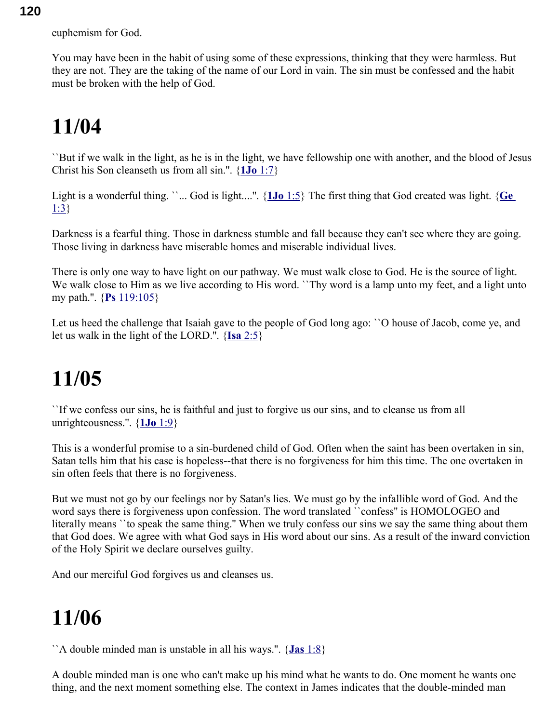euphemism for God.

You may have been in the habit of using some of these expressions, thinking that they were harmless. But they are not. They are the taking of the name of our Lord in vain. The sin must be confessed and the habit must be broken with the help of God.

#### **11/04**

``But if we walk in the light, as he is in the light, we have fellowship one with another, and the blood of Jesus Christ his Son cleanseth us from all sin.''. { **1Jo** [1:7}](swordsearcher://bible/1Jo1.7)

Light is a wonderful thing. ``... God is light....''. { **1Jo** [1:5}](swordsearcher://bible/1Jo1.5) The first thing that God created was light. { **[Ge](swordsearcher://bible/Ge1.3)** [1:3}](swordsearcher://bible/Ge1.3)

Darkness is a fearful thing. Those in darkness stumble and fall because they can't see where they are going. Those living in darkness have miserable homes and miserable individual lives.

There is only one way to have light on our pathway. We must walk close to God. He is the source of light. We walk close to Him as we live according to His word. ``Thy word is a lamp unto my feet, and a light unto my path.''. { **Ps** [119:105}](swordsearcher://bible/Ps119.105)

Let us heed the challenge that Isaiah gave to the people of God long ago: ``O house of Jacob, come ye, and let us walk in the light of the LORD.''. { **Isa** [2:5}](swordsearcher://bible/Isa2.5)

#### **11/05**

``If we confess our sins, he is faithful and just to forgive us our sins, and to cleanse us from all unrighteousness.''. { **1Jo** [1:9}](swordsearcher://bible/1Jo1.9)

This is a wonderful promise to a sin-burdened child of God. Often when the saint has been overtaken in sin, Satan tells him that his case is hopeless--that there is no forgiveness for him this time. The one overtaken in sin often feels that there is no forgiveness.

But we must not go by our feelings nor by Satan's lies. We must go by the infallible word of God. And the word says there is forgiveness upon confession. The word translated ``confess'' is HOMOLOGEO and literally means ``to speak the same thing.'' When we truly confess our sins we say the same thing about them that God does. We agree with what God says in His word about our sins. As a result of the inward conviction of the Holy Spirit we declare ourselves guilty.

And our merciful God forgives us and cleanses us.

#### **11/06**

``A double minded man is unstable in all his ways.''. { **Jas** [1:8}](swordsearcher://bible/Jas1.8)

A double minded man is one who can't make up his mind what he wants to do. One moment he wants one thing, and the next moment something else. The context in James indicates that the double-minded man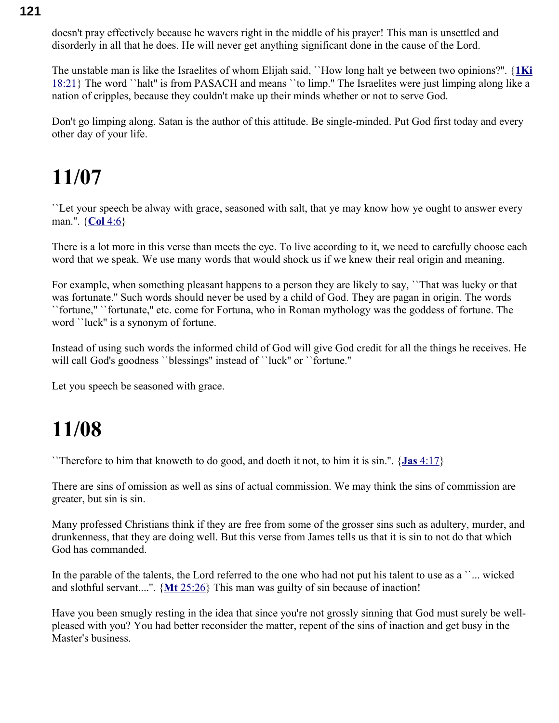doesn't pray effectively because he wavers right in the middle of his prayer! This man is unsettled and disorderly in all that he does. He will never get anything significant done in the cause of the Lord.

The unstable man is like the Israelites of whom Elijah said, ``How long halt ye between two opinions?''. {**[1Ki](swordsearcher://bible/1Ki18.21)** [18:21}](swordsearcher://bible/1Ki18.21) The word ``halt'' is from PASACH and means ``to limp.'' The Israelites were just limping along like a nation of cripples, because they couldn't make up their minds whether or not to serve God.

Don't go limping along. Satan is the author of this attitude. Be single-minded. Put God first today and every other day of your life.

## **11/07**

``Let your speech be alway with grace, seasoned with salt, that ye may know how ye ought to answer every man.''. { **Col** [4:6}](swordsearcher://bible/Col4.6)

There is a lot more in this verse than meets the eye. To live according to it, we need to carefully choose each word that we speak. We use many words that would shock us if we knew their real origin and meaning.

For example, when something pleasant happens to a person they are likely to say, ``That was lucky or that was fortunate.'' Such words should never be used by a child of God. They are pagan in origin. The words ``fortune,'' ``fortunate,'' etc. come for Fortuna, who in Roman mythology was the goddess of fortune. The word ``luck'' is a synonym of fortune.

Instead of using such words the informed child of God will give God credit for all the things he receives. He will call God's goodness ``blessings" instead of ``luck" or ``fortune."

Let you speech be seasoned with grace.

#### **11/08**

``Therefore to him that knoweth to do good, and doeth it not, to him it is sin.''. { **Jas** [4:17}](swordsearcher://bible/Jas4.17)

There are sins of omission as well as sins of actual commission. We may think the sins of commission are greater, but sin is sin.

Many professed Christians think if they are free from some of the grosser sins such as adultery, murder, and drunkenness, that they are doing well. But this verse from James tells us that it is sin to not do that which God has commanded.

In the parable of the talents, the Lord referred to the one who had not put his talent to use as a ``... wicked and slothful servant....''. { **Mt** [25:26}](swordsearcher://bible/Mt25.26) This man was guilty of sin because of inaction!

Have you been smugly resting in the idea that since you're not grossly sinning that God must surely be wellpleased with you? You had better reconsider the matter, repent of the sins of inaction and get busy in the Master's business.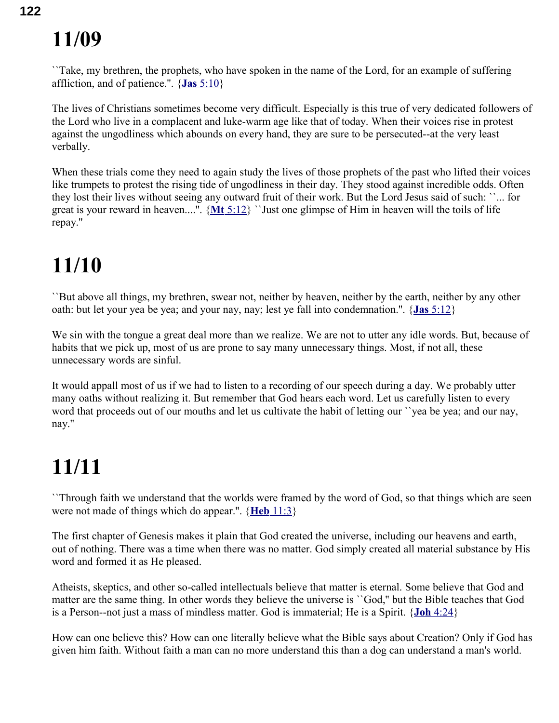``Take, my brethren, the prophets, who have spoken in the name of the Lord, for an example of suffering affliction, and of patience.''. { **Jas** [5:10}](swordsearcher://bible/Jas5.10)

The lives of Christians sometimes become very difficult. Especially is this true of very dedicated followers of the Lord who live in a complacent and luke-warm age like that of today. When their voices rise in protest against the ungodliness which abounds on every hand, they are sure to be persecuted--at the very least verbally.

When these trials come they need to again study the lives of those prophets of the past who lifted their voices like trumpets to protest the rising tide of ungodliness in their day. They stood against incredible odds. Often they lost their lives without seeing any outward fruit of their work. But the Lord Jesus said of such: ``... for great is your reward in heaven....''. { **Mt** [5:12}](swordsearcher://bible/Mt5.12) ``Just one glimpse of Him in heaven will the toils of life repay.''

## **11/10**

``But above all things, my brethren, swear not, neither by heaven, neither by the earth, neither by any other oath: but let your yea be yea; and your nay, nay; lest ye fall into condemnation.''. { **Jas** [5:12}](swordsearcher://bible/Jas5.12)

We sin with the tongue a great deal more than we realize. We are not to utter any idle words. But, because of habits that we pick up, most of us are prone to say many unnecessary things. Most, if not all, these unnecessary words are sinful.

It would appall most of us if we had to listen to a recording of our speech during a day. We probably utter many oaths without realizing it. But remember that God hears each word. Let us carefully listen to every word that proceeds out of our mouths and let us cultivate the habit of letting our ``yea be yea; and our nay, nay.''

## **11/11**

``Through faith we understand that the worlds were framed by the word of God, so that things which are seen were not made of things which do appear.''. { **Heb** [11:3}](swordsearcher://bible/Heb11.3)

The first chapter of Genesis makes it plain that God created the universe, including our heavens and earth, out of nothing. There was a time when there was no matter. God simply created all material substance by His word and formed it as He pleased.

Atheists, skeptics, and other so-called intellectuals believe that matter is eternal. Some believe that God and matter are the same thing. In other words they believe the universe is ``God,'' but the Bible teaches that God is a Person--not just a mass of mindless matter. God is immaterial; He is a Spirit. { **Joh** [4:24}](swordsearcher://bible/Joh4.24)

How can one believe this? How can one literally believe what the Bible says about Creation? Only if God has given him faith. Without faith a man can no more understand this than a dog can understand a man's world.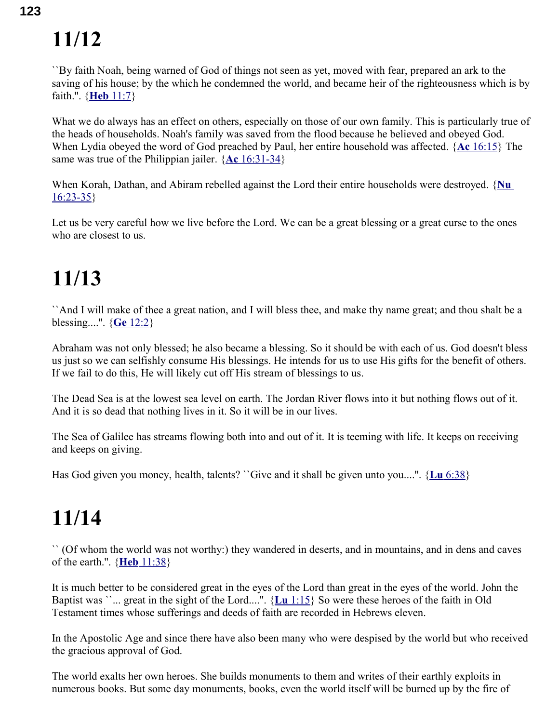``By faith Noah, being warned of God of things not seen as yet, moved with fear, prepared an ark to the saving of his house; by the which he condemned the world, and became heir of the righteousness which is by faith.''. { **Heb** [11:7}](swordsearcher://bible/Heb11.7)

What we do always has an effect on others, especially on those of our own family. This is particularly true of the heads of households. Noah's family was saved from the flood because he believed and obeyed God. When Lydia obeyed the word of God preached by Paul, her entire household was affected. { **Ac** [16:15}](swordsearcher://bible/Ac16.15) The same was true of the Philippian jailer. { **Ac** [16:31-34}](swordsearcher://bible/Ac16.31-34)

When Korah, Dathan, and Abiram rebelled against the Lord their entire households were destroyed. {Nu [16:23-35}](swordsearcher://bible/Nu16.23-35)

Let us be very careful how we live before the Lord. We can be a great blessing or a great curse to the ones who are closest to us.

## **11/13**

``And I will make of thee a great nation, and I will bless thee, and make thy name great; and thou shalt be a blessing....''. { **Ge** [12:2}](swordsearcher://bible/Ge12.2)

Abraham was not only blessed; he also became a blessing. So it should be with each of us. God doesn't bless us just so we can selfishly consume His blessings. He intends for us to use His gifts for the benefit of others. If we fail to do this, He will likely cut off His stream of blessings to us.

The Dead Sea is at the lowest sea level on earth. The Jordan River flows into it but nothing flows out of it. And it is so dead that nothing lives in it. So it will be in our lives.

The Sea of Galilee has streams flowing both into and out of it. It is teeming with life. It keeps on receiving and keeps on giving.

Has God given you money, health, talents? ``Give and it shall be given unto you....''. { **Lu** [6:38}](swordsearcher://bible/Lu6.38)

## **11/14**

`` (Of whom the world was not worthy:) they wandered in deserts, and in mountains, and in dens and caves of the earth.''. { **Heb** [11:38}](swordsearcher://bible/Heb11.38)

It is much better to be considered great in the eyes of the Lord than great in the eyes of the world. John the Baptist was ``... great in the sight of the Lord....''. { **Lu** [1:15}](swordsearcher://bible/Lu1.15) So were these heroes of the faith in Old Testament times whose sufferings and deeds of faith are recorded in Hebrews eleven.

In the Apostolic Age and since there have also been many who were despised by the world but who received the gracious approval of God.

The world exalts her own heroes. She builds monuments to them and writes of their earthly exploits in numerous books. But some day monuments, books, even the world itself will be burned up by the fire of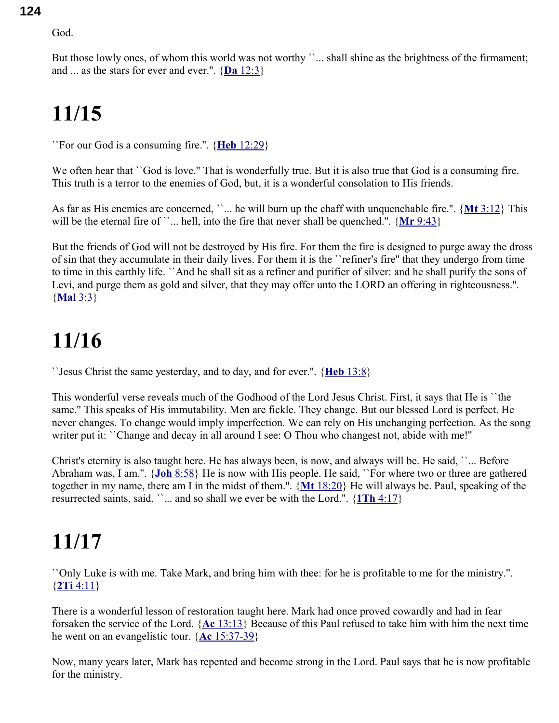God.

But those lowly ones, of whom this world was not worthy ''... shall shine as the brightness of the firmament; and ... as the stars for ever and ever.".  $\{ **Da** 12:3 \}$ 

## **11/15**

``For our God is a consuming fire.''. { **Heb** [12:29}](swordsearcher://bible/Heb12.29)

We often hear that ``God is love." That is wonderfully true. But it is also true that God is a consuming fire. This truth is a terror to the enemies of God, but, it is a wonderful consolation to His friends.

As far as His enemies are concerned, ``... he will burn up the chaff with unquenchable fire.''. { **Mt** [3:12}](swordsearcher://bible/Mt3.12) This will be the eternal fire of ``... hell, into the fire that never shall be quenched.". {Mr [9:43}](swordsearcher://bible/Mr9.43)

But the friends of God will not be destroyed by His fire. For them the fire is designed to purge away the dross of sin that they accumulate in their daily lives. For them it is the ``refiner's fire'' that they undergo from time to time in this earthly life. ``And he shall sit as a refiner and purifier of silver: and he shall purify the sons of Levi, and purge them as gold and silver, that they may offer unto the LORD an offering in righteousness.''. { **[Mal](swordsearcher://bible/Mal3.3)** 3:3}

## **11/16**

``Jesus Christ the same yesterday, and to day, and for ever.''. { **Heb** [13:8}](swordsearcher://bible/Heb13.8)

This wonderful verse reveals much of the Godhood of the Lord Jesus Christ. First, it says that He is ``the same.'' This speaks of His immutability. Men are fickle. They change. But our blessed Lord is perfect. He never changes. To change would imply imperfection. We can rely on His unchanging perfection. As the song writer put it: ``Change and decay in all around I see: O Thou who changest not, abide with me!''

Christ's eternity is also taught here. He has always been, is now, and always will be. He said, ``... Before Abraham was, I am.''. { **Joh** [8:58}](swordsearcher://bible/Joh8.58) He is now with His people. He said, ``For where two or three are gathered together in my name, there am I in the midst of them.''. { **Mt** [18:20}](swordsearcher://bible/Mt18.20) He will always be. Paul, speaking of the resurrected saints, said,  $\ldots$  and so shall we ever be with the Lord.".  $\{1Th\ 4:17\}$ 

# **11/17**

``Only Luke is with me. Take Mark, and bring him with thee: for he is profitable to me for the ministry.''. { **2Ti** [4:11}](swordsearcher://bible/2Ti4.11)

There is a wonderful lesson of restoration taught here. Mark had once proved cowardly and had in fear forsaken the service of the Lord. { **Ac** [13:13}](swordsearcher://bible/Ac13.13) Because of this Paul refused to take him with him the next time he went on an evangelistic tour. { **Ac** [15:37-39}](swordsearcher://bible/Ac15.37-39)

Now, many years later, Mark has repented and become strong in the Lord. Paul says that he is now profitable for the ministry.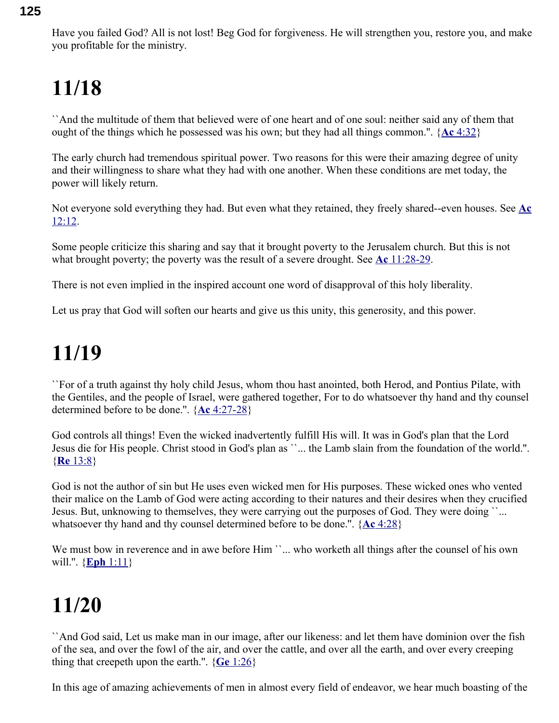Have you failed God? All is not lost! Beg God for forgiveness. He will strengthen you, restore you, and make you profitable for the ministry.

## **11/18**

``And the multitude of them that believed were of one heart and of one soul: neither said any of them that ought of the things which he possessed was his own; but they had all things common.''. { **Ac** [4:32}](swordsearcher://bible/Ac4.32)

The early church had tremendous spiritual power. Two reasons for this were their amazing degree of unity and their willingness to share what they had with one another. When these conditions are met today, the power will likely return.

Not everyone sold everything they had. But even what they retained, they freely shared--even houses. See **[Ac](swordsearcher://bible/Ac12.12)** [12:12.](swordsearcher://bible/Ac12.12)

Some people criticize this sharing and say that it brought poverty to the Jerusalem church. But this is not what brought poverty; the poverty was the result of a severe drought. See **Ac** [11:28-29.](swordsearcher://bible/Ac11.28-29)

There is not even implied in the inspired account one word of disapproval of this holy liberality.

Let us pray that God will soften our hearts and give us this unity, this generosity, and this power.

#### **11/19**

``For of a truth against thy holy child Jesus, whom thou hast anointed, both Herod, and Pontius Pilate, with the Gentiles, and the people of Israel, were gathered together, For to do whatsoever thy hand and thy counsel determined before to be done.''. { **Ac** [4:27-28}](swordsearcher://bible/Ac4.27-28)

God controls all things! Even the wicked inadvertently fulfill His will. It was in God's plan that the Lord Jesus die for His people. Christ stood in God's plan as ``... the Lamb slain from the foundation of the world.''. { **Re** [13:8}](swordsearcher://bible/Re13.8)

God is not the author of sin but He uses even wicked men for His purposes. These wicked ones who vented their malice on the Lamb of God were acting according to their natures and their desires when they crucified Jesus. But, unknowing to themselves, they were carrying out the purposes of God. They were doing ``... whatsoever thy hand and thy counsel determined before to be done.''. { **Ac** [4:28}](swordsearcher://bible/Ac4.28)

We must bow in reverence and in awe before Him ``... who worketh all things after the counsel of his own will.''. { **Eph** [1:11}](swordsearcher://bible/Eph1.11)

## **11/20**

``And God said, Let us make man in our image, after our likeness: and let them have dominion over the fish of the sea, and over the fowl of the air, and over the cattle, and over all the earth, and over every creeping thing that creepeth upon the earth.''. { **Ge** [1:26}](swordsearcher://bible/Ge1.26)

In this age of amazing achievements of men in almost every field of endeavor, we hear much boasting of the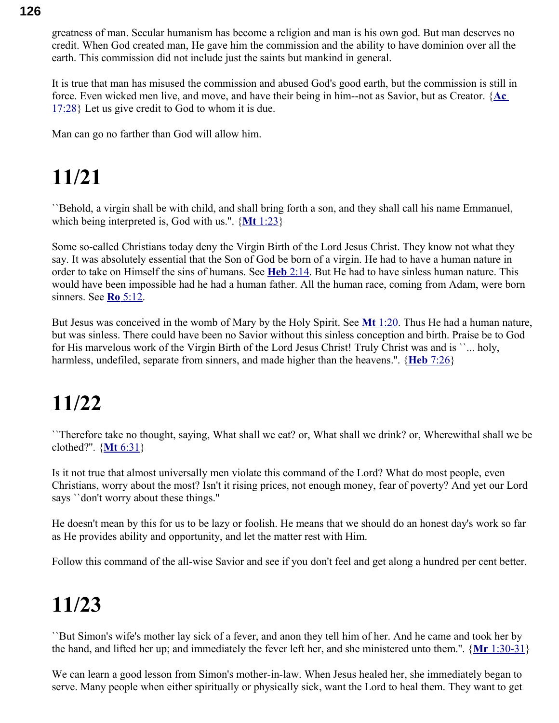greatness of man. Secular humanism has become a religion and man is his own god. But man deserves no credit. When God created man, He gave him the commission and the ability to have dominion over all the earth. This commission did not include just the saints but mankind in general.

It is true that man has misused the commission and abused God's good earth, but the commission is still in force. Even wicked men live, and move, and have their being in him--not as Savior, but as Creator. { **[Ac](swordsearcher://bible/Ac17.28)** [17:28}](swordsearcher://bible/Ac17.28) Let us give credit to God to whom it is due.

Man can go no farther than God will allow him.

# **11/21**

``Behold, a virgin shall be with child, and shall bring forth a son, and they shall call his name Emmanuel, which being interpreted is, God with us.''. { **Mt** [1:23}](swordsearcher://bible/Mt1.23)

Some so-called Christians today deny the Virgin Birth of the Lord Jesus Christ. They know not what they say. It was absolutely essential that the Son of God be born of a virgin. He had to have a human nature in order to take on Himself the sins of humans. See **Heb** [2:14.](swordsearcher://bible/Heb2.14) But He had to have sinless human nature. This would have been impossible had he had a human father. All the human race, coming from Adam, were born sinners. See **Ro** [5:12.](swordsearcher://bible/Ro5.12)

But Jesus was conceived in the womb of Mary by the Holy Spirit. See **Mt** [1:20.](swordsearcher://bible/Mt1.20) Thus He had a human nature, but was sinless. There could have been no Savior without this sinless conception and birth. Praise be to God for His marvelous work of the Virgin Birth of the Lord Jesus Christ! Truly Christ was and is ``... holy, harmless, undefiled, separate from sinners, and made higher than the heavens.". {**Heb** [7:26}](swordsearcher://bible/Heb7.26)

## **11/22**

``Therefore take no thought, saying, What shall we eat? or, What shall we drink? or, Wherewithal shall we be clothed?''. { **Mt** [6:31}](swordsearcher://bible/Mt6.31)

Is it not true that almost universally men violate this command of the Lord? What do most people, even Christians, worry about the most? Isn't it rising prices, not enough money, fear of poverty? And yet our Lord says ``don't worry about these things.''

He doesn't mean by this for us to be lazy or foolish. He means that we should do an honest day's work so far as He provides ability and opportunity, and let the matter rest with Him.

Follow this command of the all-wise Savior and see if you don't feel and get along a hundred per cent better.

## **11/23**

``But Simon's wife's mother lay sick of a fever, and anon they tell him of her. And he came and took her by the hand, and lifted her up; and immediately the fever left her, and she ministered unto them.''. { **Mr** [1:30-31}](swordsearcher://bible/Mr1.30-31)

We can learn a good lesson from Simon's mother-in-law. When Jesus healed her, she immediately began to serve. Many people when either spiritually or physically sick, want the Lord to heal them. They want to get

#### **126**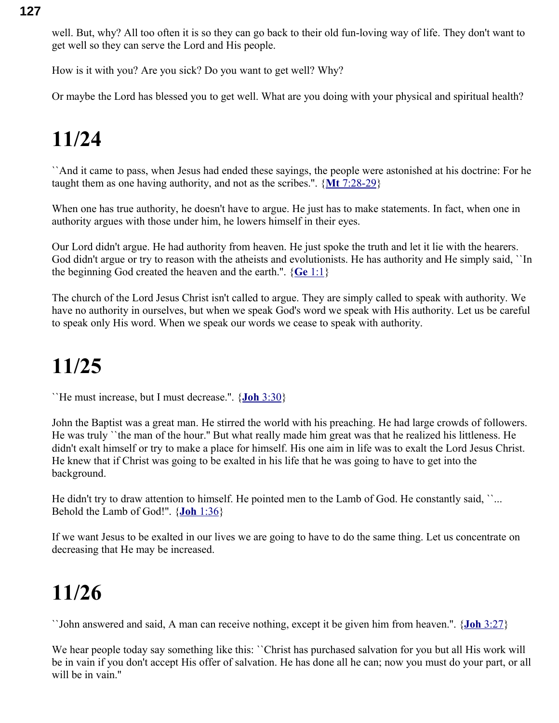well. But, why? All too often it is so they can go back to their old fun-loving way of life. They don't want to get well so they can serve the Lord and His people.

How is it with you? Are you sick? Do you want to get well? Why?

Or maybe the Lord has blessed you to get well. What are you doing with your physical and spiritual health?

## **11/24**

``And it came to pass, when Jesus had ended these sayings, the people were astonished at his doctrine: For he taught them as one having authority, and not as the scribes.''. { **Mt** [7:28-29}](swordsearcher://bible/Mt7.28-29)

When one has true authority, he doesn't have to argue. He just has to make statements. In fact, when one in authority argues with those under him, he lowers himself in their eyes.

Our Lord didn't argue. He had authority from heaven. He just spoke the truth and let it lie with the hearers. God didn't argue or try to reason with the atheists and evolutionists. He has authority and He simply said, "In the beginning God created the heaven and the earth.''. { **Ge** [1:1}](swordsearcher://bible/Ge1.1)

The church of the Lord Jesus Christ isn't called to argue. They are simply called to speak with authority. We have no authority in ourselves, but when we speak God's word we speak with His authority. Let us be careful to speak only His word. When we speak our words we cease to speak with authority.

## **11/25**

``He must increase, but I must decrease.''. { **Joh** [3:30}](swordsearcher://bible/Joh3.30)

John the Baptist was a great man. He stirred the world with his preaching. He had large crowds of followers. He was truly ``the man of the hour.'' But what really made him great was that he realized his littleness. He didn't exalt himself or try to make a place for himself. His one aim in life was to exalt the Lord Jesus Christ. He knew that if Christ was going to be exalted in his life that he was going to have to get into the background.

He didn't try to draw attention to himself. He pointed men to the Lamb of God. He constantly said, "... Behold the Lamb of God!''. { **Joh** [1:36}](swordsearcher://bible/Joh1.36)

If we want Jesus to be exalted in our lives we are going to have to do the same thing. Let us concentrate on decreasing that He may be increased.

## **11/26**

``John answered and said, A man can receive nothing, except it be given him from heaven.''. { **Joh** [3:27}](swordsearcher://bible/Joh3.27)

We hear people today say something like this: '`Christ has purchased salvation for you but all His work will be in vain if you don't accept His offer of salvation. He has done all he can; now you must do your part, or all will be in vain."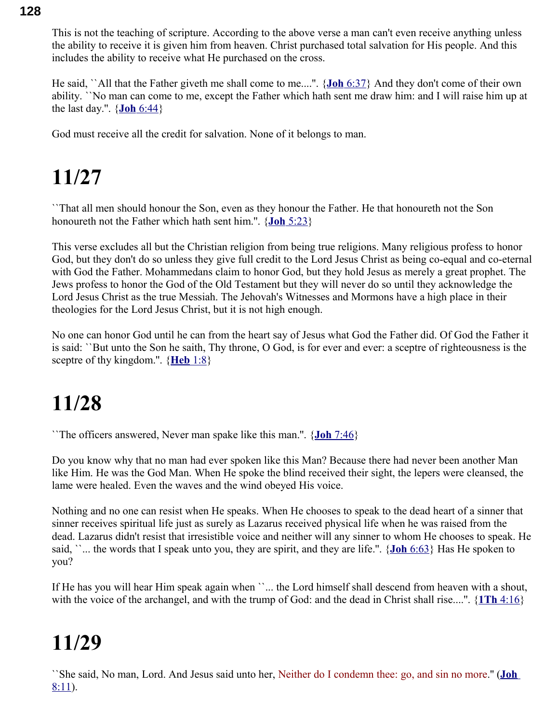This is not the teaching of scripture. According to the above verse a man can't even receive anything unless the ability to receive it is given him from heaven. Christ purchased total salvation for His people. And this includes the ability to receive what He purchased on the cross.

He said, ``All that the Father giveth me shall come to me....''. { **Joh** [6:37}](swordsearcher://bible/Joh6.37) And they don't come of their own ability. ``No man can come to me, except the Father which hath sent me draw him: and I will raise him up at the last day.''. { **Joh** [6:44}](swordsearcher://bible/Joh6.44)

God must receive all the credit for salvation. None of it belongs to man.

## **11/27**

``That all men should honour the Son, even as they honour the Father. He that honoureth not the Son honoureth not the Father which hath sent him.''. { **Joh** [5:23}](swordsearcher://bible/Joh5.23)

This verse excludes all but the Christian religion from being true religions. Many religious profess to honor God, but they don't do so unless they give full credit to the Lord Jesus Christ as being co-equal and co-eternal with God the Father. Mohammedans claim to honor God, but they hold Jesus as merely a great prophet. The Jews profess to honor the God of the Old Testament but they will never do so until they acknowledge the Lord Jesus Christ as the true Messiah. The Jehovah's Witnesses and Mormons have a high place in their theologies for the Lord Jesus Christ, but it is not high enough.

No one can honor God until he can from the heart say of Jesus what God the Father did. Of God the Father it is said: ``But unto the Son he saith, Thy throne, O God, is for ever and ever: a sceptre of righteousness is the sceptre of thy kingdom.''. { **[Heb](swordsearcher://bible/Heb1.8)** 1:8}

## **11/28**

``The officers answered, Never man spake like this man.''. { **Joh** [7:46}](swordsearcher://bible/Joh7.46)

Do you know why that no man had ever spoken like this Man? Because there had never been another Man like Him. He was the God Man. When He spoke the blind received their sight, the lepers were cleansed, the lame were healed. Even the waves and the wind obeyed His voice.

Nothing and no one can resist when He speaks. When He chooses to speak to the dead heart of a sinner that sinner receives spiritual life just as surely as Lazarus received physical life when he was raised from the dead. Lazarus didn't resist that irresistible voice and neither will any sinner to whom He chooses to speak. He said, ``... the words that I speak unto you, they are spirit, and they are life.''. { **Joh** [6:63}](swordsearcher://bible/Joh6.63) Has He spoken to you?

If He has you will hear Him speak again when ``... the Lord himself shall descend from heaven with a shout, with the voice of the archangel, and with the trump of God: and the dead in Christ shall rise....''. { **1Th** [4:16}](swordsearcher://bible/1Th4.16)

## **11/29**

``She said, No man, Lord. And Jesus said unto her, Neither do I condemn thee: go, and sin no more.'' ( **[Joh](swordsearcher://bible/Joh8.11)** [8:11\)](swordsearcher://bible/Joh8.11).

#### **128**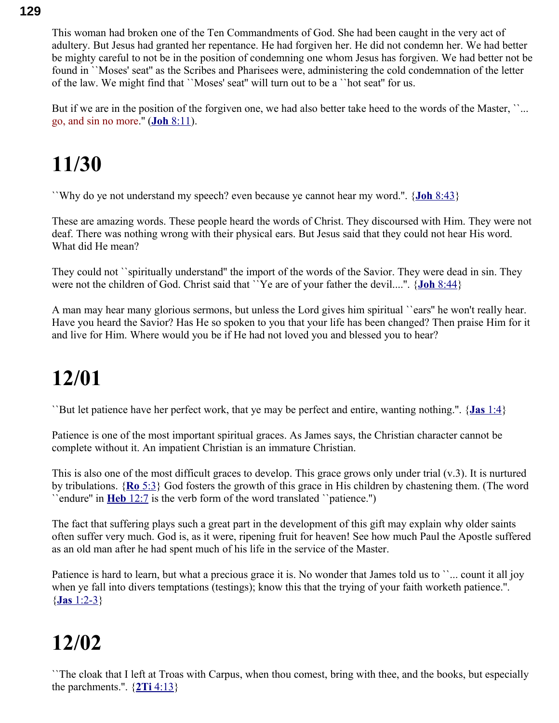This woman had broken one of the Ten Commandments of God. She had been caught in the very act of adultery. But Jesus had granted her repentance. He had forgiven her. He did not condemn her. We had better be mighty careful to not be in the position of condemning one whom Jesus has forgiven. We had better not be found in ``Moses' seat'' as the Scribes and Pharisees were, administering the cold condemnation of the letter of the law. We might find that ``Moses' seat'' will turn out to be a ``hot seat'' for us.

But if we are in the position of the forgiven one, we had also better take heed to the words of the Master, "... go, and sin no more.'' ( **Joh** [8:11\)](swordsearcher://bible/Joh8.11).

#### **11/30**

``Why do ye not understand my speech? even because ye cannot hear my word.''. { **Joh** [8:43}](swordsearcher://bible/Joh8.43)

These are amazing words. These people heard the words of Christ. They discoursed with Him. They were not deaf. There was nothing wrong with their physical ears. But Jesus said that they could not hear His word. What did He mean?

They could not ``spiritually understand'' the import of the words of the Savior. They were dead in sin. They were not the children of God. Christ said that ``Ye are of your father the devil....". {**Joh** [8:44}](swordsearcher://bible/Joh8.44)

A man may hear many glorious sermons, but unless the Lord gives him spiritual ``ears'' he won't really hear. Have you heard the Savior? Has He so spoken to you that your life has been changed? Then praise Him for it and live for Him. Where would you be if He had not loved you and blessed you to hear?

## **12/01**

``But let patience have her perfect work, that ye may be perfect and entire, wanting nothing.''. { **Jas** [1:4}](swordsearcher://bible/Jas1.4)

Patience is one of the most important spiritual graces. As James says, the Christian character cannot be complete without it. An impatient Christian is an immature Christian.

This is also one of the most difficult graces to develop. This grace grows only under trial (v.3). It is nurtured by tribulations. { **Ro** [5:3}](swordsearcher://bible/Ro5.3) God fosters the growth of this grace in His children by chastening them. (The word ``endure'' in **Heb** [12:7](swordsearcher://bible/Heb12.7) is the verb form of the word translated ``patience.'')

The fact that suffering plays such a great part in the development of this gift may explain why older saints often suffer very much. God is, as it were, ripening fruit for heaven! See how much Paul the Apostle suffered as an old man after he had spent much of his life in the service of the Master.

Patience is hard to learn, but what a precious grace it is. No wonder that James told us to ``... count it all joy when ye fall into divers temptations (testings); know this that the trying of your faith worketh patience.". { **Jas** [1:2-3}](swordsearcher://bible/Jas1.2-3)

## **12/02**

``The cloak that I left at Troas with Carpus, when thou comest, bring with thee, and the books, but especially the parchments.".  $\{2Ti\ 4:13\}$ 

#### **129**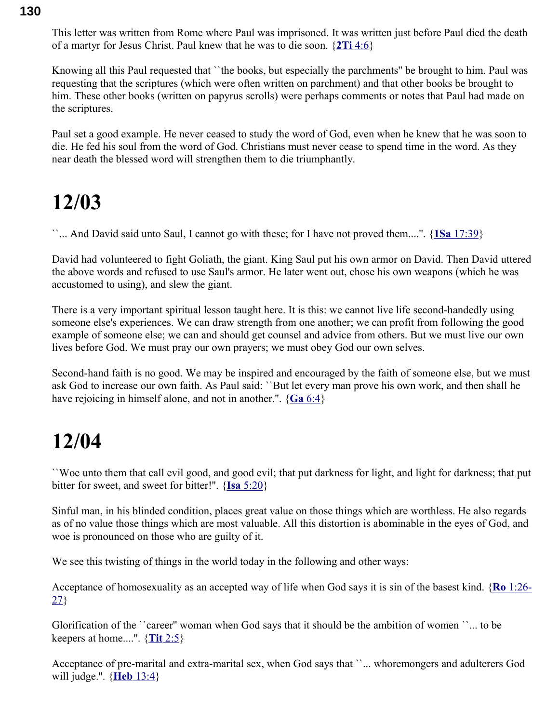This letter was written from Rome where Paul was imprisoned. It was written just before Paul died the death of a martyr for Jesus Christ. Paul knew that he was to die soon. { **2Ti** [4:6}](swordsearcher://bible/2Ti4.6)

Knowing all this Paul requested that ``the books, but especially the parchments'' be brought to him. Paul was requesting that the scriptures (which were often written on parchment) and that other books be brought to him. These other books (written on papyrus scrolls) were perhaps comments or notes that Paul had made on the scriptures.

Paul set a good example. He never ceased to study the word of God, even when he knew that he was soon to die. He fed his soul from the word of God. Christians must never cease to spend time in the word. As they near death the blessed word will strengthen them to die triumphantly.

#### **12/03**

``... And David said unto Saul, I cannot go with these; for I have not proved them....''. { **1Sa** [17:39}](swordsearcher://bible/1Sa17.39)

David had volunteered to fight Goliath, the giant. King Saul put his own armor on David. Then David uttered the above words and refused to use Saul's armor. He later went out, chose his own weapons (which he was accustomed to using), and slew the giant.

There is a very important spiritual lesson taught here. It is this: we cannot live life second-handedly using someone else's experiences. We can draw strength from one another; we can profit from following the good example of someone else; we can and should get counsel and advice from others. But we must live our own lives before God. We must pray our own prayers; we must obey God our own selves.

Second-hand faith is no good. We may be inspired and encouraged by the faith of someone else, but we must ask God to increase our own faith. As Paul said: ``But let every man prove his own work, and then shall he have rejoicing in himself alone, and not in another.''. { **Ga** [6:4}](swordsearcher://bible/Ga6.4)

#### **12/04**

``Woe unto them that call evil good, and good evil; that put darkness for light, and light for darkness; that put bitter for sweet, and sweet for bitter!''. { **Isa** [5:20}](swordsearcher://bible/Isa5.20)

Sinful man, in his blinded condition, places great value on those things which are worthless. He also regards as of no value those things which are most valuable. All this distortion is abominable in the eyes of God, and woe is pronounced on those who are guilty of it.

We see this twisting of things in the world today in the following and other ways:

Acceptance of homosexuality as an accepted way of life when God says it is sin of the basest kind. { **Ro** [1:26-](swordsearcher://bible/Ro1.26-27) [27}](swordsearcher://bible/Ro1.26-27)

Glorification of the ``career'' woman when God says that it should be the ambition of women ``... to be keepers at home....''. { **Tit** [2:5}](swordsearcher://bible/Tit2.5)

Acceptance of pre-marital and extra-marital sex, when God says that ``... whoremongers and adulterers God will judge.''. { **Heb** [13:4}](swordsearcher://bible/Heb13.4)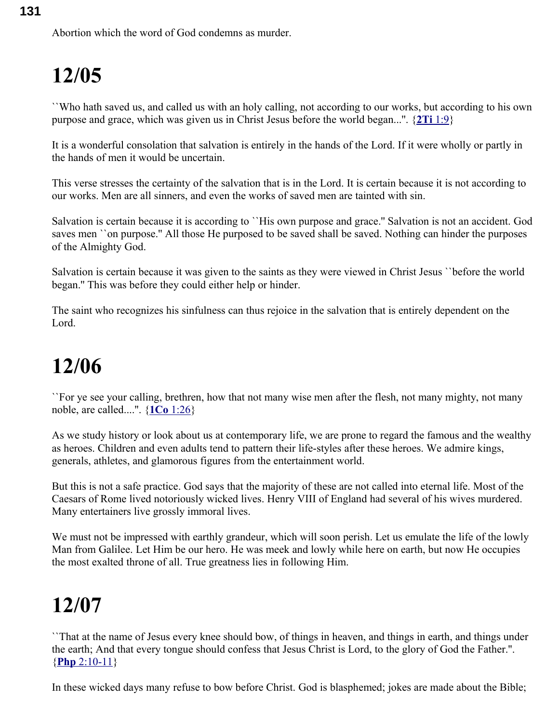``Who hath saved us, and called us with an holy calling, not according to our works, but according to his own purpose and grace, which was given us in Christ Jesus before the world began...''. { **2Ti** [1:9}](swordsearcher://bible/2Ti1.9)

It is a wonderful consolation that salvation is entirely in the hands of the Lord. If it were wholly or partly in the hands of men it would be uncertain.

This verse stresses the certainty of the salvation that is in the Lord. It is certain because it is not according to our works. Men are all sinners, and even the works of saved men are tainted with sin.

Salvation is certain because it is according to ``His own purpose and grace.'' Salvation is not an accident. God saves men ``on purpose.'' All those He purposed to be saved shall be saved. Nothing can hinder the purposes of the Almighty God.

Salvation is certain because it was given to the saints as they were viewed in Christ Jesus ``before the world began.'' This was before they could either help or hinder.

The saint who recognizes his sinfulness can thus rejoice in the salvation that is entirely dependent on the Lord.

## **12/06**

``For ye see your calling, brethren, how that not many wise men after the flesh, not many mighty, not many noble, are called....''. { **1Co** [1:26}](swordsearcher://bible/1Co1.26)

As we study history or look about us at contemporary life, we are prone to regard the famous and the wealthy as heroes. Children and even adults tend to pattern their life-styles after these heroes. We admire kings, generals, athletes, and glamorous figures from the entertainment world.

But this is not a safe practice. God says that the majority of these are not called into eternal life. Most of the Caesars of Rome lived notoriously wicked lives. Henry VIII of England had several of his wives murdered. Many entertainers live grossly immoral lives.

We must not be impressed with earthly grandeur, which will soon perish. Let us emulate the life of the lowly Man from Galilee. Let Him be our hero. He was meek and lowly while here on earth, but now He occupies the most exalted throne of all. True greatness lies in following Him.

## **12/07**

``That at the name of Jesus every knee should bow, of things in heaven, and things in earth, and things under the earth; And that every tongue should confess that Jesus Christ is Lord, to the glory of God the Father.''. { **Php** [2:10-11}](swordsearcher://bible/Php2.10-11)

In these wicked days many refuse to bow before Christ. God is blasphemed; jokes are made about the Bible;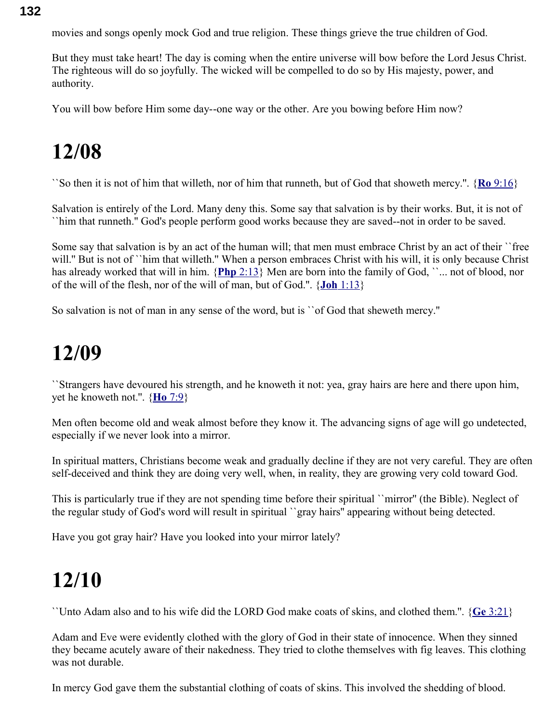**132**

movies and songs openly mock God and true religion. These things grieve the true children of God.

But they must take heart! The day is coming when the entire universe will bow before the Lord Jesus Christ. The righteous will do so joyfully. The wicked will be compelled to do so by His majesty, power, and authority.

You will bow before Him some day--one way or the other. Are you bowing before Him now?

#### **12/08**

``So then it is not of him that willeth, nor of him that runneth, but of God that showeth mercy.''. { **Ro** [9:16}](swordsearcher://bible/Ro9.16)

Salvation is entirely of the Lord. Many deny this. Some say that salvation is by their works. But, it is not of ``him that runneth.'' God's people perform good works because they are saved--not in order to be saved.

Some say that salvation is by an act of the human will; that men must embrace Christ by an act of their ``free will." But is not of ``him that willeth." When a person embraces Christ with his will, it is only because Christ has already worked that will in him. {Php [2:13}](swordsearcher://bible/Php2.13) Men are born into the family of God, ``... not of blood, nor of the will of the flesh, nor of the will of man, but of God.''. { **Joh** [1:13}](swordsearcher://bible/Joh1.13)

So salvation is not of man in any sense of the word, but is ``of God that sheweth mercy.''

#### **12/09**

``Strangers have devoured his strength, and he knoweth it not: yea, gray hairs are here and there upon him, yet he knoweth not.''. { **Ho** [7:9}](swordsearcher://bible/Ho7.9)

Men often become old and weak almost before they know it. The advancing signs of age will go undetected, especially if we never look into a mirror.

In spiritual matters, Christians become weak and gradually decline if they are not very careful. They are often self-deceived and think they are doing very well, when, in reality, they are growing very cold toward God.

This is particularly true if they are not spending time before their spiritual ``mirror'' (the Bible). Neglect of the regular study of God's word will result in spiritual ``gray hairs'' appearing without being detected.

Have you got gray hair? Have you looked into your mirror lately?

#### **12/10**

``Unto Adam also and to his wife did the LORD God make coats of skins, and clothed them.''. { **Ge** [3:21}](swordsearcher://bible/Ge3.21)

Adam and Eve were evidently clothed with the glory of God in their state of innocence. When they sinned they became acutely aware of their nakedness. They tried to clothe themselves with fig leaves. This clothing was not durable.

In mercy God gave them the substantial clothing of coats of skins. This involved the shedding of blood.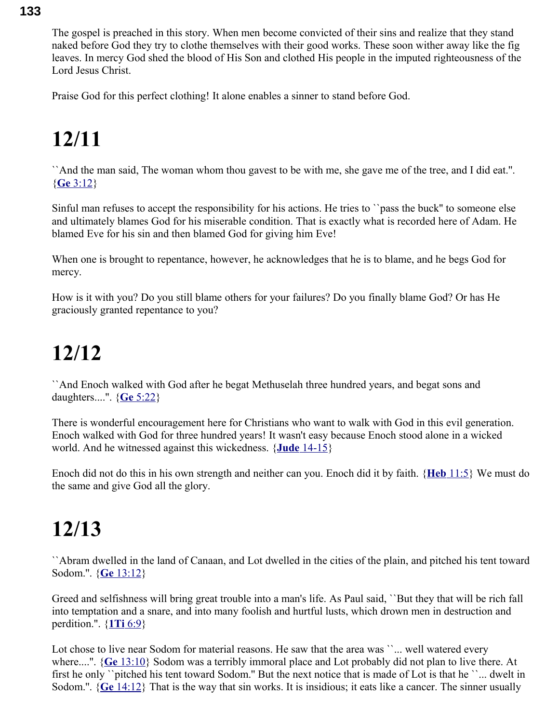**133**

The gospel is preached in this story. When men become convicted of their sins and realize that they stand naked before God they try to clothe themselves with their good works. These soon wither away like the fig leaves. In mercy God shed the blood of His Son and clothed His people in the imputed righteousness of the Lord Jesus Christ.

Praise God for this perfect clothing! It alone enables a sinner to stand before God.

## **12/11**

``And the man said, The woman whom thou gavest to be with me, she gave me of the tree, and I did eat.''. { **Ge** [3:12}](swordsearcher://bible/Ge3.12)

Sinful man refuses to accept the responsibility for his actions. He tries to ``pass the buck'' to someone else and ultimately blames God for his miserable condition. That is exactly what is recorded here of Adam. He blamed Eve for his sin and then blamed God for giving him Eve!

When one is brought to repentance, however, he acknowledges that he is to blame, and he begs God for mercy.

How is it with you? Do you still blame others for your failures? Do you finally blame God? Or has He graciously granted repentance to you?

## **12/12**

``And Enoch walked with God after he begat Methuselah three hundred years, and begat sons and daughters....''. { **Ge** [5:22}](swordsearcher://bible/Ge5.22)

There is wonderful encouragement here for Christians who want to walk with God in this evil generation. Enoch walked with God for three hundred years! It wasn't easy because Enoch stood alone in a wicked world. And he witnessed against this wickedness. { **Jude** [14-15}](swordsearcher://bible/Jude1.14-15)

Enoch did not do this in his own strength and neither can you. Enoch did it by faith. { **Heb** [11:5}](swordsearcher://bible/Heb11.5) We must do the same and give God all the glory.

#### **12/13**

``Abram dwelled in the land of Canaan, and Lot dwelled in the cities of the plain, and pitched his tent toward Sodom.''. { **Ge** [13:12}](swordsearcher://bible/Ge13.12)

Greed and selfishness will bring great trouble into a man's life. As Paul said, ``But they that will be rich fall into temptation and a snare, and into many foolish and hurtful lusts, which drown men in destruction and perdition.''. { **1Ti** [6:9}](swordsearcher://bible/1Ti6.9)

Lot chose to live near Sodom for material reasons. He saw that the area was ``... well watered every where....". { **Ge** [13:10}](swordsearcher://bible/Ge13.10) Sodom was a terribly immoral place and Lot probably did not plan to live there. At first he only ``pitched his tent toward Sodom.'' But the next notice that is made of Lot is that he ``... dwelt in Sodom.''. { **Ge** [14:12}](swordsearcher://bible/Ge14.12) That is the way that sin works. It is insidious; it eats like a cancer. The sinner usually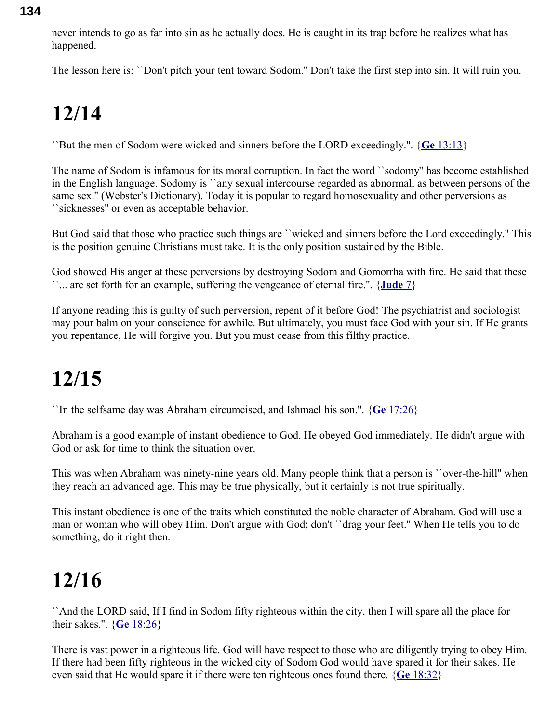never intends to go as far into sin as he actually does. He is caught in its trap before he realizes what has happened.

The lesson here is: ``Don't pitch your tent toward Sodom.'' Don't take the first step into sin. It will ruin you.

## **12/14**

``But the men of Sodom were wicked and sinners before the LORD exceedingly.''. { **Ge** [13:13}](swordsearcher://bible/Ge13.13)

The name of Sodom is infamous for its moral corruption. In fact the word ``sodomy'' has become established in the English language. Sodomy is ``any sexual intercourse regarded as abnormal, as between persons of the same sex.'' (Webster's Dictionary). Today it is popular to regard homosexuality and other perversions as ``sicknesses'' or even as acceptable behavior.

But God said that those who practice such things are ``wicked and sinners before the Lord exceedingly.'' This is the position genuine Christians must take. It is the only position sustained by the Bible.

God showed His anger at these perversions by destroying Sodom and Gomorrha with fire. He said that these ``... are set forth for an example, suffering the vengeance of eternal fire.''. { **[Jude](swordsearcher://bible/Jude1.7)** 7}

If anyone reading this is guilty of such perversion, repent of it before God! The psychiatrist and sociologist may pour balm on your conscience for awhile. But ultimately, you must face God with your sin. If He grants you repentance, He will forgive you. But you must cease from this filthy practice.

## **12/15**

``In the selfsame day was Abraham circumcised, and Ishmael his son.''. { **Ge** [17:26}](swordsearcher://bible/Ge17.26)

Abraham is a good example of instant obedience to God. He obeyed God immediately. He didn't argue with God or ask for time to think the situation over.

This was when Abraham was ninety-nine years old. Many people think that a person is ``over-the-hill'' when they reach an advanced age. This may be true physically, but it certainly is not true spiritually.

This instant obedience is one of the traits which constituted the noble character of Abraham. God will use a man or woman who will obey Him. Don't argue with God; don't ``drag your feet.'' When He tells you to do something, do it right then.

#### **12/16**

``And the LORD said, If I find in Sodom fifty righteous within the city, then I will spare all the place for their sakes.''. { **Ge** [18:26}](swordsearcher://bible/Ge18.26)

There is vast power in a righteous life. God will have respect to those who are diligently trying to obey Him. If there had been fifty righteous in the wicked city of Sodom God would have spared it for their sakes. He even said that He would spare it if there were ten righteous ones found there. { **Ge** [18:32}](swordsearcher://bible/Ge18.32)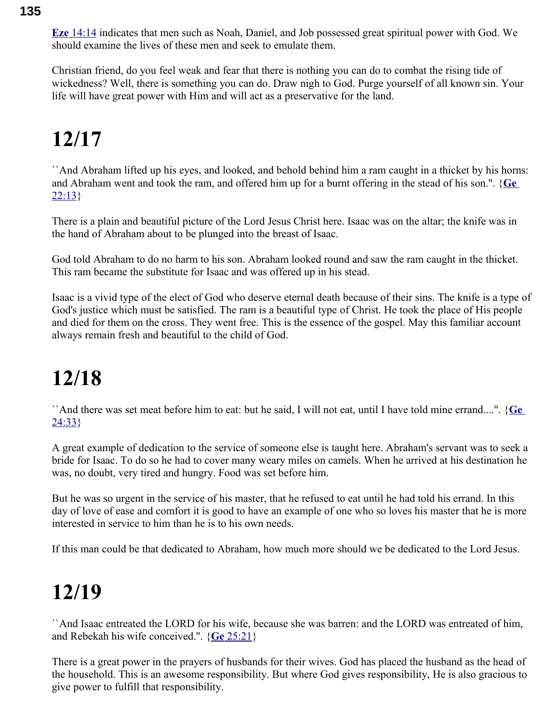**Eze** [14:14](swordsearcher://bible/Eze14.14) indicates that men such as Noah, Daniel, and Job possessed great spiritual power with God. We should examine the lives of these men and seek to emulate them.

Christian friend, do you feel weak and fear that there is nothing you can do to combat the rising tide of wickedness? Well, there is something you can do. Draw nigh to God. Purge yourself of all known sin. Your life will have great power with Him and will act as a preservative for the land.

## **12/17**

``And Abraham lifted up his eyes, and looked, and behold behind him a ram caught in a thicket by his horns: and Abraham went and took the ram, and offered him up for a burnt offering in the stead of his son.''. { **[Ge](swordsearcher://bible/Ge22.13)**  $22:13$ 

There is a plain and beautiful picture of the Lord Jesus Christ here. Isaac was on the altar; the knife was in the hand of Abraham about to be plunged into the breast of Isaac.

God told Abraham to do no harm to his son. Abraham looked round and saw the ram caught in the thicket. This ram became the substitute for Isaac and was offered up in his stead.

Isaac is a vivid type of the elect of God who deserve eternal death because of their sins. The knife is a type of God's justice which must be satisfied. The ram is a beautiful type of Christ. He took the place of His people and died for them on the cross. They went free. This is the essence of the gospel. May this familiar account always remain fresh and beautiful to the child of God.

## **12/18**

``And there was set meat before him to eat: but he said, I will not eat, until I have told mine errand....''. { **[Ge](swordsearcher://bible/Ge24.33)** [24:33}](swordsearcher://bible/Ge24.33)

A great example of dedication to the service of someone else is taught here. Abraham's servant was to seek a bride for Isaac. To do so he had to cover many weary miles on camels. When he arrived at his destination he was, no doubt, very tired and hungry. Food was set before him.

But he was so urgent in the service of his master, that he refused to eat until he had told his errand. In this day of love of ease and comfort it is good to have an example of one who so loves his master that he is more interested in service to him than he is to his own needs.

If this man could be that dedicated to Abraham, how much more should we be dedicated to the Lord Jesus.

#### **12/19**

``And Isaac entreated the LORD for his wife, because she was barren: and the LORD was entreated of him, and Rebekah his wife conceived.''. { **Ge** [25:21}](swordsearcher://bible/Ge25.21)

There is a great power in the prayers of husbands for their wives. God has placed the husband as the head of the household. This is an awesome responsibility. But where God gives responsibility, He is also gracious to give power to fulfill that responsibility.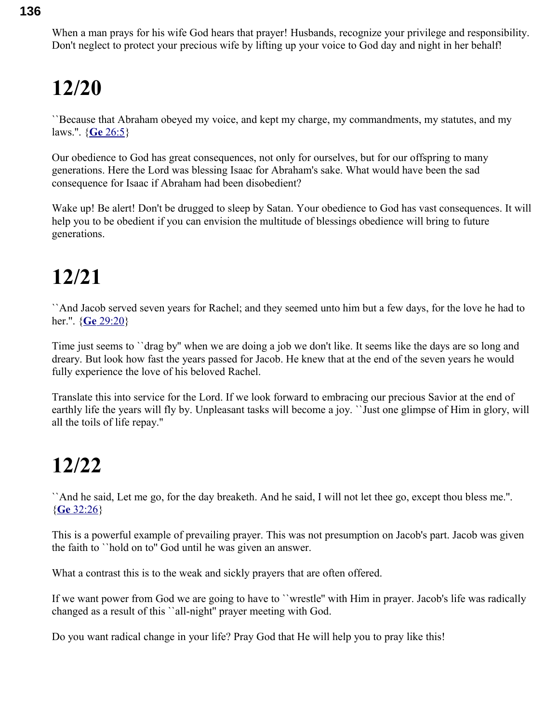When a man prays for his wife God hears that prayer! Husbands, recognize your privilege and responsibility. Don't neglect to protect your precious wife by lifting up your voice to God day and night in her behalf!

## **12/20**

``Because that Abraham obeyed my voice, and kept my charge, my commandments, my statutes, and my laws.''. { **Ge** [26:5}](swordsearcher://bible/Ge26.5)

Our obedience to God has great consequences, not only for ourselves, but for our offspring to many generations. Here the Lord was blessing Isaac for Abraham's sake. What would have been the sad consequence for Isaac if Abraham had been disobedient?

Wake up! Be alert! Don't be drugged to sleep by Satan. Your obedience to God has vast consequences. It will help you to be obedient if you can envision the multitude of blessings obedience will bring to future generations.

## **12/21**

``And Jacob served seven years for Rachel; and they seemed unto him but a few days, for the love he had to her.''. { **Ge** [29:20}](swordsearcher://bible/Ge29.20)

Time just seems to ``drag by'' when we are doing a job we don't like. It seems like the days are so long and dreary. But look how fast the years passed for Jacob. He knew that at the end of the seven years he would fully experience the love of his beloved Rachel.

Translate this into service for the Lord. If we look forward to embracing our precious Savior at the end of earthly life the years will fly by. Unpleasant tasks will become a joy. ``Just one glimpse of Him in glory, will all the toils of life repay.''

#### **12/22**

``And he said, Let me go, for the day breaketh. And he said, I will not let thee go, except thou bless me.''. { **Ge** [32:26}](swordsearcher://bible/Ge32.26)

This is a powerful example of prevailing prayer. This was not presumption on Jacob's part. Jacob was given the faith to ``hold on to'' God until he was given an answer.

What a contrast this is to the weak and sickly prayers that are often offered.

If we want power from God we are going to have to ``wrestle'' with Him in prayer. Jacob's life was radically changed as a result of this ``all-night'' prayer meeting with God.

Do you want radical change in your life? Pray God that He will help you to pray like this!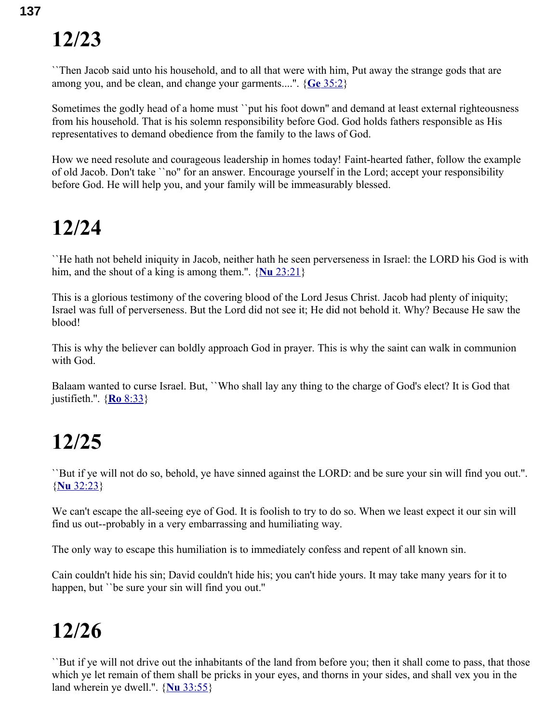``Then Jacob said unto his household, and to all that were with him, Put away the strange gods that are among you, and be clean, and change your garments....''. { **Ge** [35:2}](swordsearcher://bible/Ge35.2)

Sometimes the godly head of a home must ''put his foot down" and demand at least external righteousness from his household. That is his solemn responsibility before God. God holds fathers responsible as His representatives to demand obedience from the family to the laws of God.

How we need resolute and courageous leadership in homes today! Faint-hearted father, follow the example of old Jacob. Don't take ``no'' for an answer. Encourage yourself in the Lord; accept your responsibility before God. He will help you, and your family will be immeasurably blessed.

#### **12/24**

``He hath not beheld iniquity in Jacob, neither hath he seen perverseness in Israel: the LORD his God is with him, and the shout of a king is among them.''. { **Nu** [23:21}](swordsearcher://bible/Nu23.21)

This is a glorious testimony of the covering blood of the Lord Jesus Christ. Jacob had plenty of iniquity; Israel was full of perverseness. But the Lord did not see it; He did not behold it. Why? Because He saw the blood!

This is why the believer can boldly approach God in prayer. This is why the saint can walk in communion with God.

Balaam wanted to curse Israel. But, ``Who shall lay any thing to the charge of God's elect? It is God that justifieth.''. { **Ro** [8:33}](swordsearcher://bible/Ro8.33)

#### **12/25**

``But if ye will not do so, behold, ye have sinned against the LORD: and be sure your sin will find you out.''. { **Nu** [32:23}](swordsearcher://bible/Nu32.23)

We can't escape the all-seeing eye of God. It is foolish to try to do so. When we least expect it our sin will find us out--probably in a very embarrassing and humiliating way.

The only way to escape this humiliation is to immediately confess and repent of all known sin.

Cain couldn't hide his sin; David couldn't hide his; you can't hide yours. It may take many years for it to happen, but ''be sure your sin will find you out."

## **12/26**

``But if ye will not drive out the inhabitants of the land from before you; then it shall come to pass, that those which ye let remain of them shall be pricks in your eyes, and thorns in your sides, and shall vex you in the land wherein ye dwell.''. { **Nu** [33:55}](swordsearcher://bible/Nu33.55)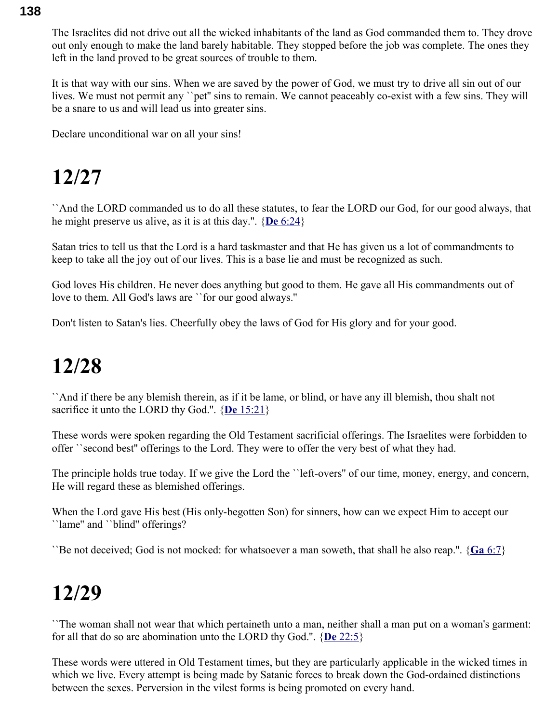The Israelites did not drive out all the wicked inhabitants of the land as God commanded them to. They drove out only enough to make the land barely habitable. They stopped before the job was complete. The ones they left in the land proved to be great sources of trouble to them.

It is that way with our sins. When we are saved by the power of God, we must try to drive all sin out of our lives. We must not permit any "pet" sins to remain. We cannot peaceably co-exist with a few sins. They will be a snare to us and will lead us into greater sins.

Declare unconditional war on all your sins!

#### **12/27**

``And the LORD commanded us to do all these statutes, to fear the LORD our God, for our good always, that he might preserve us alive, as it is at this day.''. { **De** [6:24}](swordsearcher://bible/De6.24)

Satan tries to tell us that the Lord is a hard taskmaster and that He has given us a lot of commandments to keep to take all the joy out of our lives. This is a base lie and must be recognized as such.

God loves His children. He never does anything but good to them. He gave all His commandments out of love to them. All God's laws are ``for our good always.''

Don't listen to Satan's lies. Cheerfully obey the laws of God for His glory and for your good.

#### **12/28**

``And if there be any blemish therein, as if it be lame, or blind, or have any ill blemish, thou shalt not sacrifice it unto the LORD thy God.''. { **De** [15:21}](swordsearcher://bible/De15.21)

These words were spoken regarding the Old Testament sacrificial offerings. The Israelites were forbidden to offer ``second best'' offerings to the Lord. They were to offer the very best of what they had.

The principle holds true today. If we give the Lord the ``left-overs'' of our time, money, energy, and concern, He will regard these as blemished offerings.

When the Lord gave His best (His only-begotten Son) for sinners, how can we expect Him to accept our ``lame'' and ``blind'' offerings?

``Be not deceived; God is not mocked: for whatsoever a man soweth, that shall he also reap.''. { **Ga** [6:7}](swordsearcher://bible/Ga6.7)

#### **12/29**

``The woman shall not wear that which pertaineth unto a man, neither shall a man put on a woman's garment: for all that do so are abomination unto the LORD thy God.''. { **De** [22:5}](swordsearcher://bible/De22.5)

These words were uttered in Old Testament times, but they are particularly applicable in the wicked times in which we live. Every attempt is being made by Satanic forces to break down the God-ordained distinctions between the sexes. Perversion in the vilest forms is being promoted on every hand.

#### **138**